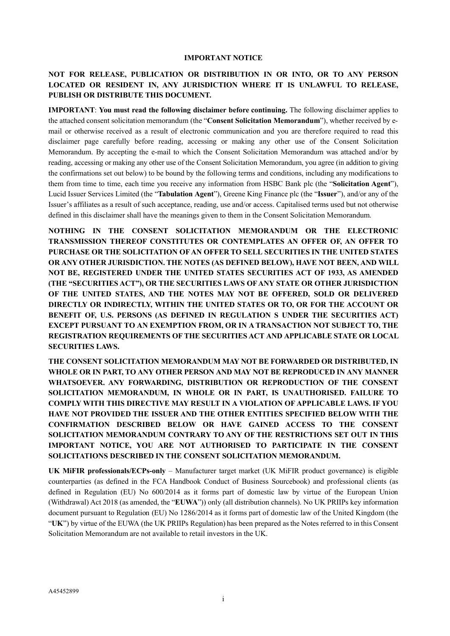#### **IMPORTANT NOTICE**

# **NOT FOR RELEASE, PUBLICATION OR DISTRIBUTION IN OR INTO, OR TO ANY PERSON LOCATED OR RESIDENT IN, ANY JURISDICTION WHERE IT IS UNLAWFUL TO RELEASE, PUBLISH OR DISTRIBUTE THIS DOCUMENT.**

**IMPORTANT**: **You must read the following disclaimer before continuing.** The following disclaimer applies to the attached consent solicitation memorandum (the "**Consent Solicitation Memorandum**"), whether received by email or otherwise received as a result of electronic communication and you are therefore required to read this disclaimer page carefully before reading, accessing or making any other use of the Consent Solicitation Memorandum. By accepting the e-mail to which the Consent Solicitation Memorandum was attached and/or by reading, accessing or making any other use of the Consent Solicitation Memorandum, you agree (in addition to giving the confirmations set out below) to be bound by the following terms and conditions, including any modifications to them from time to time, each time you receive any information from HSBC Bank plc (the "**Solicitation Agent**"), Lucid Issuer Services Limited (the "**Tabulation Agent**"), Greene King Finance plc (the "**Issuer**"), and/or any of the Issuer's affiliates as a result of such acceptance, reading, use and/or access. Capitalised terms used but not otherwise defined in this disclaimer shall have the meanings given to them in the Consent Solicitation Memorandum.

**NOTHING IN THE CONSENT SOLICITATION MEMORANDUM OR THE ELECTRONIC TRANSMISSION THEREOF CONSTITUTES OR CONTEMPLATES AN OFFER OF, AN OFFER TO PURCHASE OR THE SOLICITATION OF AN OFFER TO SELL SECURITIES IN THE UNITED STATES OR ANY OTHER JURISDICTION. THE NOTES (AS DEFINED BELOW), HAVE NOT BEEN, AND WILL NOT BE, REGISTERED UNDER THE UNITED STATES SECURITIES ACT OF 1933, AS AMENDED (THE "SECURITIES ACT"), OR THE SECURITIES LAWS OF ANY STATE OR OTHER JURISDICTION OF THE UNITED STATES, AND THE NOTES MAY NOT BE OFFERED, SOLD OR DELIVERED DIRECTLY OR INDIRECTLY, WITHIN THE UNITED STATES OR TO, OR FOR THE ACCOUNT OR BENEFIT OF, U.S. PERSONS (AS DEFINED IN REGULATION S UNDER THE SECURITIES ACT) EXCEPT PURSUANT TO AN EXEMPTION FROM, OR IN A TRANSACTION NOT SUBJECT TO, THE REGISTRATION REQUIREMENTS OF THE SECURITIES ACT AND APPLICABLE STATE OR LOCAL SECURITIES LAWS.**

**THE CONSENT SOLICITATION MEMORANDUM MAY NOT BE FORWARDED OR DISTRIBUTED, IN WHOLE OR IN PART, TO ANY OTHER PERSON AND MAY NOT BE REPRODUCED IN ANY MANNER WHATSOEVER. ANY FORWARDING, DISTRIBUTION OR REPRODUCTION OF THE CONSENT SOLICITATION MEMORANDUM, IN WHOLE OR IN PART, IS UNAUTHORISED. FAILURE TO COMPLY WITH THIS DIRECTIVE MAY RESULT IN A VIOLATION OF APPLICABLE LAWS. IF YOU HAVE NOT PROVIDED THE ISSUER AND THE OTHER ENTITIES SPECIFIED BELOW WITH THE CONFIRMATION DESCRIBED BELOW OR HAVE GAINED ACCESS TO THE CONSENT SOLICITATION MEMORANDUM CONTRARY TO ANY OF THE RESTRICTIONS SET OUT IN THIS IMPORTANT NOTICE, YOU ARE NOT AUTHORISED TO PARTICIPATE IN THE CONSENT SOLICITATIONS DESCRIBED IN THE CONSENT SOLICITATION MEMORANDUM.**

**UK MiFIR professionals/ECPs-only** – Manufacturer target market (UK MiFIR product governance) is eligible counterparties (as defined in the FCA Handbook Conduct of Business Sourcebook) and professional clients (as defined in Regulation (EU) No 600/2014 as it forms part of domestic law by virtue of the European Union (Withdrawal) Act 2018 (as amended, the "**EUWA**")) only (all distribution channels). No UK PRIIPs key information document pursuant to Regulation (EU) No 1286/2014 as it forms part of domestic law of the United Kingdom (the "**UK**") by virtue of the EUWA (the UK PRIIPs Regulation) has been prepared as the Notes referred to in this Consent Solicitation Memorandum are not available to retail investors in the UK.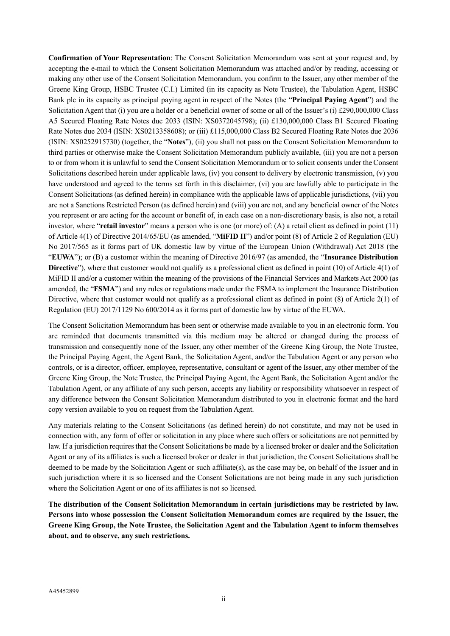**Confirmation of Your Representation**: The Consent Solicitation Memorandum was sent at your request and, by accepting the e-mail to which the Consent Solicitation Memorandum was attached and/or by reading, accessing or making any other use of the Consent Solicitation Memorandum, you confirm to the Issuer, any other member of the Greene King Group, HSBC Trustee (C.I.) Limited (in its capacity as Note Trustee), the Tabulation Agent, HSBC Bank plc in its capacity as principal paying agent in respect of the Notes (the "**Principal Paying Agent**") and the Solicitation Agent that (i) you are a holder or a beneficial owner of some or all of the Issuer's (i) £290,000,000 Class A5 Secured Floating Rate Notes due 2033 (ISIN: XS0372045798); (ii) £130,000,000 Class B1 Secured Floating Rate Notes due 2034 (ISIN: XS0213358608); or (iii) £115,000,000 Class B2 Secured Floating Rate Notes due 2036 (ISIN: XS0252915730) (together, the "**Notes**"), (ii) you shall not pass on the Consent Solicitation Memorandum to third parties or otherwise make the Consent Solicitation Memorandum publicly available, (iii) you are not a person to or from whom it is unlawful to send the Consent Solicitation Memorandum or to solicit consents under the Consent Solicitations described herein under applicable laws, (iv) you consent to delivery by electronic transmission, (v) you have understood and agreed to the terms set forth in this disclaimer, (vi) you are lawfully able to participate in the Consent Solicitations (as defined herein) in compliance with the applicable laws of applicable jurisdictions, (vii) you are not a Sanctions Restricted Person (as defined herein) and (viii) you are not, and any beneficial owner of the Notes you represent or are acting for the account or benefit of, in each case on a non-discretionary basis, is also not, a retail investor, where "**retail investor**" means a person who is one (or more) of: (A) a retail client as defined in point (11) of Article 4(1) of Directive 2014/65/EU (as amended, "**MiFID II**") and/or point (8) of Article 2 of Regulation (EU) No 2017/565 as it forms part of UK domestic law by virtue of the European Union (Withdrawal) Act 2018 (the "**EUWA**"); or (B) a customer within the meaning of Directive 2016/97 (as amended, the "**Insurance Distribution Directive**"), where that customer would not qualify as a professional client as defined in point (10) of Article 4(1) of MiFID II and/or a customer within the meaning of the provisions of the Financial Services and Markets Act 2000 (as amended, the "**FSMA**") and any rules or regulations made under the FSMA to implement the Insurance Distribution Directive, where that customer would not qualify as a professional client as defined in point (8) of Article 2(1) of Regulation (EU) 2017/1129 No 600/2014 as it forms part of domestic law by virtue of the EUWA.

The Consent Solicitation Memorandum has been sent or otherwise made available to you in an electronic form. You are reminded that documents transmitted via this medium may be altered or changed during the process of transmission and consequently none of the Issuer, any other member of the Greene King Group, the Note Trustee, the Principal Paying Agent, the Agent Bank, the Solicitation Agent, and/or the Tabulation Agent or any person who controls, or is a director, officer, employee, representative, consultant or agent of the Issuer, any other member of the Greene King Group, the Note Trustee, the Principal Paying Agent, the Agent Bank, the Solicitation Agent and/or the Tabulation Agent, or any affiliate of any such person, accepts any liability or responsibility whatsoever in respect of any difference between the Consent Solicitation Memorandum distributed to you in electronic format and the hard copy version available to you on request from the Tabulation Agent.

Any materials relating to the Consent Solicitations (as defined herein) do not constitute, and may not be used in connection with, any form of offer or solicitation in any place where such offers or solicitations are not permitted by law. If a jurisdiction requires that the Consent Solicitations be made by a licensed broker or dealer and the Solicitation Agent or any of its affiliates is such a licensed broker or dealer in that jurisdiction, the Consent Solicitations shall be deemed to be made by the Solicitation Agent or such affiliate(s), as the case may be, on behalf of the Issuer and in such jurisdiction where it is so licensed and the Consent Solicitations are not being made in any such jurisdiction where the Solicitation Agent or one of its affiliates is not so licensed.

**The distribution of the Consent Solicitation Memorandum in certain jurisdictions may be restricted by law. Persons into whose possession the Consent Solicitation Memorandum comes are required by the Issuer, the Greene King Group, the Note Trustee, the Solicitation Agent and the Tabulation Agent to inform themselves about, and to observe, any such restrictions.**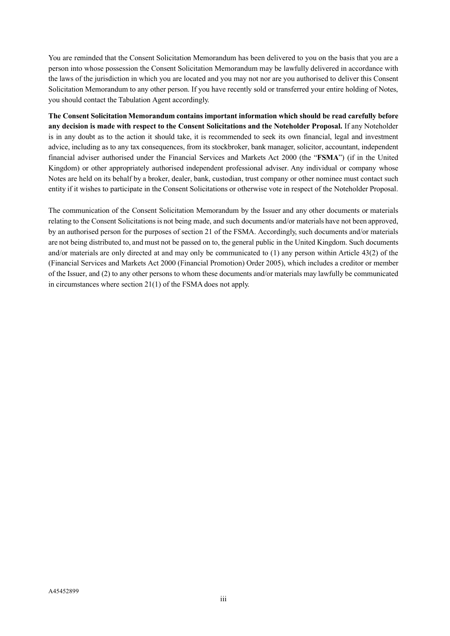You are reminded that the Consent Solicitation Memorandum has been delivered to you on the basis that you are a person into whose possession the Consent Solicitation Memorandum may be lawfully delivered in accordance with the laws of the jurisdiction in which you are located and you may not nor are you authorised to deliver this Consent Solicitation Memorandum to any other person. If you have recently sold or transferred your entire holding of Notes, you should contact the Tabulation Agent accordingly.

**The Consent Solicitation Memorandum contains important information which should be read carefully before any decision is made with respect to the Consent Solicitations and the Noteholder Proposal.** If any Noteholder is in any doubt as to the action it should take, it is recommended to seek its own financial, legal and investment advice, including as to any tax consequences, from its stockbroker, bank manager, solicitor, accountant, independent financial adviser authorised under the Financial Services and Markets Act 2000 (the "**FSMA**") (if in the United Kingdom) or other appropriately authorised independent professional adviser. Any individual or company whose Notes are held on its behalf by a broker, dealer, bank, custodian, trust company or other nominee must contact such entity if it wishes to participate in the Consent Solicitations or otherwise vote in respect of the Noteholder Proposal.

The communication of the Consent Solicitation Memorandum by the Issuer and any other documents or materials relating to the Consent Solicitations is not being made, and such documents and/or materials have not been approved, by an authorised person for the purposes of section 21 of the FSMA. Accordingly, such documents and/or materials are not being distributed to, and must not be passed on to, the general public in the United Kingdom. Such documents and/or materials are only directed at and may only be communicated to (1) any person within Article 43(2) of the (Financial Services and Markets Act 2000 (Financial Promotion) Order 2005), which includes a creditor or member of the Issuer, and (2) to any other persons to whom these documents and/or materials may lawfully be communicated in circumstances where section 21(1) of the FSMA does not apply.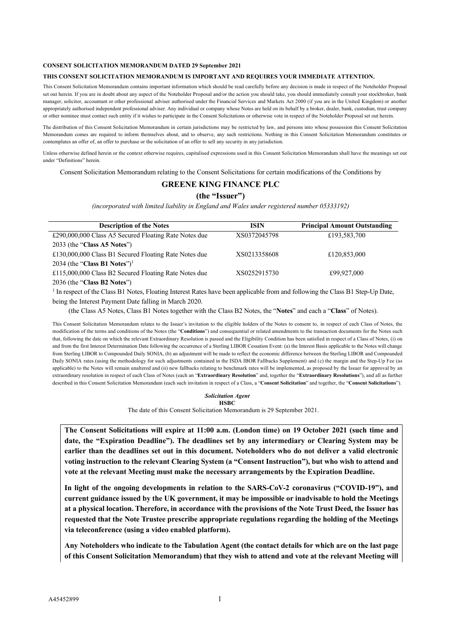#### **CONSENT SOLICITATION MEMORANDUM DATED 29 September 2021**

#### **THIS CONSENT SOLICITATION MEMORANDUM IS IMPORTANT AND REQUIRES YOUR IMMEDIATE ATTENTION.**

This Consent Solicitation Memorandum contains important information which should be read carefully before any decision is made in respect of the Noteholder Proposal set out herein. If you are in doubt about any aspect of the Noteholder Proposal and/or the action you should take, you should immediately consult your stockbroker, bank manager, solicitor, accountant or other professional adviser authorised under the Financial Services and Markets Act 2000 (if you are in the United Kingdom) or another appropriately authorised independent professional adviser. Any individual or company whose Notes are held on its behalf by a broker, dealer, bank, custodian, trust company or other nominee must contact such entity if it wishes to participate in the Consent Solicitations or otherwise vote in respect of the Noteholder Proposal set out herein.

The distribution of this Consent Solicitation Memorandum in certain jurisdictions may be restricted by law, and persons into whose possession this Consent Solicitation Memorandum comes are required to inform themselves about, and to observe, any such restrictions. Nothing in this Consent Solicitation Memorandum constitutes or contemplates an offer of, an offer to purchase or the solicitation of an offer to sell any security in any jurisdiction.

Unless otherwise defined herein or the context otherwise requires, capitalised expressions used in this Consent Solicitation Memorandum shall have the meanings set out under "Definitions" herein.

Consent Solicitation Memorandum relating to the Consent Solicitations for certain modifications of the Conditions by

# **GREENE KING FINANCE PLC**

### **(the "Issuer")**

*(incorporated with limited liability in England and Wales under registered number 05333192)*

| <b>Description of the Notes</b>                       | <b>ISIN</b>  | <b>Principal Amount Outstanding</b> |
|-------------------------------------------------------|--------------|-------------------------------------|
| £290,000,000 Class A5 Secured Floating Rate Notes due | XS0372045798 | £193,583,700                        |
| 2033 (the "Class A5 Notes")                           |              |                                     |
| £130,000,000 Class B1 Secured Floating Rate Notes due | XS0213358608 | £120,853,000                        |
| 2034 (the "Class B1 Notes") <sup>1</sup>              |              |                                     |
| £115,000,000 Class B2 Secured Floating Rate Notes due | XS0252915730 | £99,927,000                         |
| 2036 (the "Class B2 Notes")                           |              |                                     |

<sup>1</sup> In respect of the Class B1 Notes, Floating Interest Rates have been applicable from and following the Class B1 Step-Up Date, being the Interest Payment Date falling in March 2020.

(the Class A5 Notes, Class B1 Notes together with the Class B2 Notes, the "**Notes**" and each a "**Class**" of Notes).

This Consent Solicitation Memorandum relates to the Issuer's invitation to the eligible holders of the Notes to consent to, in respect of each Class of Notes, the modification of the terms and conditions of the Notes (the "**Conditions**") and consequential or related amendments to the transaction documents for the Notes such that, following the date on which the relevant Extraordinary Resolution is passed and the Eligibility Condition has been satisfied in respect of a Class of Notes, (i) on and from the first Interest Determination Date following the occurrence of a Sterling LIBOR Cessation Event: (a) the Interest Basis applicable to the Notes will change from Sterling LIBOR to Compounded Daily SONIA, (b) an adjustment will be made to reflect the economic difference between the Sterling LIBOR and Compounded Daily SONIA rates (using the methodology for such adjustments contained in the ISDA IBOR Fallbacks Supplement) and (c) the margin and the Step-Up Fee (as applicable) to the Notes will remain unaltered and (ii) new fallbacks relating to benchmark rates will be implemented, as proposed by the Issuer for approval by an extraordinary resolution in respect of each Class of Notes (each an "**Extraordinary Resolution**" and, together the "**Extraordinary Resolutions**"), and all as further described in this Consent Solicitation Memorandum (each such invitation in respect of a Class, a "**Consent Solicitation**" and together, the "**Consent Solicitations**").

#### *Solicitation Agent* **HSBC**

The date of this Consent Solicitation Memorandum is 29 September 2021.

**The Consent Solicitations will expire at 11:00 a.m. (London time) on 19 October 2021 (such time and date, the "Expiration Deadline"). The deadlines set by any intermediary or Clearing System may be earlier than the deadlines set out in this document. Noteholders who do not deliver a valid electronic voting instruction to the relevant Clearing System (a "Consent Instruction"), but who wish to attend and vote at the relevant Meeting must make the necessary arrangements by the Expiration Deadline.**

**In light of the ongoing developments in relation to the SARS-CoV-2 coronavirus ("COVID-19"), and current guidance issued by the UK government, it may be impossible or inadvisable to hold the Meetings at a physical location. Therefore, in accordance with the provisions of the Note Trust Deed, the Issuer has requested that the Note Trustee prescribe appropriate regulations regarding the holding of the Meetings via teleconference (using a video enabled platform).**

**Any Noteholders who indicate to the Tabulation Agent (the contact details for which are on the last page of this Consent Solicitation Memorandum) that they wish to attend and vote at the relevant Meeting will**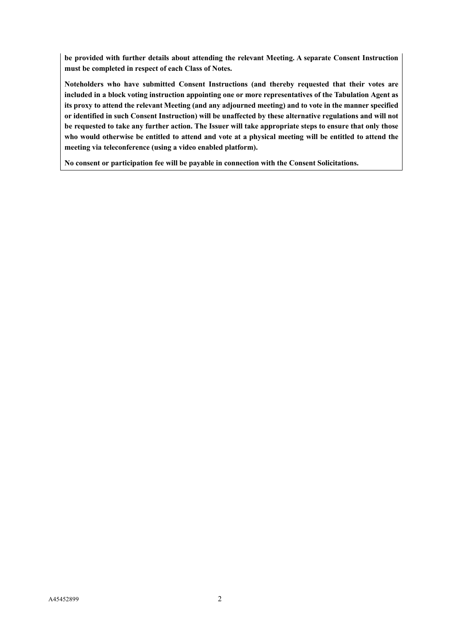**be provided with further details about attending the relevant Meeting. A separate Consent Instruction must be completed in respect of each Class of Notes.**

**Noteholders who have submitted Consent Instructions (and thereby requested that their votes are included in a block voting instruction appointing one or more representatives of the Tabulation Agent as its proxy to attend the relevant Meeting (and any adjourned meeting) and to vote in the manner specified or identified in such Consent Instruction) will be unaffected by these alternative regulations and will not be requested to take any further action. The Issuer will take appropriate steps to ensure that only those who would otherwise be entitled to attend and vote at a physical meeting will be entitled to attend the meeting via teleconference (using a video enabled platform).**

**No consent or participation fee will be payable in connection with the Consent Solicitations.**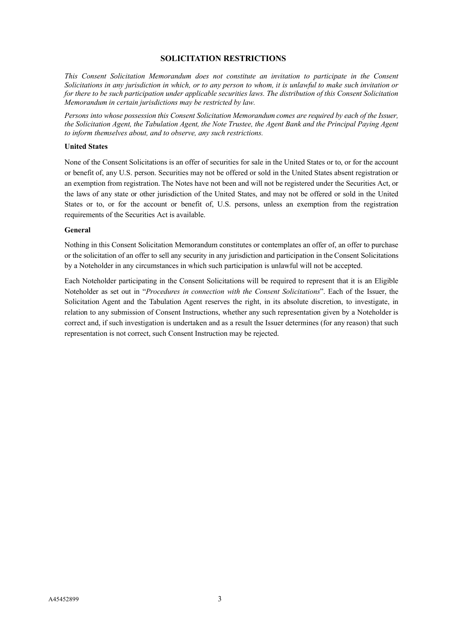# **SOLICITATION RESTRICTIONS**

<span id="page-5-0"></span>*This Consent Solicitation Memorandum does not constitute an invitation to participate in the Consent Solicitations in any jurisdiction in which, or to any person to whom, it is unlawful to make such invitation or for there to be such participation under applicable securities laws. The distribution of this Consent Solicitation Memorandum in certain jurisdictions may be restricted by law.*

*Persons into whose possession this Consent Solicitation Memorandum comes are required by each of the Issuer, the Solicitation Agent, the Tabulation Agent, the Note Trustee, the Agent Bank and the Principal Paying Agent to inform themselves about, and to observe, any such restrictions.*

#### **United States**

None of the Consent Solicitations is an offer of securities for sale in the United States or to, or for the account or benefit of, any U.S. person. Securities may not be offered or sold in the United States absent registration or an exemption from registration. The Notes have not been and will not be registered under the Securities Act, or the laws of any state or other jurisdiction of the United States, and may not be offered or sold in the United States or to, or for the account or benefit of, U.S. persons, unless an exemption from the registration requirements of the Securities Act is available.

#### **General**

Nothing in this Consent Solicitation Memorandum constitutes or contemplates an offer of, an offer to purchase or the solicitation of an offer to sell any security in any jurisdiction and participation in the Consent Solicitations by a Noteholder in any circumstances in which such participation is unlawful will not be accepted.

Each Noteholder participating in the Consent Solicitations will be required to represent that it is an Eligible Noteholder as set out in "*Procedures in connection with the Consent Solicitations*". Each of the Issuer, the Solicitation Agent and the Tabulation Agent reserves the right, in its absolute discretion, to investigate, in relation to any submission of Consent Instructions, whether any such representation given by a Noteholder is correct and, if such investigation is undertaken and as a result the Issuer determines (for any reason) that such representation is not correct, such Consent Instruction may be rejected.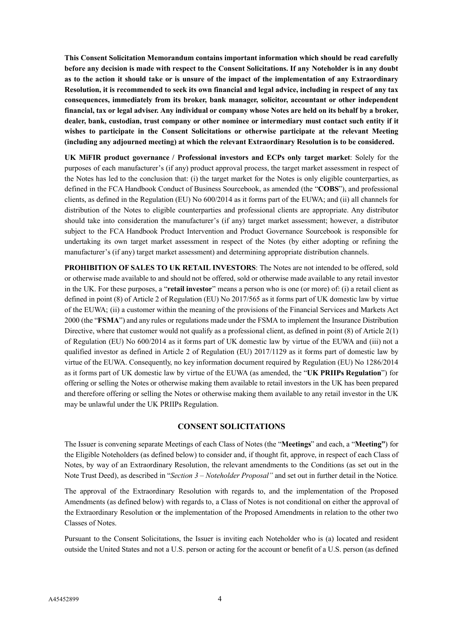**This Consent Solicitation Memorandum contains important information which should be read carefully before any decision is made with respect to the Consent Solicitations. If any Noteholder is in any doubt as to the action it should take or is unsure of the impact of the implementation of any Extraordinary Resolution, it is recommended to seek its own financial and legal advice, including in respect of any tax consequences, immediately from its broker, bank manager, solicitor, accountant or other independent financial, tax or legal adviser. Any individual or company whose Notes are held on its behalf by a broker, dealer, bank, custodian, trust company or other nominee or intermediary must contact such entity if it wishes to participate in the Consent Solicitations or otherwise participate at the relevant Meeting (including any adjourned meeting) at which the relevant Extraordinary Resolution is to be considered.**

**UK MiFIR product governance / Professional investors and ECPs only target market**: Solely for the purposes of each manufacturer's (if any) product approval process, the target market assessment in respect of the Notes has led to the conclusion that: (i) the target market for the Notes is only eligible counterparties, as defined in the FCA Handbook Conduct of Business Sourcebook, as amended (the "**COBS**"), and professional clients, as defined in the Regulation (EU) No 600/2014 as it forms part of the EUWA; and (ii) all channels for distribution of the Notes to eligible counterparties and professional clients are appropriate. Any distributor should take into consideration the manufacturer's (if any) target market assessment; however, a distributor subject to the FCA Handbook Product Intervention and Product Governance Sourcebook is responsible for undertaking its own target market assessment in respect of the Notes (by either adopting or refining the manufacturer's (if any) target market assessment) and determining appropriate distribution channels.

**PROHIBITION OF SALES TO UK RETAIL INVESTORS**: The Notes are not intended to be offered, sold or otherwise made available to and should not be offered, sold or otherwise made available to any retail investor in the UK. For these purposes, a "**retail investor**" means a person who is one (or more) of: (i) a retail client as defined in point (8) of Article 2 of Regulation (EU) No 2017/565 as it forms part of UK domestic law by virtue of the EUWA; (ii) a customer within the meaning of the provisions of the Financial Services and Markets Act 2000 (the "**FSMA**") and any rules or regulations made under the FSMA to implement the Insurance Distribution Directive, where that customer would not qualify as a professional client, as defined in point (8) of Article 2(1) of Regulation (EU) No 600/2014 as it forms part of UK domestic law by virtue of the EUWA and (iii) not a qualified investor as defined in Article 2 of Regulation (EU) 2017/1129 as it forms part of domestic law by virtue of the EUWA. Consequently, no key information document required by Regulation (EU) No 1286/2014 as it forms part of UK domestic law by virtue of the EUWA (as amended, the "**UK PRIIPs Regulation**") for offering or selling the Notes or otherwise making them available to retail investors in the UK has been prepared and therefore offering or selling the Notes or otherwise making them available to any retail investor in the UK may be unlawful under the UK PRIIPs Regulation.

### **CONSENT SOLICITATIONS**

The Issuer is convening separate Meetings of each Class of Notes (the "**Meetings**" and each, a "**Meeting"**) for the Eligible Noteholders (as defined below) to consider and, if thought fit, approve, in respect of each Class of Notes, by way of an Extraordinary Resolution, the relevant amendments to the Conditions (as set out in the Note Trust Deed), as described in "*Section 3 – Noteholder Proposal"* and set out in further detail in the Notice*.*

The approval of the Extraordinary Resolution with regards to, and the implementation of the Proposed Amendments (as defined below) with regards to, a Class of Notes is not conditional on either the approval of the Extraordinary Resolution or the implementation of the Proposed Amendments in relation to the other two Classes of Notes.

Pursuant to the Consent Solicitations, the Issuer is inviting each Noteholder who is (a) located and resident outside the United States and not a U.S. person or acting for the account or benefit of a U.S. person (as defined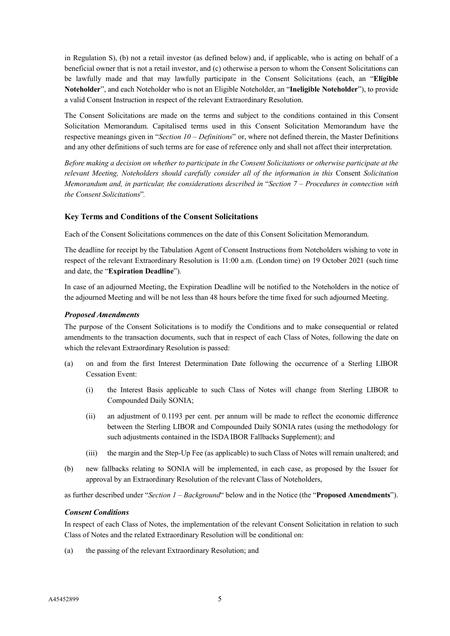in Regulation S), (b) not a retail investor (as defined below) and, if applicable, who is acting on behalf of a beneficial owner that is not a retail investor, and (c) otherwise a person to whom the Consent Solicitations can be lawfully made and that may lawfully participate in the Consent Solicitations (each, an "**Eligible Noteholder**", and each Noteholder who is not an Eligible Noteholder, an "**Ineligible Noteholder**"), to provide a valid Consent Instruction in respect of the relevant Extraordinary Resolution.

The Consent Solicitations are made on the terms and subject to the conditions contained in this Consent Solicitation Memorandum. Capitalised terms used in this Consent Solicitation Memorandum have the respective meanings given in "*Section 10* – *Definitions*" or, where not defined therein, the Master Definitions and any other definitions of such terms are for ease of reference only and shall not affect their interpretation.

*Before making a decision on whether to participate in the Consent Solicitations or otherwise participate at the relevant Meeting, Noteholders should carefully consider all of the information in this* Consent *Solicitation Memorandum and, in particular, the considerations described in* "*Section 7 – Procedures in connection with the Consent Solicitations*"*.*

# **Key Terms and Conditions of the Consent Solicitations**

Each of the Consent Solicitations commences on the date of this Consent Solicitation Memorandum.

The deadline for receipt by the Tabulation Agent of Consent Instructions from Noteholders wishing to vote in respect of the relevant Extraordinary Resolution is 11:00 a.m. (London time) on 19 October 2021 (such time and date, the "**Expiration Deadline**").

In case of an adjourned Meeting, the Expiration Deadline will be notified to the Noteholders in the notice of the adjourned Meeting and will be not less than 48 hours before the time fixed for such adjourned Meeting.

# *Proposed Amendments*

The purpose of the Consent Solicitations is to modify the Conditions and to make consequential or related amendments to the transaction documents, such that in respect of each Class of Notes, following the date on which the relevant Extraordinary Resolution is passed:

- (a) on and from the first Interest Determination Date following the occurrence of a Sterling LIBOR Cessation Event:
	- (i) the Interest Basis applicable to such Class of Notes will change from Sterling LIBOR to Compounded Daily SONIA;
	- (ii) an adjustment of 0.1193 per cent. per annum will be made to reflect the economic difference between the Sterling LIBOR and Compounded Daily SONIA rates (using the methodology for such adjustments contained in the ISDA IBOR Fallbacks Supplement); and
	- (iii) the margin and the Step-Up Fee (as applicable) to such Class of Notes will remain unaltered; and
- (b) new fallbacks relating to SONIA will be implemented, in each case, as proposed by the Issuer for approval by an Extraordinary Resolution of the relevant Class of Noteholders,

as further described under "*Section 1 – Background*" below and in the Notice (the "**Proposed Amendments**").

### *Consent Conditions*

In respect of each Class of Notes, the implementation of the relevant Consent Solicitation in relation to such Class of Notes and the related Extraordinary Resolution will be conditional on:

(a) the passing of the relevant Extraordinary Resolution; and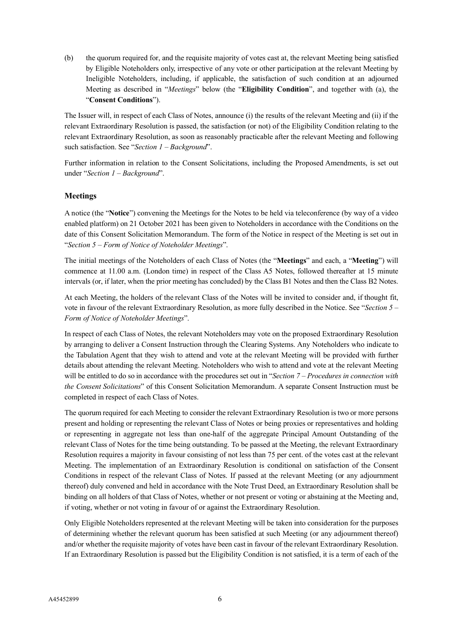(b) the quorum required for, and the requisite majority of votes cast at, the relevant Meeting being satisfied by Eligible Noteholders only, irrespective of any vote or other participation at the relevant Meeting by Ineligible Noteholders, including, if applicable, the satisfaction of such condition at an adjourned Meeting as described in "*Meetings*" below (the "**Eligibility Condition**", and together with (a), the "**Consent Conditions**").

The Issuer will, in respect of each Class of Notes, announce (i) the results of the relevant Meeting and (ii) if the relevant Extraordinary Resolution is passed, the satisfaction (or not) of the Eligibility Condition relating to the relevant Extraordinary Resolution, as soon as reasonably practicable after the relevant Meeting and following such satisfaction. See "*Section 1 – Background*".

Further information in relation to the Consent Solicitations, including the Proposed Amendments, is set out under "*Section 1 – Background*".

# **Meetings**

A notice (the "**Notice**") convening the Meetings for the Notes to be held via teleconference (by way of a video enabled platform) on 21 October 2021 has been given to Noteholders in accordance with the Conditions on the date of this Consent Solicitation Memorandum. The form of the Notice in respect of the Meeting is set out in "*Section 5 – Form of Notice of Noteholder Meetings*".

The initial meetings of the Noteholders of each Class of Notes (the "**Meetings**" and each, a "**Meeting**") will commence at 11.00 a.m. (London time) in respect of the Class A5 Notes, followed thereafter at 15 minute intervals (or, if later, when the prior meeting has concluded) by the Class B1 Notes and then the Class B2 Notes.

At each Meeting, the holders of the relevant Class of the Notes will be invited to consider and, if thought fit, vote in favour of the relevant Extraordinary Resolution, as more fully described in the Notice. See "*Section 5 – Form of Notice of Noteholder Meetings*".

In respect of each Class of Notes, the relevant Noteholders may vote on the proposed Extraordinary Resolution by arranging to deliver a Consent Instruction through the Clearing Systems. Any Noteholders who indicate to the Tabulation Agent that they wish to attend and vote at the relevant Meeting will be provided with further details about attending the relevant Meeting. Noteholders who wish to attend and vote at the relevant Meeting will be entitled to do so in accordance with the procedures set out in "*Section 7 – Procedures in connection with the Consent Solicitations*" of this Consent Solicitation Memorandum. A separate Consent Instruction must be completed in respect of each Class of Notes.

The quorum required for each Meeting to consider the relevant Extraordinary Resolution is two or more persons present and holding or representing the relevant Class of Notes or being proxies or representatives and holding or representing in aggregate not less than one-half of the aggregate Principal Amount Outstanding of the relevant Class of Notes for the time being outstanding. To be passed at the Meeting, the relevant Extraordinary Resolution requires a majority in favour consisting of not less than 75 per cent. of the votes cast at the relevant Meeting. The implementation of an Extraordinary Resolution is conditional on satisfaction of the Consent Conditions in respect of the relevant Class of Notes. If passed at the relevant Meeting (or any adjournment thereof) duly convened and held in accordance with the Note Trust Deed, an Extraordinary Resolution shall be binding on all holders of that Class of Notes, whether or not present or voting or abstaining at the Meeting and, if voting, whether or not voting in favour of or against the Extraordinary Resolution.

Only Eligible Noteholders represented at the relevant Meeting will be taken into consideration for the purposes of determining whether the relevant quorum has been satisfied at such Meeting (or any adjournment thereof) and/or whether the requisite majority of votes have been cast in favour of the relevant Extraordinary Resolution. If an Extraordinary Resolution is passed but the Eligibility Condition is not satisfied, it is a term of each of the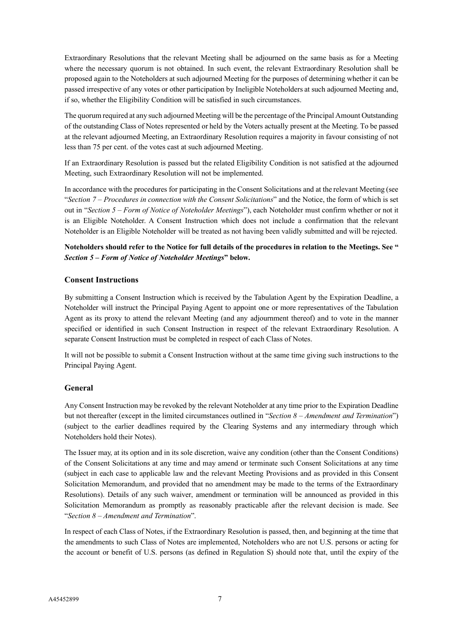Extraordinary Resolutions that the relevant Meeting shall be adjourned on the same basis as for a Meeting where the necessary quorum is not obtained. In such event, the relevant Extraordinary Resolution shall be proposed again to the Noteholders at such adjourned Meeting for the purposes of determining whether it can be passed irrespective of any votes or other participation by Ineligible Noteholders at such adjourned Meeting and, if so, whether the Eligibility Condition will be satisfied in such circumstances.

The quorum required at any such adjourned Meeting will be the percentage of the Principal Amount Outstanding of the outstanding Class of Notes represented or held by the Voters actually present at the Meeting. To be passed at the relevant adjourned Meeting, an Extraordinary Resolution requires a majority in favour consisting of not less than 75 per cent. of the votes cast at such adjourned Meeting.

If an Extraordinary Resolution is passed but the related Eligibility Condition is not satisfied at the adjourned Meeting, such Extraordinary Resolution will not be implemented.

In accordance with the procedures for participating in the Consent Solicitations and at the relevant Meeting (see "*Section 7 – Procedures in connection with the Consent Solicitations*" and the Notice, the form of which is set out in "*Section 5 – Form of Notice of Noteholder Meetings*"), each Noteholder must confirm whether or not it is an Eligible Noteholder. A Consent Instruction which does not include a confirmation that the relevant Noteholder is an Eligible Noteholder will be treated as not having been validly submitted and will be rejected.

# **Noteholders should refer to the Notice for full details of the procedures in relation to the Meetings. See "**  *Section 5 – Form of Notice of Noteholder Meetings***" below.**

# **Consent Instructions**

By submitting a Consent Instruction which is received by the Tabulation Agent by the Expiration Deadline, a Noteholder will instruct the Principal Paying Agent to appoint one or more representatives of the Tabulation Agent as its proxy to attend the relevant Meeting (and any adjournment thereof) and to vote in the manner specified or identified in such Consent Instruction in respect of the relevant Extraordinary Resolution. A separate Consent Instruction must be completed in respect of each Class of Notes.

It will not be possible to submit a Consent Instruction without at the same time giving such instructions to the Principal Paying Agent.

### **General**

Any Consent Instruction may be revoked by the relevant Noteholder at any time prior to the Expiration Deadline but not thereafter (except in the limited circumstances outlined in "*Section 8 – Amendment and Termination*") (subject to the earlier deadlines required by the Clearing Systems and any intermediary through which Noteholders hold their Notes).

The Issuer may, at its option and in its sole discretion, waive any condition (other than the Consent Conditions) of the Consent Solicitations at any time and may amend or terminate such Consent Solicitations at any time (subject in each case to applicable law and the relevant Meeting Provisions and as provided in this Consent Solicitation Memorandum, and provided that no amendment may be made to the terms of the Extraordinary Resolutions). Details of any such waiver, amendment or termination will be announced as provided in this Solicitation Memorandum as promptly as reasonably practicable after the relevant decision is made. See "*Section 8 – Amendment and Termination*".

In respect of each Class of Notes, if the Extraordinary Resolution is passed, then, and beginning at the time that the amendments to such Class of Notes are implemented, Noteholders who are not U.S. persons or acting for the account or benefit of U.S. persons (as defined in Regulation S) should note that, until the expiry of the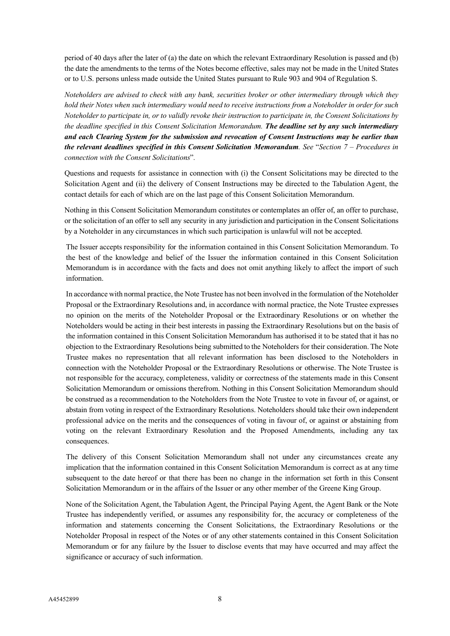period of 40 days after the later of (a) the date on which the relevant Extraordinary Resolution is passed and (b) the date the amendments to the terms of the Notes become effective, sales may not be made in the United States or to U.S. persons unless made outside the United States pursuant to Rule 903 and 904 of Regulation S.

*Noteholders are advised to check with any bank, securities broker or other intermediary through which they hold their Notes when such intermediary would need to receive instructions from a Noteholder in order for such Noteholder to participate in, or to validly revoke their instruction to participate in, the Consent Solicitations by the deadline specified in this Consent Solicitation Memorandum. The deadline set by any such intermediary and each Clearing System for the submission and revocation of Consent Instructions may be earlier than the relevant deadlines specified in this Consent Solicitation Memorandum. See* "*Section 7 – Procedures in connection with the Consent Solicitations*"*.*

Questions and requests for assistance in connection with (i) the Consent Solicitations may be directed to the Solicitation Agent and (ii) the delivery of Consent Instructions may be directed to the Tabulation Agent, the contact details for each of which are on the last page of this Consent Solicitation Memorandum.

Nothing in this Consent Solicitation Memorandum constitutes or contemplates an offer of, an offer to purchase, or the solicitation of an offer to sell any security in any jurisdiction and participation in the Consent Solicitations by a Noteholder in any circumstances in which such participation is unlawful will not be accepted.

The Issuer accepts responsibility for the information contained in this Consent Solicitation Memorandum. To the best of the knowledge and belief of the Issuer the information contained in this Consent Solicitation Memorandum is in accordance with the facts and does not omit anything likely to affect the import of such information.

In accordance with normal practice, the Note Trustee has not been involved in the formulation of the Noteholder Proposal or the Extraordinary Resolutions and, in accordance with normal practice, the Note Trustee expresses no opinion on the merits of the Noteholder Proposal or the Extraordinary Resolutions or on whether the Noteholders would be acting in their best interests in passing the Extraordinary Resolutions but on the basis of the information contained in this Consent Solicitation Memorandum has authorised it to be stated that it has no objection to the Extraordinary Resolutions being submitted to the Noteholders for their consideration. The Note Trustee makes no representation that all relevant information has been disclosed to the Noteholders in connection with the Noteholder Proposal or the Extraordinary Resolutions or otherwise. The Note Trustee is not responsible for the accuracy, completeness, validity or correctness of the statements made in this Consent Solicitation Memorandum or omissions therefrom. Nothing in this Consent Solicitation Memorandum should be construed as a recommendation to the Noteholders from the Note Trustee to vote in favour of, or against, or abstain from voting in respect of the Extraordinary Resolutions. Noteholders should take their own independent professional advice on the merits and the consequences of voting in favour of, or against or abstaining from voting on the relevant Extraordinary Resolution and the Proposed Amendments, including any tax consequences.

The delivery of this Consent Solicitation Memorandum shall not under any circumstances create any implication that the information contained in this Consent Solicitation Memorandum is correct as at any time subsequent to the date hereof or that there has been no change in the information set forth in this Consent Solicitation Memorandum or in the affairs of the Issuer or any other member of the Greene King Group.

None of the Solicitation Agent, the Tabulation Agent, the Principal Paying Agent, the Agent Bank or the Note Trustee has independently verified, or assumes any responsibility for, the accuracy or completeness of the information and statements concerning the Consent Solicitations, the Extraordinary Resolutions or the Noteholder Proposal in respect of the Notes or of any other statements contained in this Consent Solicitation Memorandum or for any failure by the Issuer to disclose events that may have occurred and may affect the significance or accuracy of such information.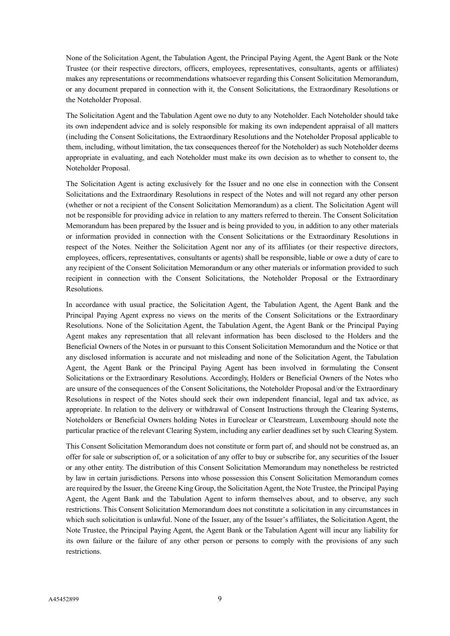None of the Solicitation Agent, the Tabulation Agent, the Principal Paying Agent, the Agent Bank or the Note Trustee (or their respective directors, officers, employees, representatives, consultants, agents or affiliates) makes any representations or recommendations whatsoever regarding this Consent Solicitation Memorandum, or any document prepared in connection with it, the Consent Solicitations, the Extraordinary Resolutions or the Noteholder Proposal.

The Solicitation Agent and the Tabulation Agent owe no duty to any Noteholder. Each Noteholder should take its own independent advice and is solely responsible for making its own independent appraisal of all matters (including the Consent Solicitations, the Extraordinary Resolutions and the Noteholder Proposal applicable to them, including, without limitation, the tax consequences thereof for the Noteholder) as such Noteholder deems appropriate in evaluating, and each Noteholder must make its own decision as to whether to consent to, the Noteholder Proposal.

The Solicitation Agent is acting exclusively for the Issuer and no one else in connection with the Consent Solicitations and the Extraordinary Resolutions in respect of the Notes and will not regard any other person (whether or not a recipient of the Consent Solicitation Memorandum) as a client. The Solicitation Agent will not be responsible for providing advice in relation to any matters referred to therein. The Consent Solicitation Memorandum has been prepared by the Issuer and is being provided to you, in addition to any other materials or information provided in connection with the Consent Solicitations or the Extraordinary Resolutions in respect of the Notes. Neither the Solicitation Agent nor any of its affiliates (or their respective directors, employees, officers, representatives, consultants or agents) shall be responsible, liable or owe a duty of care to any recipient of the Consent Solicitation Memorandum or any other materials or information provided to such recipient in connection with the Consent Solicitations, the Noteholder Proposal or the Extraordinary Resolutions.

In accordance with usual practice, the Solicitation Agent, the Tabulation Agent, the Agent Bank and the Principal Paying Agent express no views on the merits of the Consent Solicitations or the Extraordinary Resolutions. None of the Solicitation Agent, the Tabulation Agent, the Agent Bank or the Principal Paying Agent makes any representation that all relevant information has been disclosed to the Holders and the Beneficial Owners of the Notes in or pursuant to this Consent Solicitation Memorandum and the Notice or that any disclosed information is accurate and not misleading and none of the Solicitation Agent, the Tabulation Agent, the Agent Bank or the Principal Paying Agent has been involved in formulating the Consent Solicitations or the Extraordinary Resolutions. Accordingly, Holders or Beneficial Owners of the Notes who are unsure of the consequences of the Consent Solicitations, the Noteholder Proposal and/or the Extraordinary Resolutions in respect of the Notes should seek their own independent financial, legal and tax advice, as appropriate. In relation to the delivery or withdrawal of Consent Instructions through the Clearing Systems, Noteholders or Beneficial Owners holding Notes in Euroclear or Clearstream, Luxembourg should note the particular practice of the relevant Clearing System, including any earlier deadlines set by such Clearing System.

This Consent Solicitation Memorandum does not constitute or form part of, and should not be construed as, an offer for sale or subscription of, or a solicitation of any offer to buy or subscribe for, any securities of the Issuer or any other entity. The distribution of this Consent Solicitation Memorandum may nonetheless be restricted by law in certain jurisdictions. Persons into whose possession this Consent Solicitation Memorandum comes are required by the Issuer, the Greene King Group, the Solicitation Agent, the Note Trustee, the Principal Paying Agent, the Agent Bank and the Tabulation Agent to inform themselves about, and to observe, any such restrictions. This Consent Solicitation Memorandum does not constitute a solicitation in any circumstances in which such solicitation is unlawful. None of the Issuer, any of the Issuer's affiliates, the Solicitation Agent, the Note Trustee, the Principal Paying Agent, the Agent Bank or the Tabulation Agent will incur any liability for its own failure or the failure of any other person or persons to comply with the provisions of any such restrictions.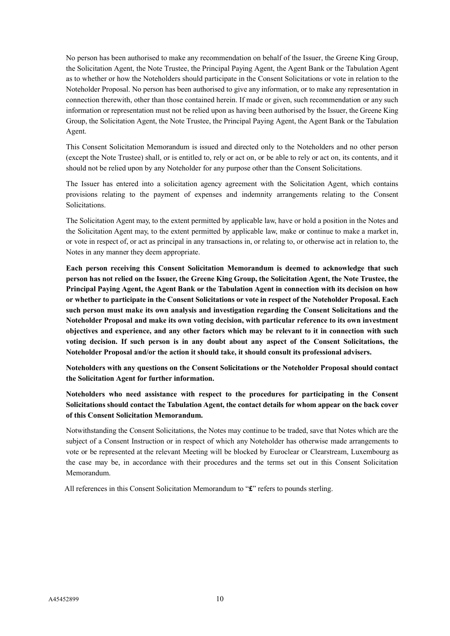No person has been authorised to make any recommendation on behalf of the Issuer, the Greene King Group, the Solicitation Agent, the Note Trustee, the Principal Paying Agent, the Agent Bank or the Tabulation Agent as to whether or how the Noteholders should participate in the Consent Solicitations or vote in relation to the Noteholder Proposal. No person has been authorised to give any information, or to make any representation in connection therewith, other than those contained herein. If made or given, such recommendation or any such information or representation must not be relied upon as having been authorised by the Issuer, the Greene King Group, the Solicitation Agent, the Note Trustee, the Principal Paying Agent, the Agent Bank or the Tabulation Agent.

This Consent Solicitation Memorandum is issued and directed only to the Noteholders and no other person (except the Note Trustee) shall, or is entitled to, rely or act on, or be able to rely or act on, its contents, and it should not be relied upon by any Noteholder for any purpose other than the Consent Solicitations.

The Issuer has entered into a solicitation agency agreement with the Solicitation Agent, which contains provisions relating to the payment of expenses and indemnity arrangements relating to the Consent Solicitations.

The Solicitation Agent may, to the extent permitted by applicable law, have or hold a position in the Notes and the Solicitation Agent may, to the extent permitted by applicable law, make or continue to make a market in, or vote in respect of, or act as principal in any transactions in, or relating to, or otherwise act in relation to, the Notes in any manner they deem appropriate.

**Each person receiving this Consent Solicitation Memorandum is deemed to acknowledge that such person has not relied on the Issuer, the Greene King Group, the Solicitation Agent, the Note Trustee, the Principal Paying Agent, the Agent Bank or the Tabulation Agent in connection with its decision on how or whether to participate in the Consent Solicitations or vote in respect of the Noteholder Proposal. Each such person must make its own analysis and investigation regarding the Consent Solicitations and the Noteholder Proposal and make its own voting decision, with particular reference to its own investment objectives and experience, and any other factors which may be relevant to it in connection with such voting decision. If such person is in any doubt about any aspect of the Consent Solicitations, the Noteholder Proposal and/or the action it should take, it should consult its professional advisers.**

**Noteholders with any questions on the Consent Solicitations or the Noteholder Proposal should contact the Solicitation Agent for further information.**

**Noteholders who need assistance with respect to the procedures for participating in the Consent Solicitations should contact the Tabulation Agent, the contact details for whom appear on the back cover of this Consent Solicitation Memorandum.**

Notwithstanding the Consent Solicitations, the Notes may continue to be traded, save that Notes which are the subject of a Consent Instruction or in respect of which any Noteholder has otherwise made arrangements to vote or be represented at the relevant Meeting will be blocked by Euroclear or Clearstream, Luxembourg as the case may be, in accordance with their procedures and the terms set out in this Consent Solicitation Memorandum.

All references in this Consent Solicitation Memorandum to "**£**" refers to pounds sterling.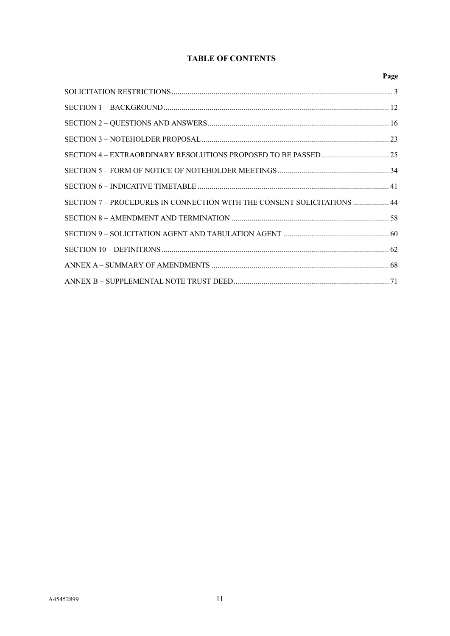# **TABLE OF CONTENTS**

|                                                                         | Page |
|-------------------------------------------------------------------------|------|
|                                                                         |      |
|                                                                         |      |
|                                                                         |      |
|                                                                         |      |
|                                                                         |      |
|                                                                         |      |
|                                                                         |      |
| SECTION 7 - PROCEDURES IN CONNECTION WITH THE CONSENT SOLICITATIONS  44 |      |
|                                                                         |      |
|                                                                         |      |
|                                                                         |      |
|                                                                         |      |
|                                                                         |      |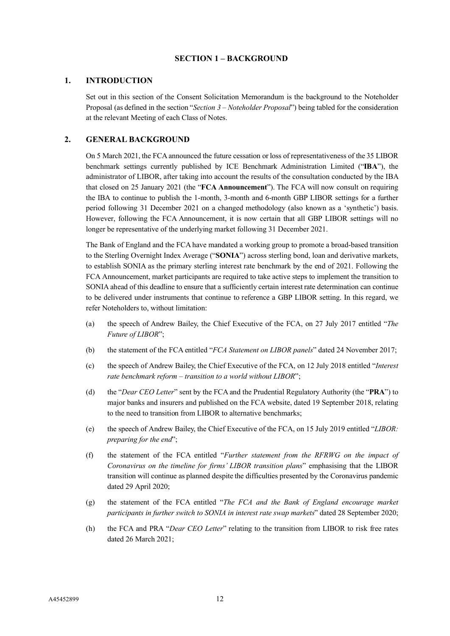# **SECTION 1 – BACKGROUND**

### <span id="page-14-0"></span>**1. INTRODUCTION**

Set out in this section of the Consent Solicitation Memorandum is the background to the Noteholder Proposal (as defined in the section "*Section 3 – Noteholder Proposal*") being tabled for the consideration at the relevant Meeting of each Class of Notes.

# **2. GENERAL BACKGROUND**

On 5 March 2021, the FCA announced the future cessation or loss of representativeness of the 35 LIBOR benchmark settings currently published by ICE Benchmark Administration Limited ("**IBA**"), the administrator of LIBOR, after taking into account the results of the consultation conducted by the IBA that closed on 25 January 2021 (the "**FCA Announcement**"). The FCA will now consult on requiring the IBA to continue to publish the 1-month, 3-month and 6-month GBP LIBOR settings for a further period following 31 December 2021 on a changed methodology (also known as a 'synthetic') basis. However, following the FCA Announcement, it is now certain that all GBP LIBOR settings will no longer be representative of the underlying market following 31 December 2021.

The Bank of England and the FCA have mandated a working group to promote a broad-based transition to the Sterling Overnight Index Average ("**SONIA**") across sterling bond, loan and derivative markets, to establish SONIA as the primary sterling interest rate benchmark by the end of 2021. Following the FCA Announcement, market participants are required to take active steps to implement the transition to SONIA ahead of this deadline to ensure that a sufficiently certain interest rate determination can continue to be delivered under instruments that continue to reference a GBP LIBOR setting. In this regard, we refer Noteholders to, without limitation:

- (a) the speech of Andrew Bailey, the Chief Executive of the FCA, on 27 July 2017 entitled "*The Future of LIBOR*";
- (b) the statement of the FCA entitled "*FCA Statement on LIBOR panels*" dated 24 November 2017;
- (c) the speech of Andrew Bailey, the Chief Executive of the FCA, on 12 July 2018 entitled "*Interest rate benchmark reform – transition to a world without LIBOR*";
- (d) the "*Dear CEO Letter*" sent by the FCA and the Prudential Regulatory Authority (the "**PRA**") to major banks and insurers and published on the FCA website, dated 19 September 2018, relating to the need to transition from LIBOR to alternative benchmarks;
- (e) the speech of Andrew Bailey, the Chief Executive of the FCA, on 15 July 2019 entitled "*LIBOR: preparing for the end*";
- (f) the statement of the FCA entitled "*Further statement from the RFRWG on the impact of Coronavirus on the timeline for firms' LIBOR transition plans*" emphasising that the LIBOR transition will continue as planned despite the difficulties presented by the Coronavirus pandemic dated 29 April 2020;
- (g) the statement of the FCA entitled "*The FCA and the Bank of England encourage market participants in further switch to SONIA in interest rate swap markets*" dated 28 September 2020;
- (h) the FCA and PRA "*Dear CEO Letter*" relating to the transition from LIBOR to risk free rates dated 26 March 2021;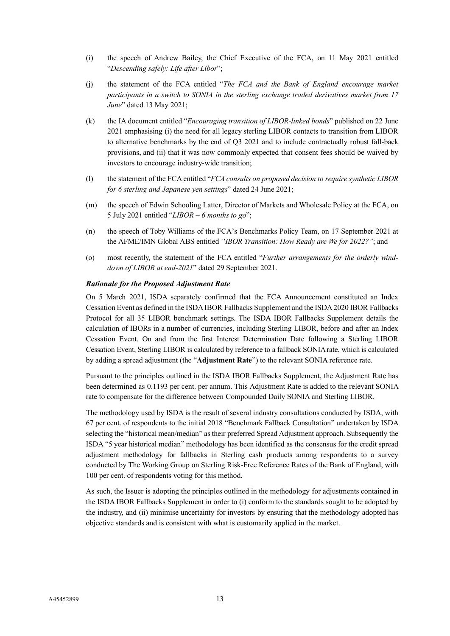- (i) the speech of Andrew Bailey, the Chief Executive of the FCA, on 11 May 2021 entitled "*Descending safely: Life after Libor*";
- (j) the statement of the FCA entitled "*The FCA and the Bank of England encourage market participants in a switch to SONIA in the sterling exchange traded derivatives market from 17 June*" dated 13 May 2021;
- (k) the IA document entitled "*Encouraging transition of LIBOR-linked bonds*" published on 22 June 2021 emphasising (i) the need for all legacy sterling LIBOR contacts to transition from LIBOR to alternative benchmarks by the end of Q3 2021 and to include contractually robust fall-back provisions, and (ii) that it was now commonly expected that consent fees should be waived by investors to encourage industry-wide transition;
- (l) the statement of the FCA entitled "*FCA consults on proposed decision to require synthetic LIBOR for 6 sterling and Japanese yen settings*" dated 24 June 2021;
- (m) the speech of Edwin Schooling Latter, Director of Markets and Wholesale Policy at the FCA, on 5 July 2021 entitled "*LIBOR – 6 months to go*";
- (n) the speech of Toby Williams of the FCA's Benchmarks Policy Team, on 17 September 2021 at the AFME/IMN Global ABS entitled *"IBOR Transition: How Ready are We for 2022?"*; and
- (o) most recently, the statement of the FCA entitled "*Further arrangements for the orderly winddown of LIBOR at end-2021*" dated 29 September 2021.

### *Rationale for the Proposed Adjustment Rate*

On 5 March 2021, ISDA separately confirmed that the FCA Announcement constituted an Index Cessation Event as defined in the ISDA IBOR Fallbacks Supplement and the ISDA 2020 IBOR Fallbacks Protocol for all 35 LIBOR benchmark settings. The ISDA IBOR Fallbacks Supplement details the calculation of IBORs in a number of currencies, including Sterling LIBOR, before and after an Index Cessation Event. On and from the first Interest Determination Date following a Sterling LIBOR Cessation Event, Sterling LIBOR is calculated by reference to a fallback SONIA rate, which is calculated by adding a spread adjustment (the "**Adjustment Rate**") to the relevant SONIA reference rate.

Pursuant to the principles outlined in the ISDA IBOR Fallbacks Supplement, the Adjustment Rate has been determined as 0.1193 per cent. per annum. This Adjustment Rate is added to the relevant SONIA rate to compensate for the difference between Compounded Daily SONIA and Sterling LIBOR.

The methodology used by ISDA is the result of several industry consultations conducted by ISDA, with 67 per cent. of respondents to the initial 2018 "Benchmark Fallback Consultation" undertaken by ISDA selecting the "historical mean/median" as their preferred Spread Adjustment approach. Subsequently the ISDA "5 year historical median" methodology has been identified as the consensus for the credit spread adjustment methodology for fallbacks in Sterling cash products among respondents to a survey conducted by The Working Group on Sterling Risk-Free Reference Rates of the Bank of England, with 100 per cent. of respondents voting for this method.

As such, the Issuer is adopting the principles outlined in the methodology for adjustments contained in the ISDA IBOR Fallbacks Supplement in order to (i) conform to the standards sought to be adopted by the industry, and (ii) minimise uncertainty for investors by ensuring that the methodology adopted has objective standards and is consistent with what is customarily applied in the market.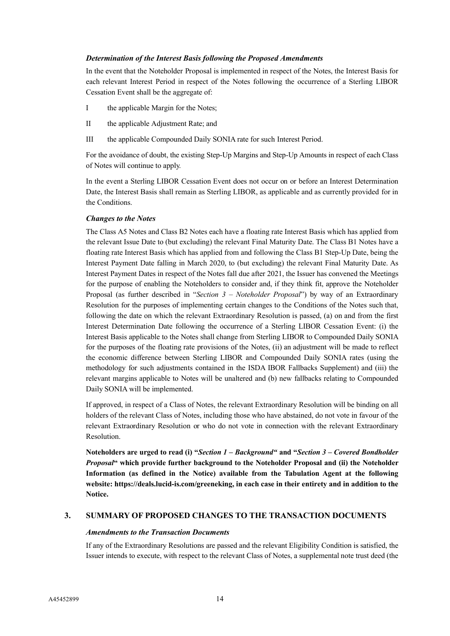### *Determination of the Interest Basis following the Proposed Amendments*

In the event that the Noteholder Proposal is implemented in respect of the Notes, the Interest Basis for each relevant Interest Period in respect of the Notes following the occurrence of a Sterling LIBOR Cessation Event shall be the aggregate of:

- I the applicable Margin for the Notes;
- II the applicable Adjustment Rate; and
- III the applicable Compounded Daily SONIA rate for such Interest Period.

For the avoidance of doubt, the existing Step-Up Margins and Step-Up Amounts in respect of each Class of Notes will continue to apply.

In the event a Sterling LIBOR Cessation Event does not occur on or before an Interest Determination Date, the Interest Basis shall remain as Sterling LIBOR, as applicable and as currently provided for in the Conditions.

# *Changes to the Notes*

The Class A5 Notes and Class B2 Notes each have a floating rate Interest Basis which has applied from the relevant Issue Date to (but excluding) the relevant Final Maturity Date. The Class B1 Notes have a floating rate Interest Basis which has applied from and following the Class B1 Step-Up Date, being the Interest Payment Date falling in March 2020, to (but excluding) the relevant Final Maturity Date. As Interest Payment Dates in respect of the Notes fall due after 2021, the Issuer has convened the Meetings for the purpose of enabling the Noteholders to consider and, if they think fit, approve the Noteholder Proposal (as further described in "*Section 3 – Noteholder Proposal*") by way of an Extraordinary Resolution for the purposes of implementing certain changes to the Conditions of the Notes such that, following the date on which the relevant Extraordinary Resolution is passed, (a) on and from the first Interest Determination Date following the occurrence of a Sterling LIBOR Cessation Event: (i) the Interest Basis applicable to the Notes shall change from Sterling LIBOR to Compounded Daily SONIA for the purposes of the floating rate provisions of the Notes, (ii) an adjustment will be made to reflect the economic difference between Sterling LIBOR and Compounded Daily SONIA rates (using the methodology for such adjustments contained in the ISDA IBOR Fallbacks Supplement) and (iii) the relevant margins applicable to Notes will be unaltered and (b) new fallbacks relating to Compounded Daily SONIA will be implemented.

If approved, in respect of a Class of Notes, the relevant Extraordinary Resolution will be binding on all holders of the relevant Class of Notes, including those who have abstained, do not vote in favour of the relevant Extraordinary Resolution or who do not vote in connection with the relevant Extraordinary Resolution.

**Noteholders are urged to read (i) "***Section 1 – Background"* **and "***Section 3 – Covered Bondholder Proposal***" which provide further background to the Noteholder Proposal and (ii) the Noteholder Information (as defined in the Notice) available from the Tabulation Agent at the following website: https://deals.lucid-is.com/greeneking, in each case in their entirety and in addition to the Notice.**

# **3. SUMMARY OF PROPOSED CHANGES TO THE TRANSACTION DOCUMENTS**

### *Amendments to the Transaction Documents*

If any of the Extraordinary Resolutions are passed and the relevant Eligibility Condition is satisfied, the Issuer intends to execute, with respect to the relevant Class of Notes, a supplemental note trust deed (the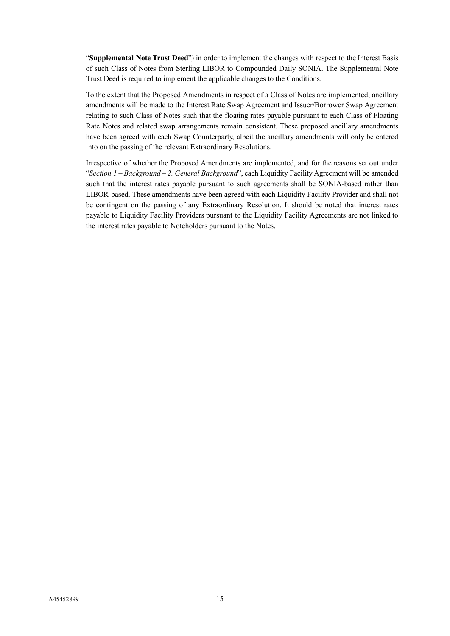"**Supplemental Note Trust Deed**") in order to implement the changes with respect to the Interest Basis of such Class of Notes from Sterling LIBOR to Compounded Daily SONIA. The Supplemental Note Trust Deed is required to implement the applicable changes to the Conditions.

To the extent that the Proposed Amendments in respect of a Class of Notes are implemented, ancillary amendments will be made to the Interest Rate Swap Agreement and Issuer/Borrower Swap Agreement relating to such Class of Notes such that the floating rates payable pursuant to each Class of Floating Rate Notes and related swap arrangements remain consistent. These proposed ancillary amendments have been agreed with each Swap Counterparty, albeit the ancillary amendments will only be entered into on the passing of the relevant Extraordinary Resolutions.

Irrespective of whether the Proposed Amendments are implemented, and for the reasons set out under "*Section 1 – Background – 2. General Background*", each Liquidity Facility Agreement will be amended such that the interest rates payable pursuant to such agreements shall be SONIA-based rather than LIBOR-based. These amendments have been agreed with each Liquidity Facility Provider and shall not be contingent on the passing of any Extraordinary Resolution. It should be noted that interest rates payable to Liquidity Facility Providers pursuant to the Liquidity Facility Agreements are not linked to the interest rates payable to Noteholders pursuant to the Notes.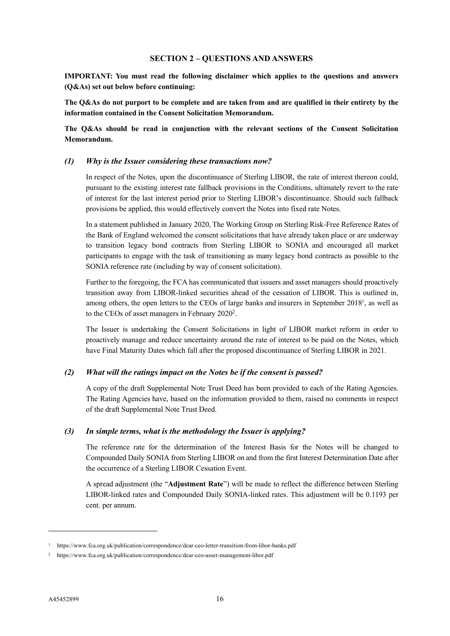# **SECTION 2 – QUESTIONS AND ANSWERS**

<span id="page-18-0"></span>**IMPORTANT: You must read the following disclaimer which applies to the questions and answers (Q&As) set out below before continuing:**

**The Q&As do not purport to be complete and are taken from and are qualified in their entirety by the information contained in the Consent Solicitation Memorandum.**

**The Q&As should be read in conjunction with the relevant sections of the Consent Solicitation Memorandum.**

#### *(1) Why is the Issuer considering these transactions now?*

In respect of the Notes, upon the discontinuance of Sterling LIBOR, the rate of interest thereon could, pursuant to the existing interest rate fallback provisions in the Conditions, ultimately revert to the rate of interest for the last interest period prior to Sterling LIBOR's discontinuance. Should such fallback provisions be applied, this would effectively convert the Notes into fixed rate Notes.

In a statement published in January 2020, The Working Group on Sterling Risk-Free Reference Rates of the Bank of England welcomed the consent solicitations that have already taken place or are underway to transition legacy bond contracts from Sterling LIBOR to SONIA and encouraged all market participants to engage with the task of transitioning as many legacy bond contracts as possible to the SONIA reference rate (including by way of consent solicitation).

Further to the foregoing, the FCA has communicated that issuers and asset managers should proactively transition away from LIBOR-linked securities ahead of the cessation of LIBOR. This is outlined in, among others, the open letters to the CEOs of large banks and insurers in September 20[1](#page-18-1)8<sup>1</sup>, as well as to the CEOs of asset managers in February  $2020^2$  $2020^2$ .

The Issuer is undertaking the Consent Solicitations in light of LIBOR market reform in order to proactively manage and reduce uncertainty around the rate of interest to be paid on the Notes, which have Final Maturity Dates which fall after the proposed discontinuance of Sterling LIBOR in 2021.

### *(2) What will the ratings impact on the Notes be if the consent is passed?*

A copy of the draft Supplemental Note Trust Deed has been provided to each of the Rating Agencies. The Rating Agencies have, based on the information provided to them, raised no comments in respect of the draft Supplemental Note Trust Deed.

#### *(3) In simple terms, what is the methodology the Issuer is applying?*

The reference rate for the determination of the Interest Basis for the Notes will be changed to Compounded Daily SONIA from Sterling LIBOR on and from the first Interest Determination Date after the occurrence of a Sterling LIBOR Cessation Event.

A spread adjustment (the "**Adjustment Rate**") will be made to reflect the difference between Sterling LIBOR-linked rates and Compounded Daily SONIA-linked rates. This adjustment will be 0.1193 per cent. per annum.

-

<span id="page-18-1"></span><sup>1</sup> <https://www.fca.org.uk/publication/correspondence/dear-ceo-letter-transition-from-libor-banks.pdf>

<span id="page-18-2"></span><sup>2</sup> <https://www.fca.org.uk/publication/correspondence/dear-ceo-asset-management-libor.pdf>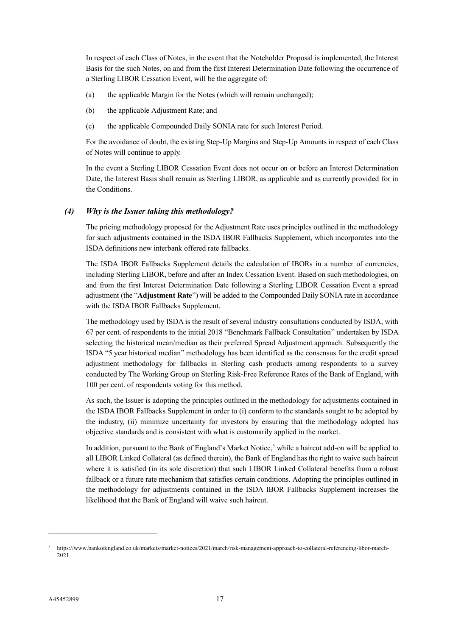In respect of each Class of Notes, in the event that the Noteholder Proposal is implemented, the Interest Basis for the such Notes, on and from the first Interest Determination Date following the occurrence of a Sterling LIBOR Cessation Event, will be the aggregate of:

- (a) the applicable Margin for the Notes (which will remain unchanged);
- (b) the applicable Adjustment Rate; and
- (c) the applicable Compounded Daily SONIA rate for such Interest Period.

For the avoidance of doubt, the existing Step-Up Margins and Step-Up Amounts in respect of each Class of Notes will continue to apply.

In the event a Sterling LIBOR Cessation Event does not occur on or before an Interest Determination Date, the Interest Basis shall remain as Sterling LIBOR, as applicable and as currently provided for in the Conditions.

# *(4) Why is the Issuer taking this methodology?*

The pricing methodology proposed for the Adjustment Rate uses principles outlined in the methodology for such adjustments contained in the ISDA IBOR Fallbacks Supplement, which incorporates into the ISDA definitions new interbank offered rate fallbacks.

The ISDA IBOR Fallbacks Supplement details the calculation of IBORs in a number of currencies, including Sterling LIBOR, before and after an Index Cessation Event. Based on such methodologies, on and from the first Interest Determination Date following a Sterling LIBOR Cessation Event a spread adjustment (the "**Adjustment Rate**") will be added to the Compounded Daily SONIA rate in accordance with the ISDA IBOR Fallbacks Supplement.

The methodology used by ISDA is the result of several industry consultations conducted by ISDA, with 67 per cent. of respondents to the initial 2018 "Benchmark Fallback Consultation" undertaken by ISDA selecting the historical mean/median as their preferred Spread Adjustment approach. Subsequently the ISDA "5 year historical median" methodology has been identified as the consensus for the credit spread adjustment methodology for fallbacks in Sterling cash products among respondents to a survey conducted by The Working Group on Sterling Risk-Free Reference Rates of the Bank of England, with 100 per cent. of respondents voting for this method.

As such, the Issuer is adopting the principles outlined in the methodology for adjustments contained in the ISDA IBOR Fallbacks Supplement in order to (i) conform to the standards sought to be adopted by the industry, (ii) minimize uncertainty for investors by ensuring that the methodology adopted has objective standards and is consistent with what is customarily applied in the market.

In addition, pursuant to the Bank of England's Market Notice,<sup>[3](#page-19-0)</sup> while a haircut add-on will be applied to all LIBOR Linked Collateral (as defined therein), the Bank of England has the right to waive such haircut where it is satisfied (in its sole discretion) that such LIBOR Linked Collateral benefits from a robust fallback or a future rate mechanism that satisfies certain conditions. Adopting the principles outlined in the methodology for adjustments contained in the ISDA IBOR Fallbacks Supplement increases the likelihood that the Bank of England will waive such haircut.

-

<span id="page-19-0"></span><sup>3</sup> [https://www.bankofengland.co.uk/markets/market-notices/2021/march/risk-management-approach-to-collateral-referencing-libor-march-](https://www.bankofengland.co.uk/markets/market-notices/2021/march/risk-management-approach-to-collateral-referencing-libor-march-2021)[2021.](https://www.bankofengland.co.uk/markets/market-notices/2021/march/risk-management-approach-to-collateral-referencing-libor-march-2021)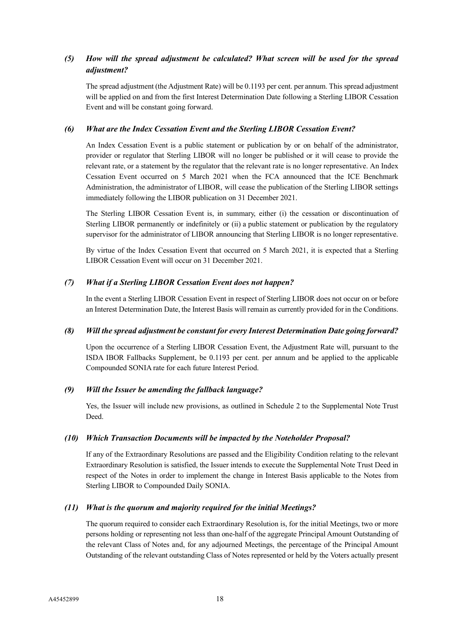# *(5) How will the spread adjustment be calculated? What screen will be used for the spread adjustment?*

The spread adjustment (the Adjustment Rate) will be 0.1193 per cent. per annum. This spread adjustment will be applied on and from the first Interest Determination Date following a Sterling LIBOR Cessation Event and will be constant going forward.

# *(6) What are the Index Cessation Event and the Sterling LIBOR Cessation Event?*

An Index Cessation Event is a public statement or publication by or on behalf of the administrator, provider or regulator that Sterling LIBOR will no longer be published or it will cease to provide the relevant rate, or a statement by the regulator that the relevant rate is no longer representative. An Index Cessation Event occurred on 5 March 2021 when the FCA announced that the ICE Benchmark Administration, the administrator of LIBOR, will cease the publication of the Sterling LIBOR settings immediately following the LIBOR publication on 31 December 2021.

The Sterling LIBOR Cessation Event is, in summary, either (i) the cessation or discontinuation of Sterling LIBOR permanently or indefinitely or (ii) a public statement or publication by the regulatory supervisor for the administrator of LIBOR announcing that Sterling LIBOR is no longer representative.

By virtue of the Index Cessation Event that occurred on 5 March 2021, it is expected that a Sterling LIBOR Cessation Event will occur on 31 December 2021.

# *(7) What if a Sterling LIBOR Cessation Event does not happen?*

In the event a Sterling LIBOR Cessation Event in respect of Sterling LIBOR does not occur on or before an Interest Determination Date, the Interest Basis will remain as currently provided for in the Conditions.

### *(8) Will the spread adjustment be constant for every Interest Determination Date going forward?*

Upon the occurrence of a Sterling LIBOR Cessation Event, the Adjustment Rate will, pursuant to the ISDA IBOR Fallbacks Supplement, be 0.1193 per cent. per annum and be applied to the applicable Compounded SONIA rate for each future Interest Period.

### *(9) Will the Issuer be amending the fallback language?*

Yes, the Issuer will include new provisions, as outlined in Schedule 2 to the Supplemental Note Trust Deed.

# *(10) Which Transaction Documents will be impacted by the Noteholder Proposal?*

If any of the Extraordinary Resolutions are passed and the Eligibility Condition relating to the relevant Extraordinary Resolution is satisfied, the Issuer intends to execute the Supplemental Note Trust Deed in respect of the Notes in order to implement the change in Interest Basis applicable to the Notes from Sterling LIBOR to Compounded Daily SONIA.

### *(11) What is the quorum and majority required for the initial Meetings?*

The quorum required to consider each Extraordinary Resolution is, for the initial Meetings, two or more persons holding or representing not less than one-half of the aggregate Principal Amount Outstanding of the relevant Class of Notes and, for any adjourned Meetings, the percentage of the Principal Amount Outstanding of the relevant outstanding Class of Notes represented or held by the Voters actually present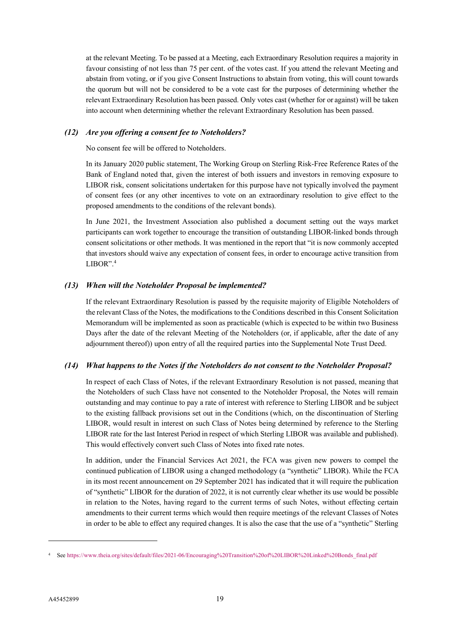at the relevant Meeting. To be passed at a Meeting, each Extraordinary Resolution requires a majority in favour consisting of not less than 75 per cent. of the votes cast. If you attend the relevant Meeting and abstain from voting, or if you give Consent Instructions to abstain from voting, this will count towards the quorum but will not be considered to be a vote cast for the purposes of determining whether the relevant Extraordinary Resolution has been passed. Only votes cast (whether for or against) will be taken into account when determining whether the relevant Extraordinary Resolution has been passed.

# *(12) Are you offering a consent fee to Noteholders?*

No consent fee will be offered to Noteholders.

In its January 2020 public statement, The Working Group on Sterling Risk-Free Reference Rates of the Bank of England noted that, given the interest of both issuers and investors in removing exposure to LIBOR risk, consent solicitations undertaken for this purpose have not typically involved the payment of consent fees (or any other incentives to vote on an extraordinary resolution to give effect to the proposed amendments to the conditions of the relevant bonds).

In June 2021, the Investment Association also published a document setting out the ways market participants can work together to encourage the transition of outstanding LIBOR-linked bonds through consent solicitations or other methods. It was mentioned in the report that "it is now commonly accepted that investors should waive any expectation of consent fees, in order to encourage active transition from LIBOR".[4](#page-21-0)

# *(13) When will the Noteholder Proposal be implemented?*

If the relevant Extraordinary Resolution is passed by the requisite majority of Eligible Noteholders of the relevant Class of the Notes, the modifications to the Conditions described in this Consent Solicitation Memorandum will be implemented as soon as practicable (which is expected to be within two Business Days after the date of the relevant Meeting of the Noteholders (or, if applicable, after the date of any adjournment thereof)) upon entry of all the required parties into the Supplemental Note Trust Deed.

### *(14) What happens to the Notes if the Noteholders do not consent to the Noteholder Proposal?*

In respect of each Class of Notes, if the relevant Extraordinary Resolution is not passed, meaning that the Noteholders of such Class have not consented to the Noteholder Proposal, the Notes will remain outstanding and may continue to pay a rate of interest with reference to Sterling LIBOR and be subject to the existing fallback provisions set out in the Conditions (which, on the discontinuation of Sterling LIBOR, would result in interest on such Class of Notes being determined by reference to the Sterling LIBOR rate for the last Interest Period in respect of which Sterling LIBOR was available and published). This would effectively convert such Class of Notes into fixed rate notes.

In addition, under the Financial Services Act 2021, the FCA was given new powers to compel the continued publication of LIBOR using a changed methodology (a "synthetic" LIBOR). While the FCA in its most recent announcement on 29 September 2021 has indicated that it will require the publication of "synthetic" LIBOR for the duration of 2022, it is not currently clear whether its use would be possible in relation to the Notes, having regard to the current terms of such Notes, without effecting certain amendments to their current terms which would then require meetings of the relevant Classes of Notes in order to be able to effect any required changes. It is also the case that the use of a "synthetic" Sterling

-

<span id="page-21-0"></span><sup>4</sup> See [https://www.theia.org/sites/default/files/2021-06/Encouraging%20Transition%20of%20LIBOR%20Linked%20Bonds\\_final.pdf](https://www.theia.org/sites/default/files/2021-06/Encouraging%20Transition%20of%20LIBOR%20Linked%20Bonds_final.pdf)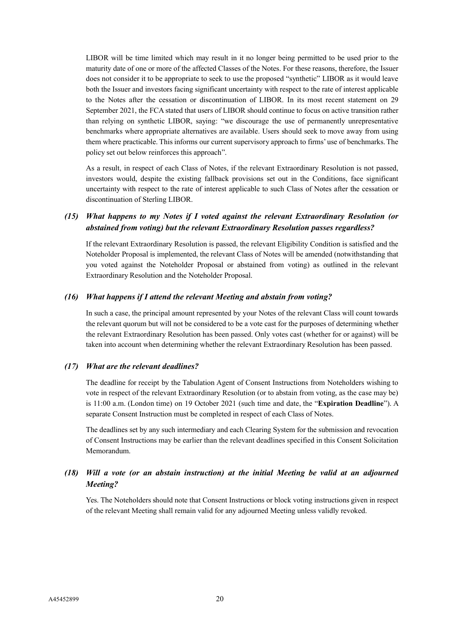LIBOR will be time limited which may result in it no longer being permitted to be used prior to the maturity date of one or more of the affected Classes of the Notes. For these reasons, therefore, the Issuer does not consider it to be appropriate to seek to use the proposed "synthetic" LIBOR as it would leave both the Issuer and investors facing significant uncertainty with respect to the rate of interest applicable to the Notes after the cessation or discontinuation of LIBOR. In its most recent statement on 29 September 2021, the FCA stated that users of LIBOR should continue to focus on active transition rather than relying on synthetic LIBOR, saying: "we discourage the use of permanently unrepresentative benchmarks where appropriate alternatives are available. Users should seek to move away from using them where practicable. This informs our current supervisory approach to firms' use of benchmarks. The policy set out below reinforces this approach".

As a result, in respect of each Class of Notes, if the relevant Extraordinary Resolution is not passed, investors would, despite the existing fallback provisions set out in the Conditions, face significant uncertainty with respect to the rate of interest applicable to such Class of Notes after the cessation or discontinuation of Sterling LIBOR.

# *(15) What happens to my Notes if I voted against the relevant Extraordinary Resolution (or abstained from voting) but the relevant Extraordinary Resolution passes regardless?*

If the relevant Extraordinary Resolution is passed, the relevant Eligibility Condition is satisfied and the Noteholder Proposal is implemented, the relevant Class of Notes will be amended (notwithstanding that you voted against the Noteholder Proposal or abstained from voting) as outlined in the relevant Extraordinary Resolution and the Noteholder Proposal.

### *(16) What happens if I attend the relevant Meeting and abstain from voting?*

In such a case, the principal amount represented by your Notes of the relevant Class will count towards the relevant quorum but will not be considered to be a vote cast for the purposes of determining whether the relevant Extraordinary Resolution has been passed. Only votes cast (whether for or against) will be taken into account when determining whether the relevant Extraordinary Resolution has been passed.

### *(17) What are the relevant deadlines?*

The deadline for receipt by the Tabulation Agent of Consent Instructions from Noteholders wishing to vote in respect of the relevant Extraordinary Resolution (or to abstain from voting, as the case may be) is 11:00 a.m. (London time) on 19 October 2021 (such time and date, the "**Expiration Deadline**"). A separate Consent Instruction must be completed in respect of each Class of Notes.

The deadlines set by any such intermediary and each Clearing System for the submission and revocation of Consent Instructions may be earlier than the relevant deadlines specified in this Consent Solicitation Memorandum.

# *(18) Will a vote (or an abstain instruction) at the initial Meeting be valid at an adjourned Meeting?*

Yes. The Noteholders should note that Consent Instructions or block voting instructions given in respect of the relevant Meeting shall remain valid for any adjourned Meeting unless validly revoked.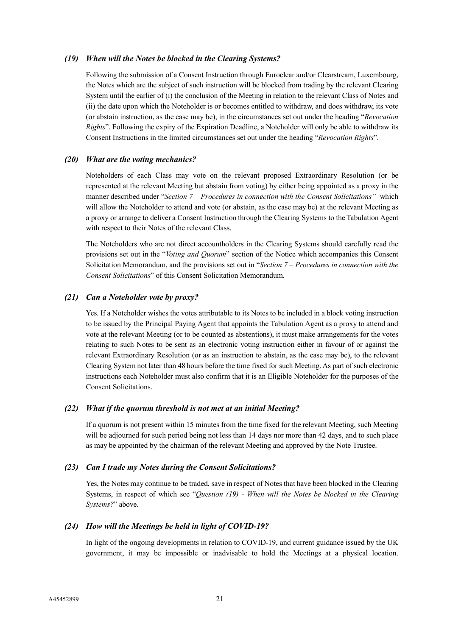#### *(19) When will the Notes be blocked in the Clearing Systems?*

Following the submission of a Consent Instruction through Euroclear and/or Clearstream, Luxembourg, the Notes which are the subject of such instruction will be blocked from trading by the relevant Clearing System until the earlier of (i) the conclusion of the Meeting in relation to the relevant Class of Notes and (ii) the date upon which the Noteholder is or becomes entitled to withdraw, and does withdraw, its vote (or abstain instruction, as the case may be), in the circumstances set out under the heading "*Revocation Rights*". Following the expiry of the Expiration Deadline, a Noteholder will only be able to withdraw its Consent Instructions in the limited circumstances set out under the heading "*Revocation Rights*".

#### *(20) What are the voting mechanics?*

Noteholders of each Class may vote on the relevant proposed Extraordinary Resolution (or be represented at the relevant Meeting but abstain from voting) by either being appointed as a proxy in the manner described under "*Section 7 – Procedures in connection with the Consent Solicitations"* which will allow the Noteholder to attend and vote (or abstain, as the case may be) at the relevant Meeting as a proxy or arrange to deliver a Consent Instruction through the Clearing Systems to the Tabulation Agent with respect to their Notes of the relevant Class.

The Noteholders who are not direct accountholders in the Clearing Systems should carefully read the provisions set out in the "*Voting and Quorum*" section of the Notice which accompanies this Consent Solicitation Memorandum, and the provisions set out in "*Section 7 – Procedures in connection with the Consent Solicitations*" of this Consent Solicitation Memorandum.

### *(21) Can a Noteholder vote by proxy?*

Yes. If a Noteholder wishes the votes attributable to its Notes to be included in a block voting instruction to be issued by the Principal Paying Agent that appoints the Tabulation Agent as a proxy to attend and vote at the relevant Meeting (or to be counted as abstentions), it must make arrangements for the votes relating to such Notes to be sent as an electronic voting instruction either in favour of or against the relevant Extraordinary Resolution (or as an instruction to abstain, as the case may be), to the relevant Clearing System not later than 48 hours before the time fixed for such Meeting. As part of such electronic instructions each Noteholder must also confirm that it is an Eligible Noteholder for the purposes of the Consent Solicitations.

#### *(22) What if the quorum threshold is not met at an initial Meeting?*

If a quorum is not present within 15 minutes from the time fixed for the relevant Meeting, such Meeting will be adjourned for such period being not less than 14 days nor more than 42 days, and to such place as may be appointed by the chairman of the relevant Meeting and approved by the Note Trustee.

### *(23) Can I trade my Notes during the Consent Solicitations?*

Yes, the Notes may continue to be traded, save in respect of Notes that have been blocked in the Clearing Systems, in respect of which see "*Question (19) - When will the Notes be blocked in the Clearing Systems?*" above.

# *(24) How will the Meetings be held in light of COVID-19?*

In light of the ongoing developments in relation to COVID-19, and current guidance issued by the UK government, it may be impossible or inadvisable to hold the Meetings at a physical location.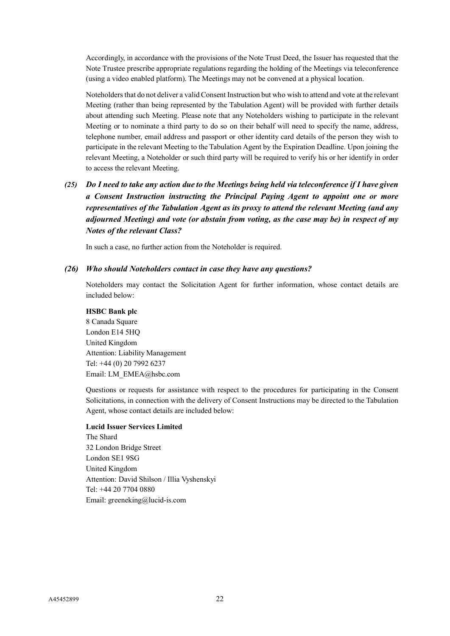Accordingly, in accordance with the provisions of the Note Trust Deed, the Issuer has requested that the Note Trustee prescribe appropriate regulations regarding the holding of the Meetings via teleconference (using a video enabled platform). The Meetings may not be convened at a physical location.

Noteholders that do not deliver a valid Consent Instruction but who wish to attend and vote at the relevant Meeting (rather than being represented by the Tabulation Agent) will be provided with further details about attending such Meeting. Please note that any Noteholders wishing to participate in the relevant Meeting or to nominate a third party to do so on their behalf will need to specify the name, address, telephone number, email address and passport or other identity card details of the person they wish to participate in the relevant Meeting to the Tabulation Agent by the Expiration Deadline. Upon joining the relevant Meeting, a Noteholder or such third party will be required to verify his or her identify in order to access the relevant Meeting.

# *(25) Do I need to take any action due to the Meetings being held via teleconference if I have given a Consent Instruction instructing the Principal Paying Agent to appoint one or more representatives of the Tabulation Agent as its proxy to attend the relevant Meeting (and any adjourned Meeting) and vote (or abstain from voting, as the case may be) in respect of my Notes of the relevant Class?*

In such a case, no further action from the Noteholder is required.

# *(26) Who should Noteholders contact in case they have any questions?*

Noteholders may contact the Solicitation Agent for further information, whose contact details are included below:

# **HSBC Bank plc** 8 Canada Square London E14 5HQ United Kingdom Attention: Liability Management Tel: +44 (0) 20 7992 6237 Email: [LM\\_EMEA@hsbc.com](mailto:LM_EMEA@hsbc.com)

Questions or requests for assistance with respect to the procedures for participating in the Consent Solicitations, in connection with the delivery of Consent Instructions may be directed to the Tabulation Agent, whose contact details are included below:

### **Lucid Issuer Services Limited**

The Shard 32 London Bridge Street London SE1 9SG United Kingdom Attention: David Shilson / Illia Vyshenskyi Tel: +44 20 7704 0880 Email: greeneking@lucid-is.com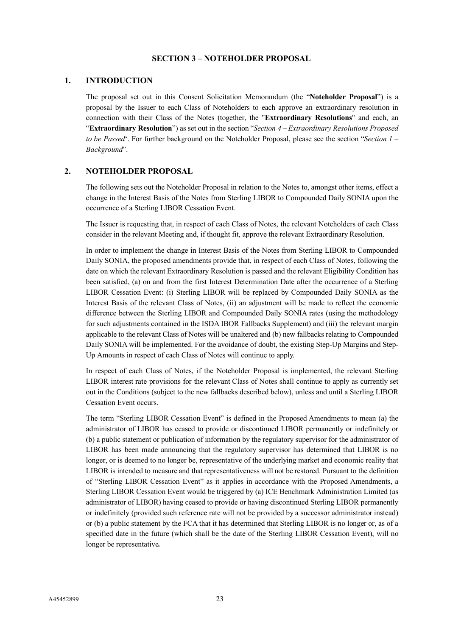# **SECTION 3 – NOTEHOLDER PROPOSAL**

### <span id="page-25-0"></span>**1. INTRODUCTION**

The proposal set out in this Consent Solicitation Memorandum (the "**Noteholder Proposal**") is a proposal by the Issuer to each Class of Noteholders to each approve an extraordinary resolution in connection with their Class of the Notes (together, the "**Extraordinary Resolutions**" and each, an "**Extraordinary Resolution**") as set out in the section "*Section 4 – Extraordinary Resolutions Proposed to be Passed*'. For further background on the Noteholder Proposal, please see the section "*Section 1 – Background*".

# **2. NOTEHOLDER PROPOSAL**

The following sets out the Noteholder Proposal in relation to the Notes to, amongst other items, effect a change in the Interest Basis of the Notes from Sterling LIBOR to Compounded Daily SONIA upon the occurrence of a Sterling LIBOR Cessation Event.

The Issuer is requesting that, in respect of each Class of Notes, the relevant Noteholders of each Class consider in the relevant Meeting and, if thought fit, approve the relevant Extraordinary Resolution.

In order to implement the change in Interest Basis of the Notes from Sterling LIBOR to Compounded Daily SONIA, the proposed amendments provide that, in respect of each Class of Notes, following the date on which the relevant Extraordinary Resolution is passed and the relevant Eligibility Condition has been satisfied, (a) on and from the first Interest Determination Date after the occurrence of a Sterling LIBOR Cessation Event: (i) Sterling LIBOR will be replaced by Compounded Daily SONIA as the Interest Basis of the relevant Class of Notes, (ii) an adjustment will be made to reflect the economic difference between the Sterling LIBOR and Compounded Daily SONIA rates (using the methodology for such adjustments contained in the ISDA IBOR Fallbacks Supplement) and (iii) the relevant margin applicable to the relevant Class of Notes will be unaltered and (b) new fallbacks relating to Compounded Daily SONIA will be implemented. For the avoidance of doubt, the existing Step-Up Margins and Step-Up Amounts in respect of each Class of Notes will continue to apply.

In respect of each Class of Notes, if the Noteholder Proposal is implemented, the relevant Sterling LIBOR interest rate provisions for the relevant Class of Notes shall continue to apply as currently set out in the Conditions (subject to the new fallbacks described below), unless and until a Sterling LIBOR Cessation Event occurs.

The term "Sterling LIBOR Cessation Event" is defined in the Proposed Amendments to mean (a) the administrator of LIBOR has ceased to provide or discontinued LIBOR permanently or indefinitely or (b) a public statement or publication of information by the regulatory supervisor for the administrator of LIBOR has been made announcing that the regulatory supervisor has determined that LIBOR is no longer, or is deemed to no longer be, representative of the underlying market and economic reality that LIBOR is intended to measure and that representativeness will not be restored. Pursuant to the definition of "Sterling LIBOR Cessation Event" as it applies in accordance with the Proposed Amendments, a Sterling LIBOR Cessation Event would be triggered by (a) ICE Benchmark Administration Limited (as administrator of LIBOR) having ceased to provide or having discontinued Sterling LIBOR permanently or indefinitely (provided such reference rate will not be provided by a successor administrator instead) or (b) a public statement by the FCA that it has determined that Sterling LIBOR is no longer or, as of a specified date in the future (which shall be the date of the Sterling LIBOR Cessation Event), will no longer be representative*.*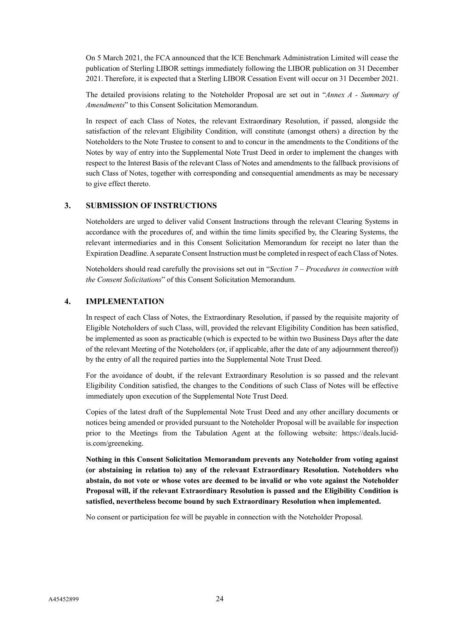On 5 March 2021, the FCA announced that the ICE Benchmark Administration Limited will cease the publication of Sterling LIBOR settings immediately following the LIBOR publication on 31 December 2021. Therefore, it is expected that a Sterling LIBOR Cessation Event will occur on 31 December 2021.

The detailed provisions relating to the Noteholder Proposal are set out in "*Annex A - Summary of Amendments*" to this Consent Solicitation Memorandum.

In respect of each Class of Notes, the relevant Extraordinary Resolution, if passed, alongside the satisfaction of the relevant Eligibility Condition, will constitute (amongst others) a direction by the Noteholders to the Note Trustee to consent to and to concur in the amendments to the Conditions of the Notes by way of entry into the Supplemental Note Trust Deed in order to implement the changes with respect to the Interest Basis of the relevant Class of Notes and amendments to the fallback provisions of such Class of Notes, together with corresponding and consequential amendments as may be necessary to give effect thereto.

# **3. SUBMISSION OF INSTRUCTIONS**

Noteholders are urged to deliver valid Consent Instructions through the relevant Clearing Systems in accordance with the procedures of, and within the time limits specified by, the Clearing Systems, the relevant intermediaries and in this Consent Solicitation Memorandum for receipt no later than the Expiration Deadline.A separate Consent Instruction must be completed in respect of each Class of Notes.

Noteholders should read carefully the provisions set out in "*Section 7 – Procedures in connection with the Consent Solicitations*" of this Consent Solicitation Memorandum.

# **4. IMPLEMENTATION**

In respect of each Class of Notes, the Extraordinary Resolution, if passed by the requisite majority of Eligible Noteholders of such Class, will, provided the relevant Eligibility Condition has been satisfied, be implemented as soon as practicable (which is expected to be within two Business Days after the date of the relevant Meeting of the Noteholders (or, if applicable, after the date of any adjournment thereof)) by the entry of all the required parties into the Supplemental Note Trust Deed.

For the avoidance of doubt, if the relevant Extraordinary Resolution is so passed and the relevant Eligibility Condition satisfied, the changes to the Conditions of such Class of Notes will be effective immediately upon execution of the Supplemental Note Trust Deed.

Copies of the latest draft of the Supplemental Note Trust Deed and any other ancillary documents or notices being amended or provided pursuant to the Noteholder Proposal will be available for inspection prior to the Meetings from the Tabulation Agent at the following website: https://deals.lucidis.com/greeneking.

**Nothing in this Consent Solicitation Memorandum prevents any Noteholder from voting against (or abstaining in relation to) any of the relevant Extraordinary Resolution. Noteholders who abstain, do not vote or whose votes are deemed to be invalid or who vote against the Noteholder Proposal will, if the relevant Extraordinary Resolution is passed and the Eligibility Condition is satisfied, nevertheless become bound by such Extraordinary Resolution when implemented.**

No consent or participation fee will be payable in connection with the Noteholder Proposal.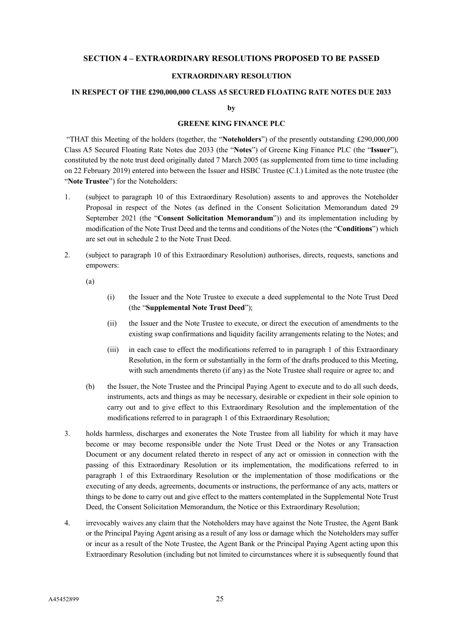# **SECTION 4 – EXTRAORDINARY RESOLUTIONS PROPOSED TO BE PASSED**

# **EXTRAORDINARY RESOLUTION**

#### <span id="page-27-0"></span>**IN RESPECT OF THE £290,000,000 CLASS A5 SECURED FLOATING RATE NOTES DUE 2033**

**by**

### **GREENE KING FINANCE PLC**

"THAT this Meeting of the holders (together, the "**Noteholders**") of the presently outstanding £290,000,000 Class A5 Secured Floating Rate Notes due 2033 (the "**Notes**") of Greene King Finance PLC (the "**Issuer**"), constituted by the note trust deed originally dated 7 March 2005 (as supplemented from time to time including on 22 February 2019) entered into between the Issuer and HSBC Trustee (C.I.) Limited as the note trustee (the "**Note Trustee**") for the Noteholders:

- 1. (subject to paragraph 10 of this Extraordinary Resolution) assents to and approves the Noteholder Proposal in respect of the Notes (as defined in the Consent Solicitation Memorandum dated 29 September 2021 (the "**Consent Solicitation Memorandum**")) and its implementation including by modification of the Note Trust Deed and the terms and conditions of the Notes (the "**Conditions**") which are set out in schedule 2 to the Note Trust Deed.
- 2. (subject to paragraph 10 of this Extraordinary Resolution) authorises, directs, requests, sanctions and empowers:

(a)

- (i) the Issuer and the Note Trustee to execute a deed supplemental to the Note Trust Deed (the "**Supplemental Note Trust Deed**");
- (ii) the Issuer and the Note Trustee to execute, or direct the execution of amendments to the existing swap confirmations and liquidity facility arrangements relating to the Notes; and
- (iii) in each case to effect the modifications referred to in paragraph 1 of this Extraordinary Resolution, in the form or substantially in the form of the drafts produced to this Meeting, with such amendments thereto (if any) as the Note Trustee shall require or agree to; and
- (b) the Issuer, the Note Trustee and the Principal Paying Agent to execute and to do all such deeds, instruments, acts and things as may be necessary, desirable or expedient in their sole opinion to carry out and to give effect to this Extraordinary Resolution and the implementation of the modifications referred to in paragraph 1 of this Extraordinary Resolution;
- 3. holds harmless, discharges and exonerates the Note Trustee from all liability for which it may have become or may become responsible under the Note Trust Deed or the Notes or any Transaction Document or any document related thereto in respect of any act or omission in connection with the passing of this Extraordinary Resolution or its implementation, the modifications referred to in paragraph 1 of this Extraordinary Resolution or the implementation of those modifications or the executing of any deeds, agreements, documents or instructions, the performance of any acts, matters or things to be done to carry out and give effect to the matters contemplated in the Supplemental Note Trust Deed, the Consent Solicitation Memorandum, the Notice or this Extraordinary Resolution;
- 4. irrevocably waives any claim that the Noteholders may have against the Note Trustee, the Agent Bank or the Principal Paying Agent arising as a result of any loss or damage which the Noteholders may suffer or incur as a result of the Note Trustee, the Agent Bank or the Principal Paying Agent acting upon this Extraordinary Resolution (including but not limited to circumstances where it is subsequently found that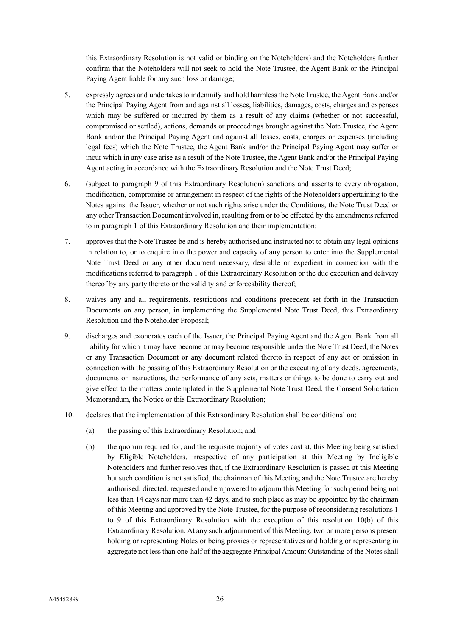this Extraordinary Resolution is not valid or binding on the Noteholders) and the Noteholders further confirm that the Noteholders will not seek to hold the Note Trustee, the Agent Bank or the Principal Paying Agent liable for any such loss or damage;

- 5. expressly agrees and undertakes to indemnify and hold harmless the Note Trustee, the Agent Bank and/or the Principal Paying Agent from and against all losses, liabilities, damages, costs, charges and expenses which may be suffered or incurred by them as a result of any claims (whether or not successful, compromised or settled), actions, demands or proceedings brought against the Note Trustee, the Agent Bank and/or the Principal Paying Agent and against all losses, costs, charges or expenses (including legal fees) which the Note Trustee, the Agent Bank and/or the Principal Paying Agent may suffer or incur which in any case arise as a result of the Note Trustee, the Agent Bank and/or the Principal Paying Agent acting in accordance with the Extraordinary Resolution and the Note Trust Deed;
- 6. (subject to paragraph 9 of this Extraordinary Resolution) sanctions and assents to every abrogation, modification, compromise or arrangement in respect of the rights of the Noteholders appertaining to the Notes against the Issuer, whether or not such rights arise under the Conditions, the Note Trust Deed or any other Transaction Document involved in, resulting from or to be effected by the amendments referred to in paragraph 1 of this Extraordinary Resolution and their implementation;
- 7. approves that the Note Trustee be and is hereby authorised and instructed not to obtain any legal opinions in relation to, or to enquire into the power and capacity of any person to enter into the Supplemental Note Trust Deed or any other document necessary, desirable or expedient in connection with the modifications referred to paragraph 1 of this Extraordinary Resolution or the due execution and delivery thereof by any party thereto or the validity and enforceability thereof;
- 8. waives any and all requirements, restrictions and conditions precedent set forth in the Transaction Documents on any person, in implementing the Supplemental Note Trust Deed, this Extraordinary Resolution and the Noteholder Proposal;
- 9. discharges and exonerates each of the Issuer, the Principal Paying Agent and the Agent Bank from all liability for which it may have become or may become responsible under the Note Trust Deed, the Notes or any Transaction Document or any document related thereto in respect of any act or omission in connection with the passing of this Extraordinary Resolution or the executing of any deeds, agreements, documents or instructions, the performance of any acts, matters or things to be done to carry out and give effect to the matters contemplated in the Supplemental Note Trust Deed, the Consent Solicitation Memorandum, the Notice or this Extraordinary Resolution;
- 10. declares that the implementation of this Extraordinary Resolution shall be conditional on:
	- (a) the passing of this Extraordinary Resolution; and
	- (b) the quorum required for, and the requisite majority of votes cast at, this Meeting being satisfied by Eligible Noteholders, irrespective of any participation at this Meeting by Ineligible Noteholders and further resolves that, if the Extraordinary Resolution is passed at this Meeting but such condition is not satisfied, the chairman of this Meeting and the Note Trustee are hereby authorised, directed, requested and empowered to adjourn this Meeting for such period being not less than 14 days nor more than 42 days, and to such place as may be appointed by the chairman of this Meeting and approved by the Note Trustee, for the purpose of reconsidering resolutions 1 to 9 of this Extraordinary Resolution with the exception of this resolution 10(b) of this Extraordinary Resolution. At any such adjournment of this Meeting, two or more persons present holding or representing Notes or being proxies or representatives and holding or representing in aggregate not less than one-half of the aggregate Principal Amount Outstanding of the Notes shall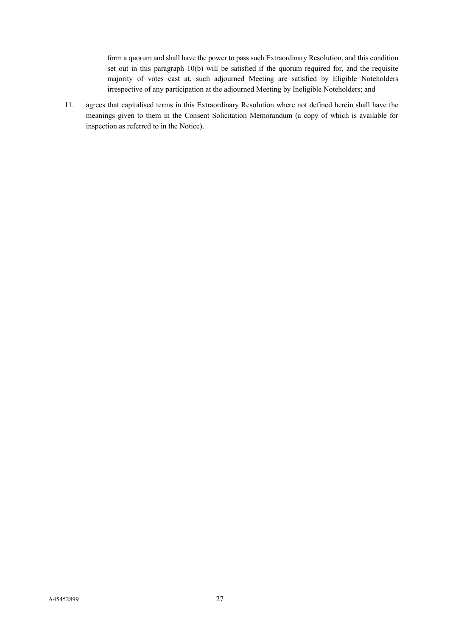form a quorum and shall have the power to pass such Extraordinary Resolution, and this condition set out in this paragraph 10(b) will be satisfied if the quorum required for, and the requisite majority of votes cast at, such adjourned Meeting are satisfied by Eligible Noteholders irrespective of any participation at the adjourned Meeting by Ineligible Noteholders; and

11. agrees that capitalised terms in this Extraordinary Resolution where not defined herein shall have the meanings given to them in the Consent Solicitation Memorandum (a copy of which is available for inspection as referred to in the Notice).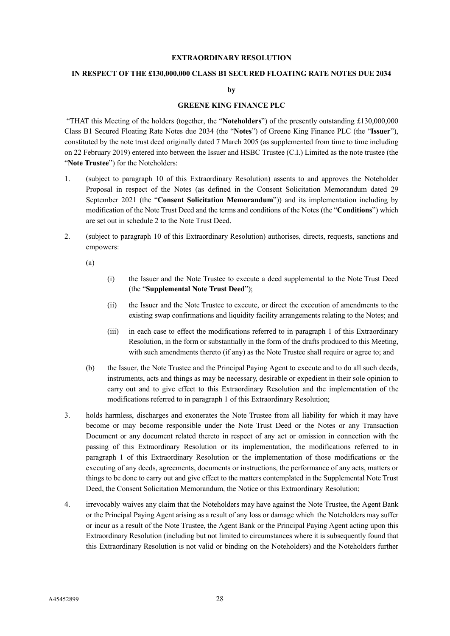#### **EXTRAORDINARY RESOLUTION**

#### **IN RESPECT OF THE £130,000,000 CLASS B1 SECURED FLOATING RATE NOTES DUE 2034**

**by**

# **GREENE KING FINANCE PLC**

"THAT this Meeting of the holders (together, the "**Noteholders**") of the presently outstanding £130,000,000 Class B1 Secured Floating Rate Notes due 2034 (the "**Notes**") of Greene King Finance PLC (the "**Issuer**"), constituted by the note trust deed originally dated 7 March 2005 (as supplemented from time to time including on 22 February 2019) entered into between the Issuer and HSBC Trustee (C.I.) Limited as the note trustee (the "**Note Trustee**") for the Noteholders:

- 1. (subject to paragraph 10 of this Extraordinary Resolution) assents to and approves the Noteholder Proposal in respect of the Notes (as defined in the Consent Solicitation Memorandum dated 29 September 2021 (the "**Consent Solicitation Memorandum**")) and its implementation including by modification of the Note Trust Deed and the terms and conditions of the Notes (the "**Conditions**") which are set out in schedule 2 to the Note Trust Deed.
- 2. (subject to paragraph 10 of this Extraordinary Resolution) authorises, directs, requests, sanctions and empowers:

(a)

- (i) the Issuer and the Note Trustee to execute a deed supplemental to the Note Trust Deed (the "**Supplemental Note Trust Deed**");
- (ii) the Issuer and the Note Trustee to execute, or direct the execution of amendments to the existing swap confirmations and liquidity facility arrangements relating to the Notes; and
- (iii) in each case to effect the modifications referred to in paragraph 1 of this Extraordinary Resolution, in the form or substantially in the form of the drafts produced to this Meeting, with such amendments thereto (if any) as the Note Trustee shall require or agree to; and
- (b) the Issuer, the Note Trustee and the Principal Paying Agent to execute and to do all such deeds, instruments, acts and things as may be necessary, desirable or expedient in their sole opinion to carry out and to give effect to this Extraordinary Resolution and the implementation of the modifications referred to in paragraph 1 of this Extraordinary Resolution;
- 3. holds harmless, discharges and exonerates the Note Trustee from all liability for which it may have become or may become responsible under the Note Trust Deed or the Notes or any Transaction Document or any document related thereto in respect of any act or omission in connection with the passing of this Extraordinary Resolution or its implementation, the modifications referred to in paragraph 1 of this Extraordinary Resolution or the implementation of those modifications or the executing of any deeds, agreements, documents or instructions, the performance of any acts, matters or things to be done to carry out and give effect to the matters contemplated in the Supplemental Note Trust Deed, the Consent Solicitation Memorandum, the Notice or this Extraordinary Resolution;
- 4. irrevocably waives any claim that the Noteholders may have against the Note Trustee, the Agent Bank or the Principal Paying Agent arising as a result of any loss or damage which the Noteholders may suffer or incur as a result of the Note Trustee, the Agent Bank or the Principal Paying Agent acting upon this Extraordinary Resolution (including but not limited to circumstances where it is subsequently found that this Extraordinary Resolution is not valid or binding on the Noteholders) and the Noteholders further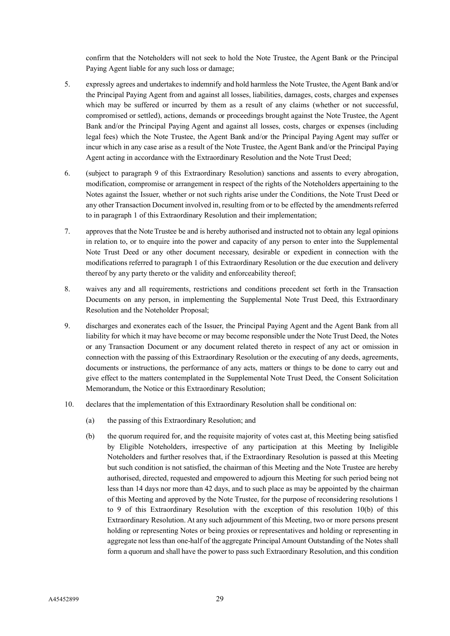confirm that the Noteholders will not seek to hold the Note Trustee, the Agent Bank or the Principal Paying Agent liable for any such loss or damage;

- 5. expressly agrees and undertakes to indemnify and hold harmless the Note Trustee, the Agent Bank and/or the Principal Paying Agent from and against all losses, liabilities, damages, costs, charges and expenses which may be suffered or incurred by them as a result of any claims (whether or not successful, compromised or settled), actions, demands or proceedings brought against the Note Trustee, the Agent Bank and/or the Principal Paying Agent and against all losses, costs, charges or expenses (including legal fees) which the Note Trustee, the Agent Bank and/or the Principal Paying Agent may suffer or incur which in any case arise as a result of the Note Trustee, the Agent Bank and/or the Principal Paying Agent acting in accordance with the Extraordinary Resolution and the Note Trust Deed;
- 6. (subject to paragraph 9 of this Extraordinary Resolution) sanctions and assents to every abrogation, modification, compromise or arrangement in respect of the rights of the Noteholders appertaining to the Notes against the Issuer, whether or not such rights arise under the Conditions, the Note Trust Deed or any other Transaction Document involved in, resulting from or to be effected by the amendments referred to in paragraph 1 of this Extraordinary Resolution and their implementation;
- 7. approves that the Note Trustee be and is hereby authorised and instructed not to obtain any legal opinions in relation to, or to enquire into the power and capacity of any person to enter into the Supplemental Note Trust Deed or any other document necessary, desirable or expedient in connection with the modifications referred to paragraph 1 of this Extraordinary Resolution or the due execution and delivery thereof by any party thereto or the validity and enforceability thereof;
- 8. waives any and all requirements, restrictions and conditions precedent set forth in the Transaction Documents on any person, in implementing the Supplemental Note Trust Deed, this Extraordinary Resolution and the Noteholder Proposal;
- 9. discharges and exonerates each of the Issuer, the Principal Paying Agent and the Agent Bank from all liability for which it may have become or may become responsible under the Note Trust Deed, the Notes or any Transaction Document or any document related thereto in respect of any act or omission in connection with the passing of this Extraordinary Resolution or the executing of any deeds, agreements, documents or instructions, the performance of any acts, matters or things to be done to carry out and give effect to the matters contemplated in the Supplemental Note Trust Deed, the Consent Solicitation Memorandum, the Notice or this Extraordinary Resolution;
- 10. declares that the implementation of this Extraordinary Resolution shall be conditional on:
	- (a) the passing of this Extraordinary Resolution; and
	- (b) the quorum required for, and the requisite majority of votes cast at, this Meeting being satisfied by Eligible Noteholders, irrespective of any participation at this Meeting by Ineligible Noteholders and further resolves that, if the Extraordinary Resolution is passed at this Meeting but such condition is not satisfied, the chairman of this Meeting and the Note Trustee are hereby authorised, directed, requested and empowered to adjourn this Meeting for such period being not less than 14 days nor more than 42 days, and to such place as may be appointed by the chairman of this Meeting and approved by the Note Trustee, for the purpose of reconsidering resolutions 1 to 9 of this Extraordinary Resolution with the exception of this resolution 10(b) of this Extraordinary Resolution. At any such adjournment of this Meeting, two or more persons present holding or representing Notes or being proxies or representatives and holding or representing in aggregate not less than one-half of the aggregate Principal Amount Outstanding of the Notes shall form a quorum and shall have the power to pass such Extraordinary Resolution, and this condition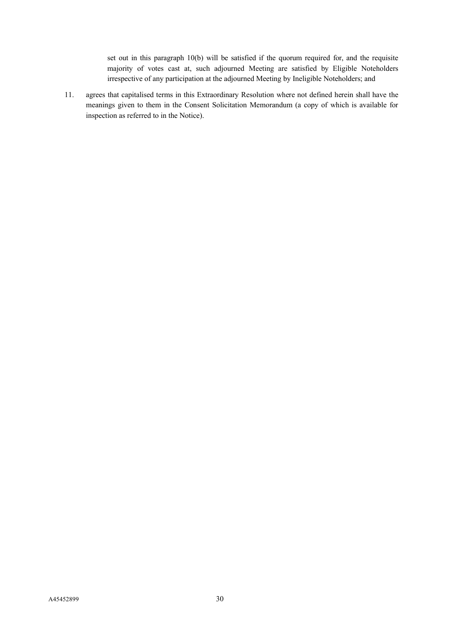set out in this paragraph 10(b) will be satisfied if the quorum required for, and the requisite majority of votes cast at, such adjourned Meeting are satisfied by Eligible Noteholders irrespective of any participation at the adjourned Meeting by Ineligible Noteholders; and

11. agrees that capitalised terms in this Extraordinary Resolution where not defined herein shall have the meanings given to them in the Consent Solicitation Memorandum (a copy of which is available for inspection as referred to in the Notice).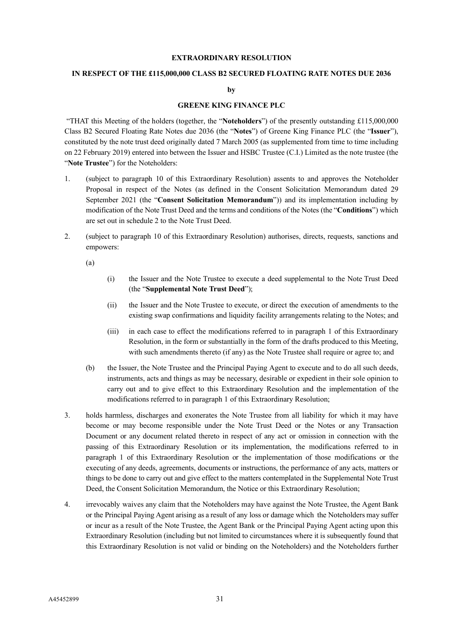#### **EXTRAORDINARY RESOLUTION**

#### **IN RESPECT OF THE £115,000,000 CLASS B2 SECURED FLOATING RATE NOTES DUE 2036**

**by**

# **GREENE KING FINANCE PLC**

"THAT this Meeting of the holders (together, the "**Noteholders**") of the presently outstanding £115,000,000 Class B2 Secured Floating Rate Notes due 2036 (the "**Notes**") of Greene King Finance PLC (the "**Issuer**"), constituted by the note trust deed originally dated 7 March 2005 (as supplemented from time to time including on 22 February 2019) entered into between the Issuer and HSBC Trustee (C.I.) Limited as the note trustee (the "**Note Trustee**") for the Noteholders:

- 1. (subject to paragraph 10 of this Extraordinary Resolution) assents to and approves the Noteholder Proposal in respect of the Notes (as defined in the Consent Solicitation Memorandum dated 29 September 2021 (the "**Consent Solicitation Memorandum**")) and its implementation including by modification of the Note Trust Deed and the terms and conditions of the Notes (the "**Conditions**") which are set out in schedule 2 to the Note Trust Deed.
- 2. (subject to paragraph 10 of this Extraordinary Resolution) authorises, directs, requests, sanctions and empowers:

(a)

- (i) the Issuer and the Note Trustee to execute a deed supplemental to the Note Trust Deed (the "**Supplemental Note Trust Deed**");
- (ii) the Issuer and the Note Trustee to execute, or direct the execution of amendments to the existing swap confirmations and liquidity facility arrangements relating to the Notes; and
- (iii) in each case to effect the modifications referred to in paragraph 1 of this Extraordinary Resolution, in the form or substantially in the form of the drafts produced to this Meeting, with such amendments thereto (if any) as the Note Trustee shall require or agree to; and
- (b) the Issuer, the Note Trustee and the Principal Paying Agent to execute and to do all such deeds, instruments, acts and things as may be necessary, desirable or expedient in their sole opinion to carry out and to give effect to this Extraordinary Resolution and the implementation of the modifications referred to in paragraph 1 of this Extraordinary Resolution;
- 3. holds harmless, discharges and exonerates the Note Trustee from all liability for which it may have become or may become responsible under the Note Trust Deed or the Notes or any Transaction Document or any document related thereto in respect of any act or omission in connection with the passing of this Extraordinary Resolution or its implementation, the modifications referred to in paragraph 1 of this Extraordinary Resolution or the implementation of those modifications or the executing of any deeds, agreements, documents or instructions, the performance of any acts, matters or things to be done to carry out and give effect to the matters contemplated in the Supplemental Note Trust Deed, the Consent Solicitation Memorandum, the Notice or this Extraordinary Resolution;
- 4. irrevocably waives any claim that the Noteholders may have against the Note Trustee, the Agent Bank or the Principal Paying Agent arising as a result of any loss or damage which the Noteholders may suffer or incur as a result of the Note Trustee, the Agent Bank or the Principal Paying Agent acting upon this Extraordinary Resolution (including but not limited to circumstances where it is subsequently found that this Extraordinary Resolution is not valid or binding on the Noteholders) and the Noteholders further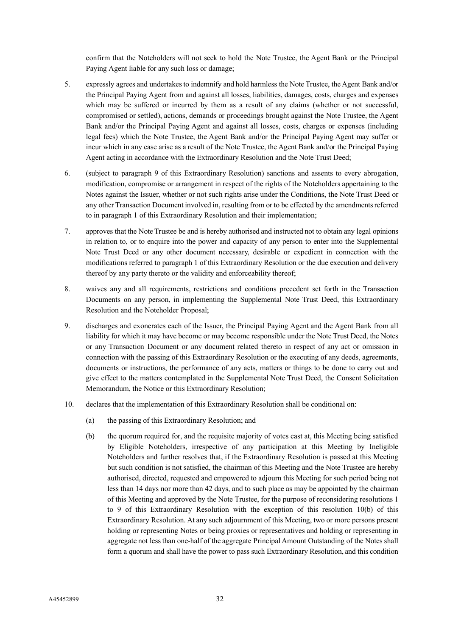confirm that the Noteholders will not seek to hold the Note Trustee, the Agent Bank or the Principal Paying Agent liable for any such loss or damage;

- 5. expressly agrees and undertakes to indemnify and hold harmless the Note Trustee, the Agent Bank and/or the Principal Paying Agent from and against all losses, liabilities, damages, costs, charges and expenses which may be suffered or incurred by them as a result of any claims (whether or not successful, compromised or settled), actions, demands or proceedings brought against the Note Trustee, the Agent Bank and/or the Principal Paying Agent and against all losses, costs, charges or expenses (including legal fees) which the Note Trustee, the Agent Bank and/or the Principal Paying Agent may suffer or incur which in any case arise as a result of the Note Trustee, the Agent Bank and/or the Principal Paying Agent acting in accordance with the Extraordinary Resolution and the Note Trust Deed;
- 6. (subject to paragraph 9 of this Extraordinary Resolution) sanctions and assents to every abrogation, modification, compromise or arrangement in respect of the rights of the Noteholders appertaining to the Notes against the Issuer, whether or not such rights arise under the Conditions, the Note Trust Deed or any other Transaction Document involved in, resulting from or to be effected by the amendments referred to in paragraph 1 of this Extraordinary Resolution and their implementation;
- 7. approves that the Note Trustee be and is hereby authorised and instructed not to obtain any legal opinions in relation to, or to enquire into the power and capacity of any person to enter into the Supplemental Note Trust Deed or any other document necessary, desirable or expedient in connection with the modifications referred to paragraph 1 of this Extraordinary Resolution or the due execution and delivery thereof by any party thereto or the validity and enforceability thereof;
- 8. waives any and all requirements, restrictions and conditions precedent set forth in the Transaction Documents on any person, in implementing the Supplemental Note Trust Deed, this Extraordinary Resolution and the Noteholder Proposal;
- 9. discharges and exonerates each of the Issuer, the Principal Paying Agent and the Agent Bank from all liability for which it may have become or may become responsible under the Note Trust Deed, the Notes or any Transaction Document or any document related thereto in respect of any act or omission in connection with the passing of this Extraordinary Resolution or the executing of any deeds, agreements, documents or instructions, the performance of any acts, matters or things to be done to carry out and give effect to the matters contemplated in the Supplemental Note Trust Deed, the Consent Solicitation Memorandum, the Notice or this Extraordinary Resolution;
- 10. declares that the implementation of this Extraordinary Resolution shall be conditional on:
	- (a) the passing of this Extraordinary Resolution; and
	- (b) the quorum required for, and the requisite majority of votes cast at, this Meeting being satisfied by Eligible Noteholders, irrespective of any participation at this Meeting by Ineligible Noteholders and further resolves that, if the Extraordinary Resolution is passed at this Meeting but such condition is not satisfied, the chairman of this Meeting and the Note Trustee are hereby authorised, directed, requested and empowered to adjourn this Meeting for such period being not less than 14 days nor more than 42 days, and to such place as may be appointed by the chairman of this Meeting and approved by the Note Trustee, for the purpose of reconsidering resolutions 1 to 9 of this Extraordinary Resolution with the exception of this resolution 10(b) of this Extraordinary Resolution. At any such adjournment of this Meeting, two or more persons present holding or representing Notes or being proxies or representatives and holding or representing in aggregate not less than one-half of the aggregate Principal Amount Outstanding of the Notes shall form a quorum and shall have the power to pass such Extraordinary Resolution, and this condition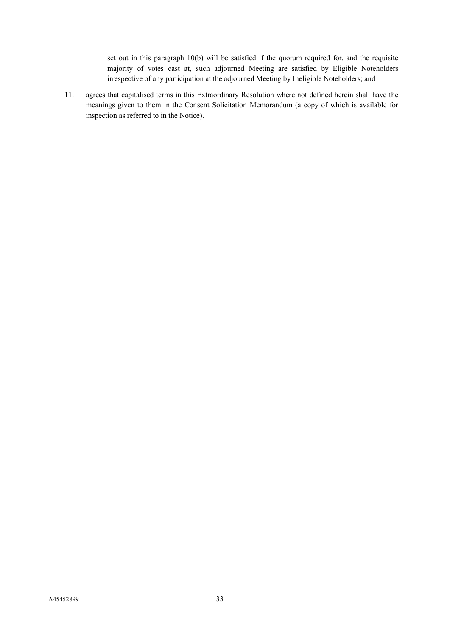set out in this paragraph 10(b) will be satisfied if the quorum required for, and the requisite majority of votes cast at, such adjourned Meeting are satisfied by Eligible Noteholders irrespective of any participation at the adjourned Meeting by Ineligible Noteholders; and

11. agrees that capitalised terms in this Extraordinary Resolution where not defined herein shall have the meanings given to them in the Consent Solicitation Memorandum (a copy of which is available for inspection as referred to in the Notice).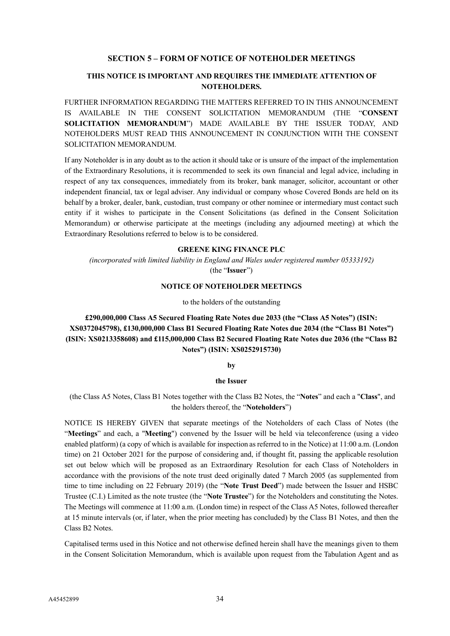#### **SECTION 5 – FORM OF NOTICE OF NOTEHOLDER MEETINGS**

## **THIS NOTICE IS IMPORTANT AND REQUIRES THE IMMEDIATE ATTENTION OF NOTEHOLDERS.**

FURTHER INFORMATION REGARDING THE MATTERS REFERRED TO IN THIS ANNOUNCEMENT IS AVAILABLE IN THE CONSENT SOLICITATION MEMORANDUM (THE "**CONSENT SOLICITATION MEMORANDUM**") MADE AVAILABLE BY THE ISSUER TODAY, AND NOTEHOLDERS MUST READ THIS ANNOUNCEMENT IN CONJUNCTION WITH THE CONSENT SOLICITATION MEMORANDUM.

If any Noteholder is in any doubt as to the action it should take or is unsure of the impact of the implementation of the Extraordinary Resolutions, it is recommended to seek its own financial and legal advice, including in respect of any tax consequences, immediately from its broker, bank manager, solicitor, accountant or other independent financial, tax or legal adviser. Any individual or company whose Covered Bonds are held on its behalf by a broker, dealer, bank, custodian, trust company or other nominee or intermediary must contact such entity if it wishes to participate in the Consent Solicitations (as defined in the Consent Solicitation Memorandum) or otherwise participate at the meetings (including any adjourned meeting) at which the Extraordinary Resolutions referred to below is to be considered.

#### **GREENE KING FINANCE PLC**

*(incorporated with limited liability in England and Wales under registered number 05333192)*

(the "**Issuer**")

#### **NOTICE OF NOTEHOLDER MEETINGS**

to the holders of the outstanding

**£290,000,000 Class A5 Secured Floating Rate Notes due 2033 (the "Class A5 Notes") (ISIN: XS0372045798), £130,000,000 Class B1 Secured Floating Rate Notes due 2034 (the "Class B1 Notes") (ISIN: XS0213358608) and £115,000,000 Class B2 Secured Floating Rate Notes due 2036 (the "Class B2 Notes") (ISIN: XS0252915730)**

**by**

#### **the Issuer**

(the Class A5 Notes, Class B1 Notes together with the Class B2 Notes, the "**Notes**" and each a "**Class**", and the holders thereof, the "**Noteholders**")

NOTICE IS HEREBY GIVEN that separate meetings of the Noteholders of each Class of Notes (the "**Meetings**" and each, a "**Meeting**") convened by the Issuer will be held via teleconference (using a video enabled platform) (a copy of which is available for inspection as referred to in the Notice) at 11:00 a.m. (London time) on 21 October 2021 for the purpose of considering and, if thought fit, passing the applicable resolution set out below which will be proposed as an Extraordinary Resolution for each Class of Noteholders in accordance with the provisions of the note trust deed originally dated 7 March 2005 (as supplemented from time to time including on 22 February 2019) (the "**Note Trust Deed**") made between the Issuer and HSBC Trustee (C.I.) Limited as the note trustee (the "**Note Trustee**") for the Noteholders and constituting the Notes. The Meetings will commence at 11:00 a.m. (London time) in respect of the Class A5 Notes, followed thereafter at 15 minute intervals (or, if later, when the prior meeting has concluded) by the Class B1 Notes, and then the Class B2 Notes.

Capitalised terms used in this Notice and not otherwise defined herein shall have the meanings given to them in the Consent Solicitation Memorandum, which is available upon request from the Tabulation Agent and as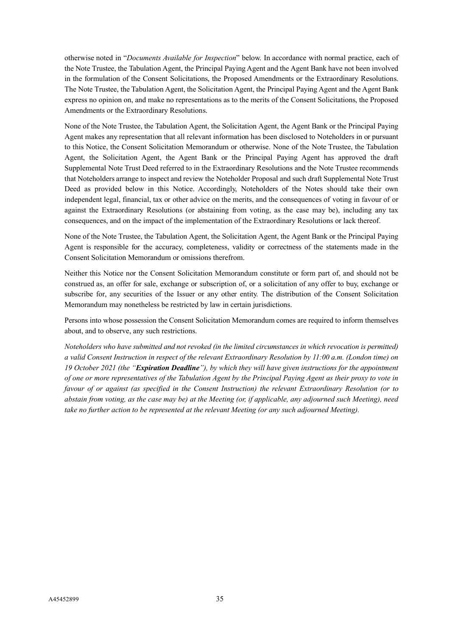otherwise noted in "*Documents Available for Inspection*" below. In accordance with normal practice, each of the Note Trustee, the Tabulation Agent, the Principal Paying Agent and the Agent Bank have not been involved in the formulation of the Consent Solicitations, the Proposed Amendments or the Extraordinary Resolutions. The Note Trustee, the Tabulation Agent, the Solicitation Agent, the Principal Paying Agent and the Agent Bank express no opinion on, and make no representations as to the merits of the Consent Solicitations, the Proposed Amendments or the Extraordinary Resolutions.

None of the Note Trustee, the Tabulation Agent, the Solicitation Agent, the Agent Bank or the Principal Paying Agent makes any representation that all relevant information has been disclosed to Noteholders in or pursuant to this Notice, the Consent Solicitation Memorandum or otherwise. None of the Note Trustee, the Tabulation Agent, the Solicitation Agent, the Agent Bank or the Principal Paying Agent has approved the draft Supplemental Note Trust Deed referred to in the Extraordinary Resolutions and the Note Trustee recommends that Noteholders arrange to inspect and review the Noteholder Proposal and such draft Supplemental Note Trust Deed as provided below in this Notice. Accordingly, Noteholders of the Notes should take their own independent legal, financial, tax or other advice on the merits, and the consequences of voting in favour of or against the Extraordinary Resolutions (or abstaining from voting, as the case may be), including any tax consequences, and on the impact of the implementation of the Extraordinary Resolutions or lack thereof.

None of the Note Trustee, the Tabulation Agent, the Solicitation Agent, the Agent Bank or the Principal Paying Agent is responsible for the accuracy, completeness, validity or correctness of the statements made in the Consent Solicitation Memorandum or omissions therefrom.

Neither this Notice nor the Consent Solicitation Memorandum constitute or form part of, and should not be construed as, an offer for sale, exchange or subscription of, or a solicitation of any offer to buy, exchange or subscribe for, any securities of the Issuer or any other entity. The distribution of the Consent Solicitation Memorandum may nonetheless be restricted by law in certain jurisdictions.

Persons into whose possession the Consent Solicitation Memorandum comes are required to inform themselves about, and to observe, any such restrictions.

*Noteholders who have submitted and not revoked (in the limited circumstances in which revocation is permitted) a valid Consent Instruction in respect of the relevant Extraordinary Resolution by 11:00 a.m. (London time) on 19 October 2021 (the "Expiration Deadline"), by which they will have given instructions for the appointment of one or more representatives of the Tabulation Agent by the Principal Paying Agent as their proxy to vote in favour of or against (as specified in the Consent Instruction) the relevant Extraordinary Resolution (or to abstain from voting, as the case may be) at the Meeting (or, if applicable, any adjourned such Meeting), need take no further action to be represented at the relevant Meeting (or any such adjourned Meeting).*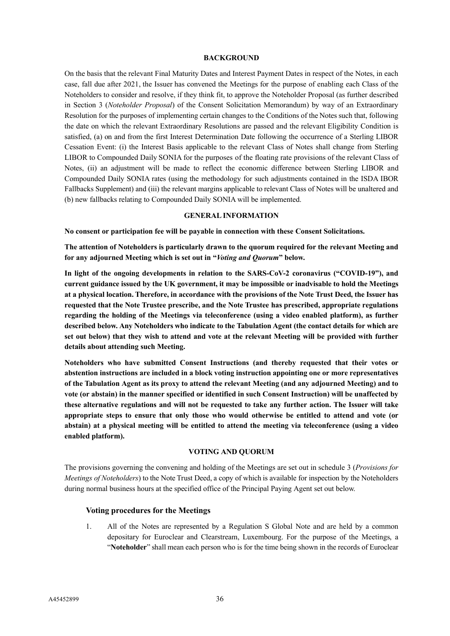#### **BACKGROUND**

On the basis that the relevant Final Maturity Dates and Interest Payment Dates in respect of the Notes, in each case, fall due after 2021, the Issuer has convened the Meetings for the purpose of enabling each Class of the Noteholders to consider and resolve, if they think fit, to approve the Noteholder Proposal (as further described in Section 3 (*Noteholder Proposal*) of the Consent Solicitation Memorandum) by way of an Extraordinary Resolution for the purposes of implementing certain changes to the Conditions of the Notes such that, following the date on which the relevant Extraordinary Resolutions are passed and the relevant Eligibility Condition is satisfied, (a) on and from the first Interest Determination Date following the occurrence of a Sterling LIBOR Cessation Event: (i) the Interest Basis applicable to the relevant Class of Notes shall change from Sterling LIBOR to Compounded Daily SONIA for the purposes of the floating rate provisions of the relevant Class of Notes, (ii) an adjustment will be made to reflect the economic difference between Sterling LIBOR and Compounded Daily SONIA rates (using the methodology for such adjustments contained in the ISDA IBOR Fallbacks Supplement) and (iii) the relevant margins applicable to relevant Class of Notes will be unaltered and (b) new fallbacks relating to Compounded Daily SONIA will be implemented.

#### **GENERAL INFORMATION**

**No consent or participation fee will be payable in connection with these Consent Solicitations.**

**The attention of Noteholders is particularly drawn to the quorum required for the relevant Meeting and for any adjourned Meeting which is set out in "***Voting and Quorum***" below.**

**In light of the ongoing developments in relation to the SARS-CoV-2 coronavirus ("COVID-19"), and current guidance issued by the UK government, it may be impossible or inadvisable to hold the Meetings at a physical location. Therefore, in accordance with the provisions of the Note Trust Deed, the Issuer has requested that the Note Trustee prescribe, and the Note Trustee has prescribed, appropriate regulations regarding the holding of the Meetings via teleconference (using a video enabled platform), as further described below. Any Noteholders who indicate to the Tabulation Agent (the contact details for which are set out below) that they wish to attend and vote at the relevant Meeting will be provided with further details about attending such Meeting.**

**Noteholders who have submitted Consent Instructions (and thereby requested that their votes or abstention instructions are included in a block voting instruction appointing one or more representatives of the Tabulation Agent as its proxy to attend the relevant Meeting (and any adjourned Meeting) and to vote (or abstain) in the manner specified or identified in such Consent Instruction) will be unaffected by these alternative regulations and will not be requested to take any further action. The Issuer will take appropriate steps to ensure that only those who would otherwise be entitled to attend and vote (or abstain) at a physical meeting will be entitled to attend the meeting via teleconference (using a video enabled platform).**

#### **VOTING AND QUORUM**

The provisions governing the convening and holding of the Meetings are set out in schedule 3 (*Provisions for Meetings of Noteholders*) to the Note Trust Deed, a copy of which is available for inspection by the Noteholders during normal business hours at the specified office of the Principal Paying Agent set out below.

#### **Voting procedures for the Meetings**

1. All of the Notes are represented by a Regulation S Global Note and are held by a common depositary for Euroclear and Clearstream, Luxembourg. For the purpose of the Meetings, a "**Noteholder**" shall mean each person who is for the time being shown in the records of Euroclear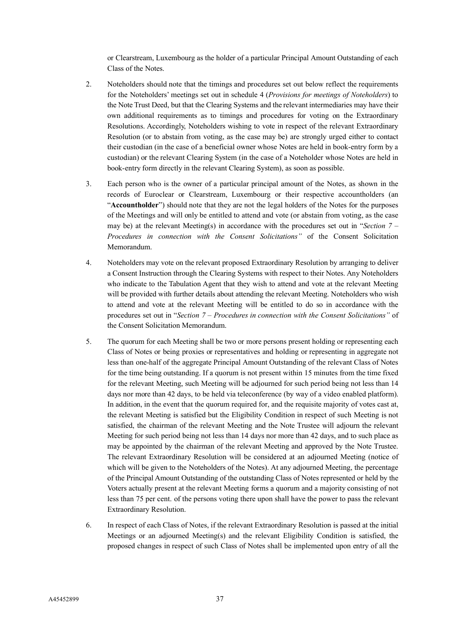or Clearstream, Luxembourg as the holder of a particular Principal Amount Outstanding of each Class of the Notes.

- 2. Noteholders should note that the timings and procedures set out below reflect the requirements for the Noteholders' meetings set out in schedule 4 (*Provisions for meetings of Noteholders*) to the Note Trust Deed, but that the Clearing Systems and the relevant intermediaries may have their own additional requirements as to timings and procedures for voting on the Extraordinary Resolutions. Accordingly, Noteholders wishing to vote in respect of the relevant Extraordinary Resolution (or to abstain from voting, as the case may be) are strongly urged either to contact their custodian (in the case of a beneficial owner whose Notes are held in book-entry form by a custodian) or the relevant Clearing System (in the case of a Noteholder whose Notes are held in book-entry form directly in the relevant Clearing System), as soon as possible.
- 3. Each person who is the owner of a particular principal amount of the Notes, as shown in the records of Euroclear or Clearstream, Luxembourg or their respective accountholders (an "**Accountholder**") should note that they are not the legal holders of the Notes for the purposes of the Meetings and will only be entitled to attend and vote (or abstain from voting, as the case may be) at the relevant Meeting(s) in accordance with the procedures set out in "*Section 7 – Procedures in connection with the Consent Solicitations"* of the Consent Solicitation Memorandum.
- 4. Noteholders may vote on the relevant proposed Extraordinary Resolution by arranging to deliver a Consent Instruction through the Clearing Systems with respect to their Notes. Any Noteholders who indicate to the Tabulation Agent that they wish to attend and vote at the relevant Meeting will be provided with further details about attending the relevant Meeting. Noteholders who wish to attend and vote at the relevant Meeting will be entitled to do so in accordance with the procedures set out in "*Section 7 – Procedures in connection with the Consent Solicitations"* of the Consent Solicitation Memorandum.
- 5. The quorum for each Meeting shall be two or more persons present holding or representing each Class of Notes or being proxies or representatives and holding or representing in aggregate not less than one-half of the aggregate Principal Amount Outstanding of the relevant Class of Notes for the time being outstanding. If a quorum is not present within 15 minutes from the time fixed for the relevant Meeting, such Meeting will be adjourned for such period being not less than 14 days nor more than 42 days, to be held via teleconference (by way of a video enabled platform). In addition, in the event that the quorum required for, and the requisite majority of votes cast at, the relevant Meeting is satisfied but the Eligibility Condition in respect of such Meeting is not satisfied, the chairman of the relevant Meeting and the Note Trustee will adjourn the relevant Meeting for such period being not less than 14 days nor more than 42 days, and to such place as may be appointed by the chairman of the relevant Meeting and approved by the Note Trustee. The relevant Extraordinary Resolution will be considered at an adjourned Meeting (notice of which will be given to the Noteholders of the Notes). At any adjourned Meeting, the percentage of the Principal Amount Outstanding of the outstanding Class of Notes represented or held by the Voters actually present at the relevant Meeting forms a quorum and a majority consisting of not less than 75 per cent. of the persons voting there upon shall have the power to pass the relevant Extraordinary Resolution.
- 6. In respect of each Class of Notes, if the relevant Extraordinary Resolution is passed at the initial Meetings or an adjourned Meeting(s) and the relevant Eligibility Condition is satisfied, the proposed changes in respect of such Class of Notes shall be implemented upon entry of all the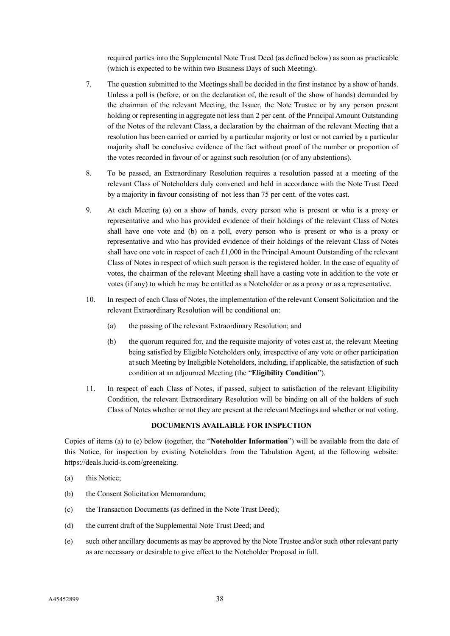required parties into the Supplemental Note Trust Deed (as defined below) as soon as practicable (which is expected to be within two Business Days of such Meeting).

- 7. The question submitted to the Meetings shall be decided in the first instance by a show of hands. Unless a poll is (before, or on the declaration of, the result of the show of hands) demanded by the chairman of the relevant Meeting, the Issuer, the Note Trustee or by any person present holding or representing in aggregate not less than 2 per cent. of the Principal Amount Outstanding of the Notes of the relevant Class, a declaration by the chairman of the relevant Meeting that a resolution has been carried or carried by a particular majority or lost or not carried by a particular majority shall be conclusive evidence of the fact without proof of the number or proportion of the votes recorded in favour of or against such resolution (or of any abstentions).
- 8. To be passed, an Extraordinary Resolution requires a resolution passed at a meeting of the relevant Class of Noteholders duly convened and held in accordance with the Note Trust Deed by a majority in favour consisting of not less than 75 per cent. of the votes cast.
- 9. At each Meeting (a) on a show of hands, every person who is present or who is a proxy or representative and who has provided evidence of their holdings of the relevant Class of Notes shall have one vote and (b) on a poll, every person who is present or who is a proxy or representative and who has provided evidence of their holdings of the relevant Class of Notes shall have one vote in respect of each £1,000 in the Principal Amount Outstanding of the relevant Class of Notes in respect of which such person is the registered holder. In the case of equality of votes, the chairman of the relevant Meeting shall have a casting vote in addition to the vote or votes (if any) to which he may be entitled as a Noteholder or as a proxy or as a representative.
- 10. In respect of each Class of Notes, the implementation of the relevant Consent Solicitation and the relevant Extraordinary Resolution will be conditional on:
	- (a) the passing of the relevant Extraordinary Resolution; and
	- (b) the quorum required for, and the requisite majority of votes cast at, the relevant Meeting being satisfied by Eligible Noteholders only, irrespective of any vote or other participation at such Meeting by Ineligible Noteholders, including, if applicable, the satisfaction of such condition at an adjourned Meeting (the "**Eligibility Condition**").
- 11. In respect of each Class of Notes, if passed, subject to satisfaction of the relevant Eligibility Condition, the relevant Extraordinary Resolution will be binding on all of the holders of such Class of Notes whether or not they are present at the relevant Meetings and whether or not voting.

#### **DOCUMENTS AVAILABLE FOR INSPECTION**

Copies of items (a) to (e) below (together, the "**Noteholder Information**") will be available from the date of this Notice, for inspection by existing Noteholders from the Tabulation Agent, at the following website: https://deals.lucid-is.com/greeneking.

- (a) this Notice;
- (b) the Consent Solicitation Memorandum;
- (c) the Transaction Documents (as defined in the Note Trust Deed);
- (d) the current draft of the Supplemental Note Trust Deed; and
- (e) such other ancillary documents as may be approved by the Note Trustee and/or such other relevant party as are necessary or desirable to give effect to the Noteholder Proposal in full.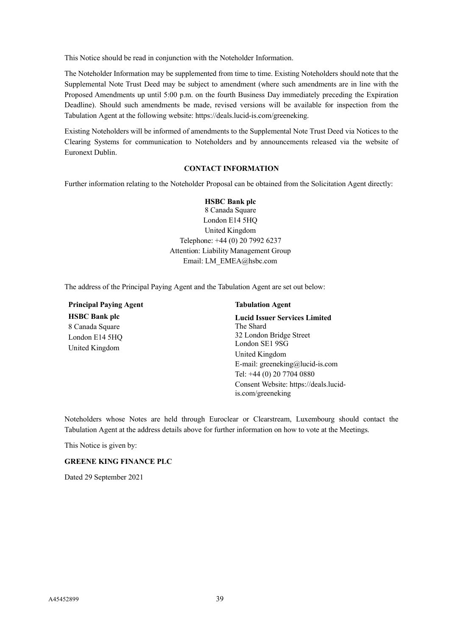This Notice should be read in conjunction with the Noteholder Information.

The Noteholder Information may be supplemented from time to time. Existing Noteholders should note that the Supplemental Note Trust Deed may be subject to amendment (where such amendments are in line with the Proposed Amendments up until 5:00 p.m. on the fourth Business Day immediately preceding the Expiration Deadline). Should such amendments be made, revised versions will be available for inspection from the Tabulation Agent at the following website: https://deals.lucid-is.com/greeneking.

Existing Noteholders will be informed of amendments to the Supplemental Note Trust Deed via Notices to the Clearing Systems for communication to Noteholders and by announcements released via the website of Euronext Dublin.

#### **CONTACT INFORMATION**

Further information relating to the Noteholder Proposal can be obtained from the Solicitation Agent directly:

#### **HSBC Bank plc**

8 Canada Square London E14 5HQ United Kingdom Telephone: +44 (0) 20 7992 6237 Attention: Liability Management Group Email: LM\_EMEA@hsbc.com

The address of the Principal Paying Agent and the Tabulation Agent are set out below:

**Principal Paying Agent Tabulation Agent HSBC Bank plc** 8 Canada Square London E14 5HQ United Kingdom

**Lucid Issuer Services Limited** The Shard 32 London Bridge Street London SE1 9SG United Kingdom E-mail: greeneking@lucid-is.com Tel: +44 (0) 20 7704 0880 Consent Website: https://deals.lucidis.com/greeneking

Noteholders whose Notes are held through Euroclear or Clearstream, Luxembourg should contact the Tabulation Agent at the address details above for further information on how to vote at the Meetings.

This Notice is given by:

#### **GREENE KING FINANCE PLC**

Dated 29 September 2021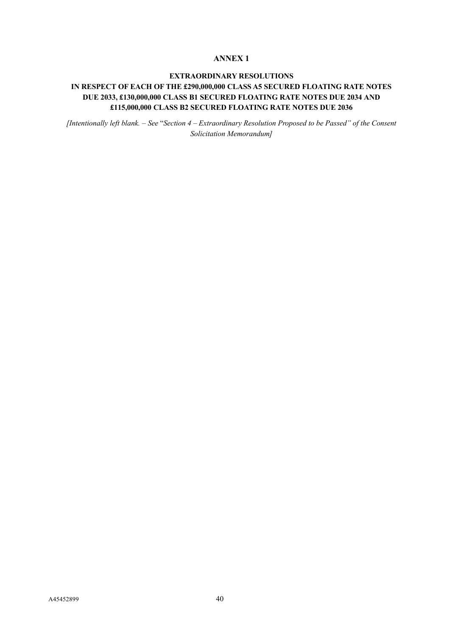# **ANNEX 1**

# **EXTRAORDINARY RESOLUTIONS IN RESPECT OF EACH OF THE £290,000,000 CLASS A5 SECURED FLOATING RATE NOTES DUE 2033, £130,000,000 CLASS B1 SECURED FLOATING RATE NOTES DUE 2034 AND £115,000,000 CLASS B2 SECURED FLOATING RATE NOTES DUE 2036**

*[Intentionally left blank. – See* "*Section 4 – Extraordinary Resolution Proposed to be Passed" of the Consent Solicitation Memorandum]*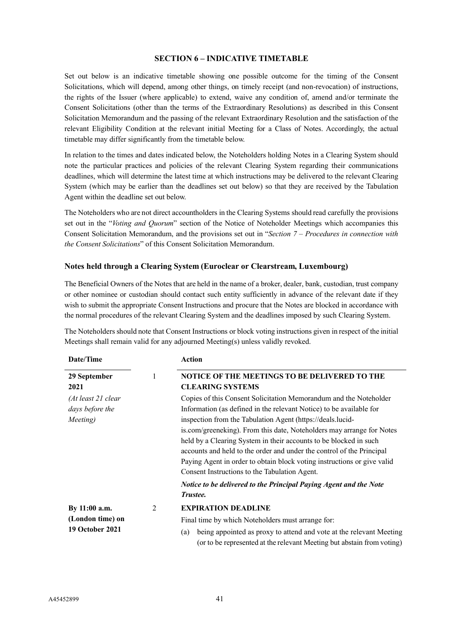## **SECTION 6 – INDICATIVE TIMETABLE**

Set out below is an indicative timetable showing one possible outcome for the timing of the Consent Solicitations, which will depend, among other things, on timely receipt (and non-revocation) of instructions, the rights of the Issuer (where applicable) to extend, waive any condition of, amend and/or terminate the Consent Solicitations (other than the terms of the Extraordinary Resolutions) as described in this Consent Solicitation Memorandum and the passing of the relevant Extraordinary Resolution and the satisfaction of the relevant Eligibility Condition at the relevant initial Meeting for a Class of Notes. Accordingly, the actual timetable may differ significantly from the timetable below.

In relation to the times and dates indicated below, the Noteholders holding Notes in a Clearing System should note the particular practices and policies of the relevant Clearing System regarding their communications deadlines, which will determine the latest time at which instructions may be delivered to the relevant Clearing System (which may be earlier than the deadlines set out below) so that they are received by the Tabulation Agent within the deadline set out below.

The Noteholders who are not direct accountholders in the Clearing Systems should read carefully the provisions set out in the "*Voting and Quorum*" section of the Notice of Noteholder Meetings which accompanies this Consent Solicitation Memorandum, and the provisions set out in "*Section 7 – Procedures in connection with the Consent Solicitations*" of this Consent Solicitation Memorandum.

## **Notes held through a Clearing System (Euroclear or Clearstream, Luxembourg)**

The Beneficial Owners of the Notes that are held in the name of a broker, dealer, bank, custodian, trust company or other nominee or custodian should contact such entity sufficiently in advance of the relevant date if they wish to submit the appropriate Consent Instructions and procure that the Notes are blocked in accordance with the normal procedures of the relevant Clearing System and the deadlines imposed by such Clearing System.

The Noteholders should note that Consent Instructions or block voting instructions given in respect of the initial Meetings shall remain valid for any adjourned Meeting(s) unless validly revoked.

| Date/Time                                                   |   | <b>Action</b>                                                                                                                                                                                                                                                                                                                                                                                                                                                                                                                                             |  |
|-------------------------------------------------------------|---|-----------------------------------------------------------------------------------------------------------------------------------------------------------------------------------------------------------------------------------------------------------------------------------------------------------------------------------------------------------------------------------------------------------------------------------------------------------------------------------------------------------------------------------------------------------|--|
| 29 September                                                | 1 | NOTICE OF THE MEETINGS TO BE DELIVERED TO THE                                                                                                                                                                                                                                                                                                                                                                                                                                                                                                             |  |
| 2021                                                        |   | <b>CLEARING SYSTEMS</b>                                                                                                                                                                                                                                                                                                                                                                                                                                                                                                                                   |  |
| (At least 21 clear<br>days before the<br>Meeting)           |   | Copies of this Consent Solicitation Memorandum and the Noteholder<br>Information (as defined in the relevant Notice) to be available for<br>inspection from the Tabulation Agent (https://deals.lucid-<br>is.com/greeneking). From this date, Noteholders may arrange for Notes<br>held by a Clearing System in their accounts to be blocked in such<br>accounts and held to the order and under the control of the Principal<br>Paying Agent in order to obtain block voting instructions or give valid<br>Consent Instructions to the Tabulation Agent. |  |
|                                                             |   | Notice to be delivered to the Principal Paying Agent and the Note<br>Trustee.                                                                                                                                                                                                                                                                                                                                                                                                                                                                             |  |
| By 11:00 a.m.<br>(London time) on<br><b>19 October 2021</b> | 2 | <b>EXPIRATION DEADLINE</b><br>Final time by which Noteholders must arrange for:<br>being appointed as proxy to attend and vote at the relevant Meeting<br>(a)<br>(or to be represented at the relevant Meeting but abstain from voting)                                                                                                                                                                                                                                                                                                                   |  |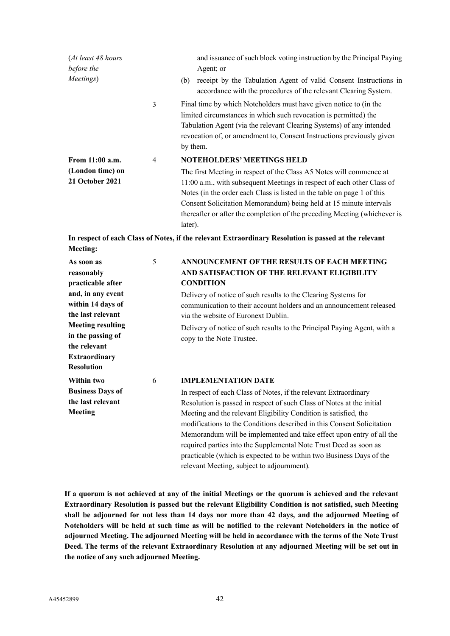| (At least 48 hours                                     |                | and issuance of such block voting instruction by the Principal Paying                                                                                                                                                                                                                                                                                                                                                       |
|--------------------------------------------------------|----------------|-----------------------------------------------------------------------------------------------------------------------------------------------------------------------------------------------------------------------------------------------------------------------------------------------------------------------------------------------------------------------------------------------------------------------------|
| before the                                             |                | Agent; or                                                                                                                                                                                                                                                                                                                                                                                                                   |
| Meetings)                                              |                | receipt by the Tabulation Agent of valid Consent Instructions in<br>(b)<br>accordance with the procedures of the relevant Clearing System.                                                                                                                                                                                                                                                                                  |
|                                                        | 3              | Final time by which Noteholders must have given notice to (in the<br>limited circumstances in which such revocation is permitted) the<br>Tabulation Agent (via the relevant Clearing Systems) of any intended<br>revocation of, or amendment to, Consent Instructions previously given<br>by them.                                                                                                                          |
| From 11:00 a.m.<br>(London time) on<br>21 October 2021 | $\overline{4}$ | <b>NOTEHOLDERS' MEETINGS HELD</b><br>The first Meeting in respect of the Class A5 Notes will commence at<br>11:00 a.m., with subsequent Meetings in respect of each other Class of<br>Notes (in the order each Class is listed in the table on page 1 of this<br>Consent Solicitation Memorandum) being held at 15 minute intervals<br>thereafter or after the completion of the preceding Meeting (whichever is<br>later). |

**In respect of each Class of Notes, if the relevant Extraordinary Resolution is passed at the relevant Meeting:**

| As soon as               | 5 | ANNOUNCEMENT OF THE RESULTS OF EACH MEETING                              |
|--------------------------|---|--------------------------------------------------------------------------|
| reasonably               |   | AND SATISFACTION OF THE RELEVANT ELIGIBILITY                             |
| practicable after        |   | <b>CONDITION</b>                                                         |
| and, in any event        |   | Delivery of notice of such results to the Clearing Systems for           |
| within 14 days of        |   | communication to their account holders and an announcement released      |
| the last relevant        |   | via the website of Euronext Dublin.                                      |
| <b>Meeting resulting</b> |   | Delivery of notice of such results to the Principal Paying Agent, with a |
| in the passing of        |   | copy to the Note Trustee.                                                |
| the relevant             |   |                                                                          |
| <b>Extraordinary</b>     |   |                                                                          |
| <b>Resolution</b>        |   |                                                                          |
| Within two               | 6 | <b>IMPLEMENTATION DATE</b>                                               |
| <b>Business Days of</b>  |   | In respect of each Class of Notes, if the relevant Extraordinary         |
| the last relevant        |   | Resolution is passed in respect of such Class of Notes at the initial    |
| <b>Meeting</b>           |   | Meeting and the relevant Eligibility Condition is satisfied, the         |
|                          |   | modifications to the Conditions described in this Consent Solicitation   |
|                          |   | Memorandum will be implemented and take effect upon entry of all the     |
|                          |   | required parties into the Supplemental Note Trust Deed as soon as        |
|                          |   | practicable (which is expected to be within two Business Days of the     |
|                          |   | relevant Meeting, subject to adjournment).                               |

**If a quorum is not achieved at any of the initial Meetings or the quorum is achieved and the relevant Extraordinary Resolution is passed but the relevant Eligibility Condition is not satisfied, such Meeting shall be adjourned for not less than 14 days nor more than 42 days, and the adjourned Meeting of Noteholders will be held at such time as will be notified to the relevant Noteholders in the notice of adjourned Meeting. The adjourned Meeting will be held in accordance with the terms of the Note Trust Deed. The terms of the relevant Extraordinary Resolution at any adjourned Meeting will be set out in the notice of any such adjourned Meeting.**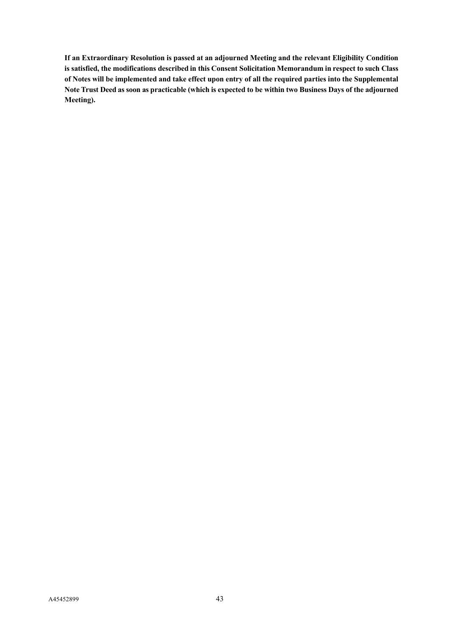**If an Extraordinary Resolution is passed at an adjourned Meeting and the relevant Eligibility Condition is satisfied, the modifications described in this Consent Solicitation Memorandum in respect to such Class of Notes will be implemented and take effect upon entry of all the required parties into the Supplemental Note Trust Deed as soon as practicable (which is expected to be within two Business Days of the adjourned Meeting).**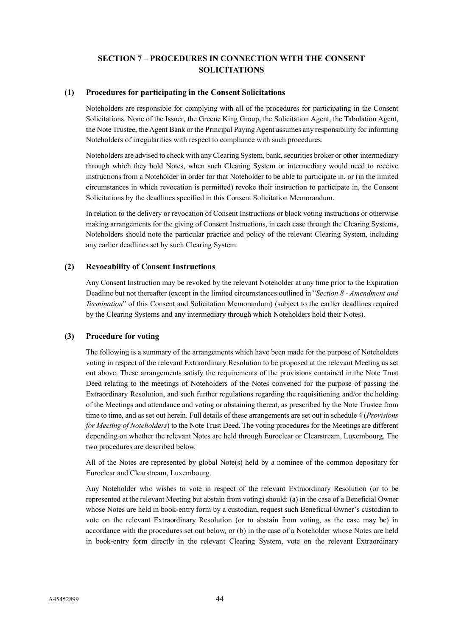# **SECTION 7 – PROCEDURES IN CONNECTION WITH THE CONSENT SOLICITATIONS**

### **(1) Procedures for participating in the Consent Solicitations**

Noteholders are responsible for complying with all of the procedures for participating in the Consent Solicitations. None of the Issuer, the Greene King Group, the Solicitation Agent, the Tabulation Agent, the Note Trustee, the Agent Bank or the Principal Paying Agent assumes any responsibility for informing Noteholders of irregularities with respect to compliance with such procedures.

Noteholders are advised to check with any Clearing System, bank, securities broker or other intermediary through which they hold Notes, when such Clearing System or intermediary would need to receive instructions from a Noteholder in order for that Noteholder to be able to participate in, or (in the limited circumstances in which revocation is permitted) revoke their instruction to participate in, the Consent Solicitations by the deadlines specified in this Consent Solicitation Memorandum.

In relation to the delivery or revocation of Consent Instructions or block voting instructions or otherwise making arrangements for the giving of Consent Instructions, in each case through the Clearing Systems, Noteholders should note the particular practice and policy of the relevant Clearing System, including any earlier deadlines set by such Clearing System.

## **(2) Revocability of Consent Instructions**

Any Consent Instruction may be revoked by the relevant Noteholder at any time prior to the Expiration Deadline but not thereafter (except in the limited circumstances outlined in "*Section 8 - Amendment and Termination*" of this Consent and Solicitation Memorandum) (subject to the earlier deadlines required by the Clearing Systems and any intermediary through which Noteholders hold their Notes).

## **(3) Procedure for voting**

The following is a summary of the arrangements which have been made for the purpose of Noteholders voting in respect of the relevant Extraordinary Resolution to be proposed at the relevant Meeting as set out above. These arrangements satisfy the requirements of the provisions contained in the Note Trust Deed relating to the meetings of Noteholders of the Notes convened for the purpose of passing the Extraordinary Resolution, and such further regulations regarding the requisitioning and/or the holding of the Meetings and attendance and voting or abstaining thereat, as prescribed by the Note Trustee from time to time, and as set out herein. Full details of these arrangements are set out in schedule 4 (*Provisions for Meeting of Noteholders*) to the Note Trust Deed. The voting procedures for the Meetings are different depending on whether the relevant Notes are held through Euroclear or Clearstream, Luxembourg. The two procedures are described below.

All of the Notes are represented by global Note(s) held by a nominee of the common depositary for Euroclear and Clearstream, Luxembourg.

Any Noteholder who wishes to vote in respect of the relevant Extraordinary Resolution (or to be represented at the relevant Meeting but abstain from voting) should: (a) in the case of a Beneficial Owner whose Notes are held in book-entry form by a custodian, request such Beneficial Owner's custodian to vote on the relevant Extraordinary Resolution (or to abstain from voting, as the case may be) in accordance with the procedures set out below, or (b) in the case of a Noteholder whose Notes are held in book-entry form directly in the relevant Clearing System, vote on the relevant Extraordinary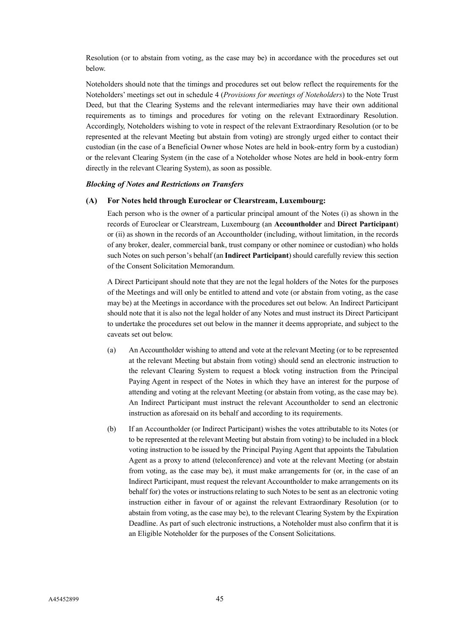Resolution (or to abstain from voting, as the case may be) in accordance with the procedures set out below.

Noteholders should note that the timings and procedures set out below reflect the requirements for the Noteholders' meetings set out in schedule 4 (*Provisions for meetings of Noteholders*) to the Note Trust Deed, but that the Clearing Systems and the relevant intermediaries may have their own additional requirements as to timings and procedures for voting on the relevant Extraordinary Resolution. Accordingly, Noteholders wishing to vote in respect of the relevant Extraordinary Resolution (or to be represented at the relevant Meeting but abstain from voting) are strongly urged either to contact their custodian (in the case of a Beneficial Owner whose Notes are held in book-entry form by a custodian) or the relevant Clearing System (in the case of a Noteholder whose Notes are held in book-entry form directly in the relevant Clearing System), as soon as possible.

#### *Blocking of Notes and Restrictions on Transfers*

## **(A) For Notes held through Euroclear or Clearstream, Luxembourg:**

Each person who is the owner of a particular principal amount of the Notes (i) as shown in the records of Euroclear or Clearstream, Luxembourg (an **Accountholder** and **Direct Participant**) or (ii) as shown in the records of an Accountholder (including, without limitation, in the records of any broker, dealer, commercial bank, trust company or other nominee or custodian) who holds such Notes on such person's behalf (an **Indirect Participant**) should carefully review this section of the Consent Solicitation Memorandum.

A Direct Participant should note that they are not the legal holders of the Notes for the purposes of the Meetings and will only be entitled to attend and vote (or abstain from voting, as the case may be) at the Meetings in accordance with the procedures set out below. An Indirect Participant should note that it is also not the legal holder of any Notes and must instruct its Direct Participant to undertake the procedures set out below in the manner it deems appropriate, and subject to the caveats set out below.

- (a) An Accountholder wishing to attend and vote at the relevant Meeting (or to be represented at the relevant Meeting but abstain from voting) should send an electronic instruction to the relevant Clearing System to request a block voting instruction from the Principal Paying Agent in respect of the Notes in which they have an interest for the purpose of attending and voting at the relevant Meeting (or abstain from voting, as the case may be). An Indirect Participant must instruct the relevant Accountholder to send an electronic instruction as aforesaid on its behalf and according to its requirements.
- (b) If an Accountholder (or Indirect Participant) wishes the votes attributable to its Notes (or to be represented at the relevant Meeting but abstain from voting) to be included in a block voting instruction to be issued by the Principal Paying Agent that appoints the Tabulation Agent as a proxy to attend (teleconference) and vote at the relevant Meeting (or abstain from voting, as the case may be), it must make arrangements for (or, in the case of an Indirect Participant, must request the relevant Accountholder to make arrangements on its behalf for) the votes or instructions relating to such Notes to be sent as an electronic voting instruction either in favour of or against the relevant Extraordinary Resolution (or to abstain from voting, as the case may be), to the relevant Clearing System by the Expiration Deadline. As part of such electronic instructions, a Noteholder must also confirm that it is an Eligible Noteholder for the purposes of the Consent Solicitations.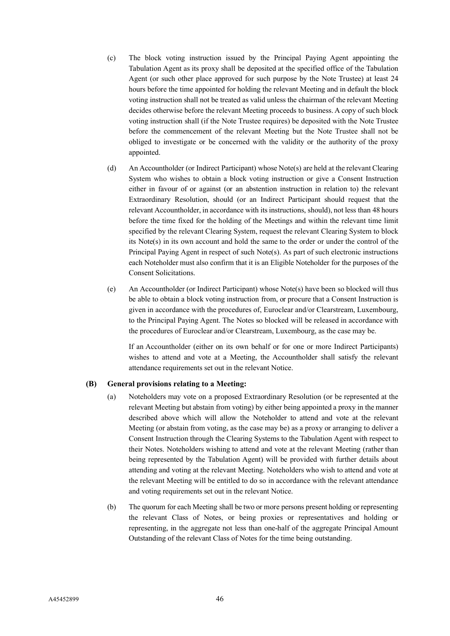- (c) The block voting instruction issued by the Principal Paying Agent appointing the Tabulation Agent as its proxy shall be deposited at the specified office of the Tabulation Agent (or such other place approved for such purpose by the Note Trustee) at least 24 hours before the time appointed for holding the relevant Meeting and in default the block voting instruction shall not be treated as valid unless the chairman of the relevant Meeting decides otherwise before the relevant Meeting proceeds to business. A copy of such block voting instruction shall (if the Note Trustee requires) be deposited with the Note Trustee before the commencement of the relevant Meeting but the Note Trustee shall not be obliged to investigate or be concerned with the validity or the authority of the proxy appointed.
- (d) An Accountholder (or Indirect Participant) whose Note(s) are held at the relevant Clearing System who wishes to obtain a block voting instruction or give a Consent Instruction either in favour of or against (or an abstention instruction in relation to) the relevant Extraordinary Resolution, should (or an Indirect Participant should request that the relevant Accountholder, in accordance with its instructions, should), not less than 48 hours before the time fixed for the holding of the Meetings and within the relevant time limit specified by the relevant Clearing System, request the relevant Clearing System to block its Note(s) in its own account and hold the same to the order or under the control of the Principal Paying Agent in respect of such Note(s). As part of such electronic instructions each Noteholder must also confirm that it is an Eligible Noteholder for the purposes of the Consent Solicitations.
- (e) An Accountholder (or Indirect Participant) whose Note(s) have been so blocked will thus be able to obtain a block voting instruction from, or procure that a Consent Instruction is given in accordance with the procedures of, Euroclear and/or Clearstream, Luxembourg, to the Principal Paying Agent. The Notes so blocked will be released in accordance with the procedures of Euroclear and/or Clearstream, Luxembourg, as the case may be.

If an Accountholder (either on its own behalf or for one or more Indirect Participants) wishes to attend and vote at a Meeting, the Accountholder shall satisfy the relevant attendance requirements set out in the relevant Notice.

## **(B) General provisions relating to a Meeting:**

- (a) Noteholders may vote on a proposed Extraordinary Resolution (or be represented at the relevant Meeting but abstain from voting) by either being appointed a proxy in the manner described above which will allow the Noteholder to attend and vote at the relevant Meeting (or abstain from voting, as the case may be) as a proxy or arranging to deliver a Consent Instruction through the Clearing Systems to the Tabulation Agent with respect to their Notes. Noteholders wishing to attend and vote at the relevant Meeting (rather than being represented by the Tabulation Agent) will be provided with further details about attending and voting at the relevant Meeting. Noteholders who wish to attend and vote at the relevant Meeting will be entitled to do so in accordance with the relevant attendance and voting requirements set out in the relevant Notice.
- (b) The quorum for each Meeting shall be two or more persons present holding or representing the relevant Class of Notes, or being proxies or representatives and holding or representing, in the aggregate not less than one-half of the aggregate Principal Amount Outstanding of the relevant Class of Notes for the time being outstanding.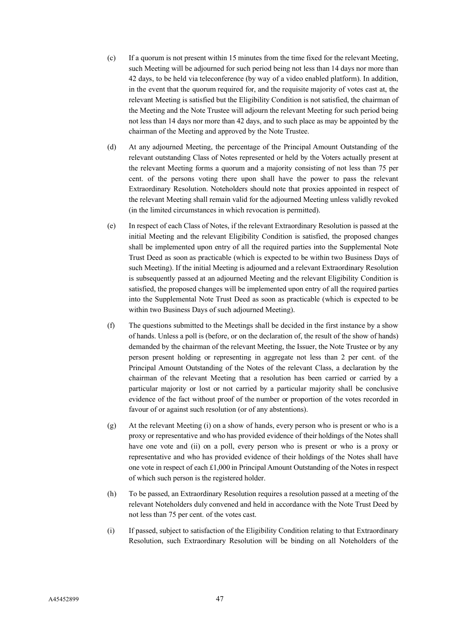- (c) If a quorum is not present within 15 minutes from the time fixed for the relevant Meeting, such Meeting will be adjourned for such period being not less than 14 days nor more than 42 days, to be held via teleconference (by way of a video enabled platform). In addition, in the event that the quorum required for, and the requisite majority of votes cast at, the relevant Meeting is satisfied but the Eligibility Condition is not satisfied, the chairman of the Meeting and the Note Trustee will adjourn the relevant Meeting for such period being not less than 14 days nor more than 42 days, and to such place as may be appointed by the chairman of the Meeting and approved by the Note Trustee.
- (d) At any adjourned Meeting, the percentage of the Principal Amount Outstanding of the relevant outstanding Class of Notes represented or held by the Voters actually present at the relevant Meeting forms a quorum and a majority consisting of not less than 75 per cent. of the persons voting there upon shall have the power to pass the relevant Extraordinary Resolution. Noteholders should note that proxies appointed in respect of the relevant Meeting shall remain valid for the adjourned Meeting unless validly revoked (in the limited circumstances in which revocation is permitted).
- (e) In respect of each Class of Notes, if the relevant Extraordinary Resolution is passed at the initial Meeting and the relevant Eligibility Condition is satisfied, the proposed changes shall be implemented upon entry of all the required parties into the Supplemental Note Trust Deed as soon as practicable (which is expected to be within two Business Days of such Meeting). If the initial Meeting is adjourned and a relevant Extraordinary Resolution is subsequently passed at an adjourned Meeting and the relevant Eligibility Condition is satisfied, the proposed changes will be implemented upon entry of all the required parties into the Supplemental Note Trust Deed as soon as practicable (which is expected to be within two Business Days of such adjourned Meeting).
- (f) The questions submitted to the Meetings shall be decided in the first instance by a show of hands. Unless a poll is (before, or on the declaration of, the result of the show of hands) demanded by the chairman of the relevant Meeting, the Issuer, the Note Trustee or by any person present holding or representing in aggregate not less than 2 per cent. of the Principal Amount Outstanding of the Notes of the relevant Class, a declaration by the chairman of the relevant Meeting that a resolution has been carried or carried by a particular majority or lost or not carried by a particular majority shall be conclusive evidence of the fact without proof of the number or proportion of the votes recorded in favour of or against such resolution (or of any abstentions).
- (g) At the relevant Meeting (i) on a show of hands, every person who is present or who is a proxy or representative and who has provided evidence of their holdings of the Notes shall have one vote and (ii) on a poll, every person who is present or who is a proxy or representative and who has provided evidence of their holdings of the Notes shall have one vote in respect of each £1,000 in Principal Amount Outstanding of the Notes in respect of which such person is the registered holder.
- (h) To be passed, an Extraordinary Resolution requires a resolution passed at a meeting of the relevant Noteholders duly convened and held in accordance with the Note Trust Deed by not less than 75 per cent. of the votes cast.
- (i) If passed, subject to satisfaction of the Eligibility Condition relating to that Extraordinary Resolution, such Extraordinary Resolution will be binding on all Noteholders of the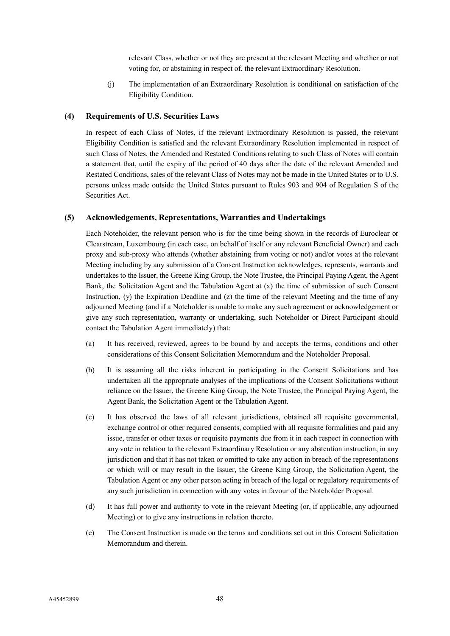relevant Class, whether or not they are present at the relevant Meeting and whether or not voting for, or abstaining in respect of, the relevant Extraordinary Resolution.

(j) The implementation of an Extraordinary Resolution is conditional on satisfaction of the Eligibility Condition.

## **(4) Requirements of U.S. Securities Laws**

In respect of each Class of Notes, if the relevant Extraordinary Resolution is passed, the relevant Eligibility Condition is satisfied and the relevant Extraordinary Resolution implemented in respect of such Class of Notes, the Amended and Restated Conditions relating to such Class of Notes will contain a statement that, until the expiry of the period of 40 days after the date of the relevant Amended and Restated Conditions, sales of the relevant Class of Notes may not be made in the United States or to U.S. persons unless made outside the United States pursuant to Rules 903 and 904 of Regulation S of the Securities Act.

#### **(5) Acknowledgements, Representations, Warranties and Undertakings**

Each Noteholder, the relevant person who is for the time being shown in the records of Euroclear or Clearstream, Luxembourg (in each case, on behalf of itself or any relevant Beneficial Owner) and each proxy and sub-proxy who attends (whether abstaining from voting or not) and/or votes at the relevant Meeting including by any submission of a Consent Instruction acknowledges, represents, warrants and undertakes to the Issuer, the Greene King Group, the Note Trustee, the Principal Paying Agent, the Agent Bank, the Solicitation Agent and the Tabulation Agent at (x) the time of submission of such Consent Instruction,  $(y)$  the Expiration Deadline and  $(z)$  the time of the relevant Meeting and the time of any adjourned Meeting (and if a Noteholder is unable to make any such agreement or acknowledgement or give any such representation, warranty or undertaking, such Noteholder or Direct Participant should contact the Tabulation Agent immediately) that:

- (a) It has received, reviewed, agrees to be bound by and accepts the terms, conditions and other considerations of this Consent Solicitation Memorandum and the Noteholder Proposal.
- (b) It is assuming all the risks inherent in participating in the Consent Solicitations and has undertaken all the appropriate analyses of the implications of the Consent Solicitations without reliance on the Issuer, the Greene King Group, the Note Trustee, the Principal Paying Agent, the Agent Bank, the Solicitation Agent or the Tabulation Agent.
- (c) It has observed the laws of all relevant jurisdictions, obtained all requisite governmental, exchange control or other required consents, complied with all requisite formalities and paid any issue, transfer or other taxes or requisite payments due from it in each respect in connection with any vote in relation to the relevant Extraordinary Resolution or any abstention instruction, in any jurisdiction and that it has not taken or omitted to take any action in breach of the representations or which will or may result in the Issuer, the Greene King Group, the Solicitation Agent, the Tabulation Agent or any other person acting in breach of the legal or regulatory requirements of any such jurisdiction in connection with any votes in favour of the Noteholder Proposal.
- (d) It has full power and authority to vote in the relevant Meeting (or, if applicable, any adjourned Meeting) or to give any instructions in relation thereto.
- (e) The Consent Instruction is made on the terms and conditions set out in this Consent Solicitation Memorandum and therein.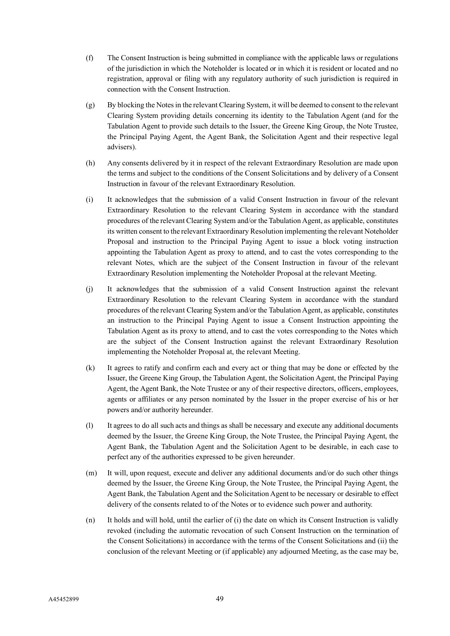- (f) The Consent Instruction is being submitted in compliance with the applicable laws or regulations of the jurisdiction in which the Noteholder is located or in which it is resident or located and no registration, approval or filing with any regulatory authority of such jurisdiction is required in connection with the Consent Instruction.
- (g) By blocking the Notesin the relevant Clearing System, it will be deemed to consent to the relevant Clearing System providing details concerning its identity to the Tabulation Agent (and for the Tabulation Agent to provide such details to the Issuer, the Greene King Group, the Note Trustee, the Principal Paying Agent, the Agent Bank, the Solicitation Agent and their respective legal advisers).
- (h) Any consents delivered by it in respect of the relevant Extraordinary Resolution are made upon the terms and subject to the conditions of the Consent Solicitations and by delivery of a Consent Instruction in favour of the relevant Extraordinary Resolution.
- (i) It acknowledges that the submission of a valid Consent Instruction in favour of the relevant Extraordinary Resolution to the relevant Clearing System in accordance with the standard procedures of the relevant Clearing System and/or the Tabulation Agent, as applicable, constitutes its written consent to the relevant Extraordinary Resolution implementing the relevant Noteholder Proposal and instruction to the Principal Paying Agent to issue a block voting instruction appointing the Tabulation Agent as proxy to attend, and to cast the votes corresponding to the relevant Notes, which are the subject of the Consent Instruction in favour of the relevant Extraordinary Resolution implementing the Noteholder Proposal at the relevant Meeting.
- (j) It acknowledges that the submission of a valid Consent Instruction against the relevant Extraordinary Resolution to the relevant Clearing System in accordance with the standard procedures of the relevant Clearing System and/or the Tabulation Agent, as applicable, constitutes an instruction to the Principal Paying Agent to issue a Consent Instruction appointing the Tabulation Agent as its proxy to attend, and to cast the votes corresponding to the Notes which are the subject of the Consent Instruction against the relevant Extraordinary Resolution implementing the Noteholder Proposal at, the relevant Meeting.
- (k) It agrees to ratify and confirm each and every act or thing that may be done or effected by the Issuer, the Greene King Group, the Tabulation Agent, the Solicitation Agent, the Principal Paying Agent, the Agent Bank, the Note Trustee or any of their respective directors, officers, employees, agents or affiliates or any person nominated by the Issuer in the proper exercise of his or her powers and/or authority hereunder.
- (l) It agrees to do all such acts and things as shall be necessary and execute any additional documents deemed by the Issuer, the Greene King Group, the Note Trustee, the Principal Paying Agent, the Agent Bank, the Tabulation Agent and the Solicitation Agent to be desirable, in each case to perfect any of the authorities expressed to be given hereunder.
- (m) It will, upon request, execute and deliver any additional documents and/or do such other things deemed by the Issuer, the Greene King Group, the Note Trustee, the Principal Paying Agent, the Agent Bank, the Tabulation Agent and the Solicitation Agent to be necessary or desirable to effect delivery of the consents related to of the Notes or to evidence such power and authority.
- (n) It holds and will hold, until the earlier of (i) the date on which its Consent Instruction is validly revoked (including the automatic revocation of such Consent Instruction on the termination of the Consent Solicitations) in accordance with the terms of the Consent Solicitations and (ii) the conclusion of the relevant Meeting or (if applicable) any adjourned Meeting, as the case may be,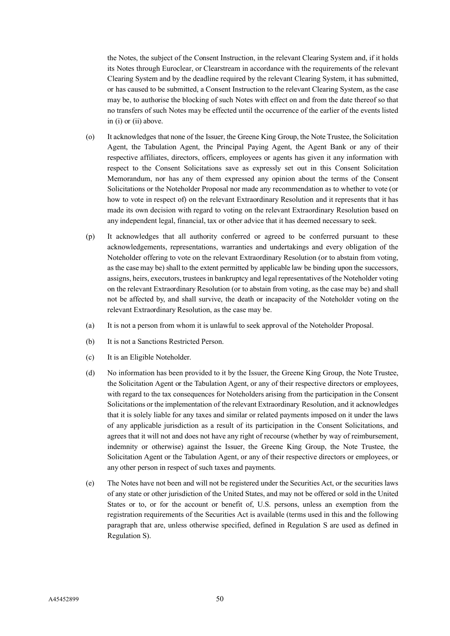the Notes, the subject of the Consent Instruction, in the relevant Clearing System and, if it holds its Notes through Euroclear, or Clearstream in accordance with the requirements of the relevant Clearing System and by the deadline required by the relevant Clearing System, it has submitted, or has caused to be submitted, a Consent Instruction to the relevant Clearing System, as the case may be, to authorise the blocking of such Notes with effect on and from the date thereof so that no transfers of such Notes may be effected until the occurrence of the earlier of the events listed in (i) or (ii) above.

- (o) It acknowledges that none of the Issuer, the Greene King Group, the Note Trustee, the Solicitation Agent, the Tabulation Agent, the Principal Paying Agent, the Agent Bank or any of their respective affiliates, directors, officers, employees or agents has given it any information with respect to the Consent Solicitations save as expressly set out in this Consent Solicitation Memorandum, nor has any of them expressed any opinion about the terms of the Consent Solicitations or the Noteholder Proposal nor made any recommendation as to whether to vote (or how to vote in respect of) on the relevant Extraordinary Resolution and it represents that it has made its own decision with regard to voting on the relevant Extraordinary Resolution based on any independent legal, financial, tax or other advice that it has deemed necessary to seek.
- (p) It acknowledges that all authority conferred or agreed to be conferred pursuant to these acknowledgements, representations, warranties and undertakings and every obligation of the Noteholder offering to vote on the relevant Extraordinary Resolution (or to abstain from voting, as the case may be) shall to the extent permitted by applicable law be binding upon the successors, assigns, heirs, executors, trustees in bankruptcy and legal representatives of the Noteholder voting on the relevant Extraordinary Resolution (or to abstain from voting, as the case may be) and shall not be affected by, and shall survive, the death or incapacity of the Noteholder voting on the relevant Extraordinary Resolution, as the case may be.
- (a) It is not a person from whom it is unlawful to seek approval of the Noteholder Proposal.
- (b) It is not a Sanctions Restricted Person.
- (c) It is an Eligible Noteholder.
- (d) No information has been provided to it by the Issuer, the Greene King Group, the Note Trustee, the Solicitation Agent or the Tabulation Agent, or any of their respective directors or employees, with regard to the tax consequences for Noteholders arising from the participation in the Consent Solicitations or the implementation of the relevant Extraordinary Resolution, and it acknowledges that it is solely liable for any taxes and similar or related payments imposed on it under the laws of any applicable jurisdiction as a result of its participation in the Consent Solicitations, and agrees that it will not and does not have any right of recourse (whether by way of reimbursement, indemnity or otherwise) against the Issuer, the Greene King Group, the Note Trustee, the Solicitation Agent or the Tabulation Agent, or any of their respective directors or employees, or any other person in respect of such taxes and payments.
- (e) The Notes have not been and will not be registered under the Securities Act, or the securities laws of any state or other jurisdiction of the United States, and may not be offered or sold in the United States or to, or for the account or benefit of, U.S. persons, unless an exemption from the registration requirements of the Securities Act is available (terms used in this and the following paragraph that are, unless otherwise specified, defined in Regulation S are used as defined in Regulation S).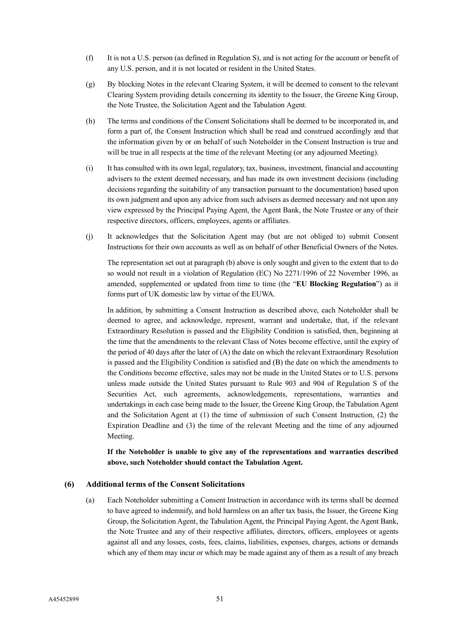- (f) It is not a U.S. person (as defined in Regulation S), and is not acting for the account or benefit of any U.S. person, and it is not located or resident in the United States.
- (g) By blocking Notes in the relevant Clearing System, it will be deemed to consent to the relevant Clearing System providing details concerning its identity to the Issuer, the Greene King Group, the Note Trustee, the Solicitation Agent and the Tabulation Agent.
- (h) The terms and conditions of the Consent Solicitations shall be deemed to be incorporated in, and form a part of, the Consent Instruction which shall be read and construed accordingly and that the information given by or on behalf of such Noteholder in the Consent Instruction is true and will be true in all respects at the time of the relevant Meeting (or any adjourned Meeting).
- (i) It has consulted with its own legal, regulatory, tax, business, investment, financial and accounting advisers to the extent deemed necessary, and has made its own investment decisions (including decisions regarding the suitability of any transaction pursuant to the documentation) based upon its own judgment and upon any advice from such advisers as deemed necessary and not upon any view expressed by the Principal Paying Agent, the Agent Bank, the Note Trustee or any of their respective directors, officers, employees, agents or affiliates.
- (j) It acknowledges that the Solicitation Agent may (but are not obliged to) submit Consent Instructions for their own accounts as well as on behalf of other Beneficial Owners of the Notes.

The representation set out at paragraph (b) above is only sought and given to the extent that to do so would not result in a violation of Regulation (EC) No 2271/1996 of 22 November 1996, as amended, supplemented or updated from time to time (the "**EU Blocking Regulation**") as it forms part of UK domestic law by virtue of the EUWA.

In addition, by submitting a Consent Instruction as described above, each Noteholder shall be deemed to agree, and acknowledge, represent, warrant and undertake, that, if the relevant Extraordinary Resolution is passed and the Eligibility Condition is satisfied, then, beginning at the time that the amendments to the relevant Class of Notes become effective, until the expiry of the period of 40 days after the later of (A) the date on which the relevant Extraordinary Resolution is passed and the Eligibility Condition is satisfied and (B) the date on which the amendments to the Conditions become effective, sales may not be made in the United States or to U.S. persons unless made outside the United States pursuant to Rule 903 and 904 of Regulation S of the Securities Act, such agreements, acknowledgements, representations, warranties and undertakings in each case being made to the Issuer, the Greene King Group, the Tabulation Agent and the Solicitation Agent at  $(1)$  the time of submission of such Consent Instruction,  $(2)$  the Expiration Deadline and (3) the time of the relevant Meeting and the time of any adjourned Meeting.

**If the Noteholder is unable to give any of the representations and warranties described above, such Noteholder should contact the Tabulation Agent.**

## **(6) Additional terms of the Consent Solicitations**

(a) Each Noteholder submitting a Consent Instruction in accordance with its terms shall be deemed to have agreed to indemnify, and hold harmless on an after tax basis, the Issuer, the Greene King Group, the Solicitation Agent, the Tabulation Agent, the Principal Paying Agent, the Agent Bank, the Note Trustee and any of their respective affiliates, directors, officers, employees or agents against all and any losses, costs, fees, claims, liabilities, expenses, charges, actions or demands which any of them may incur or which may be made against any of them as a result of any breach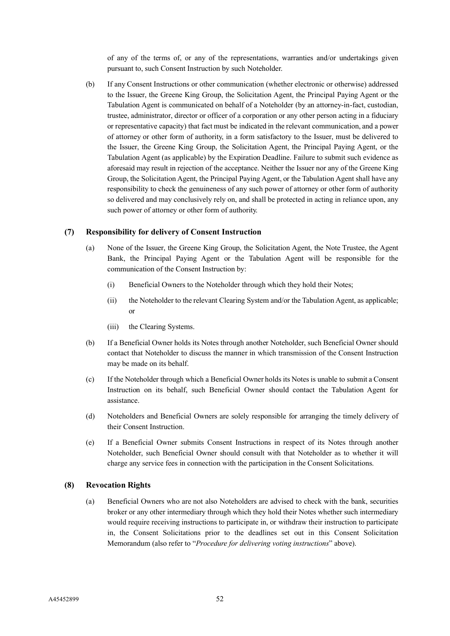of any of the terms of, or any of the representations, warranties and/or undertakings given pursuant to, such Consent Instruction by such Noteholder.

(b) If any Consent Instructions or other communication (whether electronic or otherwise) addressed to the Issuer, the Greene King Group, the Solicitation Agent, the Principal Paying Agent or the Tabulation Agent is communicated on behalf of a Noteholder (by an attorney-in-fact, custodian, trustee, administrator, director or officer of a corporation or any other person acting in a fiduciary or representative capacity) that fact must be indicated in the relevant communication, and a power of attorney or other form of authority, in a form satisfactory to the Issuer, must be delivered to the Issuer, the Greene King Group, the Solicitation Agent, the Principal Paying Agent, or the Tabulation Agent (as applicable) by the Expiration Deadline. Failure to submit such evidence as aforesaid may result in rejection of the acceptance. Neither the Issuer nor any of the Greene King Group, the Solicitation Agent, the Principal Paying Agent, or the Tabulation Agent shall have any responsibility to check the genuineness of any such power of attorney or other form of authority so delivered and may conclusively rely on, and shall be protected in acting in reliance upon, any such power of attorney or other form of authority.

## **(7) Responsibility for delivery of Consent Instruction**

- (a) None of the Issuer, the Greene King Group, the Solicitation Agent, the Note Trustee, the Agent Bank, the Principal Paying Agent or the Tabulation Agent will be responsible for the communication of the Consent Instruction by:
	- (i) Beneficial Owners to the Noteholder through which they hold their Notes;
	- (ii) the Noteholder to the relevant Clearing System and/or the Tabulation Agent, as applicable; or
	- (iii) the Clearing Systems.
- (b) If a Beneficial Owner holds its Notes through another Noteholder, such Beneficial Owner should contact that Noteholder to discuss the manner in which transmission of the Consent Instruction may be made on its behalf.
- (c) If the Noteholder through which a Beneficial Owner holds its Notes is unable to submit a Consent Instruction on its behalf, such Beneficial Owner should contact the Tabulation Agent for assistance.
- (d) Noteholders and Beneficial Owners are solely responsible for arranging the timely delivery of their Consent Instruction.
- (e) If a Beneficial Owner submits Consent Instructions in respect of its Notes through another Noteholder, such Beneficial Owner should consult with that Noteholder as to whether it will charge any service fees in connection with the participation in the Consent Solicitations.

### **(8) Revocation Rights**

(a) Beneficial Owners who are not also Noteholders are advised to check with the bank, securities broker or any other intermediary through which they hold their Notes whether such intermediary would require receiving instructions to participate in, or withdraw their instruction to participate in, the Consent Solicitations prior to the deadlines set out in this Consent Solicitation Memorandum (also refer to "*Procedure for delivering voting instructions*" above).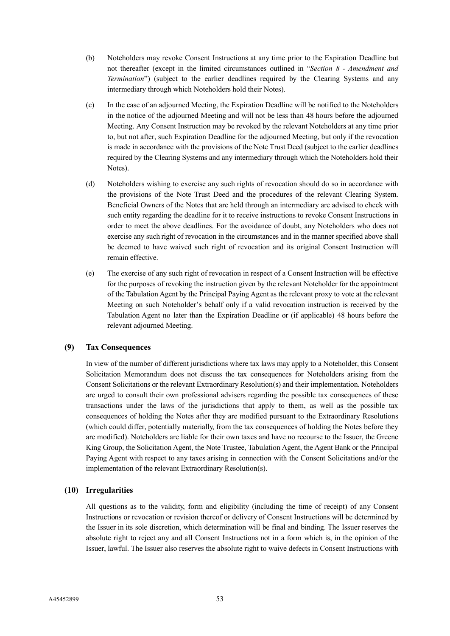- (b) Noteholders may revoke Consent Instructions at any time prior to the Expiration Deadline but not thereafter (except in the limited circumstances outlined in "*Section 8 - Amendment and Termination*") (subject to the earlier deadlines required by the Clearing Systems and any intermediary through which Noteholders hold their Notes).
- (c) In the case of an adjourned Meeting, the Expiration Deadline will be notified to the Noteholders in the notice of the adjourned Meeting and will not be less than 48 hours before the adjourned Meeting. Any Consent Instruction may be revoked by the relevant Noteholders at any time prior to, but not after, such Expiration Deadline for the adjourned Meeting, but only if the revocation is made in accordance with the provisions of the Note Trust Deed (subject to the earlier deadlines required by the Clearing Systems and any intermediary through which the Noteholders hold their Notes).
- (d) Noteholders wishing to exercise any such rights of revocation should do so in accordance with the provisions of the Note Trust Deed and the procedures of the relevant Clearing System. Beneficial Owners of the Notes that are held through an intermediary are advised to check with such entity regarding the deadline for it to receive instructions to revoke Consent Instructions in order to meet the above deadlines. For the avoidance of doubt, any Noteholders who does not exercise any such right of revocation in the circumstances and in the manner specified above shall be deemed to have waived such right of revocation and its original Consent Instruction will remain effective.
- (e) The exercise of any such right of revocation in respect of a Consent Instruction will be effective for the purposes of revoking the instruction given by the relevant Noteholder for the appointment of the Tabulation Agent by the Principal Paying Agent as the relevant proxy to vote at the relevant Meeting on such Noteholder's behalf only if a valid revocation instruction is received by the Tabulation Agent no later than the Expiration Deadline or (if applicable) 48 hours before the relevant adjourned Meeting.

## **(9) Tax Consequences**

In view of the number of different jurisdictions where tax laws may apply to a Noteholder, this Consent Solicitation Memorandum does not discuss the tax consequences for Noteholders arising from the Consent Solicitations or the relevant Extraordinary Resolution(s) and their implementation. Noteholders are urged to consult their own professional advisers regarding the possible tax consequences of these transactions under the laws of the jurisdictions that apply to them, as well as the possible tax consequences of holding the Notes after they are modified pursuant to the Extraordinary Resolutions (which could differ, potentially materially, from the tax consequences of holding the Notes before they are modified). Noteholders are liable for their own taxes and have no recourse to the Issuer, the Greene King Group, the Solicitation Agent, the Note Trustee, Tabulation Agent, the Agent Bank or the Principal Paying Agent with respect to any taxes arising in connection with the Consent Solicitations and/or the implementation of the relevant Extraordinary Resolution(s).

#### **(10) Irregularities**

All questions as to the validity, form and eligibility (including the time of receipt) of any Consent Instructions or revocation or revision thereof or delivery of Consent Instructions will be determined by the Issuer in its sole discretion, which determination will be final and binding. The Issuer reserves the absolute right to reject any and all Consent Instructions not in a form which is, in the opinion of the Issuer, lawful. The Issuer also reserves the absolute right to waive defects in Consent Instructions with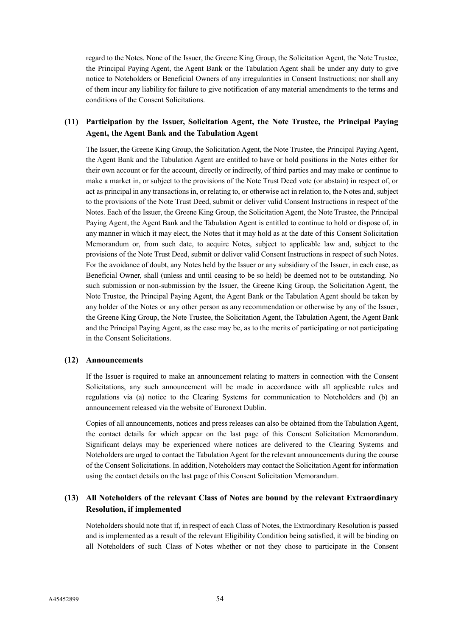regard to the Notes. None of the Issuer, the Greene King Group, the Solicitation Agent, the Note Trustee, the Principal Paying Agent, the Agent Bank or the Tabulation Agent shall be under any duty to give notice to Noteholders or Beneficial Owners of any irregularities in Consent Instructions; nor shall any of them incur any liability for failure to give notification of any material amendments to the terms and conditions of the Consent Solicitations.

# **(11) Participation by the Issuer, Solicitation Agent, the Note Trustee, the Principal Paying Agent, the Agent Bank and the Tabulation Agent**

The Issuer, the Greene King Group, the Solicitation Agent, the Note Trustee, the Principal Paying Agent, the Agent Bank and the Tabulation Agent are entitled to have or hold positions in the Notes either for their own account or for the account, directly or indirectly, of third parties and may make or continue to make a market in, or subject to the provisions of the Note Trust Deed vote (or abstain) in respect of, or act as principal in any transactions in, or relating to, or otherwise act in relation to, the Notes and, subject to the provisions of the Note Trust Deed, submit or deliver valid Consent Instructions in respect of the Notes. Each of the Issuer, the Greene King Group, the Solicitation Agent, the Note Trustee, the Principal Paying Agent, the Agent Bank and the Tabulation Agent is entitled to continue to hold or dispose of, in any manner in which it may elect, the Notes that it may hold as at the date of this Consent Solicitation Memorandum or, from such date, to acquire Notes, subject to applicable law and, subject to the provisions of the Note Trust Deed, submit or deliver valid Consent Instructions in respect of such Notes. For the avoidance of doubt, any Notes held by the Issuer or any subsidiary of the Issuer, in each case, as Beneficial Owner, shall (unless and until ceasing to be so held) be deemed not to be outstanding. No such submission or non-submission by the Issuer, the Greene King Group, the Solicitation Agent, the Note Trustee, the Principal Paying Agent, the Agent Bank or the Tabulation Agent should be taken by any holder of the Notes or any other person as any recommendation or otherwise by any of the Issuer, the Greene King Group, the Note Trustee, the Solicitation Agent, the Tabulation Agent, the Agent Bank and the Principal Paying Agent, as the case may be, as to the merits of participating or not participating in the Consent Solicitations.

## **(12) Announcements**

If the Issuer is required to make an announcement relating to matters in connection with the Consent Solicitations, any such announcement will be made in accordance with all applicable rules and regulations via (a) notice to the Clearing Systems for communication to Noteholders and (b) an announcement released via the website of Euronext Dublin.

Copies of all announcements, notices and press releases can also be obtained from the Tabulation Agent, the contact details for which appear on the last page of this Consent Solicitation Memorandum. Significant delays may be experienced where notices are delivered to the Clearing Systems and Noteholders are urged to contact the Tabulation Agent for the relevant announcements during the course of the Consent Solicitations. In addition, Noteholders may contact the Solicitation Agent for information using the contact details on the last page of this Consent Solicitation Memorandum.

# **(13) All Noteholders of the relevant Class of Notes are bound by the relevant Extraordinary Resolution, if implemented**

Noteholders should note that if, in respect of each Class of Notes, the Extraordinary Resolution is passed and is implemented as a result of the relevant Eligibility Condition being satisfied, it will be binding on all Noteholders of such Class of Notes whether or not they chose to participate in the Consent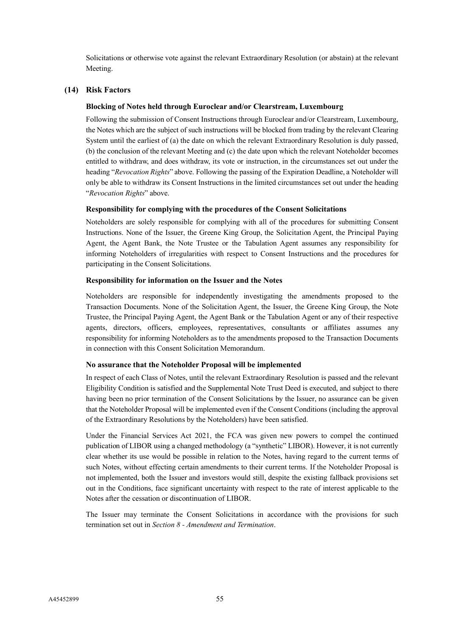Solicitations or otherwise vote against the relevant Extraordinary Resolution (or abstain) at the relevant Meeting.

## **(14) Risk Factors**

#### **Blocking of Notes held through Euroclear and/or Clearstream, Luxembourg**

Following the submission of Consent Instructions through Euroclear and/or Clearstream, Luxembourg, the Notes which are the subject of such instructions will be blocked from trading by the relevant Clearing System until the earliest of (a) the date on which the relevant Extraordinary Resolution is duly passed, (b) the conclusion of the relevant Meeting and (c) the date upon which the relevant Noteholder becomes entitled to withdraw, and does withdraw, its vote or instruction, in the circumstances set out under the heading "*Revocation Rights*" above. Following the passing of the Expiration Deadline, a Noteholder will only be able to withdraw its Consent Instructions in the limited circumstances set out under the heading "*Revocation Rights*" above.

#### **Responsibility for complying with the procedures of the Consent Solicitations**

Noteholders are solely responsible for complying with all of the procedures for submitting Consent Instructions. None of the Issuer, the Greene King Group, the Solicitation Agent, the Principal Paying Agent, the Agent Bank, the Note Trustee or the Tabulation Agent assumes any responsibility for informing Noteholders of irregularities with respect to Consent Instructions and the procedures for participating in the Consent Solicitations.

#### **Responsibility for information on the Issuer and the Notes**

Noteholders are responsible for independently investigating the amendments proposed to the Transaction Documents. None of the Solicitation Agent, the Issuer, the Greene King Group, the Note Trustee, the Principal Paying Agent, the Agent Bank or the Tabulation Agent or any of their respective agents, directors, officers, employees, representatives, consultants or affiliates assumes any responsibility for informing Noteholders as to the amendments proposed to the Transaction Documents in connection with this Consent Solicitation Memorandum.

## **No assurance that the Noteholder Proposal will be implemented**

In respect of each Class of Notes, until the relevant Extraordinary Resolution is passed and the relevant Eligibility Condition is satisfied and the Supplemental Note Trust Deed is executed, and subject to there having been no prior termination of the Consent Solicitations by the Issuer, no assurance can be given that the Noteholder Proposal will be implemented even if the Consent Conditions (including the approval of the Extraordinary Resolutions by the Noteholders) have been satisfied.

Under the Financial Services Act 2021, the FCA was given new powers to compel the continued publication of LIBOR using a changed methodology (a "synthetic" LIBOR). However, it is not currently clear whether its use would be possible in relation to the Notes, having regard to the current terms of such Notes, without effecting certain amendments to their current terms. If the Noteholder Proposal is not implemented, both the Issuer and investors would still, despite the existing fallback provisions set out in the Conditions, face significant uncertainty with respect to the rate of interest applicable to the Notes after the cessation or discontinuation of LIBOR.

The Issuer may terminate the Consent Solicitations in accordance with the provisions for such termination set out in *Section 8 - Amendment and Termination*.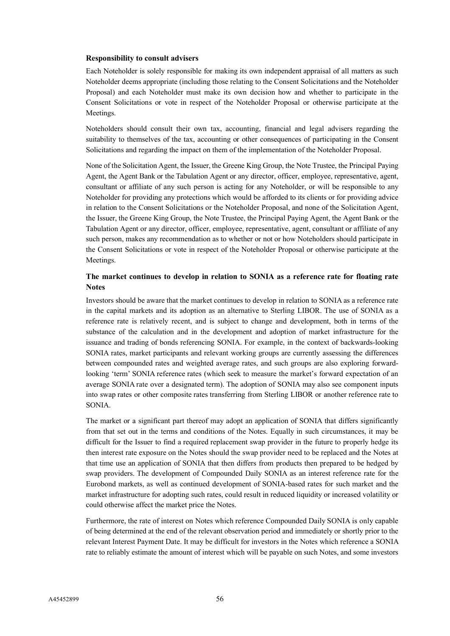#### **Responsibility to consult advisers**

Each Noteholder is solely responsible for making its own independent appraisal of all matters as such Noteholder deems appropriate (including those relating to the Consent Solicitations and the Noteholder Proposal) and each Noteholder must make its own decision how and whether to participate in the Consent Solicitations or vote in respect of the Noteholder Proposal or otherwise participate at the Meetings.

Noteholders should consult their own tax, accounting, financial and legal advisers regarding the suitability to themselves of the tax, accounting or other consequences of participating in the Consent Solicitations and regarding the impact on them of the implementation of the Noteholder Proposal.

None of the Solicitation Agent, the Issuer, the Greene King Group, the Note Trustee, the Principal Paying Agent, the Agent Bank or the Tabulation Agent or any director, officer, employee, representative, agent, consultant or affiliate of any such person is acting for any Noteholder, or will be responsible to any Noteholder for providing any protections which would be afforded to its clients or for providing advice in relation to the Consent Solicitations or the Noteholder Proposal, and none of the Solicitation Agent, the Issuer, the Greene King Group, the Note Trustee, the Principal Paying Agent, the Agent Bank or the Tabulation Agent or any director, officer, employee, representative, agent, consultant or affiliate of any such person, makes any recommendation as to whether or not or how Noteholders should participate in the Consent Solicitations or vote in respect of the Noteholder Proposal or otherwise participate at the Meetings.

## **The market continues to develop in relation to SONIA as a reference rate for floating rate Notes**

Investors should be aware that the market continues to develop in relation to SONIA as a reference rate in the capital markets and its adoption as an alternative to Sterling LIBOR. The use of SONIA as a reference rate is relatively recent, and is subject to change and development, both in terms of the substance of the calculation and in the development and adoption of market infrastructure for the issuance and trading of bonds referencing SONIA. For example, in the context of backwards-looking SONIA rates, market participants and relevant working groups are currently assessing the differences between compounded rates and weighted average rates, and such groups are also exploring forwardlooking 'term' SONIA reference rates (which seek to measure the market's forward expectation of an average SONIA rate over a designated term). The adoption of SONIA may also see component inputs into swap rates or other composite rates transferring from Sterling LIBOR or another reference rate to SONIA.

The market or a significant part thereof may adopt an application of SONIA that differs significantly from that set out in the terms and conditions of the Notes. Equally in such circumstances, it may be difficult for the Issuer to find a required replacement swap provider in the future to properly hedge its then interest rate exposure on the Notes should the swap provider need to be replaced and the Notes at that time use an application of SONIA that then differs from products then prepared to be hedged by swap providers. The development of Compounded Daily SONIA as an interest reference rate for the Eurobond markets, as well as continued development of SONIA-based rates for such market and the market infrastructure for adopting such rates, could result in reduced liquidity or increased volatility or could otherwise affect the market price the Notes.

Furthermore, the rate of interest on Notes which reference Compounded Daily SONIA is only capable of being determined at the end of the relevant observation period and immediately or shortly prior to the relevant Interest Payment Date. It may be difficult for investors in the Notes which reference a SONIA rate to reliably estimate the amount of interest which will be payable on such Notes, and some investors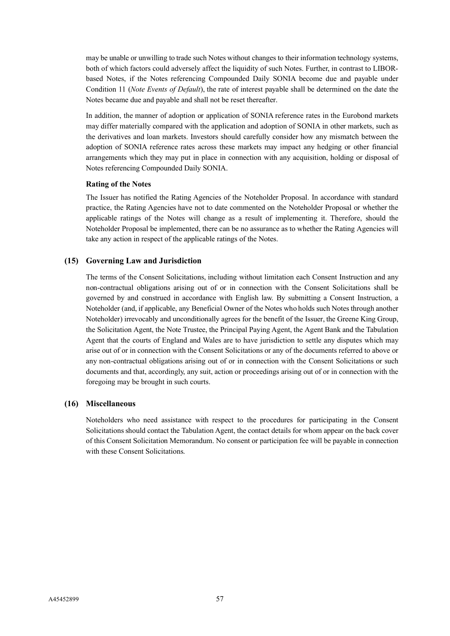may be unable or unwilling to trade such Notes without changes to their information technology systems, both of which factors could adversely affect the liquidity of such Notes. Further, in contrast to LIBORbased Notes, if the Notes referencing Compounded Daily SONIA become due and payable under Condition 11 (*Note Events of Default*), the rate of interest payable shall be determined on the date the Notes became due and payable and shall not be reset thereafter.

In addition, the manner of adoption or application of SONIA reference rates in the Eurobond markets may differ materially compared with the application and adoption of SONIA in other markets, such as the derivatives and loan markets. Investors should carefully consider how any mismatch between the adoption of SONIA reference rates across these markets may impact any hedging or other financial arrangements which they may put in place in connection with any acquisition, holding or disposal of Notes referencing Compounded Daily SONIA.

## **Rating of the Notes**

The Issuer has notified the Rating Agencies of the Noteholder Proposal. In accordance with standard practice, the Rating Agencies have not to date commented on the Noteholder Proposal or whether the applicable ratings of the Notes will change as a result of implementing it. Therefore, should the Noteholder Proposal be implemented, there can be no assurance as to whether the Rating Agencies will take any action in respect of the applicable ratings of the Notes.

## **(15) Governing Law and Jurisdiction**

The terms of the Consent Solicitations, including without limitation each Consent Instruction and any non-contractual obligations arising out of or in connection with the Consent Solicitations shall be governed by and construed in accordance with English law. By submitting a Consent Instruction, a Noteholder (and, if applicable, any Beneficial Owner of the Notes who holds such Notes through another Noteholder) irrevocably and unconditionally agrees for the benefit of the Issuer, the Greene King Group, the Solicitation Agent, the Note Trustee, the Principal Paying Agent, the Agent Bank and the Tabulation Agent that the courts of England and Wales are to have jurisdiction to settle any disputes which may arise out of or in connection with the Consent Solicitations or any of the documents referred to above or any non-contractual obligations arising out of or in connection with the Consent Solicitations or such documents and that, accordingly, any suit, action or proceedings arising out of or in connection with the foregoing may be brought in such courts.

## **(16) Miscellaneous**

Noteholders who need assistance with respect to the procedures for participating in the Consent Solicitations should contact the Tabulation Agent, the contact details for whom appear on the back cover of this Consent Solicitation Memorandum. No consent or participation fee will be payable in connection with these Consent Solicitations.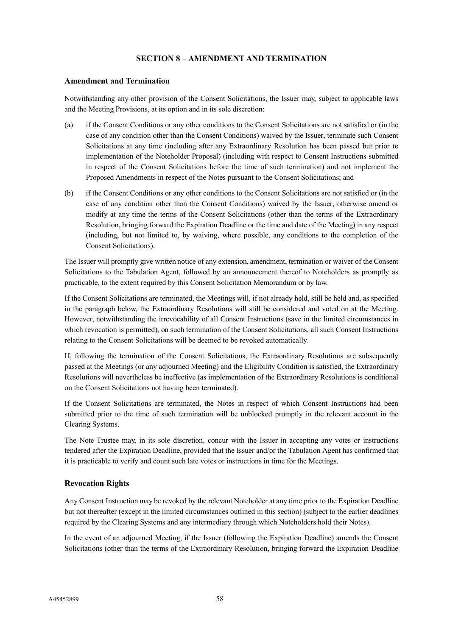## **SECTION 8 – AMENDMENT AND TERMINATION**

#### **Amendment and Termination**

Notwithstanding any other provision of the Consent Solicitations, the Issuer may, subject to applicable laws and the Meeting Provisions, at its option and in its sole discretion:

- (a) if the Consent Conditions or any other conditions to the Consent Solicitations are not satisfied or (in the case of any condition other than the Consent Conditions) waived by the Issuer, terminate such Consent Solicitations at any time (including after any Extraordinary Resolution has been passed but prior to implementation of the Noteholder Proposal) (including with respect to Consent Instructions submitted in respect of the Consent Solicitations before the time of such termination) and not implement the Proposed Amendments in respect of the Notes pursuant to the Consent Solicitations; and
- (b) if the Consent Conditions or any other conditions to the Consent Solicitations are not satisfied or (in the case of any condition other than the Consent Conditions) waived by the Issuer, otherwise amend or modify at any time the terms of the Consent Solicitations (other than the terms of the Extraordinary Resolution, bringing forward the Expiration Deadline or the time and date of the Meeting) in any respect (including, but not limited to, by waiving, where possible, any conditions to the completion of the Consent Solicitations).

The Issuer will promptly give written notice of any extension, amendment, termination or waiver of the Consent Solicitations to the Tabulation Agent, followed by an announcement thereof to Noteholders as promptly as practicable, to the extent required by this Consent Solicitation Memorandum or by law.

If the Consent Solicitations are terminated, the Meetings will, if not already held, still be held and, as specified in the paragraph below, the Extraordinary Resolutions will still be considered and voted on at the Meeting. However, notwithstanding the irrevocability of all Consent Instructions (save in the limited circumstances in which revocation is permitted), on such termination of the Consent Solicitations, all such Consent Instructions relating to the Consent Solicitations will be deemed to be revoked automatically.

If, following the termination of the Consent Solicitations, the Extraordinary Resolutions are subsequently passed at the Meetings (or any adjourned Meeting) and the Eligibility Condition is satisfied, the Extraordinary Resolutions will nevertheless be ineffective (as implementation of the Extraordinary Resolutions is conditional on the Consent Solicitations not having been terminated).

If the Consent Solicitations are terminated, the Notes in respect of which Consent Instructions had been submitted prior to the time of such termination will be unblocked promptly in the relevant account in the Clearing Systems.

The Note Trustee may, in its sole discretion, concur with the Issuer in accepting any votes or instructions tendered after the Expiration Deadline, provided that the Issuer and/or the Tabulation Agent has confirmed that it is practicable to verify and count such late votes or instructions in time for the Meetings.

## **Revocation Rights**

Any Consent Instruction may be revoked by the relevant Noteholder at any time prior to the Expiration Deadline but not thereafter (except in the limited circumstances outlined in this section) (subject to the earlier deadlines required by the Clearing Systems and any intermediary through which Noteholders hold their Notes).

In the event of an adjourned Meeting, if the Issuer (following the Expiration Deadline) amends the Consent Solicitations (other than the terms of the Extraordinary Resolution, bringing forward the Expiration Deadline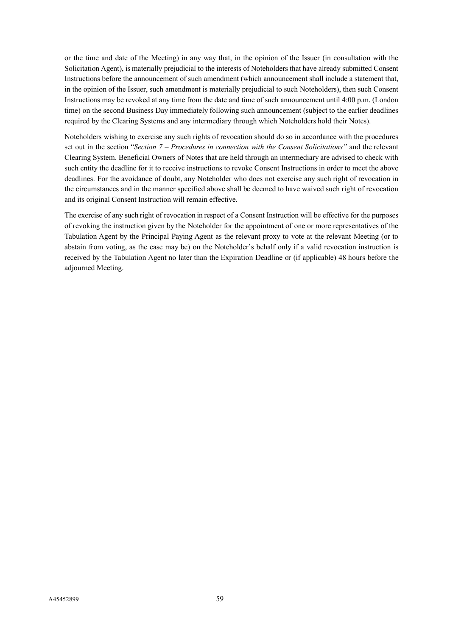or the time and date of the Meeting) in any way that, in the opinion of the Issuer (in consultation with the Solicitation Agent), is materially prejudicial to the interests of Noteholders that have already submitted Consent Instructions before the announcement of such amendment (which announcement shall include a statement that, in the opinion of the Issuer, such amendment is materially prejudicial to such Noteholders), then such Consent Instructions may be revoked at any time from the date and time of such announcement until 4:00 p.m. (London time) on the second Business Day immediately following such announcement (subject to the earlier deadlines required by the Clearing Systems and any intermediary through which Noteholders hold their Notes).

Noteholders wishing to exercise any such rights of revocation should do so in accordance with the procedures set out in the section "*Section 7 – Procedures in connection with the Consent Solicitations"* and the relevant Clearing System. Beneficial Owners of Notes that are held through an intermediary are advised to check with such entity the deadline for it to receive instructions to revoke Consent Instructions in order to meet the above deadlines. For the avoidance of doubt, any Noteholder who does not exercise any such right of revocation in the circumstances and in the manner specified above shall be deemed to have waived such right of revocation and its original Consent Instruction will remain effective.

The exercise of any such right of revocation in respect of a Consent Instruction will be effective for the purposes of revoking the instruction given by the Noteholder for the appointment of one or more representatives of the Tabulation Agent by the Principal Paying Agent as the relevant proxy to vote at the relevant Meeting (or to abstain from voting, as the case may be) on the Noteholder's behalf only if a valid revocation instruction is received by the Tabulation Agent no later than the Expiration Deadline or (if applicable) 48 hours before the adjourned Meeting.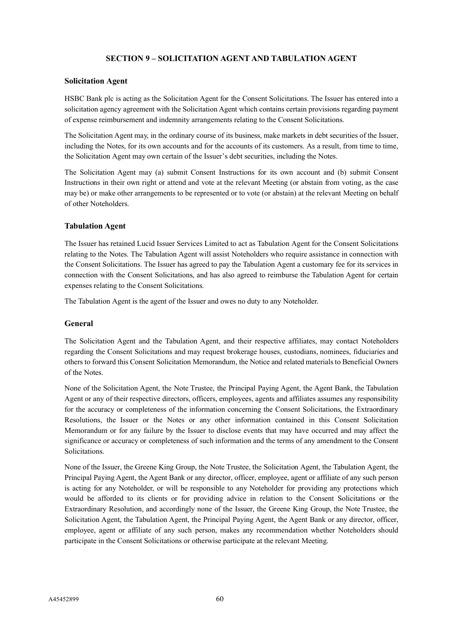# **SECTION 9 – SOLICITATION AGENT AND TABULATION AGENT**

### **Solicitation Agent**

HSBC Bank plc is acting as the Solicitation Agent for the Consent Solicitations. The Issuer has entered into a solicitation agency agreement with the Solicitation Agent which contains certain provisions regarding payment of expense reimbursement and indemnity arrangements relating to the Consent Solicitations.

The Solicitation Agent may, in the ordinary course of its business, make markets in debt securities of the Issuer, including the Notes, for its own accounts and for the accounts of its customers. As a result, from time to time, the Solicitation Agent may own certain of the Issuer's debt securities, including the Notes.

The Solicitation Agent may (a) submit Consent Instructions for its own account and (b) submit Consent Instructions in their own right or attend and vote at the relevant Meeting (or abstain from voting, as the case may be) or make other arrangements to be represented or to vote (or abstain) at the relevant Meeting on behalf of other Noteholders.

## **Tabulation Agent**

The Issuer has retained Lucid Issuer Services Limited to act as Tabulation Agent for the Consent Solicitations relating to the Notes. The Tabulation Agent will assist Noteholders who require assistance in connection with the Consent Solicitations. The Issuer has agreed to pay the Tabulation Agent a customary fee for its services in connection with the Consent Solicitations, and has also agreed to reimburse the Tabulation Agent for certain expenses relating to the Consent Solicitations.

The Tabulation Agent is the agent of the Issuer and owes no duty to any Noteholder.

## **General**

The Solicitation Agent and the Tabulation Agent, and their respective affiliates, may contact Noteholders regarding the Consent Solicitations and may request brokerage houses, custodians, nominees, fiduciaries and others to forward this Consent Solicitation Memorandum, the Notice and related materials to Beneficial Owners of the Notes.

None of the Solicitation Agent, the Note Trustee, the Principal Paying Agent, the Agent Bank, the Tabulation Agent or any of their respective directors, officers, employees, agents and affiliates assumes any responsibility for the accuracy or completeness of the information concerning the Consent Solicitations, the Extraordinary Resolutions, the Issuer or the Notes or any other information contained in this Consent Solicitation Memorandum or for any failure by the Issuer to disclose events that may have occurred and may affect the significance or accuracy or completeness of such information and the terms of any amendment to the Consent Solicitations.

None of the Issuer, the Greene King Group, the Note Trustee, the Solicitation Agent, the Tabulation Agent, the Principal Paying Agent, the Agent Bank or any director, officer, employee, agent or affiliate of any such person is acting for any Noteholder, or will be responsible to any Noteholder for providing any protections which would be afforded to its clients or for providing advice in relation to the Consent Solicitations or the Extraordinary Resolution, and accordingly none of the Issuer, the Greene King Group, the Note Trustee, the Solicitation Agent, the Tabulation Agent, the Principal Paying Agent, the Agent Bank or any director, officer, employee, agent or affiliate of any such person, makes any recommendation whether Noteholders should participate in the Consent Solicitations or otherwise participate at the relevant Meeting.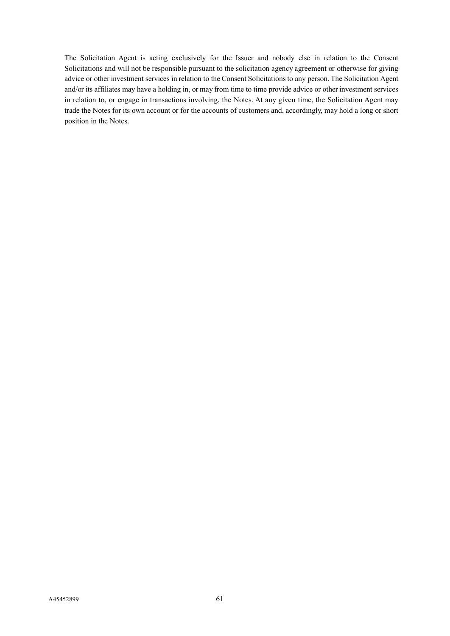The Solicitation Agent is acting exclusively for the Issuer and nobody else in relation to the Consent Solicitations and will not be responsible pursuant to the solicitation agency agreement or otherwise for giving advice or other investment services in relation to the Consent Solicitations to any person. The Solicitation Agent and/or its affiliates may have a holding in, or may from time to time provide advice or other investment services in relation to, or engage in transactions involving, the Notes. At any given time, the Solicitation Agent may trade the Notes for its own account or for the accounts of customers and, accordingly, may hold a long or short position in the Notes.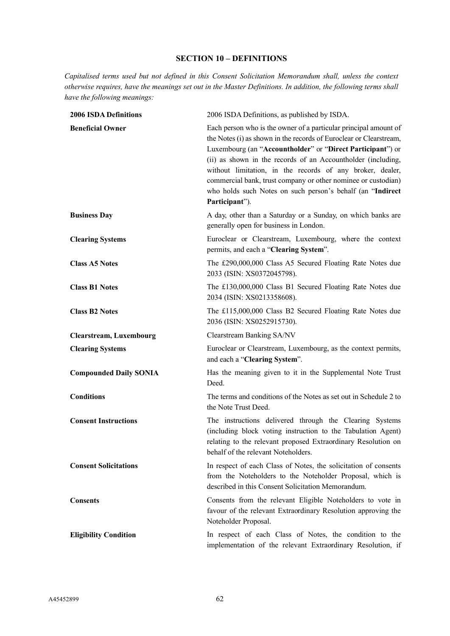# **SECTION 10 – DEFINITIONS**

*Capitalised terms used but not defined in this Consent Solicitation Memorandum shall, unless the context otherwise requires, have the meanings set out in the Master Definitions. In addition, the following terms shall have the following meanings:*

| <b>2006 ISDA Definitions</b>   | 2006 ISDA Definitions, as published by ISDA.                                                                                                                                                                                                                                                                                                                                                                                                                                       |
|--------------------------------|------------------------------------------------------------------------------------------------------------------------------------------------------------------------------------------------------------------------------------------------------------------------------------------------------------------------------------------------------------------------------------------------------------------------------------------------------------------------------------|
| <b>Beneficial Owner</b>        | Each person who is the owner of a particular principal amount of<br>the Notes (i) as shown in the records of Euroclear or Clearstream,<br>Luxembourg (an "Accountholder" or "Direct Participant") or<br>(ii) as shown in the records of an Accountholder (including,<br>without limitation, in the records of any broker, dealer,<br>commercial bank, trust company or other nominee or custodian)<br>who holds such Notes on such person's behalf (an "Indirect<br>Participant"). |
| <b>Business Day</b>            | A day, other than a Saturday or a Sunday, on which banks are<br>generally open for business in London.                                                                                                                                                                                                                                                                                                                                                                             |
| <b>Clearing Systems</b>        | Euroclear or Clearstream, Luxembourg, where the context<br>permits, and each a "Clearing System".                                                                                                                                                                                                                                                                                                                                                                                  |
| <b>Class A5 Notes</b>          | The £290,000,000 Class A5 Secured Floating Rate Notes due<br>2033 (ISIN: XS0372045798).                                                                                                                                                                                                                                                                                                                                                                                            |
| <b>Class B1 Notes</b>          | The £130,000,000 Class B1 Secured Floating Rate Notes due<br>2034 (ISIN: XS0213358608).                                                                                                                                                                                                                                                                                                                                                                                            |
| <b>Class B2 Notes</b>          | The £115,000,000 Class B2 Secured Floating Rate Notes due<br>2036 (ISIN: XS0252915730).                                                                                                                                                                                                                                                                                                                                                                                            |
| <b>Clearstream, Luxembourg</b> | Clearstream Banking SA/NV                                                                                                                                                                                                                                                                                                                                                                                                                                                          |
| <b>Clearing Systems</b>        | Euroclear or Clearstream, Luxembourg, as the context permits,<br>and each a "Clearing System".                                                                                                                                                                                                                                                                                                                                                                                     |
| <b>Compounded Daily SONIA</b>  | Has the meaning given to it in the Supplemental Note Trust<br>Deed.                                                                                                                                                                                                                                                                                                                                                                                                                |
| <b>Conditions</b>              | The terms and conditions of the Notes as set out in Schedule 2 to<br>the Note Trust Deed.                                                                                                                                                                                                                                                                                                                                                                                          |
| <b>Consent Instructions</b>    | The instructions delivered through the Clearing Systems<br>(including block voting instruction to the Tabulation Agent)<br>relating to the relevant proposed Extraordinary Resolution on<br>behalf of the relevant Noteholders.                                                                                                                                                                                                                                                    |
| <b>Consent Solicitations</b>   | In respect of each Class of Notes, the solicitation of consents<br>from the Noteholders to the Noteholder Proposal, which is<br>described in this Consent Solicitation Memorandum.                                                                                                                                                                                                                                                                                                 |
| <b>Consents</b>                | Consents from the relevant Eligible Noteholders to vote in<br>favour of the relevant Extraordinary Resolution approving the<br>Noteholder Proposal.                                                                                                                                                                                                                                                                                                                                |
| <b>Eligibility Condition</b>   | In respect of each Class of Notes, the condition to the<br>implementation of the relevant Extraordinary Resolution, if                                                                                                                                                                                                                                                                                                                                                             |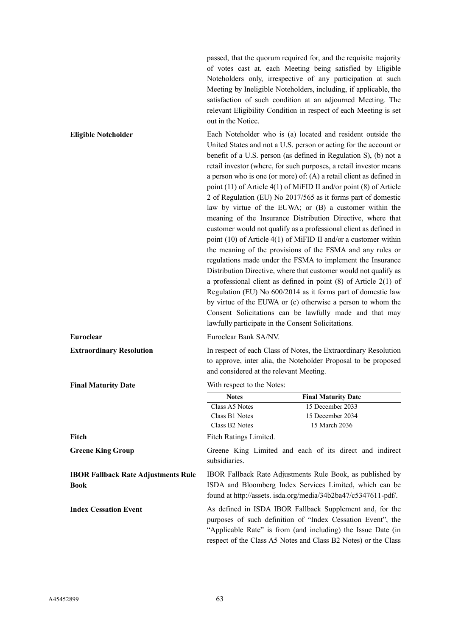passed, that the quorum required for, and the requisite majority of votes cast at, each Meeting being satisfied by Eligible Noteholders only, irrespective of any participation at such Meeting by Ineligible Noteholders, including, if applicable, the satisfaction of such condition at an adjourned Meeting. The relevant Eligibility Condition in respect of each Meeting is set out in the Notice.

"Applicable Rate" is from (and including) the Issue Date (in respect of the Class A5 Notes and Class B2 Notes) or the Class

**Eligible Noteholder** Each Noteholder who is (a) located and resident outside the United States and not a U.S. person or acting for the account or benefit of a U.S. person (as defined in Regulation S), (b) not a retail investor (where, for such purposes, a retail investor means a person who is one (or more) of: (A) a retail client as defined in point (11) of Article 4(1) of MiFID II and/or point (8) of Article 2 of Regulation (EU) No 2017/565 as it forms part of domestic law by virtue of the EUWA; or (B) a customer within the meaning of the Insurance Distribution Directive, where that customer would not qualify as a professional client as defined in point (10) of Article 4(1) of MiFID II and/or a customer within the meaning of the provisions of the FSMA and any rules or regulations made under the FSMA to implement the Insurance Distribution Directive, where that customer would not qualify as a professional client as defined in point (8) of Article 2(1) of Regulation (EU) No 600/2014 as it forms part of domestic law by virtue of the EUWA or (c) otherwise a person to whom the Consent Solicitations can be lawfully made and that may lawfully participate in the Consent Solicitations. **Euroclear** Euroclear Bank SA/NV. **Extraordinary Resolution** In respect of each Class of Notes, the Extraordinary Resolution to approve, inter alia, the Noteholder Proposal to be proposed and considered at the relevant Meeting. **Final Maturity Date** With respect to the Notes: **Notes Final Maturity Date** Class A5 Notes 15 December 2033 Class B1 Notes 15 December 2034 Class B2 Notes 15 March 2036 Fitch **Fitch** Fitch Ratings Limited. **Greene King Group** Greene King Limited and each of its direct and indirect subsidiaries. **IBOR Fallback Rate Adjustments Rule Book** IBOR Fallback Rate Adjustments Rule Book, as published by ISDA and Bloomberg Index Services Limited, which can be found at http://assets. isda.org/media/34b2ba47/c5347611-pdf/. **Index Cessation Event** As defined in ISDA IBOR Fallback Supplement and, for the purposes of such definition of "Index Cessation Event", the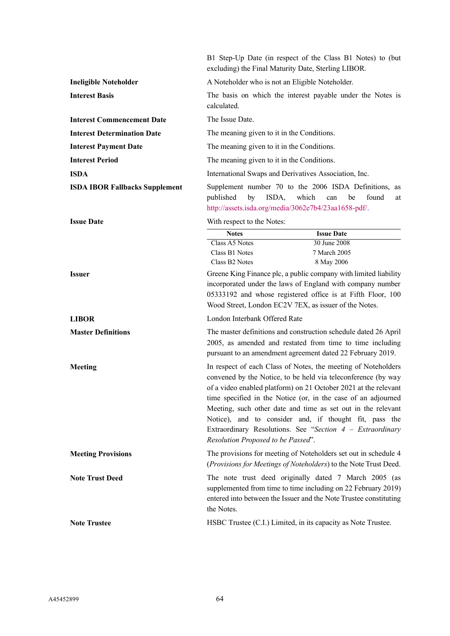|                                       | excluding) the Final Maturity Date, Sterling LIBOR.                              | B1 Step-Up Date (in respect of the Class B1 Notes) to (but                                                                                                                                                                                                                                                                                                                                                                                                  |
|---------------------------------------|----------------------------------------------------------------------------------|-------------------------------------------------------------------------------------------------------------------------------------------------------------------------------------------------------------------------------------------------------------------------------------------------------------------------------------------------------------------------------------------------------------------------------------------------------------|
| <b>Ineligible Noteholder</b>          | A Noteholder who is not an Eligible Noteholder.                                  |                                                                                                                                                                                                                                                                                                                                                                                                                                                             |
| <b>Interest Basis</b>                 | calculated.                                                                      | The basis on which the interest payable under the Notes is                                                                                                                                                                                                                                                                                                                                                                                                  |
| <b>Interest Commencement Date</b>     | The Issue Date.                                                                  |                                                                                                                                                                                                                                                                                                                                                                                                                                                             |
| <b>Interest Determination Date</b>    | The meaning given to it in the Conditions.                                       |                                                                                                                                                                                                                                                                                                                                                                                                                                                             |
| <b>Interest Payment Date</b>          | The meaning given to it in the Conditions.                                       |                                                                                                                                                                                                                                                                                                                                                                                                                                                             |
| <b>Interest Period</b>                | The meaning given to it in the Conditions.                                       |                                                                                                                                                                                                                                                                                                                                                                                                                                                             |
| <b>ISDA</b>                           | International Swaps and Derivatives Association, Inc.                            |                                                                                                                                                                                                                                                                                                                                                                                                                                                             |
| <b>ISDA IBOR Fallbacks Supplement</b> | ISDA,<br>published<br>by<br>http://assets.isda.org/media/3062e7b4/23aa1658-pdf/. | Supplement number 70 to the 2006 ISDA Definitions, as<br>which<br>found<br>be<br>can<br>at                                                                                                                                                                                                                                                                                                                                                                  |
| <b>Issue Date</b>                     | With respect to the Notes:                                                       |                                                                                                                                                                                                                                                                                                                                                                                                                                                             |
|                                       | <b>Notes</b>                                                                     | <b>Issue Date</b>                                                                                                                                                                                                                                                                                                                                                                                                                                           |
|                                       | Class A5 Notes<br>Class B1 Notes<br>Class B <sub>2</sub> Notes                   | 30 June 2008<br>7 March 2005<br>8 May 2006                                                                                                                                                                                                                                                                                                                                                                                                                  |
| <b>Issuer</b>                         |                                                                                  | Greene King Finance plc, a public company with limited liability<br>incorporated under the laws of England with company number<br>05333192 and whose registered office is at Fifth Floor, 100<br>Wood Street, London EC2V 7EX, as issuer of the Notes.                                                                                                                                                                                                      |
| <b>LIBOR</b>                          | London Interbank Offered Rate                                                    |                                                                                                                                                                                                                                                                                                                                                                                                                                                             |
| <b>Master Definitions</b>             |                                                                                  | The master definitions and construction schedule dated 26 April<br>2005, as amended and restated from time to time including<br>pursuant to an amendment agreement dated 22 February 2019.                                                                                                                                                                                                                                                                  |
| Meeting                               | Resolution Proposed to be Passed".                                               | In respect of each Class of Notes, the meeting of Noteholders<br>convened by the Notice, to be held via teleconference (by way<br>of a video enabled platform) on 21 October 2021 at the relevant<br>time specified in the Notice (or, in the case of an adjourned<br>Meeting, such other date and time as set out in the relevant<br>Notice), and to consider and, if thought fit, pass the<br>Extraordinary Resolutions. See "Section $4$ – Extraordinary |
| <b>Meeting Provisions</b>             |                                                                                  | The provisions for meeting of Noteholders set out in schedule 4<br>(Provisions for Meetings of Noteholders) to the Note Trust Deed.                                                                                                                                                                                                                                                                                                                         |
| <b>Note Trust Deed</b>                | the Notes.                                                                       | The note trust deed originally dated 7 March 2005 (as<br>supplemented from time to time including on 22 February 2019)<br>entered into between the Issuer and the Note Trustee constituting                                                                                                                                                                                                                                                                 |
| <b>Note Trustee</b>                   |                                                                                  | HSBC Trustee (C.I.) Limited, in its capacity as Note Trustee.                                                                                                                                                                                                                                                                                                                                                                                               |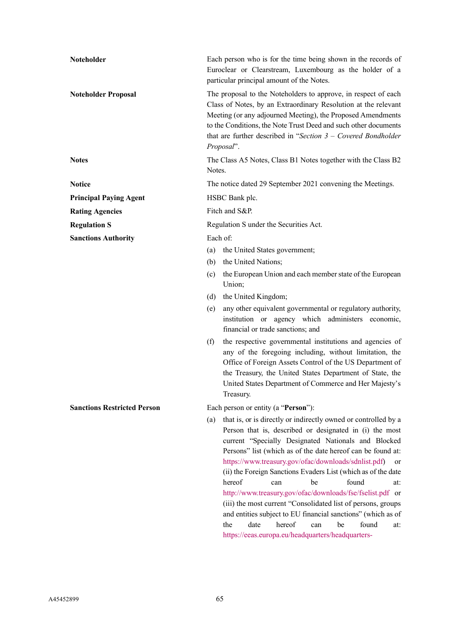| Noteholder                         | Each person who is for the time being shown in the records of<br>Euroclear or Clearstream, Luxembourg as the holder of a<br>particular principal amount of the Notes.                                                                                                                                                                                                                                                                                                                                                                                                                                                                                                                                                                |
|------------------------------------|--------------------------------------------------------------------------------------------------------------------------------------------------------------------------------------------------------------------------------------------------------------------------------------------------------------------------------------------------------------------------------------------------------------------------------------------------------------------------------------------------------------------------------------------------------------------------------------------------------------------------------------------------------------------------------------------------------------------------------------|
| <b>Noteholder Proposal</b>         | The proposal to the Noteholders to approve, in respect of each<br>Class of Notes, by an Extraordinary Resolution at the relevant<br>Meeting (or any adjourned Meeting), the Proposed Amendments<br>to the Conditions, the Note Trust Deed and such other documents<br>that are further described in "Section $3$ – Covered Bondholder<br>Proposal".                                                                                                                                                                                                                                                                                                                                                                                  |
| <b>Notes</b>                       | The Class A5 Notes, Class B1 Notes together with the Class B2<br>Notes.                                                                                                                                                                                                                                                                                                                                                                                                                                                                                                                                                                                                                                                              |
| <b>Notice</b>                      | The notice dated 29 September 2021 convening the Meetings.                                                                                                                                                                                                                                                                                                                                                                                                                                                                                                                                                                                                                                                                           |
| <b>Principal Paying Agent</b>      | HSBC Bank plc.                                                                                                                                                                                                                                                                                                                                                                                                                                                                                                                                                                                                                                                                                                                       |
| <b>Rating Agencies</b>             | Fitch and S&P.                                                                                                                                                                                                                                                                                                                                                                                                                                                                                                                                                                                                                                                                                                                       |
| <b>Regulation S</b>                | Regulation S under the Securities Act.                                                                                                                                                                                                                                                                                                                                                                                                                                                                                                                                                                                                                                                                                               |
| <b>Sanctions Authority</b>         | Each of:                                                                                                                                                                                                                                                                                                                                                                                                                                                                                                                                                                                                                                                                                                                             |
|                                    | (a)<br>the United States government;                                                                                                                                                                                                                                                                                                                                                                                                                                                                                                                                                                                                                                                                                                 |
|                                    | the United Nations;<br>(b)                                                                                                                                                                                                                                                                                                                                                                                                                                                                                                                                                                                                                                                                                                           |
|                                    | the European Union and each member state of the European<br>(c)<br>Union;                                                                                                                                                                                                                                                                                                                                                                                                                                                                                                                                                                                                                                                            |
|                                    | the United Kingdom;<br>(d)                                                                                                                                                                                                                                                                                                                                                                                                                                                                                                                                                                                                                                                                                                           |
|                                    | any other equivalent governmental or regulatory authority,<br>(e)<br>institution or agency which administers economic,<br>financial or trade sanctions; and                                                                                                                                                                                                                                                                                                                                                                                                                                                                                                                                                                          |
|                                    | the respective governmental institutions and agencies of<br>(f)<br>any of the foregoing including, without limitation, the<br>Office of Foreign Assets Control of the US Department of<br>the Treasury, the United States Department of State, the<br>United States Department of Commerce and Her Majesty's<br>Treasury.                                                                                                                                                                                                                                                                                                                                                                                                            |
| <b>Sanctions Restricted Person</b> | Each person or entity (a "Person"):                                                                                                                                                                                                                                                                                                                                                                                                                                                                                                                                                                                                                                                                                                  |
|                                    | that is, or is directly or indirectly owned or controlled by a<br>(a)<br>Person that is, described or designated in (i) the most<br>current "Specially Designated Nationals and Blocked<br>Persons" list (which as of the date hereof can be found at:<br>https://www.treasury.gov/ofac/downloads/sdnlist.pdf)<br>or<br>(ii) the Foreign Sanctions Evaders List (which as of the date<br>hereof<br>found<br>be<br>can<br>at:<br>http://www.treasury.gov/ofac/downloads/fse/fselist.pdf or<br>(iii) the most current "Consolidated list of persons, groups<br>and entities subject to EU financial sanctions" (which as of<br>hereof<br>found<br>the<br>date<br>be<br>can<br>at:<br>https://eeas.europa.eu/headquarters/headquarters- |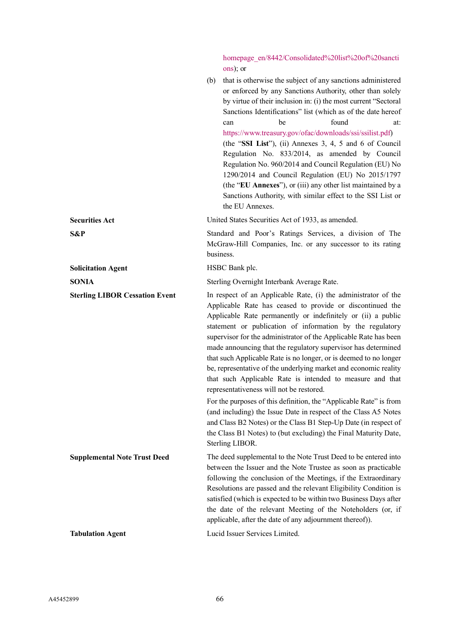[homepage\\_en/8442/Consolidated%20list%20of%20sancti](https://eeas.europa.eu/headquarters/headquarters-homepage_en/8442/Consolidated%20list%20of%20sanctions) [ons\)](https://eeas.europa.eu/headquarters/headquarters-homepage_en/8442/Consolidated%20list%20of%20sanctions); or

|                                       | that is otherwise the subject of any sanctions administered<br>(b)<br>or enforced by any Sanctions Authority, other than solely<br>by virtue of their inclusion in: (i) the most current "Sectoral<br>Sanctions Identifications" list (which as of the date hereof<br>found<br>be<br>at:<br>can<br>https://www.treasury.gov/ofac/downloads/ssi/ssilist.pdf)<br>(the "SSI List"), (ii) Annexes 3, 4, 5 and 6 of Council<br>Regulation No. 833/2014, as amended by Council<br>Regulation No. 960/2014 and Council Regulation (EU) No<br>1290/2014 and Council Regulation (EU) No 2015/1797<br>(the "EU Annexes"), or (iii) any other list maintained by a<br>Sanctions Authority, with similar effect to the SSI List or<br>the EU Annexes.                                                                                                                                                                                                         |
|---------------------------------------|---------------------------------------------------------------------------------------------------------------------------------------------------------------------------------------------------------------------------------------------------------------------------------------------------------------------------------------------------------------------------------------------------------------------------------------------------------------------------------------------------------------------------------------------------------------------------------------------------------------------------------------------------------------------------------------------------------------------------------------------------------------------------------------------------------------------------------------------------------------------------------------------------------------------------------------------------|
| <b>Securities Act</b>                 | United States Securities Act of 1933, as amended.                                                                                                                                                                                                                                                                                                                                                                                                                                                                                                                                                                                                                                                                                                                                                                                                                                                                                                 |
| S&P                                   | Standard and Poor's Ratings Services, a division of The<br>McGraw-Hill Companies, Inc. or any successor to its rating<br>business.                                                                                                                                                                                                                                                                                                                                                                                                                                                                                                                                                                                                                                                                                                                                                                                                                |
| <b>Solicitation Agent</b>             | HSBC Bank plc.                                                                                                                                                                                                                                                                                                                                                                                                                                                                                                                                                                                                                                                                                                                                                                                                                                                                                                                                    |
| <b>SONIA</b>                          | Sterling Overnight Interbank Average Rate.                                                                                                                                                                                                                                                                                                                                                                                                                                                                                                                                                                                                                                                                                                                                                                                                                                                                                                        |
| <b>Sterling LIBOR Cessation Event</b> | In respect of an Applicable Rate, (i) the administrator of the<br>Applicable Rate has ceased to provide or discontinued the<br>Applicable Rate permanently or indefinitely or (ii) a public<br>statement or publication of information by the regulatory<br>supervisor for the administrator of the Applicable Rate has been<br>made announcing that the regulatory supervisor has determined<br>that such Applicable Rate is no longer, or is deemed to no longer<br>be, representative of the underlying market and economic reality<br>that such Applicable Rate is intended to measure and that<br>representativeness will not be restored.<br>For the purposes of this definition, the "Applicable Rate" is from<br>(and including) the Issue Date in respect of the Class A5 Notes<br>and Class B2 Notes) or the Class B1 Step-Up Date (in respect of<br>the Class B1 Notes) to (but excluding) the Final Maturity Date,<br>Sterling LIBOR. |
| <b>Supplemental Note Trust Deed</b>   | The deed supplemental to the Note Trust Deed to be entered into<br>between the Issuer and the Note Trustee as soon as practicable<br>following the conclusion of the Meetings, if the Extraordinary<br>Resolutions are passed and the relevant Eligibility Condition is<br>satisfied (which is expected to be within two Business Days after<br>the date of the relevant Meeting of the Noteholders (or, if<br>applicable, after the date of any adjournment thereof)).                                                                                                                                                                                                                                                                                                                                                                                                                                                                           |
| <b>Tabulation Agent</b>               | Lucid Issuer Services Limited.                                                                                                                                                                                                                                                                                                                                                                                                                                                                                                                                                                                                                                                                                                                                                                                                                                                                                                                    |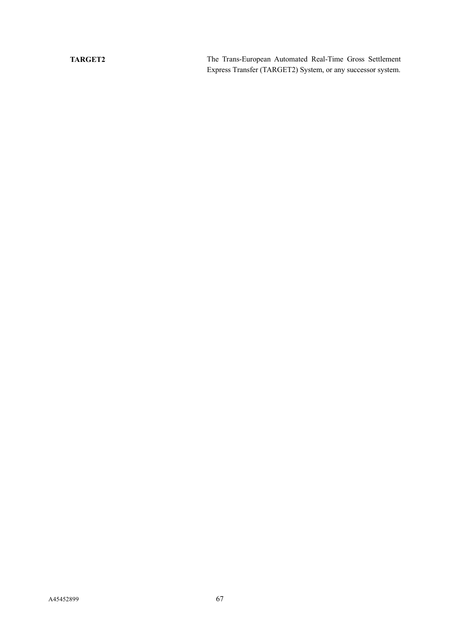**TARGET2** The Trans-European Automated Real-Time Gross Settlement Express Transfer (TARGET2) System, or any successor system.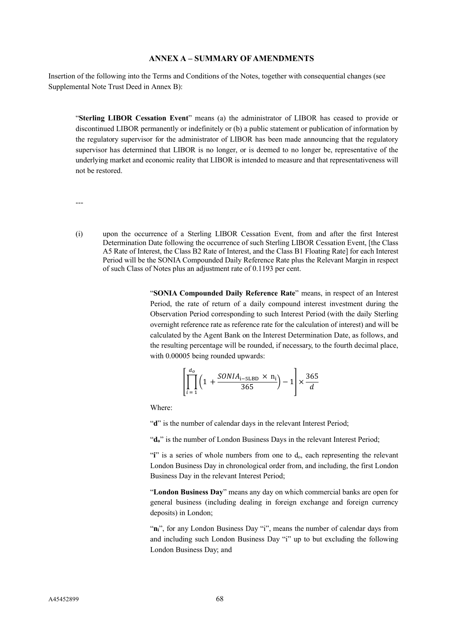## **ANNEX A – SUMMARY OF AMENDMENTS**

Insertion of the following into the Terms and Conditions of the Notes, together with consequential changes (see Supplemental Note Trust Deed in Annex B):

"**Sterling LIBOR Cessation Event**" means (a) the administrator of LIBOR has ceased to provide or discontinued LIBOR permanently or indefinitely or (b) a public statement or publication of information by the regulatory supervisor for the administrator of LIBOR has been made announcing that the regulatory supervisor has determined that LIBOR is no longer, or is deemed to no longer be, representative of the underlying market and economic reality that LIBOR is intended to measure and that representativeness will not be restored.

---

(i) upon the occurrence of a Sterling LIBOR Cessation Event, from and after the first Interest Determination Date following the occurrence of such Sterling LIBOR Cessation Event, [the Class A5 Rate of Interest, the Class B2 Rate of Interest, and the Class B1 Floating Rate] for each Interest Period will be the SONIA Compounded Daily Reference Rate plus the Relevant Margin in respect of such Class of Notes plus an adjustment rate of 0.1193 per cent.

> "**SONIA Compounded Daily Reference Rate**" means, in respect of an Interest Period, the rate of return of a daily compound interest investment during the Observation Period corresponding to such Interest Period (with the daily Sterling overnight reference rate as reference rate for the calculation of interest) and will be calculated by the Agent Bank on the Interest Determination Date, as follows, and the resulting percentage will be rounded, if necessary, to the fourth decimal place, with  $0.00005$  being rounded upwards:

$$
\left[\prod_{i=1}^{d_o} \left(1 + \frac{SONIA_{i-SLBD} \times n_i}{365}\right) - 1\right] \times \frac{365}{d}
$$

Where:

"d" is the number of calendar days in the relevant Interest Period;

"**do**" is the number of London Business Days in the relevant Interest Period;

"**i**" is a series of whole numbers from one to  $d_0$ , each representing the relevant London Business Day in chronological order from, and including, the first London Business Day in the relevant Interest Period;

"**London Business Day**" means any day on which commercial banks are open for general business (including dealing in foreign exchange and foreign currency deposits) in London;

"n<sub>i</sub>", for any London Business Day "i", means the number of calendar days from and including such London Business Day "i" up to but excluding the following London Business Day; and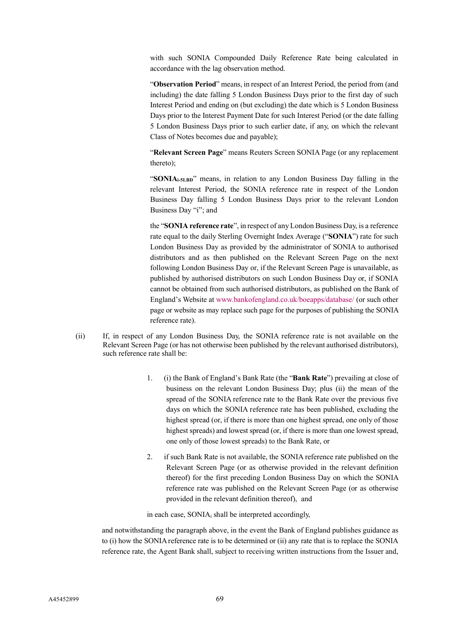with such SONIA Compounded Daily Reference Rate being calculated in accordance with the lag observation method.

"**Observation Period**" means, in respect of an Interest Period, the period from (and including) the date falling 5 London Business Days prior to the first day of such Interest Period and ending on (but excluding) the date which is 5 London Business Days prior to the Interest Payment Date for such Interest Period (or the date falling 5 London Business Days prior to such earlier date, if any, on which the relevant Class of Notes becomes due and payable);

"**Relevant Screen Page**" means Reuters Screen SONIA Page (or any replacement thereto);

"**SONIAi-5LBD**" means, in relation to any London Business Day falling in the relevant Interest Period, the SONIA reference rate in respect of the London Business Day falling 5 London Business Days prior to the relevant London Business Day "i"; and

the "**SONIA reference rate**", in respect of any London Business Day, is a reference rate equal to the daily Sterling Overnight Index Average ("**SONIA**") rate for such London Business Day as provided by the administrator of SONIA to authorised distributors and as then published on the Relevant Screen Page on the next following London Business Day or, if the Relevant Screen Page is unavailable, as published by authorised distributors on such London Business Day or, if SONIA cannot be obtained from such authorised distributors, as published on the Bank of England's Website at [www.bankofengland.co.uk/boeapps/database/](http://www.bankofengland.co.uk/boeapps/database/) (or such other page or website as may replace such page for the purposes of publishing the SONIA reference rate).

- (ii) If, in respect of any London Business Day, the SONIA reference rate is not available on the Relevant Screen Page (or has not otherwise been published by the relevant authorised distributors), such reference rate shall be:
	- 1. (i) the Bank of England's Bank Rate (the "**Bank Rate**") prevailing at close of business on the relevant London Business Day; plus (ii) the mean of the spread of the SONIA reference rate to the Bank Rate over the previous five days on which the SONIA reference rate has been published, excluding the highest spread (or, if there is more than one highest spread, one only of those highest spreads) and lowest spread (or, if there is more than one lowest spread, one only of those lowest spreads) to the Bank Rate, or
	- 2. if such Bank Rate is not available, the SONIA reference rate published on the Relevant Screen Page (or as otherwise provided in the relevant definition thereof) for the first preceding London Business Day on which the SONIA reference rate was published on the Relevant Screen Page (or as otherwise provided in the relevant definition thereof), and

in each case, SONIA<sup>i</sup> shall be interpreted accordingly,

and notwithstanding the paragraph above, in the event the Bank of England publishes guidance as to (i) how the SONIA reference rate is to be determined or (ii) any rate that is to replace the SONIA reference rate, the Agent Bank shall, subject to receiving written instructions from the Issuer and,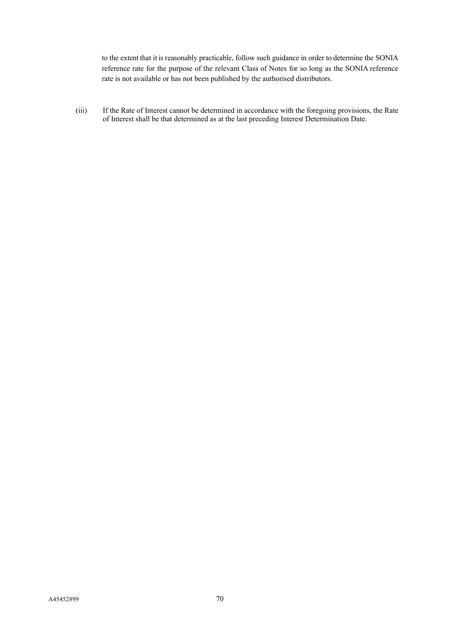to the extent that it is reasonably practicable, follow such guidance in order to determine the SONIA reference rate for the purpose of the relevant Class of Notes for so long as the SONIA reference rate is not available or has not been published by the authorised distributors.

(iii) If the Rate of Interest cannot be determined in accordance with the foregoing provisions, the Rate of Interest shall be that determined as at the last preceding Interest Determination Date.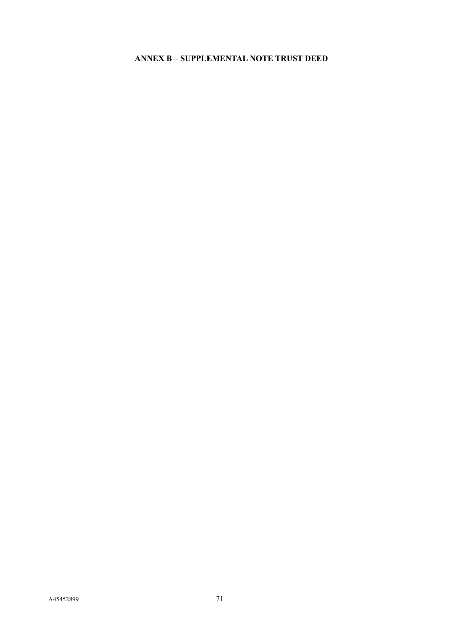## **ANNEX B – SUPPLEMENTAL NOTE TRUST DEED**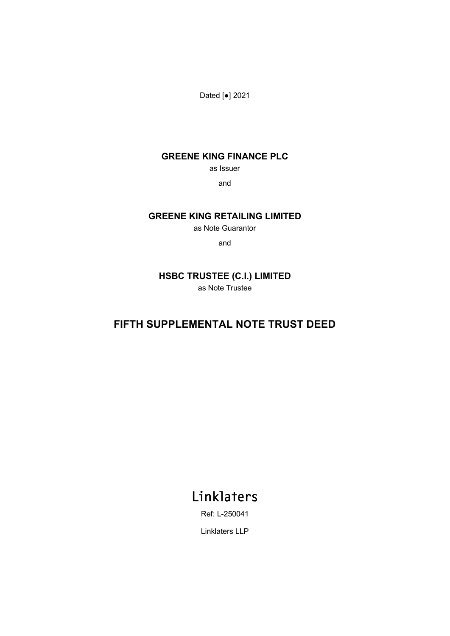Dated [●] 2021

## **GREENE KING FINANCE PLC**

as Issuer

and

## **GREENE KING RETAILING LIMITED**

as Note Guarantor

and

## **HSBC TRUSTEE (C.I.) LIMITED** as Note Trustee

# **FIFTH SUPPLEMENTAL NOTE TRUST DEED**

# Linklaters

Ref: L-250041

Linklaters LLP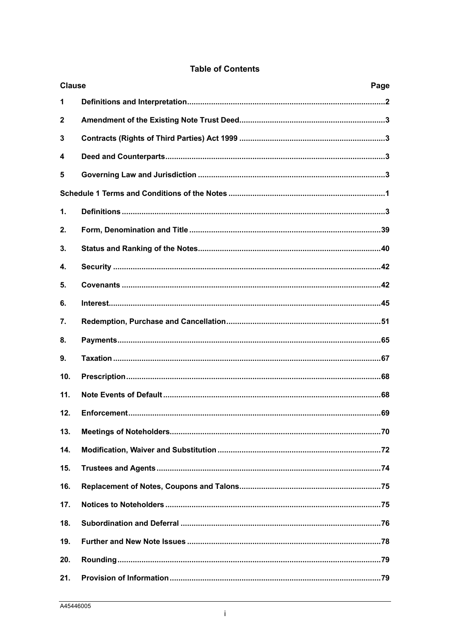|  |  | <b>Table of Contents</b> |
|--|--|--------------------------|
|--|--|--------------------------|

| <b>Clause</b><br>Page |  |
|-----------------------|--|
|                       |  |
|                       |  |
|                       |  |
|                       |  |
|                       |  |
|                       |  |
|                       |  |
|                       |  |
|                       |  |
|                       |  |
|                       |  |
|                       |  |
|                       |  |
|                       |  |
|                       |  |
|                       |  |
|                       |  |
|                       |  |
|                       |  |
|                       |  |
|                       |  |
|                       |  |
|                       |  |
|                       |  |
|                       |  |
|                       |  |
|                       |  |
|                       |  |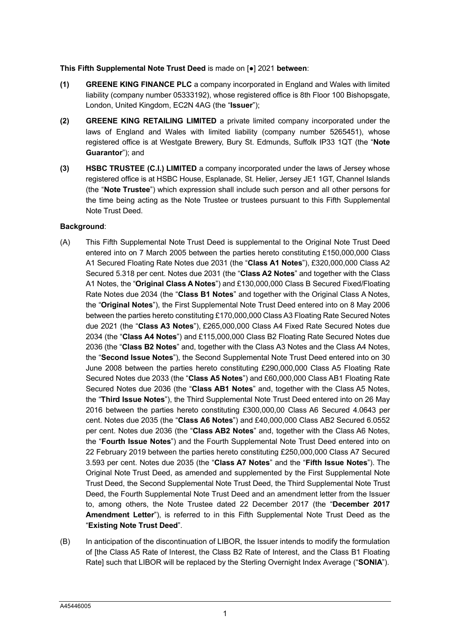### **This Fifth Supplemental Note Trust Deed** is made on [●] 2021 **between**:

- **(1) GREENE KING FINANCE PLC** a company incorporated in England and Wales with limited liability (company number 05333192), whose registered office is 8th Floor 100 Bishopsgate, London, United Kingdom, EC2N 4AG (the "**Issuer**");
- **(2) GREENE KING RETAILING LIMITED** a private limited company incorporated under the laws of England and Wales with limited liability (company number 5265451), whose registered office is at Westgate Brewery, Bury St. Edmunds, Suffolk IP33 1QT (the "**Note Guarantor**"); and
- **(3) HSBC TRUSTEE (C.I.) LIMITED** a company incorporated under the laws of Jersey whose registered office is at HSBC House, Esplanade, St. Helier, Jersey JE1 1GT, Channel Islands (the "**Note Trustee**") which expression shall include such person and all other persons for the time being acting as the Note Trustee or trustees pursuant to this Fifth Supplemental Note Trust Deed.

## **Background**:

- (A) This Fifth Supplemental Note Trust Deed is supplemental to the Original Note Trust Deed entered into on 7 March 2005 between the parties hereto constituting £150,000,000 Class A1 Secured Floating Rate Notes due 2031 (the "**Class A1 Notes**"), £320,000,000 Class A2 Secured 5.318 per cent. Notes due 2031 (the "**Class A2 Notes**" and together with the Class A1 Notes, the "**Original Class A Notes**") and £130,000,000 Class B Secured Fixed/Floating Rate Notes due 2034 (the "**Class B1 Notes**" and together with the Original Class A Notes, the "**Original Notes**"), the First Supplemental Note Trust Deed entered into on 8 May 2006 between the parties hereto constituting £170,000,000 Class A3 Floating Rate Secured Notes due 2021 (the "**Class A3 Notes**"), £265,000,000 Class A4 Fixed Rate Secured Notes due 2034 (the "**Class A4 Notes**") and £115,000,000 Class B2 Floating Rate Secured Notes due 2036 (the "**Class B2 Notes**" and, together with the Class A3 Notes and the Class A4 Notes, the "**Second Issue Notes**"), the Second Supplemental Note Trust Deed entered into on 30 June 2008 between the parties hereto constituting £290,000,000 Class A5 Floating Rate Secured Notes due 2033 (the "**Class A5 Notes**") and £60,000,000 Class AB1 Floating Rate Secured Notes due 2036 (the "**Class AB1 Notes**" and, together with the Class A5 Notes, the "**Third Issue Notes**"), the Third Supplemental Note Trust Deed entered into on 26 May 2016 between the parties hereto constituting £300,000,00 Class A6 Secured 4.0643 per cent. Notes due 2035 (the "**Class A6 Notes**") and £40,000,000 Class AB2 Secured 6.0552 per cent. Notes due 2036 (the "**Class AB2 Notes**" and, together with the Class A6 Notes, the "**Fourth Issue Notes**") and the Fourth Supplemental Note Trust Deed entered into on 22 February 2019 between the parties hereto constituting £250,000,000 Class A7 Secured 3.593 per cent. Notes due 2035 (the "**Class A7 Notes**" and the "**Fifth Issue Notes**"). The Original Note Trust Deed, as amended and supplemented by the First Supplemental Note Trust Deed, the Second Supplemental Note Trust Deed, the Third Supplemental Note Trust Deed, the Fourth Supplemental Note Trust Deed and an amendment letter from the Issuer to, among others, the Note Trustee dated 22 December 2017 (the "**December 2017 Amendment Letter**"), is referred to in this Fifth Supplemental Note Trust Deed as the "**Existing Note Trust Deed**".
- (B) In anticipation of the discontinuation of LIBOR, the Issuer intends to modify the formulation of [the Class A5 Rate of Interest, the Class B2 Rate of Interest, and the Class B1 Floating Rate] such that LIBOR will be replaced by the Sterling Overnight Index Average ("**SONIA**").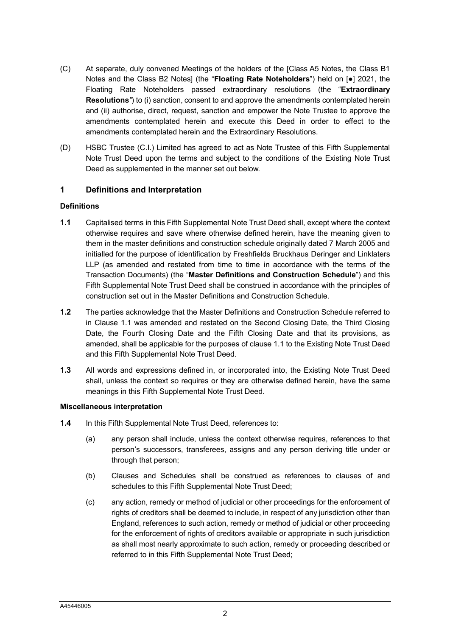- (C) At separate, duly convened Meetings of the holders of the [Class A5 Notes, the Class B1 Notes and the Class B2 Notes] (the "**Floating Rate Noteholders**") held on [●] 2021, the Floating Rate Noteholders passed extraordinary resolutions (the "**Extraordinary Resolutions***"*) to (i) sanction, consent to and approve the amendments contemplated herein and (ii) authorise, direct, request, sanction and empower the Note Trustee to approve the amendments contemplated herein and execute this Deed in order to effect to the amendments contemplated herein and the Extraordinary Resolutions.
- (D) HSBC Trustee (C.I.) Limited has agreed to act as Note Trustee of this Fifth Supplemental Note Trust Deed upon the terms and subject to the conditions of the Existing Note Trust Deed as supplemented in the manner set out below.

## <span id="page-78-0"></span>**1 Definitions and Interpretation**

### **Definitions**

- <span id="page-78-1"></span>**1.1** Capitalised terms in this Fifth Supplemental Note Trust Deed shall, except where the context otherwise requires and save where otherwise defined herein, have the meaning given to them in the master definitions and construction schedule originally dated 7 March 2005 and initialled for the purpose of identification by Freshfields Bruckhaus Deringer and Linklaters LLP (as amended and restated from time to time in accordance with the terms of the Transaction Documents) (the "**Master Definitions and Construction Schedule**") and this Fifth Supplemental Note Trust Deed shall be construed in accordance with the principles of construction set out in the Master Definitions and Construction Schedule.
- **1.2** The parties acknowledge that the Master Definitions and Construction Schedule referred to in Clause [1.1](#page-78-1) was amended and restated on the Second Closing Date, the Third Closing Date, the Fourth Closing Date and the Fifth Closing Date and that its provisions, as amended, shall be applicable for the purposes of clause 1.1 to the Existing Note Trust Deed and this Fifth Supplemental Note Trust Deed.
- **1.3** All words and expressions defined in, or incorporated into, the Existing Note Trust Deed shall, unless the context so requires or they are otherwise defined herein, have the same meanings in this Fifth Supplemental Note Trust Deed.

### **Miscellaneous interpretation**

- **1.4** In this Fifth Supplemental Note Trust Deed, references to:
	- (a) any person shall include, unless the context otherwise requires, references to that person's successors, transferees, assigns and any person deriving title under or through that person;
	- (b) Clauses and Schedules shall be construed as references to clauses of and schedules to this Fifth Supplemental Note Trust Deed;
	- (c) any action, remedy or method of judicial or other proceedings for the enforcement of rights of creditors shall be deemed to include, in respect of any jurisdiction other than England, references to such action, remedy or method of judicial or other proceeding for the enforcement of rights of creditors available or appropriate in such jurisdiction as shall most nearly approximate to such action, remedy or proceeding described or referred to in this Fifth Supplemental Note Trust Deed;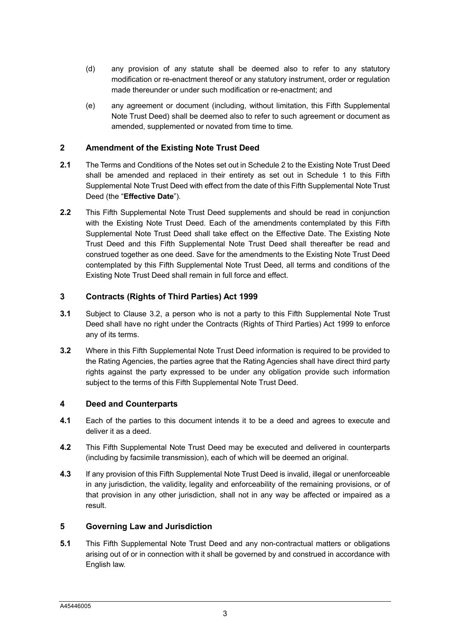- (d) any provision of any statute shall be deemed also to refer to any statutory modification or re-enactment thereof or any statutory instrument, order or regulation made thereunder or under such modification or re-enactment; and
- (e) any agreement or document (including, without limitation, this Fifth Supplemental Note Trust Deed) shall be deemed also to refer to such agreement or document as amended, supplemented or novated from time to time.

## <span id="page-79-0"></span>**2 Amendment of the Existing Note Trust Deed**

- **2.1** The Terms and Conditions of the Notes set out in Schedule 2 to the Existing Note Trust Deed shall be amended and replaced in their entirety as set out in [Schedule 1](#page-83-1) to this Fifth Supplemental Note Trust Deed with effect from the date of this Fifth Supplemental Note Trust Deed (the "**Effective Date**").
- **2.2** This Fifth Supplemental Note Trust Deed supplements and should be read in conjunction with the Existing Note Trust Deed. Each of the amendments contemplated by this Fifth Supplemental Note Trust Deed shall take effect on the Effective Date. The Existing Note Trust Deed and this Fifth Supplemental Note Trust Deed shall thereafter be read and construed together as one deed. Save for the amendments to the Existing Note Trust Deed contemplated by this Fifth Supplemental Note Trust Deed, all terms and conditions of the Existing Note Trust Deed shall remain in full force and effect.

## <span id="page-79-1"></span>**3 Contracts (Rights of Third Parties) Act 1999**

- **3.1** Subject to Clause [3.2,](#page-79-4) a person who is not a party to this Fifth Supplemental Note Trust Deed shall have no right under the Contracts (Rights of Third Parties) Act 1999 to enforce any of its terms.
- <span id="page-79-4"></span>**3.2** Where in this Fifth Supplemental Note Trust Deed information is required to be provided to the Rating Agencies, the parties agree that the Rating Agencies shall have direct third party rights against the party expressed to be under any obligation provide such information subject to the terms of this Fifth Supplemental Note Trust Deed.

## <span id="page-79-2"></span>**4 Deed and Counterparts**

- **4.1** Each of the parties to this document intends it to be a deed and agrees to execute and deliver it as a deed.
- **4.2** This Fifth Supplemental Note Trust Deed may be executed and delivered in counterparts (including by facsimile transmission), each of which will be deemed an original.
- **4.3** If any provision of this Fifth Supplemental Note Trust Deed is invalid, illegal or unenforceable in any jurisdiction, the validity, legality and enforceability of the remaining provisions, or of that provision in any other jurisdiction, shall not in any way be affected or impaired as a result.

## <span id="page-79-5"></span><span id="page-79-3"></span>**5 Governing Law and Jurisdiction**

**5.1** This Fifth Supplemental Note Trust Deed and any non-contractual matters or obligations arising out of or in connection with it shall be governed by and construed in accordance with English law.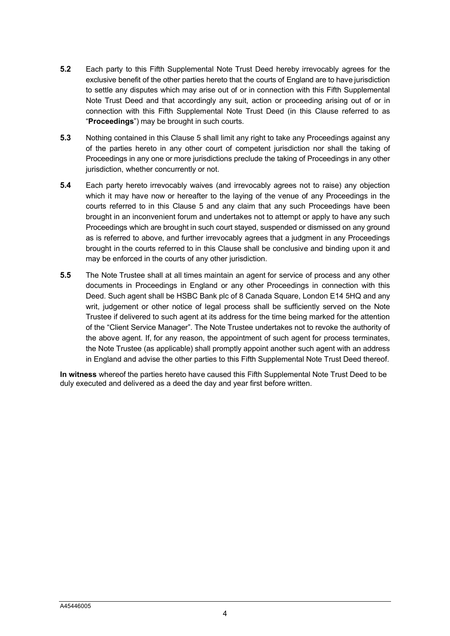- **5.2** Each party to this Fifth Supplemental Note Trust Deed hereby irrevocably agrees for the exclusive benefit of the other parties hereto that the courts of England are to have jurisdiction to settle any disputes which may arise out of or in connection with this Fifth Supplemental Note Trust Deed and that accordingly any suit, action or proceeding arising out of or in connection with this Fifth Supplemental Note Trust Deed (in this Clause referred to as "**Proceedings**") may be brought in such courts.
- **5.3** Nothing contained in this Clause [5](#page-79-5) shall limit any right to take any Proceedings against any of the parties hereto in any other court of competent jurisdiction nor shall the taking of Proceedings in any one or more jurisdictions preclude the taking of Proceedings in any other jurisdiction, whether concurrently or not.
- **5.4** Each party hereto irrevocably waives (and irrevocably agrees not to raise) any objection which it may have now or hereafter to the laying of the venue of any Proceedings in the courts referred to in this Clause [5](#page-79-5) and any claim that any such Proceedings have been brought in an inconvenient forum and undertakes not to attempt or apply to have any such Proceedings which are brought in such court stayed, suspended or dismissed on any ground as is referred to above, and further irrevocably agrees that a judgment in any Proceedings brought in the courts referred to in this Clause shall be conclusive and binding upon it and may be enforced in the courts of any other jurisdiction.
- **5.5** The Note Trustee shall at all times maintain an agent for service of process and any other documents in Proceedings in England or any other Proceedings in connection with this Deed. Such agent shall be HSBC Bank plc of 8 Canada Square, London E14 5HQ and any writ, judgement or other notice of legal process shall be sufficiently served on the Note Trustee if delivered to such agent at its address for the time being marked for the attention of the "Client Service Manager". The Note Trustee undertakes not to revoke the authority of the above agent. If, for any reason, the appointment of such agent for process terminates, the Note Trustee (as applicable) shall promptly appoint another such agent with an address in England and advise the other parties to this Fifth Supplemental Note Trust Deed thereof.

**In witness** whereof the parties hereto have caused this Fifth Supplemental Note Trust Deed to be duly executed and delivered as a deed the day and year first before written.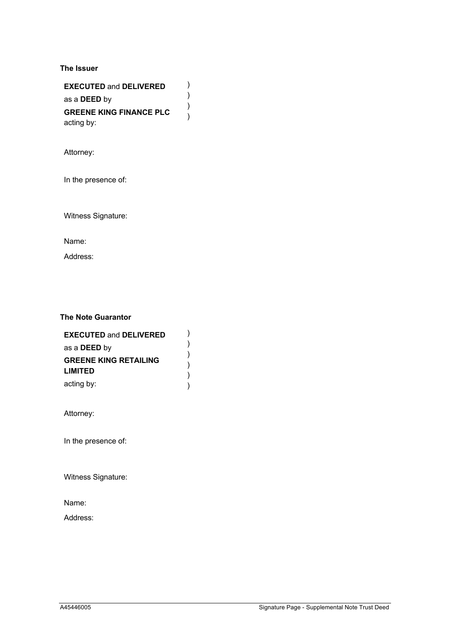### **The Issuer**

**EXECUTED** and **DELIVERED** as a **DEED** by **GREENE KING FINANCE PLC** acting by: ) ) )

)

Attorney:

In the presence of:

Witness Signature:

Name:

Address:

## **The Note Guarantor**

| <b>EXECUTED and DELIVERED</b> |  |
|-------------------------------|--|
| as a <b>DEED</b> by           |  |
| <b>GREENE KING RETAILING</b>  |  |
| <b>LIMITED</b>                |  |
| acting by:                    |  |

Attorney:

In the presence of:

Witness Signature:

Name:

Address: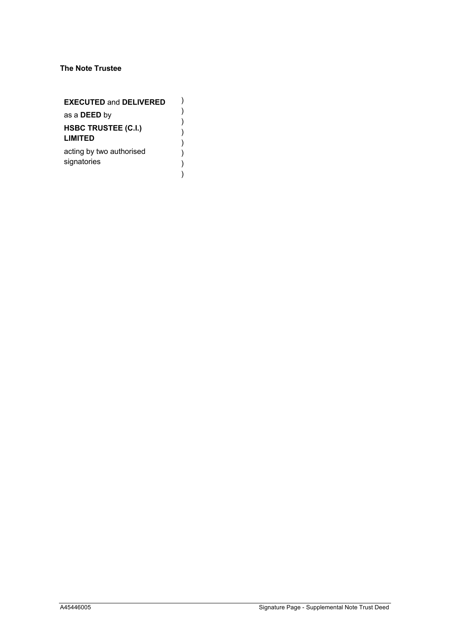## **The Note Trustee**

| <b>EXECUTED and DELIVERED</b>                |  |
|----------------------------------------------|--|
| as a <b>DEED</b> by                          |  |
| <b>HSBC TRUSTEE (C.I.)</b><br><b>LIMITED</b> |  |
| acting by two authorised<br>signatories      |  |
|                                              |  |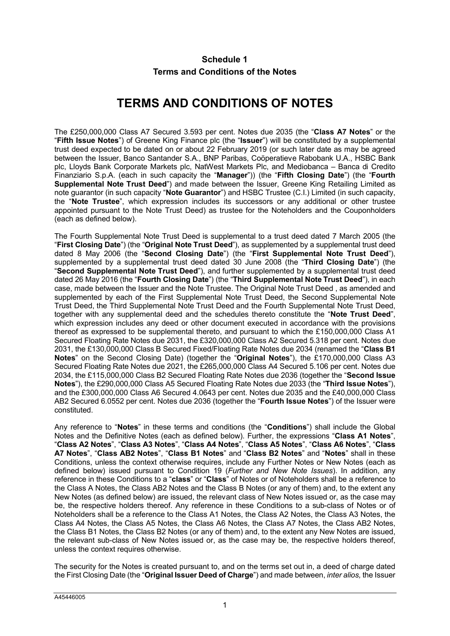## **Schedule 1 Terms and Conditions of the Notes**

# **TERMS AND CONDITIONS OF NOTES**

<span id="page-83-1"></span><span id="page-83-0"></span>The £250,000,000 Class A7 Secured 3.593 per cent. Notes due 2035 (the "**Class A7 Notes**" or the "**Fifth Issue Notes**") of Greene King Finance plc (the "**Issuer**") will be constituted by a supplemental trust deed expected to be dated on or about 22 February 2019 (or such later date as may be agreed between the Issuer, Banco Santander S.A., BNP Paribas, Coöperatieve Rabobank U.A., HSBC Bank plc, Lloyds Bank Corporate Markets plc, NatWest Markets Plc, and Mediobanca – Banca di Credito Finanziario S.p.A. (each in such capacity the "**Manager**")) (the "**Fifth Closing Date**") (the "**Fourth Supplemental Note Trust Deed**") and made between the Issuer, Greene King Retailing Limited as note guarantor (in such capacity "**Note Guarantor**") and HSBC Trustee (C.I.) Limited (in such capacity, the "**Note Trustee**", which expression includes its successors or any additional or other trustee appointed pursuant to the Note Trust Deed) as trustee for the Noteholders and the Couponholders (each as defined below).

The Fourth Supplemental Note Trust Deed is supplemental to a trust deed dated 7 March 2005 (the "**First Closing Date**") (the "**Original Note Trust Deed**"), as supplemented by a supplemental trust deed dated 8 May 2006 (the "**Second Closing Date**") (the "**First Supplemental Note Trust Deed**"), supplemented by a supplemental trust deed dated 30 June 2008 (the "**Third Closing Date**") (the "**Second Supplemental Note Trust Deed**"), and further supplemented by a supplemental trust deed dated 26 May 2016 (the "**Fourth Closing Date**") (the "**Third Supplemental Note Trust Deed**"), in each case, made between the Issuer and the Note Trustee. The Original Note Trust Deed , as amended and supplemented by each of the First Supplemental Note Trust Deed, the Second Supplemental Note Trust Deed, the Third Supplemental Note Trust Deed and the Fourth Supplemental Note Trust Deed, together with any supplemental deed and the schedules thereto constitute the "**Note Trust Deed**", which expression includes any deed or other document executed in accordance with the provisions thereof as expressed to be supplemental thereto, and pursuant to which the £150,000,000 Class A1 Secured Floating Rate Notes due 2031, the £320,000,000 Class A2 Secured 5.318 per cent. Notes due 2031, the £130,000,000 Class B Secured Fixed/Floating Rate Notes due 2034 (renamed the "**Class B1 Notes**" on the Second Closing Date) (together the "**Original Notes**"), the £170,000,000 Class A3 Secured Floating Rate Notes due 2021, the £265,000,000 Class A4 Secured 5.106 per cent. Notes due 2034, the £115,000,000 Class B2 Secured Floating Rate Notes due 2036 (together the "**Second Issue Notes**"), the £290,000,000 Class A5 Secured Floating Rate Notes due 2033 (the "**Third Issue Notes**"), and the £300,000,000 Class A6 Secured 4.0643 per cent. Notes due 2035 and the £40,000,000 Class AB2 Secured 6.0552 per cent. Notes due 2036 (together the "**Fourth Issue Notes**") of the Issuer were constituted.

Any reference to "**Notes**" in these terms and conditions (the "**Conditions**") shall include the Global Notes and the Definitive Notes (each as defined below). Further, the expressions "**Class A1 Notes**", "**Class A2 Notes**", "**Class A3 Notes**", "**Class A4 Notes**", "**Class A5 Notes**", "**Class A6 Notes**", "**Class A7 Notes**", "**Class AB2 Notes**", "**Class B1 Notes**" and "**Class B2 Notes**" and "**Notes**" shall in these Conditions, unless the context otherwise requires, include any Further Notes or New Notes (each as defined below) issued pursuant to Condition 19 (*Further and New Note Issues*). In addition, any reference in these Conditions to a "**class**" or "**Class**" of Notes or of Noteholders shall be a reference to the Class A Notes, the Class AB2 Notes and the Class B Notes (or any of them) and, to the extent any New Notes (as defined below) are issued, the relevant class of New Notes issued or, as the case may be, the respective holders thereof. Any reference in these Conditions to a sub-class of Notes or of Noteholders shall be a reference to the Class A1 Notes, the Class A2 Notes, the Class A3 Notes, the Class A4 Notes, the Class A5 Notes, the Class A6 Notes, the Class A7 Notes, the Class AB2 Notes, the Class B1 Notes, the Class B2 Notes (or any of them) and, to the extent any New Notes are issued, the relevant sub-class of New Notes issued or, as the case may be, the respective holders thereof, unless the context requires otherwise.

The security for the Notes is created pursuant to, and on the terms set out in, a deed of charge dated the First Closing Date (the "**Original Issuer Deed of Charge**") and made between, *inter alios,* the Issuer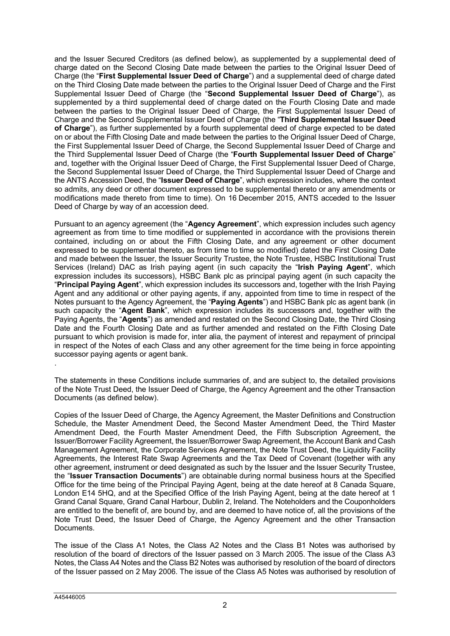and the Issuer Secured Creditors (as defined below), as supplemented by a supplemental deed of charge dated on the Second Closing Date made between the parties to the Original Issuer Deed of Charge (the "**First Supplemental Issuer Deed of Charge**") and a supplemental deed of charge dated on the Third Closing Date made between the parties to the Original Issuer Deed of Charge and the First Supplemental Issuer Deed of Charge (the "**Second Supplemental Issuer Deed of Charge**"), as supplemented by a third supplemental deed of charge dated on the Fourth Closing Date and made between the parties to the Original Issuer Deed of Charge, the First Supplemental Issuer Deed of Charge and the Second Supplemental Issuer Deed of Charge (the "**Third Supplemental Issuer Deed of Charge**"), as further supplemented by a fourth supplemental deed of charge expected to be dated on or about the Fifth Closing Date and made between the parties to the Original Issuer Deed of Charge, the First Supplemental Issuer Deed of Charge, the Second Supplemental Issuer Deed of Charge and the Third Supplemental Issuer Deed of Charge (the "**Fourth Supplemental Issuer Deed of Charge**" and, together with the Original Issuer Deed of Charge, the First Supplemental Issuer Deed of Charge, the Second Supplemental Issuer Deed of Charge, the Third Supplemental Issuer Deed of Charge and the ANTS Accession Deed, the "**Issuer Deed of Charge**", which expression includes, where the context so admits, any deed or other document expressed to be supplemental thereto or any amendments or modifications made thereto from time to time). On 16 December 2015, ANTS acceded to the Issuer Deed of Charge by way of an accession deed.

Pursuant to an agency agreement (the "**Agency Agreement**", which expression includes such agency agreement as from time to time modified or supplemented in accordance with the provisions therein contained, including on or about the Fifth Closing Date, and any agreement or other document expressed to be supplemental thereto, as from time to time so modified) dated the First Closing Date and made between the Issuer, the Issuer Security Trustee, the Note Trustee, HSBC Institutional Trust Services (Ireland) DAC as Irish paying agent (in such capacity the "**Irish Paying Agent**", which expression includes its successors), HSBC Bank plc as principal paying agent (in such capacity the "**Principal Paying Agent**", which expression includes its successors and, together with the Irish Paying Agent and any additional or other paying agents, if any, appointed from time to time in respect of the Notes pursuant to the Agency Agreement, the "**Paying Agents**") and HSBC Bank plc as agent bank (in such capacity the "**Agent Bank**", which expression includes its successors and, together with the Paying Agents, the "**Agents**") as amended and restated on the Second Closing Date, the Third Closing Date and the Fourth Closing Date and as further amended and restated on the Fifth Closing Date pursuant to which provision is made for, inter alia, the payment of interest and repayment of principal in respect of the Notes of each Class and any other agreement for the time being in force appointing successor paying agents or agent bank.

The statements in these Conditions include summaries of, and are subject to, the detailed provisions of the Note Trust Deed, the Issuer Deed of Charge, the Agency Agreement and the other Transaction Documents (as defined below).

Copies of the Issuer Deed of Charge, the Agency Agreement, the Master Definitions and Construction Schedule, the Master Amendment Deed, the Second Master Amendment Deed, the Third Master Amendment Deed, the Fourth Master Amendment Deed, the Fifth Subscription Agreement, the Issuer/Borrower Facility Agreement, the Issuer/Borrower Swap Agreement, the Account Bank and Cash Management Agreement, the Corporate Services Agreement, the Note Trust Deed, the Liquidity Facility Agreements, the Interest Rate Swap Agreements and the Tax Deed of Covenant (together with any other agreement, instrument or deed designated as such by the Issuer and the Issuer Security Trustee, the "**Issuer Transaction Documents**") are obtainable during normal business hours at the Specified Office for the time being of the Principal Paying Agent, being at the date hereof at 8 Canada Square, London E14 5HQ, and at the Specified Office of the Irish Paying Agent, being at the date hereof at 1 Grand Canal Square, Grand Canal Harbour, Dublin 2, Ireland. The Noteholders and the Couponholders are entitled to the benefit of, are bound by, and are deemed to have notice of, all the provisions of the Note Trust Deed, the Issuer Deed of Charge, the Agency Agreement and the other Transaction Documents.

The issue of the Class A1 Notes, the Class A2 Notes and the Class B1 Notes was authorised by resolution of the board of directors of the Issuer passed on 3 March 2005. The issue of the Class A3 Notes, the Class A4 Notes and the Class B2 Notes was authorised by resolution of the board of directors of the Issuer passed on 2 May 2006. The issue of the Class A5 Notes was authorised by resolution of

.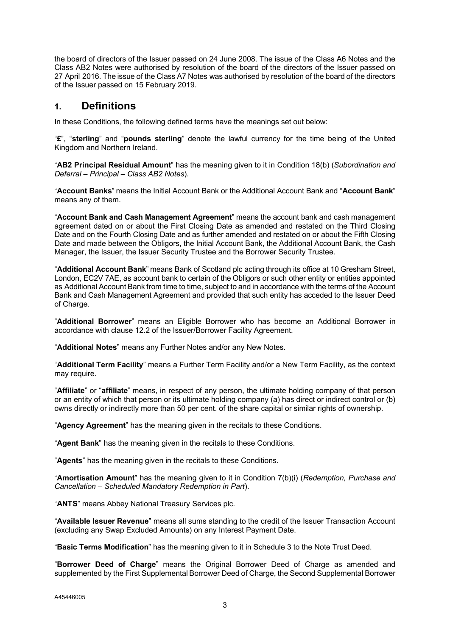the board of directors of the Issuer passed on 24 June 2008. The issue of the Class A6 Notes and the Class AB2 Notes were authorised by resolution of the board of the directors of the Issuer passed on 27 April 2016. The issue of the Class A7 Notes was authorised by resolution of the board of the directors of the Issuer passed on 15 February 2019.

# <span id="page-85-0"></span>**1. Definitions**

In these Conditions, the following defined terms have the meanings set out below:

"**£**", "**sterling**" and "**pounds sterling**" denote the lawful currency for the time being of the United Kingdom and Northern Ireland.

"**AB2 Principal Residual Amount**" has the meaning given to it in Condition 18(b) (*Subordination and Deferral – Principal – Class AB2 Notes*).

"**Account Banks**" means the Initial Account Bank or the Additional Account Bank and "**Account Bank**" means any of them.

"**Account Bank and Cash Management Agreement**" means the account bank and cash management agreement dated on or about the First Closing Date as amended and restated on the Third Closing Date and on the Fourth Closing Date and as further amended and restated on or about the Fifth Closing Date and made between the Obligors, the Initial Account Bank, the Additional Account Bank, the Cash Manager, the Issuer, the Issuer Security Trustee and the Borrower Security Trustee.

"**Additional Account Bank**" means Bank of Scotland plc acting through its office at 10 Gresham Street, London, EC2V 7AE, as account bank to certain of the Obligors or such other entity or entities appointed as Additional Account Bank from time to time, subject to and in accordance with the terms of the Account Bank and Cash Management Agreement and provided that such entity has acceded to the Issuer Deed of Charge.

"**Additional Borrower**" means an Eligible Borrower who has become an Additional Borrower in accordance with clause 12.2 of the Issuer/Borrower Facility Agreement.

"**Additional Notes**" means any Further Notes and/or any New Notes.

"**Additional Term Facility**" means a Further Term Facility and/or a New Term Facility, as the context may require.

"**Affiliate**" or "**affiliate**" means, in respect of any person, the ultimate holding company of that person or an entity of which that person or its ultimate holding company (a) has direct or indirect control or (b) owns directly or indirectly more than 50 per cent. of the share capital or similar rights of ownership.

"**Agency Agreement**" has the meaning given in the recitals to these Conditions.

"**Agent Bank**" has the meaning given in the recitals to these Conditions.

"**Agents**" has the meaning given in the recitals to these Conditions.

"**Amortisation Amount**" has the meaning given to it in Condition 7(b)(i) (*Redemption, Purchase and Cancellation – Scheduled Mandatory Redemption in Part*).

"**ANTS**" means Abbey National Treasury Services plc.

"**Available Issuer Revenue**" means all sums standing to the credit of the Issuer Transaction Account (excluding any Swap Excluded Amounts) on any Interest Payment Date.

"**Basic Terms Modification**" has the meaning given to it in Schedule 3 to the Note Trust Deed.

"**Borrower Deed of Charge**" means the Original Borrower Deed of Charge as amended and supplemented by the First Supplemental Borrower Deed of Charge, the Second Supplemental Borrower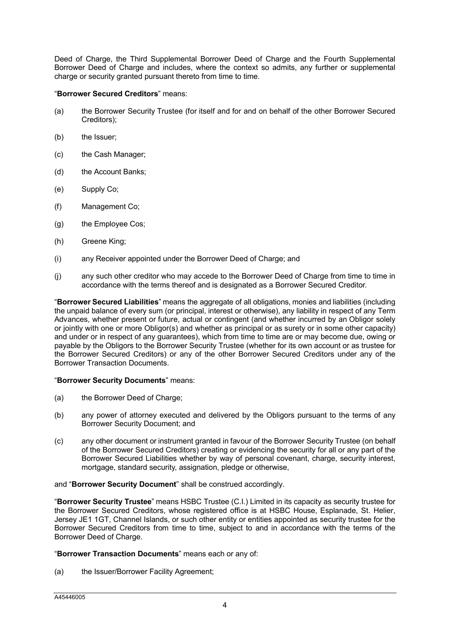Deed of Charge, the Third Supplemental Borrower Deed of Charge and the Fourth Supplemental Borrower Deed of Charge and includes, where the context so admits, any further or supplemental charge or security granted pursuant thereto from time to time.

### "**Borrower Secured Creditors**" means:

- (a) the Borrower Security Trustee (for itself and for and on behalf of the other Borrower Secured Creditors);
- (b) the Issuer:
- (c) the Cash Manager;
- (d) the Account Banks;
- (e) Supply Co;
- (f) Management Co;
- (g) the Employee Cos;
- (h) Greene King;
- (i) any Receiver appointed under the Borrower Deed of Charge; and
- (j) any such other creditor who may accede to the Borrower Deed of Charge from time to time in accordance with the terms thereof and is designated as a Borrower Secured Creditor.

"**Borrower Secured Liabilities**" means the aggregate of all obligations, monies and liabilities (including the unpaid balance of every sum (or principal, interest or otherwise), any liability in respect of any Term Advances, whether present or future, actual or contingent (and whether incurred by an Obligor solely or jointly with one or more Obligor(s) and whether as principal or as surety or in some other capacity) and under or in respect of any guarantees), which from time to time are or may become due, owing or payable by the Obligors to the Borrower Security Trustee (whether for its own account or as trustee for the Borrower Secured Creditors) or any of the other Borrower Secured Creditors under any of the Borrower Transaction Documents.

### "**Borrower Security Documents**" means:

- (a) the Borrower Deed of Charge;
- (b) any power of attorney executed and delivered by the Obligors pursuant to the terms of any Borrower Security Document; and
- (c) any other document or instrument granted in favour of the Borrower Security Trustee (on behalf of the Borrower Secured Creditors) creating or evidencing the security for all or any part of the Borrower Secured Liabilities whether by way of personal covenant, charge, security interest, mortgage, standard security, assignation, pledge or otherwise,

### and "**Borrower Security Document**" shall be construed accordingly.

"**Borrower Security Trustee**" means HSBC Trustee (C.I.) Limited in its capacity as security trustee for the Borrower Secured Creditors, whose registered office is at HSBC House, Esplanade, St. Helier, Jersey JE1 1GT, Channel Islands, or such other entity or entities appointed as security trustee for the Borrower Secured Creditors from time to time, subject to and in accordance with the terms of the Borrower Deed of Charge.

### "**Borrower Transaction Documents**" means each or any of:

(a) the Issuer/Borrower Facility Agreement;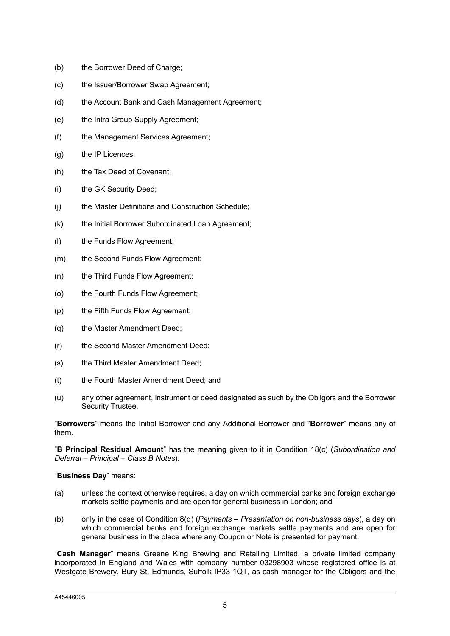- (b) the Borrower Deed of Charge;
- (c) the Issuer/Borrower Swap Agreement;
- (d) the Account Bank and Cash Management Agreement;
- (e) the Intra Group Supply Agreement;
- (f) the Management Services Agreement;
- $(g)$  the IP Licences;
- (h) the Tax Deed of Covenant;
- (i) the GK Security Deed;
- (j) the Master Definitions and Construction Schedule;
- (k) the Initial Borrower Subordinated Loan Agreement;
- (l) the Funds Flow Agreement;
- (m) the Second Funds Flow Agreement;
- (n) the Third Funds Flow Agreement;
- (o) the Fourth Funds Flow Agreement;
- (p) the Fifth Funds Flow Agreement;
- (q) the Master Amendment Deed;
- (r) the Second Master Amendment Deed;
- (s) the Third Master Amendment Deed;
- (t) the Fourth Master Amendment Deed; and
- (u) any other agreement, instrument or deed designated as such by the Obligors and the Borrower Security Trustee.

"**Borrowers**" means the Initial Borrower and any Additional Borrower and "**Borrower**" means any of them.

"**B Principal Residual Amount**" has the meaning given to it in Condition 18(c) (*Subordination and Deferral – Principal – Class B Notes*).

### "**Business Day**" means:

- (a) unless the context otherwise requires, a day on which commercial banks and foreign exchange markets settle payments and are open for general business in London; and
- (b) only in the case of Condition 8(d) (*Payments – Presentation on non-business days*), a day on which commercial banks and foreign exchange markets settle payments and are open for general business in the place where any Coupon or Note is presented for payment.

"**Cash Manager**" means Greene King Brewing and Retailing Limited, a private limited company incorporated in England and Wales with company number 03298903 whose registered office is at Westgate Brewery, Bury St. Edmunds, Suffolk IP33 1QT, as cash manager for the Obligors and the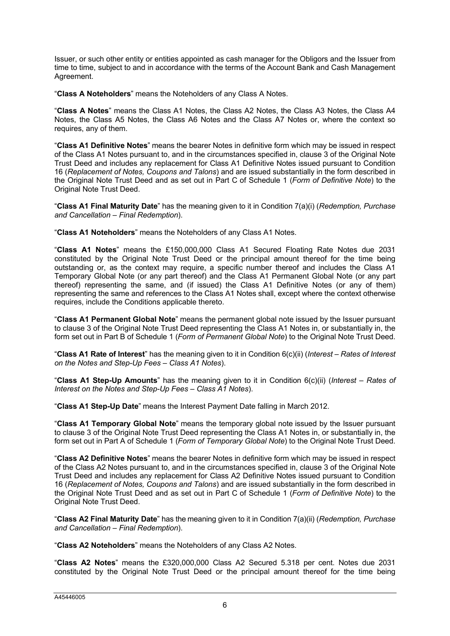Issuer, or such other entity or entities appointed as cash manager for the Obligors and the Issuer from time to time, subject to and in accordance with the terms of the Account Bank and Cash Management Agreement.

"**Class A Noteholders**" means the Noteholders of any Class A Notes.

"**Class A Notes**" means the Class A1 Notes, the Class A2 Notes, the Class A3 Notes, the Class A4 Notes, the Class A5 Notes, the Class A6 Notes and the Class A7 Notes or, where the context so requires, any of them.

"**Class A1 Definitive Notes**" means the bearer Notes in definitive form which may be issued in respect of the Class A1 Notes pursuant to, and in the circumstances specified in, clause 3 of the Original Note Trust Deed and includes any replacement for Class A1 Definitive Notes issued pursuant to Condition 16 (*Replacement of Notes, Coupons and Talons*) and are issued substantially in the form described in the Original Note Trust Deed and as set out in Part C of Schedule 1 (*Form of Definitive Note*) to the Original Note Trust Deed.

"**Class A1 Final Maturity Date**" has the meaning given to it in Condition 7(a)(i) (*Redemption, Purchase and Cancellation – Final Redemption*).

"**Class A1 Noteholders**" means the Noteholders of any Class A1 Notes.

"**Class A1 Notes**" means the £150,000,000 Class A1 Secured Floating Rate Notes due 2031 constituted by the Original Note Trust Deed or the principal amount thereof for the time being outstanding or, as the context may require, a specific number thereof and includes the Class A1 Temporary Global Note (or any part thereof) and the Class A1 Permanent Global Note (or any part thereof) representing the same, and (if issued) the Class A1 Definitive Notes (or any of them) representing the same and references to the Class A1 Notes shall, except where the context otherwise requires, include the Conditions applicable thereto.

"**Class A1 Permanent Global Note**" means the permanent global note issued by the Issuer pursuant to clause 3 of the Original Note Trust Deed representing the Class A1 Notes in, or substantially in, the form set out in Part B of Schedule 1 (*Form of Permanent Global Note*) to the Original Note Trust Deed.

"**Class A1 Rate of Interest**" has the meaning given to it in Condition 6(c)(ii) (*Interest – Rates of Interest on the Notes and Step-Up Fees – Class A1 Notes*).

"**Class A1 Step-Up Amounts**" has the meaning given to it in Condition 6(c)(ii) (*Interest – Rates of Interest on the Notes and Step-Up Fees – Class A1 Notes*).

"**Class A1 Step-Up Date**" means the Interest Payment Date falling in March 2012.

"**Class A1 Temporary Global Note**" means the temporary global note issued by the Issuer pursuant to clause 3 of the Original Note Trust Deed representing the Class A1 Notes in, or substantially in, the form set out in Part A of Schedule 1 (*Form of Temporary Global Note*) to the Original Note Trust Deed.

"**Class A2 Definitive Notes**" means the bearer Notes in definitive form which may be issued in respect of the Class A2 Notes pursuant to, and in the circumstances specified in, clause 3 of the Original Note Trust Deed and includes any replacement for Class A2 Definitive Notes issued pursuant to Condition 16 (*Replacement of Notes, Coupons and Talons*) and are issued substantially in the form described in the Original Note Trust Deed and as set out in Part C of Schedule 1 (*Form of Definitive Note*) to the Original Note Trust Deed.

"**Class A2 Final Maturity Date**" has the meaning given to it in Condition 7(a)(ii) (*Redemption, Purchase and Cancellation – Final Redemption*).

"**Class A2 Noteholders**" means the Noteholders of any Class A2 Notes.

"**Class A2 Notes**" means the £320,000,000 Class A2 Secured 5.318 per cent. Notes due 2031 constituted by the Original Note Trust Deed or the principal amount thereof for the time being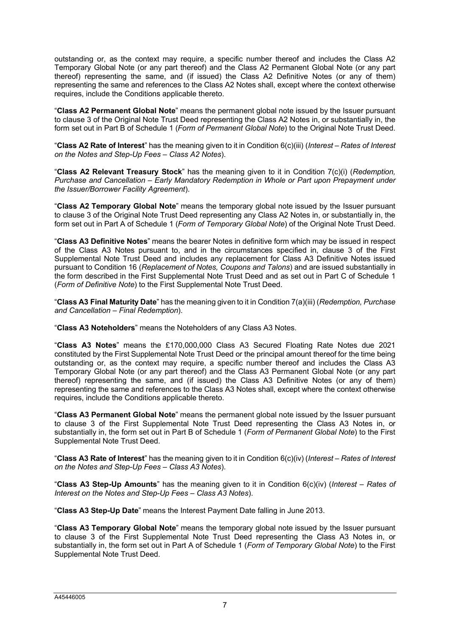outstanding or, as the context may require, a specific number thereof and includes the Class A2 Temporary Global Note (or any part thereof) and the Class A2 Permanent Global Note (or any part thereof) representing the same, and (if issued) the Class A2 Definitive Notes (or any of them) representing the same and references to the Class A2 Notes shall, except where the context otherwise requires, include the Conditions applicable thereto.

"**Class A2 Permanent Global Note**" means the permanent global note issued by the Issuer pursuant to clause 3 of the Original Note Trust Deed representing the Class A2 Notes in, or substantially in, the form set out in Part B of Schedule 1 (*Form of Permanent Global Note*) to the Original Note Trust Deed.

"**Class A2 Rate of Interest**" has the meaning given to it in Condition 6(c)(iii) (*Interest – Rates of Interest on the Notes and Step-Up Fees – Class A2 Notes*).

"**Class A2 Relevant Treasury Stock**" has the meaning given to it in Condition 7(c)(i) (*Redemption, Purchase and Cancellation – Early Mandatory Redemption in Whole or Part upon Prepayment under the Issuer/Borrower Facility Agreement*).

"**Class A2 Temporary Global Note**" means the temporary global note issued by the Issuer pursuant to clause 3 of the Original Note Trust Deed representing any Class A2 Notes in, or substantially in, the form set out in Part A of Schedule 1 (*Form of Temporary Global Note*) of the Original Note Trust Deed.

"**Class A3 Definitive Notes**" means the bearer Notes in definitive form which may be issued in respect of the Class A3 Notes pursuant to, and in the circumstances specified in, clause 3 of the First Supplemental Note Trust Deed and includes any replacement for Class A3 Definitive Notes issued pursuant to Condition 16 (*Replacement of Notes, Coupons and Talons*) and are issued substantially in the form described in the First Supplemental Note Trust Deed and as set out in Part C of Schedule 1 (*Form of Definitive Note*) to the First Supplemental Note Trust Deed.

"**Class A3 Final Maturity Date**" has the meaning given to it in Condition 7(a)(iii) (*Redemption, Purchase and Cancellation – Final Redemption*).

"**Class A3 Noteholders**" means the Noteholders of any Class A3 Notes.

"**Class A3 Notes**" means the £170,000,000 Class A3 Secured Floating Rate Notes due 2021 constituted by the First Supplemental Note Trust Deed or the principal amount thereof for the time being outstanding or, as the context may require, a specific number thereof and includes the Class A3 Temporary Global Note (or any part thereof) and the Class A3 Permanent Global Note (or any part thereof) representing the same, and (if issued) the Class A3 Definitive Notes (or any of them) representing the same and references to the Class A3 Notes shall, except where the context otherwise requires, include the Conditions applicable thereto.

"**Class A3 Permanent Global Note**" means the permanent global note issued by the Issuer pursuant to clause 3 of the First Supplemental Note Trust Deed representing the Class A3 Notes in, or substantially in, the form set out in Part B of Schedule 1 (*Form of Permanent Global Note*) to the First Supplemental Note Trust Deed.

"**Class A3 Rate of Interest**" has the meaning given to it in Condition 6(c)(iv) (*Interest – Rates of Interest on the Notes and Step-Up Fees – Class A3 Notes*).

"**Class A3 Step-Up Amounts**" has the meaning given to it in Condition 6(c)(iv) (*Interest – Rates of Interest on the Notes and Step-Up Fees – Class A3 Notes*).

"**Class A3 Step-Up Date**" means the Interest Payment Date falling in June 2013.

"**Class A3 Temporary Global Note**" means the temporary global note issued by the Issuer pursuant to clause 3 of the First Supplemental Note Trust Deed representing the Class A3 Notes in, or substantially in, the form set out in Part A of Schedule 1 (*Form of Temporary Global Note*) to the First Supplemental Note Trust Deed.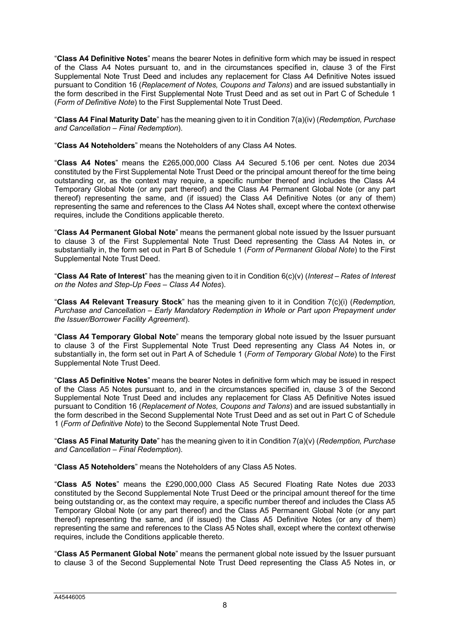"**Class A4 Definitive Notes**" means the bearer Notes in definitive form which may be issued in respect of the Class A4 Notes pursuant to, and in the circumstances specified in, clause 3 of the First Supplemental Note Trust Deed and includes any replacement for Class A4 Definitive Notes issued pursuant to Condition 16 (*Replacement of Notes, Coupons and Talons*) and are issued substantially in the form described in the First Supplemental Note Trust Deed and as set out in Part C of Schedule 1 (*Form of Definitive Note*) to the First Supplemental Note Trust Deed.

"**Class A4 Final Maturity Date**" has the meaning given to it in Condition 7(a)(iv) (*Redemption, Purchase and Cancellation – Final Redemption*).

"**Class A4 Noteholders**" means the Noteholders of any Class A4 Notes.

"**Class A4 Notes**" means the £265,000,000 Class A4 Secured 5.106 per cent. Notes due 2034 constituted by the First Supplemental Note Trust Deed or the principal amount thereof for the time being outstanding or, as the context may require, a specific number thereof and includes the Class A4 Temporary Global Note (or any part thereof) and the Class A4 Permanent Global Note (or any part thereof) representing the same, and (if issued) the Class A4 Definitive Notes (or any of them) representing the same and references to the Class A4 Notes shall, except where the context otherwise requires, include the Conditions applicable thereto.

"**Class A4 Permanent Global Note**" means the permanent global note issued by the Issuer pursuant to clause 3 of the First Supplemental Note Trust Deed representing the Class A4 Notes in, or substantially in, the form set out in Part B of Schedule 1 (*Form of Permanent Global Note*) to the First Supplemental Note Trust Deed.

"**Class A4 Rate of Interest**" has the meaning given to it in Condition 6(c)(v) (*Interest – Rates of Interest on the Notes and Step-Up Fees – Class A4 Notes*).

"**Class A4 Relevant Treasury Stock**" has the meaning given to it in Condition 7(c)(i) (*Redemption, Purchase and Cancellation – Early Mandatory Redemption in Whole or Part upon Prepayment under the Issuer/Borrower Facility Agreement*).

"**Class A4 Temporary Global Note**" means the temporary global note issued by the Issuer pursuant to clause 3 of the First Supplemental Note Trust Deed representing any Class A4 Notes in, or substantially in, the form set out in Part A of Schedule 1 (*Form of Temporary Global Note*) to the First Supplemental Note Trust Deed.

"**Class A5 Definitive Notes**" means the bearer Notes in definitive form which may be issued in respect of the Class A5 Notes pursuant to, and in the circumstances specified in, clause 3 of the Second Supplemental Note Trust Deed and includes any replacement for Class A5 Definitive Notes issued pursuant to Condition 16 (*Replacement of Notes, Coupons and Talons*) and are issued substantially in the form described in the Second Supplemental Note Trust Deed and as set out in Part C of Schedule 1 (*Form of Definitive Note*) to the Second Supplemental Note Trust Deed.

"**Class A5 Final Maturity Date**" has the meaning given to it in Condition 7(a)(v) (*Redemption, Purchase and Cancellation – Final Redemption*).

"**Class A5 Noteholders**" means the Noteholders of any Class A5 Notes.

"**Class A5 Notes**" means the £290,000,000 Class A5 Secured Floating Rate Notes due 2033 constituted by the Second Supplemental Note Trust Deed or the principal amount thereof for the time being outstanding or, as the context may require, a specific number thereof and includes the Class A5 Temporary Global Note (or any part thereof) and the Class A5 Permanent Global Note (or any part thereof) representing the same, and (if issued) the Class A5 Definitive Notes (or any of them) representing the same and references to the Class A5 Notes shall, except where the context otherwise requires, include the Conditions applicable thereto.

"**Class A5 Permanent Global Note**" means the permanent global note issued by the Issuer pursuant to clause 3 of the Second Supplemental Note Trust Deed representing the Class A5 Notes in, or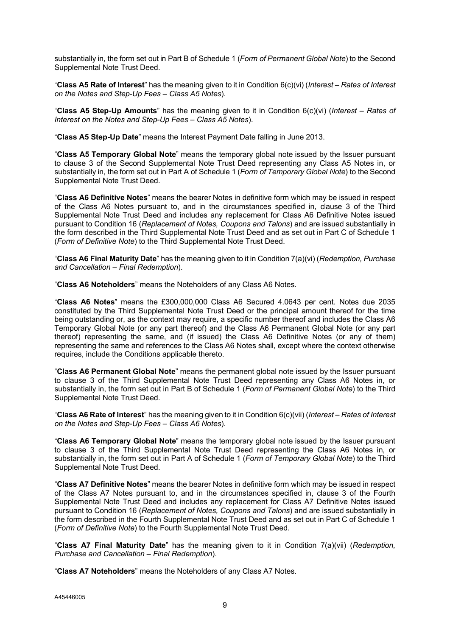substantially in, the form set out in Part B of Schedule 1 (*Form of Permanent Global Note*) to the Second Supplemental Note Trust Deed.

"**Class A5 Rate of Interest**" has the meaning given to it in Condition 6(c)(vi) (*Interest – Rates of Interest on the Notes and Step-Up Fees – Class A5 Notes*).

"**Class A5 Step-Up Amounts**" has the meaning given to it in Condition 6(c)(vi) (*Interest – Rates of Interest on the Notes and Step-Up Fees – Class A5 Notes*).

"**Class A5 Step-Up Date**" means the Interest Payment Date falling in June 2013.

"**Class A5 Temporary Global Note**" means the temporary global note issued by the Issuer pursuant to clause 3 of the Second Supplemental Note Trust Deed representing any Class A5 Notes in, or substantially in, the form set out in Part A of Schedule 1 (*Form of Temporary Global Note*) to the Second Supplemental Note Trust Deed.

"**Class A6 Definitive Notes**" means the bearer Notes in definitive form which may be issued in respect of the Class A6 Notes pursuant to, and in the circumstances specified in, clause 3 of the Third Supplemental Note Trust Deed and includes any replacement for Class A6 Definitive Notes issued pursuant to Condition 16 (*Replacement of Notes, Coupons and Talons*) and are issued substantially in the form described in the Third Supplemental Note Trust Deed and as set out in Part C of Schedule 1 (*Form of Definitive Note*) to the Third Supplemental Note Trust Deed.

"**Class A6 Final Maturity Date**" has the meaning given to it in Condition 7(a)(vi) (*Redemption, Purchase and Cancellation – Final Redemption*).

"**Class A6 Noteholders**" means the Noteholders of any Class A6 Notes.

"**Class A6 Notes**" means the £300,000,000 Class A6 Secured 4.0643 per cent. Notes due 2035 constituted by the Third Supplemental Note Trust Deed or the principal amount thereof for the time being outstanding or, as the context may require, a specific number thereof and includes the Class A6 Temporary Global Note (or any part thereof) and the Class A6 Permanent Global Note (or any part thereof) representing the same, and (if issued) the Class A6 Definitive Notes (or any of them) representing the same and references to the Class A6 Notes shall, except where the context otherwise requires, include the Conditions applicable thereto.

"**Class A6 Permanent Global Note**" means the permanent global note issued by the Issuer pursuant to clause 3 of the Third Supplemental Note Trust Deed representing any Class A6 Notes in, or substantially in, the form set out in Part B of Schedule 1 (*Form of Permanent Global Note*) to the Third Supplemental Note Trust Deed.

"**Class A6 Rate of Interest**" has the meaning given to it in Condition 6(c)(vii) (*Interest – Rates of Interest on the Notes and Step-Up Fees – Class A6 Notes*).

"**Class A6 Temporary Global Note**" means the temporary global note issued by the Issuer pursuant to clause 3 of the Third Supplemental Note Trust Deed representing the Class A6 Notes in, or substantially in, the form set out in Part A of Schedule 1 (*Form of Temporary Global Note*) to the Third Supplemental Note Trust Deed.

"**Class A7 Definitive Notes**" means the bearer Notes in definitive form which may be issued in respect of the Class A7 Notes pursuant to, and in the circumstances specified in, clause 3 of the Fourth Supplemental Note Trust Deed and includes any replacement for Class A7 Definitive Notes issued pursuant to Condition 16 (*Replacement of Notes, Coupons and Talons*) and are issued substantially in the form described in the Fourth Supplemental Note Trust Deed and as set out in Part C of Schedule 1 (*Form of Definitive Note*) to the Fourth Supplemental Note Trust Deed.

"**Class A7 Final Maturity Date**" has the meaning given to it in Condition 7(a)(vii) (*Redemption, Purchase and Cancellation – Final Redemption*).

"**Class A7 Noteholders**" means the Noteholders of any Class A7 Notes.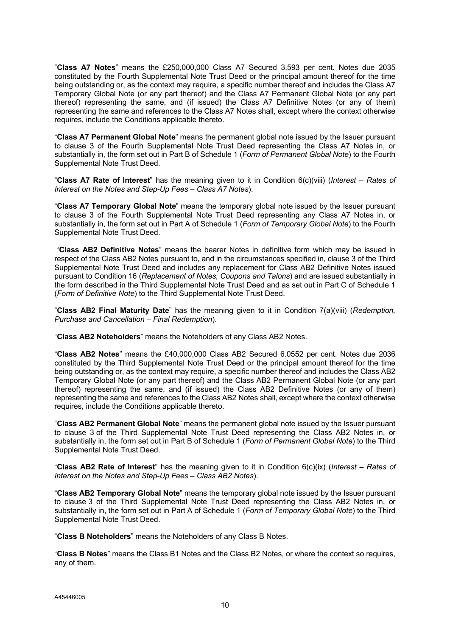"**Class A7 Notes**" means the £250,000,000 Class A7 Secured 3.593 per cent. Notes due 2035 constituted by the Fourth Supplemental Note Trust Deed or the principal amount thereof for the time being outstanding or, as the context may require, a specific number thereof and includes the Class A7 Temporary Global Note (or any part thereof) and the Class A7 Permanent Global Note (or any part thereof) representing the same, and (if issued) the Class A7 Definitive Notes (or any of them) representing the same and references to the Class A7 Notes shall, except where the context otherwise requires, include the Conditions applicable thereto.

"**Class A7 Permanent Global Note**" means the permanent global note issued by the Issuer pursuant to clause 3 of the Fourth Supplemental Note Trust Deed representing the Class A7 Notes in, or substantially in, the form set out in Part B of Schedule 1 (*Form of Permanent Global Note*) to the Fourth Supplemental Note Trust Deed.

"**Class A7 Rate of Interest**" has the meaning given to it in Condition 6(c)(viii) (*Interest – Rates of Interest on the Notes and Step-Up Fees – Class A7 Notes*).

"**Class A7 Temporary Global Note**" means the temporary global note issued by the Issuer pursuant to clause 3 of the Fourth Supplemental Note Trust Deed representing any Class A7 Notes in, or substantially in, the form set out in Part A of Schedule 1 (*Form of Temporary Global Note*) to the Fourth Supplemental Note Trust Deed.

"**Class AB2 Definitive Notes**" means the bearer Notes in definitive form which may be issued in respect of the Class AB2 Notes pursuant to, and in the circumstances specified in, clause 3 of the Third Supplemental Note Trust Deed and includes any replacement for Class AB2 Definitive Notes issued pursuant to Condition 16 (*Replacement of Notes, Coupons and Talons*) and are issued substantially in the form described in the Third Supplemental Note Trust Deed and as set out in Part C of Schedule 1 (*Form of Definitive Note*) to the Third Supplemental Note Trust Deed.

"**Class AB2 Final Maturity Date**" has the meaning given to it in Condition 7(a)(viii) (*Redemption, Purchase and Cancellation – Final Redemption*).

"**Class AB2 Noteholders**" means the Noteholders of any Class AB2 Notes.

"**Class AB2 Notes**" means the £40,000,000 Class AB2 Secured 6.0552 per cent. Notes due 2036 constituted by the Third Supplemental Note Trust Deed or the principal amount thereof for the time being outstanding or, as the context may require, a specific number thereof and includes the Class AB2 Temporary Global Note (or any part thereof) and the Class AB2 Permanent Global Note (or any part thereof) representing the same, and (if issued) the Class AB2 Definitive Notes (or any of them) representing the same and references to the Class AB2 Notes shall, except where the context otherwise requires, include the Conditions applicable thereto.

"**Class AB2 Permanent Global Note**" means the permanent global note issued by the Issuer pursuant to clause 3 of the Third Supplemental Note Trust Deed representing the Class AB2 Notes in, or substantially in, the form set out in Part B of Schedule 1 (*Form of Permanent Global Note*) to the Third Supplemental Note Trust Deed.

"**Class AB2 Rate of Interest**" has the meaning given to it in Condition 6(c)(ix) (*Interest – Rates of Interest on the Notes and Step-Up Fees – Class AB2 Notes*).

"**Class AB2 Temporary Global Note**" means the temporary global note issued by the Issuer pursuant to clause 3 of the Third Supplemental Note Trust Deed representing the Class AB2 Notes in, or substantially in, the form set out in Part A of Schedule 1 (*Form of Temporary Global Note*) to the Third Supplemental Note Trust Deed.

"**Class B Noteholders**" means the Noteholders of any Class B Notes.

"**Class B Notes**" means the Class B1 Notes and the Class B2 Notes, or where the context so requires, any of them.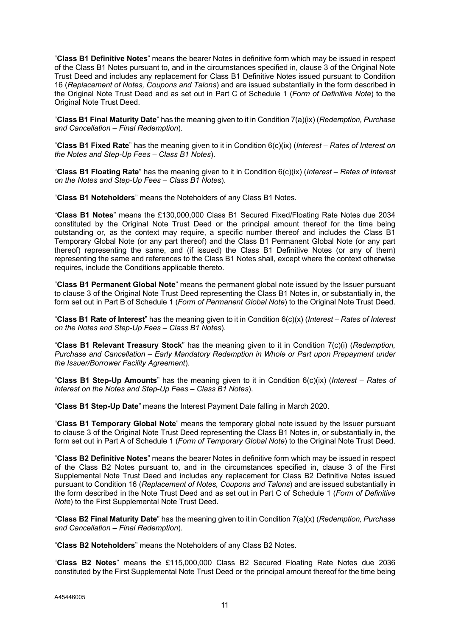"**Class B1 Definitive Notes**" means the bearer Notes in definitive form which may be issued in respect of the Class B1 Notes pursuant to, and in the circumstances specified in, clause 3 of the Original Note Trust Deed and includes any replacement for Class B1 Definitive Notes issued pursuant to Condition 16 (*Replacement of Notes, Coupons and Talons*) and are issued substantially in the form described in the Original Note Trust Deed and as set out in Part C of Schedule 1 (*Form of Definitive Note*) to the Original Note Trust Deed.

"**Class B1 Final Maturity Date**" has the meaning given to it in Condition 7(a)(ix) (*Redemption, Purchase and Cancellation – Final Redemption*).

"**Class B1 Fixed Rate**" has the meaning given to it in Condition 6(c)(ix) (*Interest – Rates of Interest on the Notes and Step-Up Fees – Class B1 Notes*).

"**Class B1 Floating Rate**" has the meaning given to it in Condition 6(c)(ix) (*Interest – Rates of Interest on the Notes and Step-Up Fees – Class B1 Notes*).

"**Class B1 Noteholders**" means the Noteholders of any Class B1 Notes.

"**Class B1 Notes**" means the £130,000,000 Class B1 Secured Fixed/Floating Rate Notes due 2034 constituted by the Original Note Trust Deed or the principal amount thereof for the time being outstanding or, as the context may require, a specific number thereof and includes the Class B1 Temporary Global Note (or any part thereof) and the Class B1 Permanent Global Note (or any part thereof) representing the same, and (if issued) the Class B1 Definitive Notes (or any of them) representing the same and references to the Class B1 Notes shall, except where the context otherwise requires, include the Conditions applicable thereto.

"**Class B1 Permanent Global Note**" means the permanent global note issued by the Issuer pursuant to clause 3 of the Original Note Trust Deed representing the Class B1 Notes in, or substantially in, the form set out in Part B of Schedule 1 (*Form of Permanent Global Note*) to the Original Note Trust Deed.

"**Class B1 Rate of Interest**" has the meaning given to it in Condition 6(c)(x) (*Interest – Rates of Interest on the Notes and Step-Up Fees – Class B1 Notes*).

"**Class B1 Relevant Treasury Stock**" has the meaning given to it in Condition 7(c)(i) (*Redemption, Purchase and Cancellation – Early Mandatory Redemption in Whole or Part upon Prepayment under the Issuer/Borrower Facility Agreement*).

"**Class B1 Step-Up Amounts**" has the meaning given to it in Condition 6(c)(ix) (*Interest – Rates of Interest on the Notes and Step-Up Fees – Class B1 Notes*).

"**Class B1 Step-Up Date**" means the Interest Payment Date falling in March 2020.

"**Class B1 Temporary Global Note**" means the temporary global note issued by the Issuer pursuant to clause 3 of the Original Note Trust Deed representing the Class B1 Notes in, or substantially in, the form set out in Part A of Schedule 1 (*Form of Temporary Global Note*) to the Original Note Trust Deed.

"**Class B2 Definitive Notes**" means the bearer Notes in definitive form which may be issued in respect of the Class B2 Notes pursuant to, and in the circumstances specified in, clause 3 of the First Supplemental Note Trust Deed and includes any replacement for Class B2 Definitive Notes issued pursuant to Condition 16 (*Replacement of Notes, Coupons and Talons*) and are issued substantially in the form described in the Note Trust Deed and as set out in Part C of Schedule 1 (*Form of Definitive Note*) to the First Supplemental Note Trust Deed.

"**Class B2 Final Maturity Date**" has the meaning given to it in Condition 7(a)(x) (*Redemption, Purchase and Cancellation – Final Redemption*).

"**Class B2 Noteholders**" means the Noteholders of any Class B2 Notes.

"**Class B2 Notes**" means the £115,000,000 Class B2 Secured Floating Rate Notes due 2036 constituted by the First Supplemental Note Trust Deed or the principal amount thereof for the time being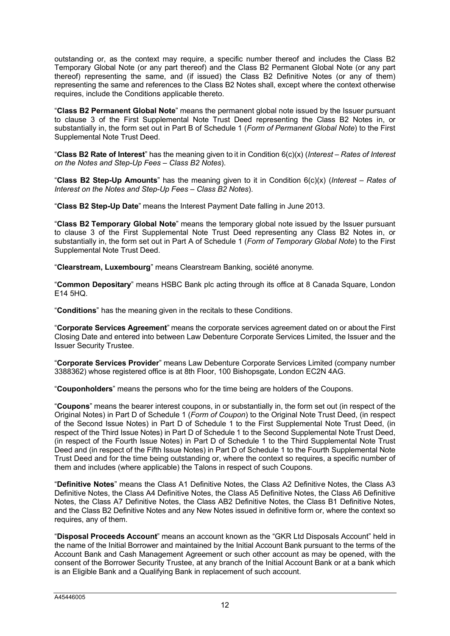outstanding or, as the context may require, a specific number thereof and includes the Class B2 Temporary Global Note (or any part thereof) and the Class B2 Permanent Global Note (or any part thereof) representing the same, and (if issued) the Class B2 Definitive Notes (or any of them) representing the same and references to the Class B2 Notes shall, except where the context otherwise requires, include the Conditions applicable thereto.

"**Class B2 Permanent Global Note**" means the permanent global note issued by the Issuer pursuant to clause 3 of the First Supplemental Note Trust Deed representing the Class B2 Notes in, or substantially in, the form set out in Part B of Schedule 1 (*Form of Permanent Global Note*) to the First Supplemental Note Trust Deed.

"**Class B2 Rate of Interest**" has the meaning given to it in Condition 6(c)(x) (*Interest – Rates of Interest on the Notes and Step-Up Fees – Class B2 Notes*).

"**Class B2 Step-Up Amounts**" has the meaning given to it in Condition 6(c)(x) (*Interest – Rates of Interest on the Notes and Step-Up Fees – Class B2 Notes*).

"**Class B2 Step-Up Date**" means the Interest Payment Date falling in June 2013.

"**Class B2 Temporary Global Note**" means the temporary global note issued by the Issuer pursuant to clause 3 of the First Supplemental Note Trust Deed representing any Class B2 Notes in, or substantially in, the form set out in Part A of Schedule 1 (*Form of Temporary Global Note*) to the First Supplemental Note Trust Deed.

"**Clearstream, Luxembourg**" means Clearstream Banking, société anonyme*.*

"**Common Depositary**" means HSBC Bank plc acting through its office at 8 Canada Square, London E14 5HQ.

"**Conditions**" has the meaning given in the recitals to these Conditions.

"**Corporate Services Agreement**" means the corporate services agreement dated on or about the First Closing Date and entered into between Law Debenture Corporate Services Limited, the Issuer and the Issuer Security Trustee.

"**Corporate Services Provider**" means Law Debenture Corporate Services Limited (company number 3388362) whose registered office is at 8th Floor, 100 Bishopsgate, London EC2N 4AG.

"**Couponholders**" means the persons who for the time being are holders of the Coupons.

"**Coupons**" means the bearer interest coupons, in or substantially in, the form set out (in respect of the Original Notes) in Part D of Schedule 1 (*Form of Coupon*) to the Original Note Trust Deed, (in respect of the Second Issue Notes) in Part D of Schedule 1 to the First Supplemental Note Trust Deed, (in respect of the Third Issue Notes) in Part D of Schedule 1 to the Second Supplemental Note Trust Deed, (in respect of the Fourth Issue Notes) in Part D of Schedule 1 to the Third Supplemental Note Trust Deed and (in respect of the Fifth Issue Notes) in Part D of Schedule 1 to the Fourth Supplemental Note Trust Deed and for the time being outstanding or, where the context so requires, a specific number of them and includes (where applicable) the Talons in respect of such Coupons.

"**Definitive Notes**" means the Class A1 Definitive Notes, the Class A2 Definitive Notes, the Class A3 Definitive Notes, the Class A4 Definitive Notes, the Class A5 Definitive Notes, the Class A6 Definitive Notes, the Class A7 Definitive Notes, the Class AB2 Definitive Notes, the Class B1 Definitive Notes, and the Class B2 Definitive Notes and any New Notes issued in definitive form or, where the context so requires, any of them.

"**Disposal Proceeds Account**" means an account known as the "GKR Ltd Disposals Account" held in the name of the Initial Borrower and maintained by the Initial Account Bank pursuant to the terms of the Account Bank and Cash Management Agreement or such other account as may be opened, with the consent of the Borrower Security Trustee, at any branch of the Initial Account Bank or at a bank which is an Eligible Bank and a Qualifying Bank in replacement of such account.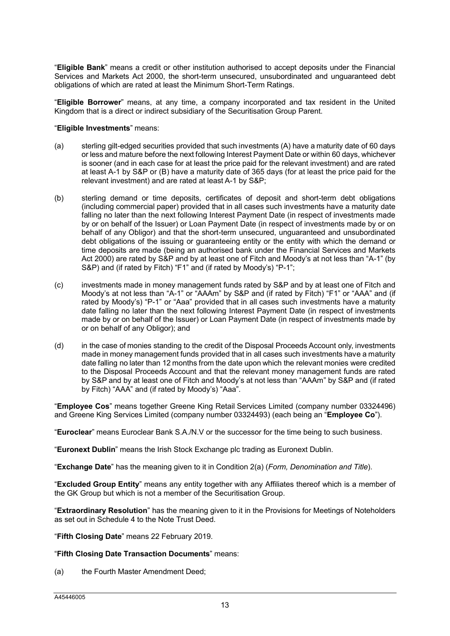"**Eligible Bank**" means a credit or other institution authorised to accept deposits under the Financial Services and Markets Act 2000, the short-term unsecured, unsubordinated and unguaranteed debt obligations of which are rated at least the Minimum Short-Term Ratings.

"**Eligible Borrower**" means, at any time, a company incorporated and tax resident in the United Kingdom that is a direct or indirect subsidiary of the Securitisation Group Parent.

### "**Eligible Investments**" means:

- (a) sterling gilt-edged securities provided that such investments (A) have a maturity date of 60 days or less and mature before the next following Interest Payment Date or within 60 days, whichever is sooner (and in each case for at least the price paid for the relevant investment) and are rated at least A-1 by S&P or (B) have a maturity date of 365 days (for at least the price paid for the relevant investment) and are rated at least A-1 by S&P;
- (b) sterling demand or time deposits, certificates of deposit and short-term debt obligations (including commercial paper) provided that in all cases such investments have a maturity date falling no later than the next following Interest Payment Date (in respect of investments made by or on behalf of the Issuer) or Loan Payment Date (in respect of investments made by or on behalf of any Obligor) and that the short-term unsecured, unguaranteed and unsubordinated debt obligations of the issuing or guaranteeing entity or the entity with which the demand or time deposits are made (being an authorised bank under the Financial Services and Markets Act 2000) are rated by S&P and by at least one of Fitch and Moody's at not less than "A-1" (by S&P) and (if rated by Fitch) "F1" and (if rated by Moody's) "P-1";
- (c) investments made in money management funds rated by S&P and by at least one of Fitch and Moody's at not less than "A-1" or "AAAm" by S&P and (if rated by Fitch) "F1" or "AAA" and (if rated by Moody's) "P-1" or "Aaa" provided that in all cases such investments have a maturity date falling no later than the next following Interest Payment Date (in respect of investments made by or on behalf of the Issuer) or Loan Payment Date (in respect of investments made by or on behalf of any Obligor); and
- (d) in the case of monies standing to the credit of the Disposal Proceeds Account only, investments made in money management funds provided that in all cases such investments have a maturity date falling no later than 12 months from the date upon which the relevant monies were credited to the Disposal Proceeds Account and that the relevant money management funds are rated by S&P and by at least one of Fitch and Moody's at not less than "AAAm" by S&P and (if rated by Fitch) "AAA" and (if rated by Moody's) "Aaa".

"**Employee Cos**" means together Greene King Retail Services Limited (company number 03324496) and Greene King Services Limited (company number 03324493) (each being an "**Employee Co**").

"**Euroclear**" means Euroclear Bank S.A./N.V or the successor for the time being to such business.

"**Euronext Dublin**" means the Irish Stock Exchange plc trading as Euronext Dublin.

"**Exchange Date**" has the meaning given to it in Condition 2(a) (*Form, Denomination and Title*).

"**Excluded Group Entity**" means any entity together with any Affiliates thereof which is a member of the GK Group but which is not a member of the Securitisation Group.

"**Extraordinary Resolution**" has the meaning given to it in the Provisions for Meetings of Noteholders as set out in Schedule 4 to the Note Trust Deed.

"**Fifth Closing Date**" means 22 February 2019.

### "**Fifth Closing Date Transaction Documents**" means:

(a) the Fourth Master Amendment Deed;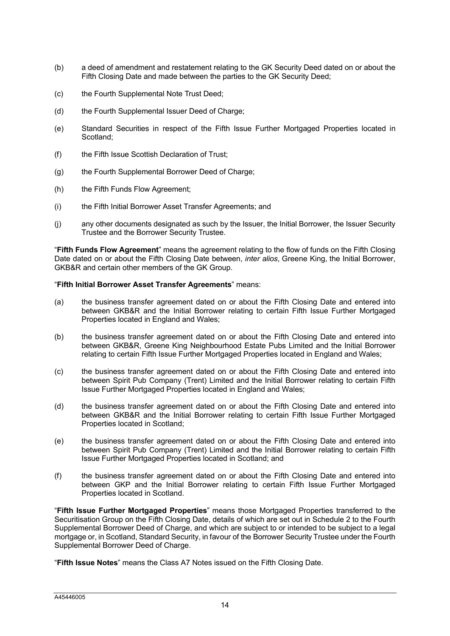- (b) a deed of amendment and restatement relating to the GK Security Deed dated on or about the Fifth Closing Date and made between the parties to the GK Security Deed;
- (c) the Fourth Supplemental Note Trust Deed;
- (d) the Fourth Supplemental Issuer Deed of Charge;
- (e) Standard Securities in respect of the Fifth Issue Further Mortgaged Properties located in Scotland;
- (f) the Fifth Issue Scottish Declaration of Trust;
- (g) the Fourth Supplemental Borrower Deed of Charge;
- (h) the Fifth Funds Flow Agreement;
- (i) the Fifth Initial Borrower Asset Transfer Agreements; and
- (j) any other documents designated as such by the Issuer, the Initial Borrower, the Issuer Security Trustee and the Borrower Security Trustee.

"**Fifth Funds Flow Agreement**" means the agreement relating to the flow of funds on the Fifth Closing Date dated on or about the Fifth Closing Date between, *inter alios*, Greene King, the Initial Borrower, GKB&R and certain other members of the GK Group.

### "**Fifth Initial Borrower Asset Transfer Agreements**" means:

- (a) the business transfer agreement dated on or about the Fifth Closing Date and entered into between GKB&R and the Initial Borrower relating to certain Fifth Issue Further Mortgaged Properties located in England and Wales;
- (b) the business transfer agreement dated on or about the Fifth Closing Date and entered into between GKB&R, Greene King Neighbourhood Estate Pubs Limited and the Initial Borrower relating to certain Fifth Issue Further Mortgaged Properties located in England and Wales;
- (c) the business transfer agreement dated on or about the Fifth Closing Date and entered into between Spirit Pub Company (Trent) Limited and the Initial Borrower relating to certain Fifth Issue Further Mortgaged Properties located in England and Wales;
- (d) the business transfer agreement dated on or about the Fifth Closing Date and entered into between GKB&R and the Initial Borrower relating to certain Fifth Issue Further Mortgaged Properties located in Scotland;
- (e) the business transfer agreement dated on or about the Fifth Closing Date and entered into between Spirit Pub Company (Trent) Limited and the Initial Borrower relating to certain Fifth Issue Further Mortgaged Properties located in Scotland; and
- (f) the business transfer agreement dated on or about the Fifth Closing Date and entered into between GKP and the Initial Borrower relating to certain Fifth Issue Further Mortgaged Properties located in Scotland.

"**Fifth Issue Further Mortgaged Properties**" means those Mortgaged Properties transferred to the Securitisation Group on the Fifth Closing Date, details of which are set out in Schedule 2 to the Fourth Supplemental Borrower Deed of Charge, and which are subject to or intended to be subject to a legal mortgage or, in Scotland, Standard Security, in favour of the Borrower Security Trustee under the Fourth Supplemental Borrower Deed of Charge.

"**Fifth Issue Notes**" means the Class A7 Notes issued on the Fifth Closing Date.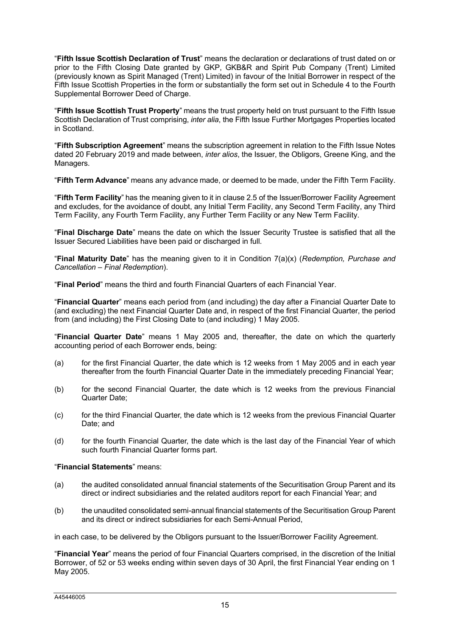"**Fifth Issue Scottish Declaration of Trust**" means the declaration or declarations of trust dated on or prior to the Fifth Closing Date granted by GKP, GKB&R and Spirit Pub Company (Trent) Limited (previously known as Spirit Managed (Trent) Limited) in favour of the Initial Borrower in respect of the Fifth Issue Scottish Properties in the form or substantially the form set out in Schedule 4 to the Fourth Supplemental Borrower Deed of Charge.

"**Fifth Issue Scottish Trust Property**" means the trust property held on trust pursuant to the Fifth Issue Scottish Declaration of Trust comprising, *inter alia*, the Fifth Issue Further Mortgages Properties located in Scotland.

"**Fifth Subscription Agreement**" means the subscription agreement in relation to the Fifth Issue Notes dated 20 February 2019 and made between, *inter alios*, the Issuer, the Obligors, Greene King, and the Managers.

"**Fifth Term Advance**" means any advance made, or deemed to be made, under the Fifth Term Facility.

"**Fifth Term Facility**" has the meaning given to it in clause 2.5 of the Issuer/Borrower Facility Agreement and excludes, for the avoidance of doubt, any Initial Term Facility, any Second Term Facility, any Third Term Facility, any Fourth Term Facility, any Further Term Facility or any New Term Facility.

"**Final Discharge Date**" means the date on which the Issuer Security Trustee is satisfied that all the Issuer Secured Liabilities have been paid or discharged in full.

"**Final Maturity Date**" has the meaning given to it in Condition 7(a)(x) (*Redemption, Purchase and Cancellation – Final Redemption*).

"**Final Period**" means the third and fourth Financial Quarters of each Financial Year.

"**Financial Quarter**" means each period from (and including) the day after a Financial Quarter Date to (and excluding) the next Financial Quarter Date and, in respect of the first Financial Quarter, the period from (and including) the First Closing Date to (and including) 1 May 2005.

"**Financial Quarter Date**" means 1 May 2005 and, thereafter, the date on which the quarterly accounting period of each Borrower ends, being:

- (a) for the first Financial Quarter, the date which is 12 weeks from 1 May 2005 and in each year thereafter from the fourth Financial Quarter Date in the immediately preceding Financial Year;
- (b) for the second Financial Quarter, the date which is 12 weeks from the previous Financial Quarter Date;
- (c) for the third Financial Quarter, the date which is 12 weeks from the previous Financial Quarter Date; and
- (d) for the fourth Financial Quarter, the date which is the last day of the Financial Year of which such fourth Financial Quarter forms part.

### "**Financial Statements**" means:

- (a) the audited consolidated annual financial statements of the Securitisation Group Parent and its direct or indirect subsidiaries and the related auditors report for each Financial Year; and
- (b) the unaudited consolidated semi-annual financial statements of the Securitisation Group Parent and its direct or indirect subsidiaries for each Semi-Annual Period,

in each case, to be delivered by the Obligors pursuant to the Issuer/Borrower Facility Agreement.

"**Financial Year**" means the period of four Financial Quarters comprised, in the discretion of the Initial Borrower, of 52 or 53 weeks ending within seven days of 30 April, the first Financial Year ending on 1 May 2005.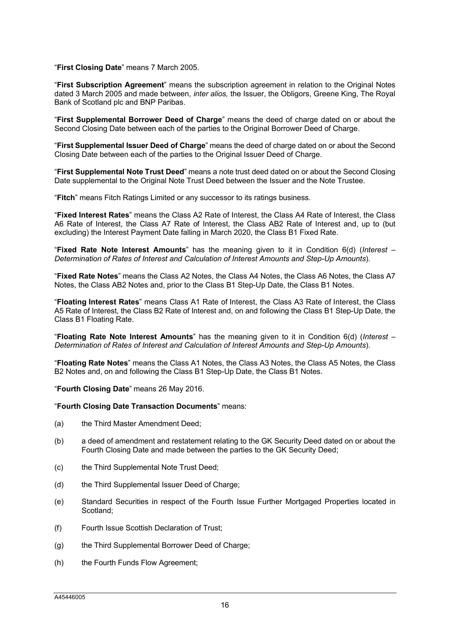#### "**First Closing Date**" means 7 March 2005.

"**First Subscription Agreement**" means the subscription agreement in relation to the Original Notes dated 3 March 2005 and made between, *inter alios,* the Issuer, the Obligors, Greene King, The Royal Bank of Scotland plc and BNP Paribas.

"**First Supplemental Borrower Deed of Charge**" means the deed of charge dated on or about the Second Closing Date between each of the parties to the Original Borrower Deed of Charge.

"**First Supplemental Issuer Deed of Charge**" means the deed of charge dated on or about the Second Closing Date between each of the parties to the Original Issuer Deed of Charge.

"**First Supplemental Note Trust Deed**" means a note trust deed dated on or about the Second Closing Date supplemental to the Original Note Trust Deed between the Issuer and the Note Trustee.

"**Fitch**" means Fitch Ratings Limited or any successor to its ratings business.

"**Fixed Interest Rates**" means the Class A2 Rate of Interest, the Class A4 Rate of Interest, the Class A6 Rate of Interest, the Class A7 Rate of Interest, the Class AB2 Rate of Interest and, up to (but excluding) the Interest Payment Date falling in March 2020, the Class B1 Fixed Rate.

"**Fixed Rate Note Interest Amounts**" has the meaning given to it in Condition 6(d) (*Interest – Determination of Rates of Interest and Calculation of Interest Amounts and Step-Up Amounts*).

"**Fixed Rate Notes**" means the Class A2 Notes, the Class A4 Notes, the Class A6 Notes, the Class A7 Notes, the Class AB2 Notes and, prior to the Class B1 Step-Up Date, the Class B1 Notes.

"**Floating Interest Rates**" means Class A1 Rate of Interest, the Class A3 Rate of Interest, the Class A5 Rate of Interest, the Class B2 Rate of Interest and, on and following the Class B1 Step-Up Date, the Class B1 Floating Rate.

"**Floating Rate Note Interest Amounts**" has the meaning given to it in Condition 6(d) (*Interest – Determination of Rates of Interest and Calculation of Interest Amounts and Step-Up Amounts*).

"**Floating Rate Notes**" means the Class A1 Notes, the Class A3 Notes, the Class A5 Notes, the Class B2 Notes and, on and following the Class B1 Step-Up Date, the Class B1 Notes.

"**Fourth Closing Date**" means 26 May 2016.

"**Fourth Closing Date Transaction Documents**" means:

- (a) the Third Master Amendment Deed;
- (b) a deed of amendment and restatement relating to the GK Security Deed dated on or about the Fourth Closing Date and made between the parties to the GK Security Deed;
- (c) the Third Supplemental Note Trust Deed;
- (d) the Third Supplemental Issuer Deed of Charge:
- (e) Standard Securities in respect of the Fourth Issue Further Mortgaged Properties located in Scotland;
- (f) Fourth Issue Scottish Declaration of Trust;
- (g) the Third Supplemental Borrower Deed of Charge;
- (h) the Fourth Funds Flow Agreement;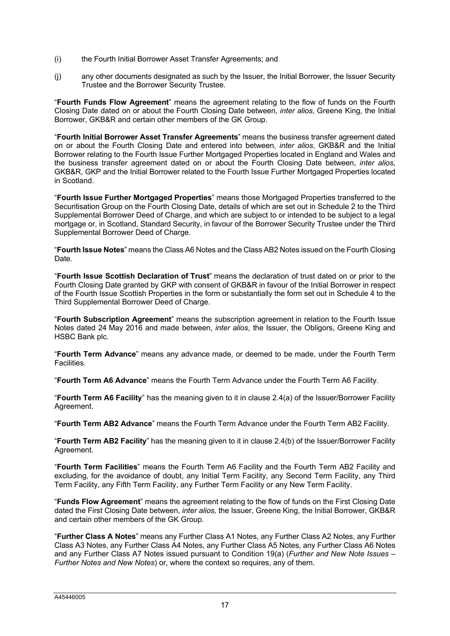- (i) the Fourth Initial Borrower Asset Transfer Agreements; and
- (j) any other documents designated as such by the Issuer, the Initial Borrower, the Issuer Security Trustee and the Borrower Security Trustee.

"**Fourth Funds Flow Agreement**" means the agreement relating to the flow of funds on the Fourth Closing Date dated on or about the Fourth Closing Date between, *inter alios*, Greene King, the Initial Borrower, GKB&R and certain other members of the GK Group.

"**Fourth Initial Borrower Asset Transfer Agreements**" means the business transfer agreement dated on or about the Fourth Closing Date and entered into between, *inter alios*, GKB&R and the Initial Borrower relating to the Fourth Issue Further Mortgaged Properties located in England and Wales and the business transfer agreement dated on or about the Fourth Closing Date between, *inter alios*, GKB&R, GKP and the Initial Borrower related to the Fourth Issue Further Mortgaged Properties located in Scotland.

"**Fourth Issue Further Mortgaged Properties**" means those Mortgaged Properties transferred to the Securitisation Group on the Fourth Closing Date, details of which are set out in Schedule 2 to the Third Supplemental Borrower Deed of Charge, and which are subject to or intended to be subject to a legal mortgage or, in Scotland, Standard Security, in favour of the Borrower Security Trustee under the Third Supplemental Borrower Deed of Charge.

"**Fourth Issue Notes**" means the Class A6 Notes and the Class AB2 Notes issued on the Fourth Closing Date.

"**Fourth Issue Scottish Declaration of Trust**" means the declaration of trust dated on or prior to the Fourth Closing Date granted by GKP with consent of GKB&R in favour of the Initial Borrower in respect of the Fourth Issue Scottish Properties in the form or substantially the form set out in Schedule 4 to the Third Supplemental Borrower Deed of Charge.

"**Fourth Subscription Agreement**" means the subscription agreement in relation to the Fourth Issue Notes dated 24 May 2016 and made between, *inter alios*, the Issuer, the Obligors, Greene King and HSBC Bank plc.

"**Fourth Term Advance**" means any advance made, or deemed to be made, under the Fourth Term Facilities.

"**Fourth Term A6 Advance**" means the Fourth Term Advance under the Fourth Term A6 Facility.

"**Fourth Term A6 Facility**" has the meaning given to it in clause 2.4(a) of the Issuer/Borrower Facility Agreement.

"**Fourth Term AB2 Advance**" means the Fourth Term Advance under the Fourth Term AB2 Facility.

"**Fourth Term AB2 Facility**" has the meaning given to it in clause 2.4(b) of the Issuer/Borrower Facility Agreement.

"**Fourth Term Facilities**" means the Fourth Term A6 Facility and the Fourth Term AB2 Facility and excluding, for the avoidance of doubt, any Initial Term Facility, any Second Term Facility, any Third Term Facility, any Fifth Term Facility, any Further Term Facility or any New Term Facility.

"**Funds Flow Agreement**" means the agreement relating to the flow of funds on the First Closing Date dated the First Closing Date between, *inter alios,* the Issuer, Greene King, the Initial Borrower, GKB&R and certain other members of the GK Group.

"**Further Class A Notes**" means any Further Class A1 Notes, any Further Class A2 Notes, any Further Class A3 Notes, any Further Class A4 Notes, any Further Class A5 Notes, any Further Class A6 Notes and any Further Class A7 Notes issued pursuant to Condition 19(a) (*Further and New Note Issues – Further Notes and New Notes*) or, where the context so requires, any of them.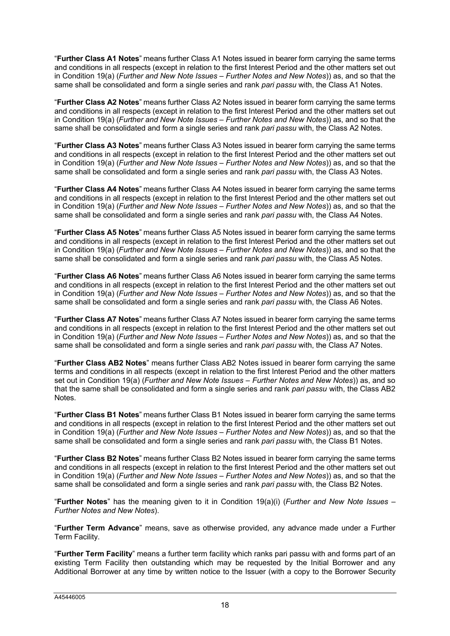"**Further Class A1 Notes**" means further Class A1 Notes issued in bearer form carrying the same terms and conditions in all respects (except in relation to the first Interest Period and the other matters set out in Condition 19(a) (*Further and New Note Issues – Further Notes and New Notes*)) as, and so that the same shall be consolidated and form a single series and rank *pari passu* with, the Class A1 Notes.

"**Further Class A2 Notes**" means further Class A2 Notes issued in bearer form carrying the same terms and conditions in all respects (except in relation to the first Interest Period and the other matters set out in Condition 19(a) (*Further and New Note Issues – Further Notes and New Notes*)) as, and so that the same shall be consolidated and form a single series and rank *pari passu* with, the Class A2 Notes.

"**Further Class A3 Notes**" means further Class A3 Notes issued in bearer form carrying the same terms and conditions in all respects (except in relation to the first Interest Period and the other matters set out in Condition 19(a) (*Further and New Note Issues – Further Notes and New Notes*)) as, and so that the same shall be consolidated and form a single series and rank *pari passu* with, the Class A3 Notes.

"**Further Class A4 Notes**" means further Class A4 Notes issued in bearer form carrying the same terms and conditions in all respects (except in relation to the first Interest Period and the other matters set out in Condition 19(a) (*Further and New Note Issues – Further Notes and New Notes*)) as, and so that the same shall be consolidated and form a single series and rank *pari passu* with, the Class A4 Notes.

"**Further Class A5 Notes**" means further Class A5 Notes issued in bearer form carrying the same terms and conditions in all respects (except in relation to the first Interest Period and the other matters set out in Condition 19(a) (*Further and New Note Issues – Further Notes and New Notes*)) as, and so that the same shall be consolidated and form a single series and rank *pari passu* with, the Class A5 Notes.

"**Further Class A6 Notes**" means further Class A6 Notes issued in bearer form carrying the same terms and conditions in all respects (except in relation to the first Interest Period and the other matters set out in Condition 19(a) (*Further and New Note Issues – Further Notes and New Notes*)) as, and so that the same shall be consolidated and form a single series and rank *pari passu* with, the Class A6 Notes.

"**Further Class A7 Notes**" means further Class A7 Notes issued in bearer form carrying the same terms and conditions in all respects (except in relation to the first Interest Period and the other matters set out in Condition 19(a) (*Further and New Note Issues – Further Notes and New Notes*)) as, and so that the same shall be consolidated and form a single series and rank *pari passu* with, the Class A7 Notes.

"**Further Class AB2 Notes**" means further Class AB2 Notes issued in bearer form carrying the same terms and conditions in all respects (except in relation to the first Interest Period and the other matters set out in Condition 19(a) (*Further and New Note Issues – Further Notes and New Notes*)) as, and so that the same shall be consolidated and form a single series and rank *pari passu* with, the Class AB2 Notes.

"**Further Class B1 Notes**" means further Class B1 Notes issued in bearer form carrying the same terms and conditions in all respects (except in relation to the first Interest Period and the other matters set out in Condition 19(a) (*Further and New Note Issues – Further Notes and New Notes*)) as, and so that the same shall be consolidated and form a single series and rank *pari passu* with, the Class B1 Notes.

"**Further Class B2 Notes**" means further Class B2 Notes issued in bearer form carrying the same terms and conditions in all respects (except in relation to the first Interest Period and the other matters set out in Condition 19(a) (*Further and New Note Issues – Further Notes and New Notes*)) as, and so that the same shall be consolidated and form a single series and rank *pari passu* with, the Class B2 Notes.

"**Further Notes**" has the meaning given to it in Condition 19(a)(i) (*Further and New Note Issues – Further Notes and New Notes*).

"**Further Term Advance**" means, save as otherwise provided, any advance made under a Further Term Facility.

"**Further Term Facility**" means a further term facility which ranks pari passu with and forms part of an existing Term Facility then outstanding which may be requested by the Initial Borrower and any Additional Borrower at any time by written notice to the Issuer (with a copy to the Borrower Security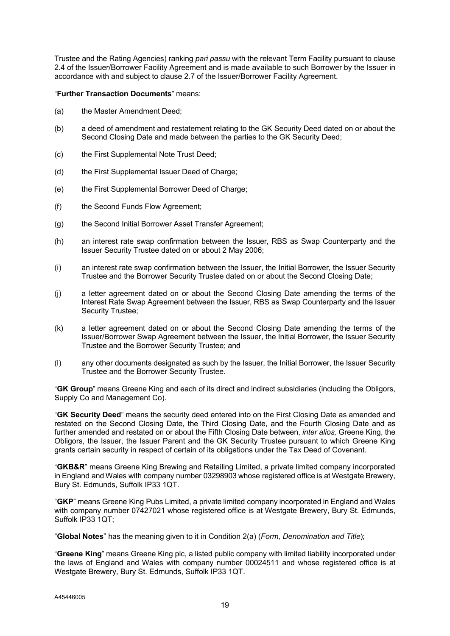Trustee and the Rating Agencies) ranking *pari passu* with the relevant Term Facility pursuant to clause 2.4 of the Issuer/Borrower Facility Agreement and is made available to such Borrower by the Issuer in accordance with and subject to clause 2.7 of the Issuer/Borrower Facility Agreement.

"**Further Transaction Documents**" means:

- (a) the Master Amendment Deed;
- (b) a deed of amendment and restatement relating to the GK Security Deed dated on or about the Second Closing Date and made between the parties to the GK Security Deed;
- (c) the First Supplemental Note Trust Deed;
- (d) the First Supplemental Issuer Deed of Charge;
- (e) the First Supplemental Borrower Deed of Charge;
- (f) the Second Funds Flow Agreement;
- (g) the Second Initial Borrower Asset Transfer Agreement;
- (h) an interest rate swap confirmation between the Issuer, RBS as Swap Counterparty and the Issuer Security Trustee dated on or about 2 May 2006;
- (i) an interest rate swap confirmation between the Issuer, the Initial Borrower, the Issuer Security Trustee and the Borrower Security Trustee dated on or about the Second Closing Date;
- (j) a letter agreement dated on or about the Second Closing Date amending the terms of the Interest Rate Swap Agreement between the Issuer, RBS as Swap Counterparty and the Issuer Security Trustee;
- (k) a letter agreement dated on or about the Second Closing Date amending the terms of the Issuer/Borrower Swap Agreement between the Issuer, the Initial Borrower, the Issuer Security Trustee and the Borrower Security Trustee; and
- (l) any other documents designated as such by the Issuer, the Initial Borrower, the Issuer Security Trustee and the Borrower Security Trustee.

"**GK Group**" means Greene King and each of its direct and indirect subsidiaries (including the Obligors, Supply Co and Management Co).

"**GK Security Deed**" means the security deed entered into on the First Closing Date as amended and restated on the Second Closing Date, the Third Closing Date, and the Fourth Closing Date and as further amended and restated on or about the Fifth Closing Date between, *inter alios,* Greene King, the Obligors, the Issuer, the Issuer Parent and the GK Security Trustee pursuant to which Greene King grants certain security in respect of certain of its obligations under the Tax Deed of Covenant.

"**GKB&R**" means Greene King Brewing and Retailing Limited, a private limited company incorporated in England and Wales with company number 03298903 whose registered office is at Westgate Brewery, Bury St. Edmunds, Suffolk IP33 1QT.

"**GKP**" means Greene King Pubs Limited, a private limited company incorporated in England and Wales with company number 07427021 whose registered office is at Westgate Brewery, Bury St. Edmunds, Suffolk IP33 1QT;

"**Global Notes**" has the meaning given to it in Condition 2(a) (*Form, Denomination and Title*);

"**Greene King**" means Greene King plc, a listed public company with limited liability incorporated under the laws of England and Wales with company number 00024511 and whose registered office is at Westgate Brewery, Bury St. Edmunds, Suffolk IP33 1QT.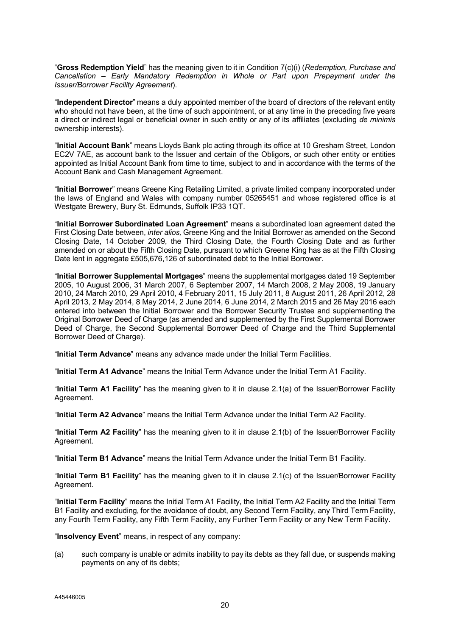"**Gross Redemption Yield**" has the meaning given to it in Condition 7(c)(i) (*Redemption, Purchase and Cancellation – Early Mandatory Redemption in Whole or Part upon Prepayment under the Issuer/Borrower Facility Agreement*).

"**Independent Director**" means a duly appointed member of the board of directors of the relevant entity who should not have been, at the time of such appointment, or at any time in the preceding five years a direct or indirect legal or beneficial owner in such entity or any of its affiliates (excluding *de minimis*  ownership interests).

"**Initial Account Bank**" means Lloyds Bank plc acting through its office at 10 Gresham Street, London EC2V 7AE, as account bank to the Issuer and certain of the Obligors, or such other entity or entities appointed as Initial Account Bank from time to time, subject to and in accordance with the terms of the Account Bank and Cash Management Agreement.

"**Initial Borrower**" means Greene King Retailing Limited, a private limited company incorporated under the laws of England and Wales with company number 05265451 and whose registered office is at Westgate Brewery, Bury St. Edmunds, Suffolk IP33 1QT.

"**Initial Borrower Subordinated Loan Agreement**" means a subordinated loan agreement dated the First Closing Date between, *inter alios,* Greene King and the Initial Borrower as amended on the Second Closing Date, 14 October 2009, the Third Closing Date, the Fourth Closing Date and as further amended on or about the Fifth Closing Date, pursuant to which Greene King has as at the Fifth Closing Date lent in aggregate £505,676,126 of subordinated debt to the Initial Borrower.

"**Initial Borrower Supplemental Mortgages**" means the supplemental mortgages dated 19 September 2005, 10 August 2006, 31 March 2007, 6 September 2007, 14 March 2008, 2 May 2008, 19 January 2010, 24 March 2010, 29 April 2010, 4 February 2011, 15 July 2011, 8 August 2011, 26 April 2012, 28 April 2013, 2 May 2014, 8 May 2014, 2 June 2014, 6 June 2014, 2 March 2015 and 26 May 2016 each entered into between the Initial Borrower and the Borrower Security Trustee and supplementing the Original Borrower Deed of Charge (as amended and supplemented by the First Supplemental Borrower Deed of Charge, the Second Supplemental Borrower Deed of Charge and the Third Supplemental Borrower Deed of Charge).

"**Initial Term Advance**" means any advance made under the Initial Term Facilities.

"**Initial Term A1 Advance**" means the Initial Term Advance under the Initial Term A1 Facility.

"**Initial Term A1 Facility**" has the meaning given to it in clause 2.1(a) of the Issuer/Borrower Facility Agreement.

"**Initial Term A2 Advance**" means the Initial Term Advance under the Initial Term A2 Facility.

"**Initial Term A2 Facility**" has the meaning given to it in clause 2.1(b) of the Issuer/Borrower Facility Agreement.

"**Initial Term B1 Advance**" means the Initial Term Advance under the Initial Term B1 Facility.

"**Initial Term B1 Facility**" has the meaning given to it in clause 2.1(c) of the Issuer/Borrower Facility Agreement.

"**Initial Term Facility**" means the Initial Term A1 Facility, the Initial Term A2 Facility and the Initial Term B1 Facility and excluding, for the avoidance of doubt, any Second Term Facility, any Third Term Facility, any Fourth Term Facility, any Fifth Term Facility, any Further Term Facility or any New Term Facility.

"**Insolvency Event**" means, in respect of any company:

(a) such company is unable or admits inability to pay its debts as they fall due, or suspends making payments on any of its debts;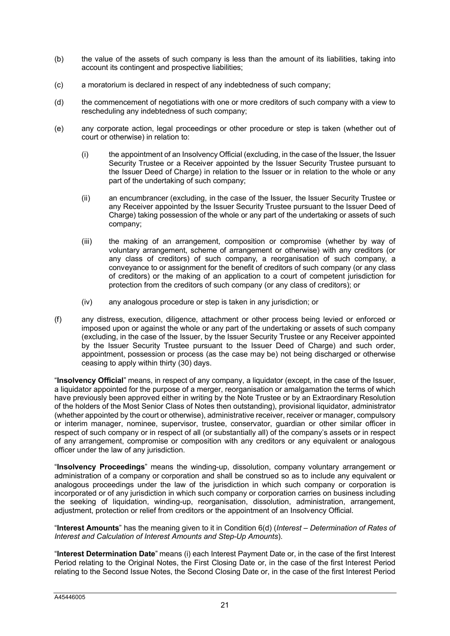- (b) the value of the assets of such company is less than the amount of its liabilities, taking into account its contingent and prospective liabilities;
- (c) a moratorium is declared in respect of any indebtedness of such company;
- (d) the commencement of negotiations with one or more creditors of such company with a view to rescheduling any indebtedness of such company;
- (e) any corporate action, legal proceedings or other procedure or step is taken (whether out of court or otherwise) in relation to:
	- (i) the appointment of an Insolvency Official (excluding, in the case of the Issuer, the Issuer Security Trustee or a Receiver appointed by the Issuer Security Trustee pursuant to the Issuer Deed of Charge) in relation to the Issuer or in relation to the whole or any part of the undertaking of such company;
	- (ii) an encumbrancer (excluding, in the case of the Issuer, the Issuer Security Trustee or any Receiver appointed by the Issuer Security Trustee pursuant to the Issuer Deed of Charge) taking possession of the whole or any part of the undertaking or assets of such company;
	- (iii) the making of an arrangement, composition or compromise (whether by way of voluntary arrangement, scheme of arrangement or otherwise) with any creditors (or any class of creditors) of such company, a reorganisation of such company, a conveyance to or assignment for the benefit of creditors of such company (or any class of creditors) or the making of an application to a court of competent jurisdiction for protection from the creditors of such company (or any class of creditors); or
	- (iv) any analogous procedure or step is taken in any jurisdiction; or
- (f) any distress, execution, diligence, attachment or other process being levied or enforced or imposed upon or against the whole or any part of the undertaking or assets of such company (excluding, in the case of the Issuer, by the Issuer Security Trustee or any Receiver appointed by the Issuer Security Trustee pursuant to the Issuer Deed of Charge) and such order, appointment, possession or process (as the case may be) not being discharged or otherwise ceasing to apply within thirty (30) days.

"**Insolvency Official**" means, in respect of any company, a liquidator (except, in the case of the Issuer, a liquidator appointed for the purpose of a merger, reorganisation or amalgamation the terms of which have previously been approved either in writing by the Note Trustee or by an Extraordinary Resolution of the holders of the Most Senior Class of Notes then outstanding), provisional liquidator, administrator (whether appointed by the court or otherwise), administrative receiver, receiver or manager, compulsory or interim manager, nominee, supervisor, trustee, conservator, guardian or other similar officer in respect of such company or in respect of all (or substantially all) of the company's assets or in respect of any arrangement, compromise or composition with any creditors or any equivalent or analogous officer under the law of any jurisdiction.

"**Insolvency Proceedings**" means the winding-up, dissolution, company voluntary arrangement or administration of a company or corporation and shall be construed so as to include any equivalent or analogous proceedings under the law of the jurisdiction in which such company or corporation is incorporated or of any jurisdiction in which such company or corporation carries on business including the seeking of liquidation, winding-up, reorganisation, dissolution, administration, arrangement, adjustment, protection or relief from creditors or the appointment of an Insolvency Official.

"**Interest Amounts**" has the meaning given to it in Condition 6(d) (*Interest – Determination of Rates of Interest and Calculation of Interest Amounts and Step-Up Amounts*).

"**Interest Determination Date**" means (i) each Interest Payment Date or, in the case of the first Interest Period relating to the Original Notes, the First Closing Date or, in the case of the first Interest Period relating to the Second Issue Notes, the Second Closing Date or, in the case of the first Interest Period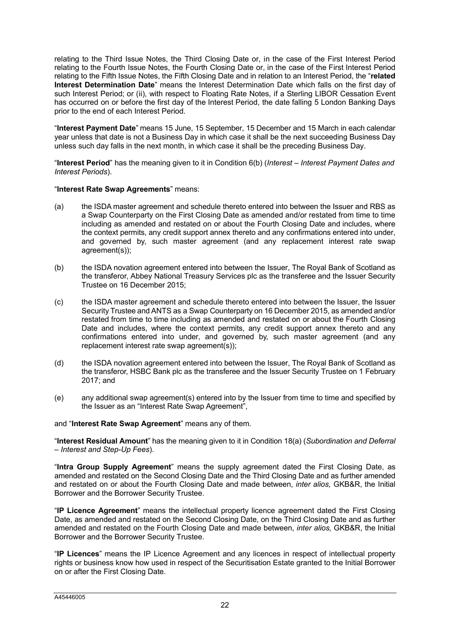relating to the Third Issue Notes, the Third Closing Date or, in the case of the First Interest Period relating to the Fourth Issue Notes, the Fourth Closing Date or, in the case of the First Interest Period relating to the Fifth Issue Notes, the Fifth Closing Date and in relation to an Interest Period, the "**related Interest Determination Date**" means the Interest Determination Date which falls on the first day of such Interest Period; or (ii), with respect to Floating Rate Notes, if a Sterling LIBOR Cessation Event has occurred on or before the first day of the Interest Period, the date falling 5 London Banking Days prior to the end of each Interest Period.

"**Interest Payment Date**" means 15 June, 15 September, 15 December and 15 March in each calendar year unless that date is not a Business Day in which case it shall be the next succeeding Business Day unless such day falls in the next month, in which case it shall be the preceding Business Day.

"**Interest Period**" has the meaning given to it in Condition 6(b) (*Interest – Interest Payment Dates and Interest Periods*).

### "**Interest Rate Swap Agreements**" means:

- (a) the ISDA master agreement and schedule thereto entered into between the Issuer and RBS as a Swap Counterparty on the First Closing Date as amended and/or restated from time to time including as amended and restated on or about the Fourth Closing Date and includes, where the context permits, any credit support annex thereto and any confirmations entered into under, and governed by, such master agreement (and any replacement interest rate swap agreement(s));
- (b) the ISDA novation agreement entered into between the Issuer, The Royal Bank of Scotland as the transferor, Abbey National Treasury Services plc as the transferee and the Issuer Security Trustee on 16 December 2015;
- (c) the ISDA master agreement and schedule thereto entered into between the Issuer, the Issuer Security Trustee and ANTS as a Swap Counterparty on 16 December 2015, as amended and/or restated from time to time including as amended and restated on or about the Fourth Closing Date and includes, where the context permits, any credit support annex thereto and any confirmations entered into under, and governed by, such master agreement (and any replacement interest rate swap agreement(s));
- (d) the ISDA novation agreement entered into between the Issuer, The Royal Bank of Scotland as the transferor, HSBC Bank plc as the transferee and the Issuer Security Trustee on 1 February 2017; and
- (e) any additional swap agreement(s) entered into by the Issuer from time to time and specified by the Issuer as an "Interest Rate Swap Agreement",

### and "**Interest Rate Swap Agreement**" means any of them.

"**Interest Residual Amount**" has the meaning given to it in Condition 18(a) (*Subordination and Deferral – Interest and Step-Up Fees*).

"**Intra Group Supply Agreement**" means the supply agreement dated the First Closing Date, as amended and restated on the Second Closing Date and the Third Closing Date and as further amended and restated on or about the Fourth Closing Date and made between, *inter alios,* GKB&R, the Initial Borrower and the Borrower Security Trustee.

"**IP Licence Agreement**" means the intellectual property licence agreement dated the First Closing Date, as amended and restated on the Second Closing Date, on the Third Closing Date and as further amended and restated on the Fourth Closing Date and made between, *inter alios,* GKB&R, the Initial Borrower and the Borrower Security Trustee.

"**IP Licences**" means the IP Licence Agreement and any licences in respect of intellectual property rights or business know how used in respect of the Securitisation Estate granted to the Initial Borrower on or after the First Closing Date.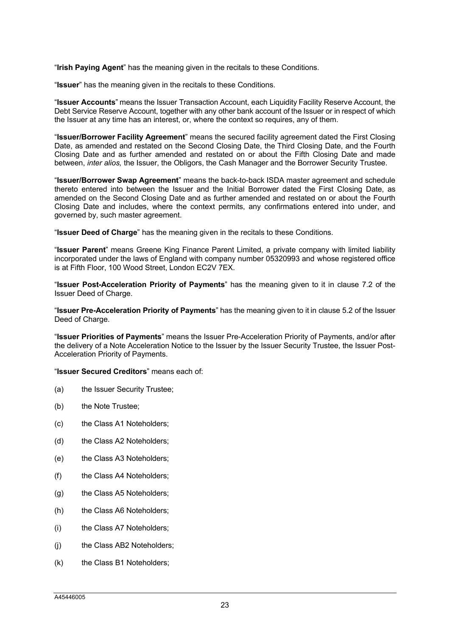"**Irish Paying Agent**" has the meaning given in the recitals to these Conditions.

"**Issuer**" has the meaning given in the recitals to these Conditions.

"**Issuer Accounts**" means the Issuer Transaction Account, each Liquidity Facility Reserve Account, the Debt Service Reserve Account, together with any other bank account of the Issuer or in respect of which the Issuer at any time has an interest, or, where the context so requires, any of them.

"**Issuer/Borrower Facility Agreement**" means the secured facility agreement dated the First Closing Date, as amended and restated on the Second Closing Date, the Third Closing Date, and the Fourth Closing Date and as further amended and restated on or about the Fifth Closing Date and made between, *inter alios,* the Issuer, the Obligors, the Cash Manager and the Borrower Security Trustee.

"**Issuer/Borrower Swap Agreement**" means the back-to-back ISDA master agreement and schedule thereto entered into between the Issuer and the Initial Borrower dated the First Closing Date, as amended on the Second Closing Date and as further amended and restated on or about the Fourth Closing Date and includes, where the context permits, any confirmations entered into under, and governed by, such master agreement.

"**Issuer Deed of Charge**" has the meaning given in the recitals to these Conditions.

"**Issuer Parent**" means Greene King Finance Parent Limited, a private company with limited liability incorporated under the laws of England with company number 05320993 and whose registered office is at Fifth Floor, 100 Wood Street, London EC2V 7EX.

"**Issuer Post-Acceleration Priority of Payments**" has the meaning given to it in clause 7.2 of the Issuer Deed of Charge.

"**Issuer Pre-Acceleration Priority of Payments**" has the meaning given to it in clause 5.2 of the Issuer Deed of Charge.

"**Issuer Priorities of Payments**" means the Issuer Pre-Acceleration Priority of Payments, and/or after the delivery of a Note Acceleration Notice to the Issuer by the Issuer Security Trustee, the Issuer Post-Acceleration Priority of Payments.

"**Issuer Secured Creditors**" means each of:

- (a) the Issuer Security Trustee;
- (b) the Note Trustee;
- (c) the Class A1 Noteholders;
- (d) the Class A2 Noteholders;
- (e) the Class A3 Noteholders;
- (f) the Class A4 Noteholders;
- (g) the Class A5 Noteholders;
- (h) the Class A6 Noteholders;
- (i) the Class A7 Noteholders;
- (j) the Class AB2 Noteholders;
- (k) the Class B1 Noteholders;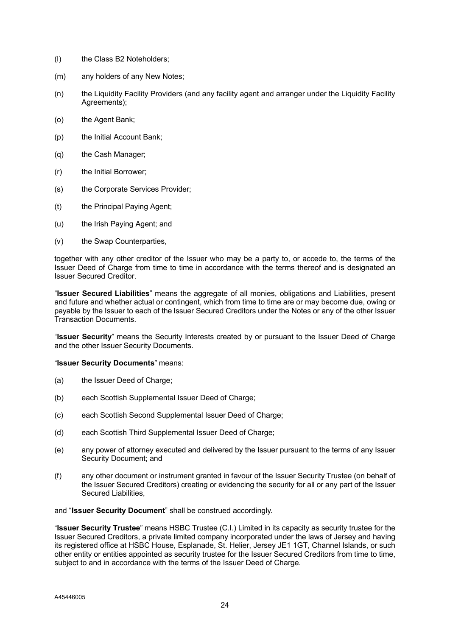- (l) the Class B2 Noteholders;
- (m) any holders of any New Notes;
- (n) the Liquidity Facility Providers (and any facility agent and arranger under the Liquidity Facility Agreements);
- (o) the Agent Bank;
- (p) the Initial Account Bank;
- (q) the Cash Manager;
- (r) the Initial Borrower;
- (s) the Corporate Services Provider;
- (t) the Principal Paying Agent;
- (u) the Irish Paying Agent; and
- (v) the Swap Counterparties,

together with any other creditor of the Issuer who may be a party to, or accede to, the terms of the Issuer Deed of Charge from time to time in accordance with the terms thereof and is designated an Issuer Secured Creditor.

"**Issuer Secured Liabilities**" means the aggregate of all monies, obligations and Liabilities, present and future and whether actual or contingent, which from time to time are or may become due, owing or payable by the Issuer to each of the Issuer Secured Creditors under the Notes or any of the other Issuer Transaction Documents.

"**Issuer Security**" means the Security Interests created by or pursuant to the Issuer Deed of Charge and the other Issuer Security Documents.

#### "**Issuer Security Documents**" means:

- (a) the Issuer Deed of Charge:
- (b) each Scottish Supplemental Issuer Deed of Charge;
- (c) each Scottish Second Supplemental Issuer Deed of Charge;
- (d) each Scottish Third Supplemental Issuer Deed of Charge;
- (e) any power of attorney executed and delivered by the Issuer pursuant to the terms of any Issuer Security Document; and
- (f) any other document or instrument granted in favour of the Issuer Security Trustee (on behalf of the Issuer Secured Creditors) creating or evidencing the security for all or any part of the Issuer Secured Liabilities,

and "**Issuer Security Document**" shall be construed accordingly.

"**Issuer Security Trustee**" means HSBC Trustee (C.I.) Limited in its capacity as security trustee for the Issuer Secured Creditors, a private limited company incorporated under the laws of Jersey and having its registered office at HSBC House, Esplanade, St. Helier, Jersey JE1 1GT, Channel Islands, or such other entity or entities appointed as security trustee for the Issuer Secured Creditors from time to time, subject to and in accordance with the terms of the Issuer Deed of Charge.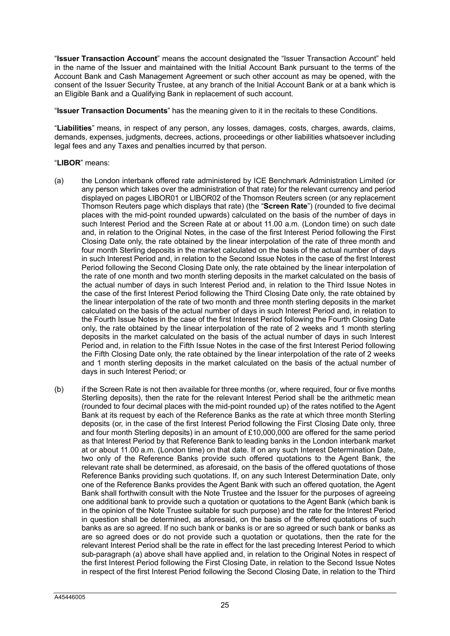"**Issuer Transaction Account**" means the account designated the "Issuer Transaction Account" held in the name of the Issuer and maintained with the Initial Account Bank pursuant to the terms of the Account Bank and Cash Management Agreement or such other account as may be opened, with the consent of the Issuer Security Trustee, at any branch of the Initial Account Bank or at a bank which is an Eligible Bank and a Qualifying Bank in replacement of such account.

"**Issuer Transaction Documents**" has the meaning given to it in the recitals to these Conditions.

"**Liabilities**" means, in respect of any person, any losses, damages, costs, charges, awards, claims, demands, expenses, judgments, decrees, actions, proceedings or other liabilities whatsoever including legal fees and any Taxes and penalties incurred by that person.

### "**LIBOR**" means:

- (a) the London interbank offered rate administered by ICE Benchmark Administration Limited (or any person which takes over the administration of that rate) for the relevant currency and period displayed on pages LIBOR01 or LIBOR02 of the Thomson Reuters screen (or any replacement Thomson Reuters page which displays that rate) (the "**Screen Rate**") (rounded to five decimal places with the mid-point rounded upwards) calculated on the basis of the number of days in such Interest Period and the Screen Rate at or about 11.00 a.m. (London time) on such date and, in relation to the Original Notes, in the case of the first Interest Period following the First Closing Date only, the rate obtained by the linear interpolation of the rate of three month and four month Sterling deposits in the market calculated on the basis of the actual number of days in such Interest Period and, in relation to the Second Issue Notes in the case of the first Interest Period following the Second Closing Date only, the rate obtained by the linear interpolation of the rate of one month and two month sterling deposits in the market calculated on the basis of the actual number of days in such Interest Period and, in relation to the Third Issue Notes in the case of the first Interest Period following the Third Closing Date only, the rate obtained by the linear interpolation of the rate of two month and three month sterling deposits in the market calculated on the basis of the actual number of days in such Interest Period and, in relation to the Fourth Issue Notes in the case of the first Interest Period following the Fourth Closing Date only, the rate obtained by the linear interpolation of the rate of 2 weeks and 1 month sterling deposits in the market calculated on the basis of the actual number of days in such Interest Period and, in relation to the Fifth Issue Notes in the case of the first Interest Period following the Fifth Closing Date only, the rate obtained by the linear interpolation of the rate of 2 weeks and 1 month sterling deposits in the market calculated on the basis of the actual number of days in such Interest Period; or
- (b) if the Screen Rate is not then available for three months (or, where required, four or five months Sterling deposits), then the rate for the relevant Interest Period shall be the arithmetic mean (rounded to four decimal places with the mid-point rounded up) of the rates notified to the Agent Bank at its request by each of the Reference Banks as the rate at which three month Sterling deposits (or, in the case of the first Interest Period following the First Closing Date only, three and four month Sterling deposits) in an amount of £10,000,000 are offered for the same period as that Interest Period by that Reference Bank to leading banks in the London interbank market at or about 11.00 a.m. (London time) on that date. If on any such Interest Determination Date, two only of the Reference Banks provide such offered quotations to the Agent Bank, the relevant rate shall be determined, as aforesaid, on the basis of the offered quotations of those Reference Banks providing such quotations. If, on any such Interest Determination Date, only one of the Reference Banks provides the Agent Bank with such an offered quotation, the Agent Bank shall forthwith consult with the Note Trustee and the Issuer for the purposes of agreeing one additional bank to provide such a quotation or quotations to the Agent Bank (which bank is in the opinion of the Note Trustee suitable for such purpose) and the rate for the Interest Period in question shall be determined, as aforesaid, on the basis of the offered quotations of such banks as are so agreed. If no such bank or banks is or are so agreed or such bank or banks as are so agreed does or do not provide such a quotation or quotations, then the rate for the relevant Interest Period shall be the rate in effect for the last preceding Interest Period to which sub-paragraph (a) above shall have applied and, in relation to the Original Notes in respect of the first Interest Period following the First Closing Date, in relation to the Second Issue Notes in respect of the first Interest Period following the Second Closing Date, in relation to the Third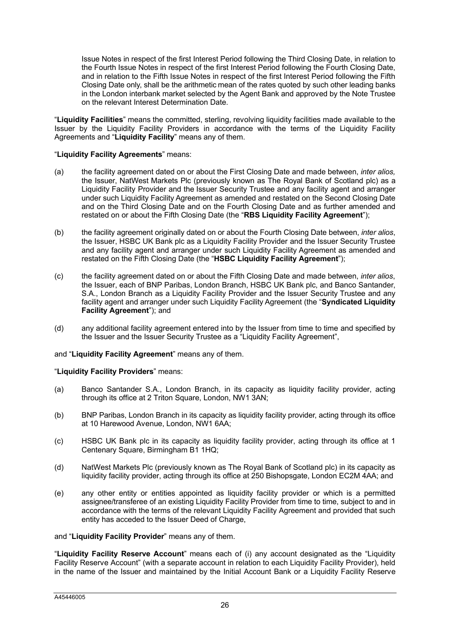Issue Notes in respect of the first Interest Period following the Third Closing Date, in relation to the Fourth Issue Notes in respect of the first Interest Period following the Fourth Closing Date, and in relation to the Fifth Issue Notes in respect of the first Interest Period following the Fifth Closing Date only, shall be the arithmetic mean of the rates quoted by such other leading banks in the London interbank market selected by the Agent Bank and approved by the Note Trustee on the relevant Interest Determination Date.

"**Liquidity Facilities**" means the committed, sterling, revolving liquidity facilities made available to the Issuer by the Liquidity Facility Providers in accordance with the terms of the Liquidity Facility Agreements and "**Liquidity Facility**" means any of them.

# "**Liquidity Facility Agreements**" means:

- (a) the facility agreement dated on or about the First Closing Date and made between, *inter alios,*  the Issuer, NatWest Markets Plc (previously known as The Royal Bank of Scotland plc) as a Liquidity Facility Provider and the Issuer Security Trustee and any facility agent and arranger under such Liquidity Facility Agreement as amended and restated on the Second Closing Date and on the Third Closing Date and on the Fourth Closing Date and as further amended and restated on or about the Fifth Closing Date (the "**RBS Liquidity Facility Agreement**");
- (b) the facility agreement originally dated on or about the Fourth Closing Date between, *inter alios*, the Issuer, HSBC UK Bank plc as a Liquidity Facility Provider and the Issuer Security Trustee and any facility agent and arranger under such Liquidity Facility Agreement as amended and restated on the Fifth Closing Date (the "**HSBC Liquidity Facility Agreement**");
- (c) the facility agreement dated on or about the Fifth Closing Date and made between, *inter alios*, the Issuer, each of BNP Paribas, London Branch, HSBC UK Bank plc, and Banco Santander, S.A., London Branch as a Liquidity Facility Provider and the Issuer Security Trustee and any facility agent and arranger under such Liquidity Facility Agreement (the "**Syndicated Liquidity Facility Agreement**"); and
- (d) any additional facility agreement entered into by the Issuer from time to time and specified by the Issuer and the Issuer Security Trustee as a "Liquidity Facility Agreement",

# and "**Liquidity Facility Agreement**" means any of them.

# "**Liquidity Facility Providers**" means:

- (a) Banco Santander S.A., London Branch, in its capacity as liquidity facility provider, acting through its office at 2 Triton Square, London, NW1 3AN;
- (b) BNP Paribas, London Branch in its capacity as liquidity facility provider, acting through its office at 10 Harewood Avenue, London, NW1 6AA;
- (c) HSBC UK Bank plc in its capacity as liquidity facility provider, acting through its office at 1 Centenary Square, Birmingham B1 1HQ;
- (d) NatWest Markets Plc (previously known as The Royal Bank of Scotland plc) in its capacity as liquidity facility provider, acting through its office at 250 Bishopsgate, London EC2M 4AA; and
- (e) any other entity or entities appointed as liquidity facility provider or which is a permitted assignee/transferee of an existing Liquidity Facility Provider from time to time, subject to and in accordance with the terms of the relevant Liquidity Facility Agreement and provided that such entity has acceded to the Issuer Deed of Charge,

and "**Liquidity Facility Provider**" means any of them.

"**Liquidity Facility Reserve Account**" means each of (i) any account designated as the "Liquidity Facility Reserve Account" (with a separate account in relation to each Liquidity Facility Provider), held in the name of the Issuer and maintained by the Initial Account Bank or a Liquidity Facility Reserve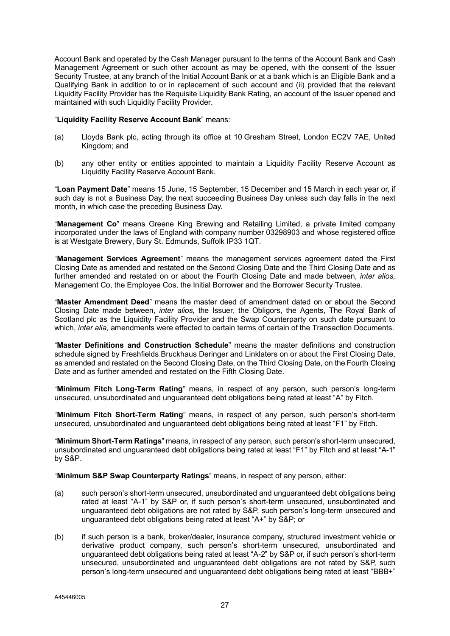Account Bank and operated by the Cash Manager pursuant to the terms of the Account Bank and Cash Management Agreement or such other account as may be opened, with the consent of the Issuer Security Trustee, at any branch of the Initial Account Bank or at a bank which is an Eligible Bank and a Qualifying Bank in addition to or in replacement of such account and (ii) provided that the relevant Liquidity Facility Provider has the Requisite Liquidity Bank Rating, an account of the Issuer opened and maintained with such Liquidity Facility Provider.

# "**Liquidity Facility Reserve Account Bank**" means:

- (a) Lloyds Bank plc, acting through its office at 10 Gresham Street, London EC2V 7AE, United Kingdom; and
- (b) any other entity or entities appointed to maintain a Liquidity Facility Reserve Account as Liquidity Facility Reserve Account Bank.

"**Loan Payment Date**" means 15 June, 15 September, 15 December and 15 March in each year or, if such day is not a Business Day, the next succeeding Business Day unless such day falls in the next month, in which case the preceding Business Day.

"**Management Co**" means Greene King Brewing and Retailing Limited, a private limited company incorporated under the laws of England with company number 03298903 and whose registered office is at Westgate Brewery, Bury St. Edmunds, Suffolk IP33 1QT.

"**Management Services Agreement**" means the management services agreement dated the First Closing Date as amended and restated on the Second Closing Date and the Third Closing Date and as further amended and restated on or about the Fourth Closing Date and made between, *inter alios,*  Management Co, the Employee Cos, the Initial Borrower and the Borrower Security Trustee.

"**Master Amendment Deed**" means the master deed of amendment dated on or about the Second Closing Date made between, *inter alios,* the Issuer, the Obligors, the Agents, The Royal Bank of Scotland plc as the Liquidity Facility Provider and the Swap Counterparty on such date pursuant to which, *inter alia,* amendments were effected to certain terms of certain of the Transaction Documents.

"**Master Definitions and Construction Schedule**" means the master definitions and construction schedule signed by Freshfields Bruckhaus Deringer and Linklaters on or about the First Closing Date, as amended and restated on the Second Closing Date, on the Third Closing Date, on the Fourth Closing Date and as further amended and restated on the Fifth Closing Date.

"**Minimum Fitch Long-Term Rating**" means, in respect of any person, such person's long-term unsecured, unsubordinated and unguaranteed debt obligations being rated at least "A" by Fitch.

"**Minimum Fitch Short-Term Rating**" means, in respect of any person, such person's short-term unsecured, unsubordinated and unguaranteed debt obligations being rated at least "F1" by Fitch.

"**Minimum Short-Term Ratings**" means, in respect of any person, such person's short-term unsecured, unsubordinated and unguaranteed debt obligations being rated at least "F1" by Fitch and at least "A-1" by S&P.

"**Minimum S&P Swap Counterparty Ratings**" means, in respect of any person, either:

- (a) such person's short-term unsecured, unsubordinated and unguaranteed debt obligations being rated at least "A-1" by S&P or, if such person's short-term unsecured, unsubordinated and unguaranteed debt obligations are not rated by S&P, such person's long-term unsecured and unguaranteed debt obligations being rated at least "A+" by S&P; or
- (b) if such person is a bank, broker/dealer, insurance company, structured investment vehicle or derivative product company, such person's short-term unsecured, unsubordinated and unguaranteed debt obligations being rated at least "A-2" by S&P or, if such person's short-term unsecured, unsubordinated and unguaranteed debt obligations are not rated by S&P, such person's long-term unsecured and unguaranteed debt obligations being rated at least "BBB+"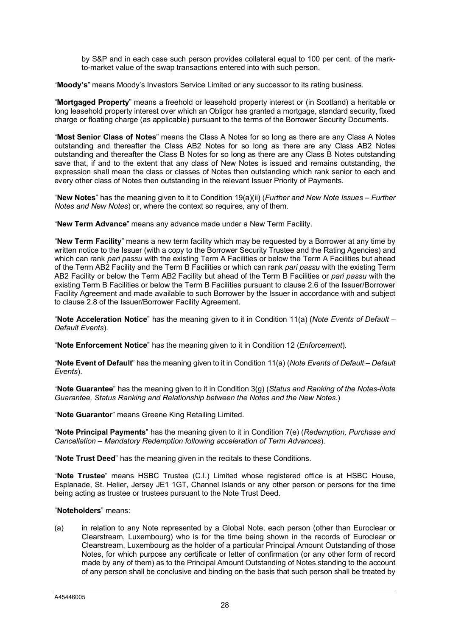by S&P and in each case such person provides collateral equal to 100 per cent. of the markto-market value of the swap transactions entered into with such person.

"**Moody's**" means Moody's Investors Service Limited or any successor to its rating business.

"**Mortgaged Property**" means a freehold or leasehold property interest or (in Scotland) a heritable or long leasehold property interest over which an Obligor has granted a mortgage, standard security, fixed charge or floating charge (as applicable) pursuant to the terms of the Borrower Security Documents.

"**Most Senior Class of Notes**" means the Class A Notes for so long as there are any Class A Notes outstanding and thereafter the Class AB2 Notes for so long as there are any Class AB2 Notes outstanding and thereafter the Class B Notes for so long as there are any Class B Notes outstanding save that, if and to the extent that any class of New Notes is issued and remains outstanding, the expression shall mean the class or classes of Notes then outstanding which rank senior to each and every other class of Notes then outstanding in the relevant Issuer Priority of Payments.

"**New Notes**" has the meaning given to it to Condition 19(a)(ii) (*Further and New Note Issues – Further Notes and New Notes*) or, where the context so requires, any of them.

"**New Term Advance**" means any advance made under a New Term Facility.

"**New Term Facility**" means a new term facility which may be requested by a Borrower at any time by written notice to the Issuer (with a copy to the Borrower Security Trustee and the Rating Agencies) and which can rank *pari passu* with the existing Term A Facilities or below the Term A Facilities but ahead of the Term AB2 Facility and the Term B Facilities or which can rank *pari passu* with the existing Term AB2 Facility or below the Term AB2 Facility but ahead of the Term B Facilities or *pari passu* with the existing Term B Facilities or below the Term B Facilities pursuant to clause 2.6 of the Issuer/Borrower Facility Agreement and made available to such Borrower by the Issuer in accordance with and subject to clause 2.8 of the Issuer/Borrower Facility Agreement.

"**Note Acceleration Notice**" has the meaning given to it in Condition 11(a) (*Note Events of Default – Default Events*).

"**Note Enforcement Notice**" has the meaning given to it in Condition 12 (*Enforcement*).

"**Note Event of Default**" has the meaning given to it in Condition 11(a) (*Note Events of Default – Default Events*).

"**Note Guarantee**" has the meaning given to it in Condition 3(g) (*Status and Ranking of the Notes-Note Guarantee, Status Ranking and Relationship between the Notes and the New Notes*.)

"**Note Guarantor**" means Greene King Retailing Limited.

"**Note Principal Payments**" has the meaning given to it in Condition 7(e) (*Redemption, Purchase and Cancellation – Mandatory Redemption following acceleration of Term Advances*).

"**Note Trust Deed**" has the meaning given in the recitals to these Conditions.

"**Note Trustee**" means HSBC Trustee (C.I.) Limited whose registered office is at HSBC House, Esplanade, St. Helier, Jersey JE1 1GT, Channel Islands or any other person or persons for the time being acting as trustee or trustees pursuant to the Note Trust Deed.

#### "**Noteholders**" means:

(a) in relation to any Note represented by a Global Note, each person (other than Euroclear or Clearstream, Luxembourg) who is for the time being shown in the records of Euroclear or Clearstream, Luxembourg as the holder of a particular Principal Amount Outstanding of those Notes, for which purpose any certificate or letter of confirmation (or any other form of record made by any of them) as to the Principal Amount Outstanding of Notes standing to the account of any person shall be conclusive and binding on the basis that such person shall be treated by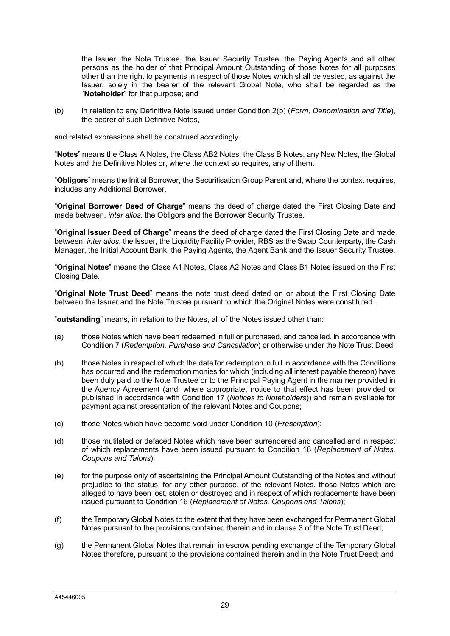the Issuer, the Note Trustee, the Issuer Security Trustee, the Paying Agents and all other persons as the holder of that Principal Amount Outstanding of those Notes for all purposes other than the right to payments in respect of those Notes which shall be vested, as against the Issuer, solely in the bearer of the relevant Global Note, who shall be regarded as the "**Noteholder**" for that purpose; and

(b) in relation to any Definitive Note issued under Condition 2(b) (*Form, Denomination and Title*), the bearer of such Definitive Notes,

and related expressions shall be construed accordingly.

"**Notes**" means the Class A Notes, the Class AB2 Notes, the Class B Notes, any New Notes, the Global Notes and the Definitive Notes or, where the context so requires, any of them.

"**Obligors**" means the Initial Borrower, the Securitisation Group Parent and, where the context requires, includes any Additional Borrower.

"**Original Borrower Deed of Charge**" means the deed of charge dated the First Closing Date and made between, *inter alios,* the Obligors and the Borrower Security Trustee.

"**Original Issuer Deed of Charge**" means the deed of charge dated the First Closing Date and made between, *inter alios*, the Issuer, the Liquidity Facility Provider, RBS as the Swap Counterparty, the Cash Manager, the Initial Account Bank, the Paying Agents, the Agent Bank and the Issuer Security Trustee.

"**Original Notes**" means the Class A1 Notes, Class A2 Notes and Class B1 Notes issued on the First Closing Date.

"**Original Note Trust Deed**" means the note trust deed dated on or about the First Closing Date between the Issuer and the Note Trustee pursuant to which the Original Notes were constituted.

"**outstanding**" means, in relation to the Notes, all of the Notes issued other than:

- (a) those Notes which have been redeemed in full or purchased, and cancelled, in accordance with Condition 7 (*Redemption, Purchase and Cancellation*) or otherwise under the Note Trust Deed;
- (b) those Notes in respect of which the date for redemption in full in accordance with the Conditions has occurred and the redemption monies for which (including all interest payable thereon) have been duly paid to the Note Trustee or to the Principal Paying Agent in the manner provided in the Agency Agreement (and, where appropriate, notice to that effect has been provided or published in accordance with Condition 17 (*Notices to Noteholders*)) and remain available for payment against presentation of the relevant Notes and Coupons;
- (c) those Notes which have become void under Condition 10 (*Prescription*);
- (d) those mutilated or defaced Notes which have been surrendered and cancelled and in respect of which replacements have been issued pursuant to Condition 16 (*Replacement of Notes, Coupons and Talons*);
- (e) for the purpose only of ascertaining the Principal Amount Outstanding of the Notes and without prejudice to the status, for any other purpose, of the relevant Notes, those Notes which are alleged to have been lost, stolen or destroyed and in respect of which replacements have been issued pursuant to Condition 16 (*Replacement of Notes, Coupons and Talons*);
- (f) the Temporary Global Notes to the extent that they have been exchanged for Permanent Global Notes pursuant to the provisions contained therein and in clause 3 of the Note Trust Deed;
- (g) the Permanent Global Notes that remain in escrow pending exchange of the Temporary Global Notes therefore, pursuant to the provisions contained therein and in the Note Trust Deed; and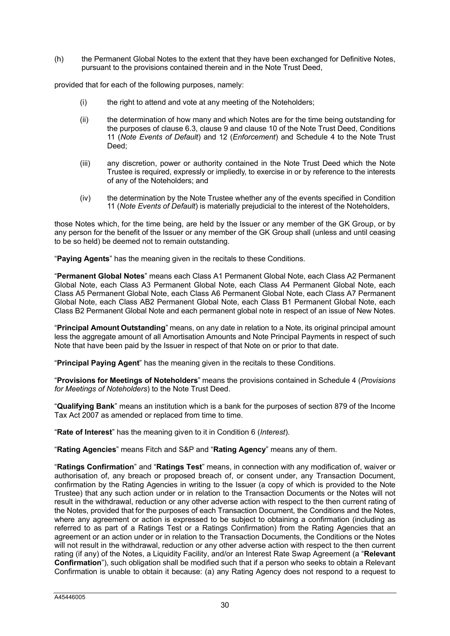(h) the Permanent Global Notes to the extent that they have been exchanged for Definitive Notes, pursuant to the provisions contained therein and in the Note Trust Deed,

provided that for each of the following purposes, namely:

- (i) the right to attend and vote at any meeting of the Noteholders;
- (ii) the determination of how many and which Notes are for the time being outstanding for the purposes of clause 6.3, clause 9 and clause 10 of the Note Trust Deed, Conditions 11 (*Note Events of Default*) and 12 (*Enforcement*) and Schedule 4 to the Note Trust Deed;
- (iii) any discretion, power or authority contained in the Note Trust Deed which the Note Trustee is required, expressly or impliedly, to exercise in or by reference to the interests of any of the Noteholders; and
- (iv) the determination by the Note Trustee whether any of the events specified in Condition 11 (*Note Events of Default*) is materially prejudicial to the interest of the Noteholders,

those Notes which, for the time being, are held by the Issuer or any member of the GK Group, or by any person for the benefit of the Issuer or any member of the GK Group shall (unless and until ceasing to be so held) be deemed not to remain outstanding.

"**Paying Agents**" has the meaning given in the recitals to these Conditions.

"**Permanent Global Notes**" means each Class A1 Permanent Global Note, each Class A2 Permanent Global Note, each Class A3 Permanent Global Note, each Class A4 Permanent Global Note, each Class A5 Permanent Global Note, each Class A6 Permanent Global Note, each Class A7 Permanent Global Note, each Class AB2 Permanent Global Note, each Class B1 Permanent Global Note, each Class B2 Permanent Global Note and each permanent global note in respect of an issue of New Notes.

"**Principal Amount Outstanding**" means, on any date in relation to a Note, its original principal amount less the aggregate amount of all Amortisation Amounts and Note Principal Payments in respect of such Note that have been paid by the Issuer in respect of that Note on or prior to that date.

"**Principal Paying Agent**" has the meaning given in the recitals to these Conditions.

"**Provisions for Meetings of Noteholders**" means the provisions contained in Schedule 4 (*Provisions for Meetings of Noteholders*) to the Note Trust Deed.

"**Qualifying Bank**" means an institution which is a bank for the purposes of section 879 of the Income Tax Act 2007 as amended or replaced from time to time.

"**Rate of Interest**" has the meaning given to it in Condition 6 (*Interest*).

"**Rating Agencies**" means Fitch and S&P and "**Rating Agency**" means any of them.

"**Ratings Confirmation**" and "**Ratings Test**" means, in connection with any modification of, waiver or authorisation of, any breach or proposed breach of, or consent under, any Transaction Document, confirmation by the Rating Agencies in writing to the Issuer (a copy of which is provided to the Note Trustee) that any such action under or in relation to the Transaction Documents or the Notes will not result in the withdrawal, reduction or any other adverse action with respect to the then current rating of the Notes, provided that for the purposes of each Transaction Document, the Conditions and the Notes, where any agreement or action is expressed to be subject to obtaining a confirmation (including as referred to as part of a Ratings Test or a Ratings Confirmation) from the Rating Agencies that an agreement or an action under or in relation to the Transaction Documents, the Conditions or the Notes will not result in the withdrawal, reduction or any other adverse action with respect to the then current rating (if any) of the Notes, a Liquidity Facility, and/or an Interest Rate Swap Agreement (a "**Relevant Confirmation**"), such obligation shall be modified such that if a person who seeks to obtain a Relevant Confirmation is unable to obtain it because: (a) any Rating Agency does not respond to a request to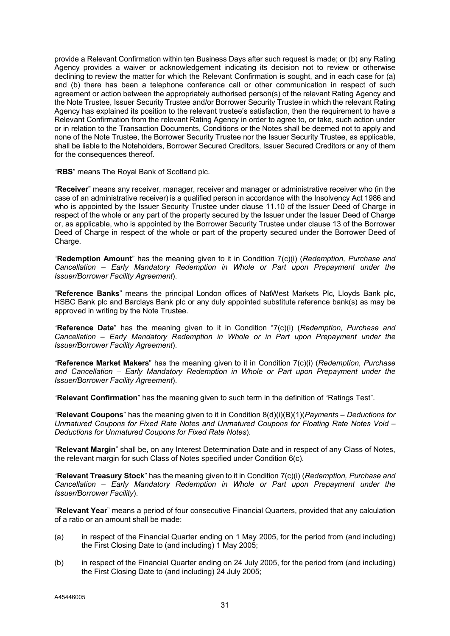provide a Relevant Confirmation within ten Business Days after such request is made; or (b) any Rating Agency provides a waiver or acknowledgement indicating its decision not to review or otherwise declining to review the matter for which the Relevant Confirmation is sought, and in each case for (a) and (b) there has been a telephone conference call or other communication in respect of such agreement or action between the appropriately authorised person(s) of the relevant Rating Agency and the Note Trustee, Issuer Security Trustee and/or Borrower Security Trustee in which the relevant Rating Agency has explained its position to the relevant trustee's satisfaction, then the requirement to have a Relevant Confirmation from the relevant Rating Agency in order to agree to, or take, such action under or in relation to the Transaction Documents, Conditions or the Notes shall be deemed not to apply and none of the Note Trustee, the Borrower Security Trustee nor the Issuer Security Trustee, as applicable, shall be liable to the Noteholders, Borrower Secured Creditors, Issuer Secured Creditors or any of them for the consequences thereof.

"**RBS**" means The Royal Bank of Scotland plc.

"**Receiver**" means any receiver, manager, receiver and manager or administrative receiver who (in the case of an administrative receiver) is a qualified person in accordance with the Insolvency Act 1986 and who is appointed by the Issuer Security Trustee under clause 11.10 of the Issuer Deed of Charge in respect of the whole or any part of the property secured by the Issuer under the Issuer Deed of Charge or, as applicable, who is appointed by the Borrower Security Trustee under clause 13 of the Borrower Deed of Charge in respect of the whole or part of the property secured under the Borrower Deed of Charge.

"**Redemption Amount**" has the meaning given to it in Condition 7(c)(i) (*Redemption, Purchase and Cancellation – Early Mandatory Redemption in Whole or Part upon Prepayment under the Issuer/Borrower Facility Agreement*).

"**Reference Banks**" means the principal London offices of NatWest Markets Plc, Lloyds Bank plc, HSBC Bank plc and Barclays Bank plc or any duly appointed substitute reference bank(s) as may be approved in writing by the Note Trustee.

"**Reference Date**" has the meaning given to it in Condition "7(c)(i) (*Redemption, Purchase and Cancellation – Early Mandatory Redemption in Whole or in Part upon Prepayment under the Issuer/Borrower Facility Agreement*).

"**Reference Market Makers**" has the meaning given to it in Condition 7(c)(i) (*Redemption, Purchase and Cancellation – Early Mandatory Redemption in Whole or Part upon Prepayment under the Issuer/Borrower Facility Agreement*).

"**Relevant Confirmation**" has the meaning given to such term in the definition of "Ratings Test".

"**Relevant Coupons**" has the meaning given to it in Condition 8(d)(i)(B)(1)(*Payments – Deductions for Unmatured Coupons for Fixed Rate Notes and Unmatured Coupons for Floating Rate Notes Void – Deductions for Unmatured Coupons for Fixed Rate Notes*).

"**Relevant Margin**" shall be, on any Interest Determination Date and in respect of any Class of Notes, the relevant margin for such Class of Notes specified under Condition 6(c).

"**Relevant Treasury Stock**" has the meaning given to it in Condition 7(c)(i) (*Redemption, Purchase and Cancellation – Early Mandatory Redemption in Whole or Part upon Prepayment under the Issuer/Borrower Facility*).

"**Relevant Year**" means a period of four consecutive Financial Quarters, provided that any calculation of a ratio or an amount shall be made:

- (a) in respect of the Financial Quarter ending on 1 May 2005, for the period from (and including) the First Closing Date to (and including) 1 May 2005;
- (b) in respect of the Financial Quarter ending on 24 July 2005, for the period from (and including) the First Closing Date to (and including) 24 July 2005;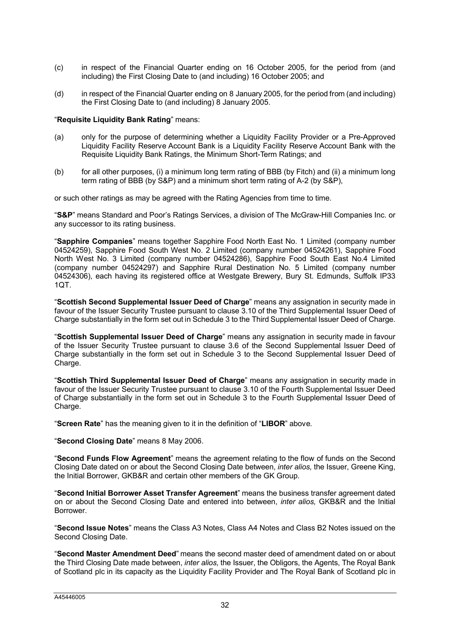- (c) in respect of the Financial Quarter ending on 16 October 2005, for the period from (and including) the First Closing Date to (and including) 16 October 2005; and
- (d) in respect of the Financial Quarter ending on 8 January 2005, for the period from (and including) the First Closing Date to (and including) 8 January 2005.

# "**Requisite Liquidity Bank Rating**" means:

- (a) only for the purpose of determining whether a Liquidity Facility Provider or a Pre-Approved Liquidity Facility Reserve Account Bank is a Liquidity Facility Reserve Account Bank with the Requisite Liquidity Bank Ratings, the Minimum Short-Term Ratings; and
- (b) for all other purposes, (i) a minimum long term rating of BBB (by Fitch) and (ii) a minimum long term rating of BBB (by S&P) and a minimum short term rating of A-2 (by S&P),

or such other ratings as may be agreed with the Rating Agencies from time to time.

"**S&P**" means Standard and Poor's Ratings Services, a division of The McGraw-Hill Companies Inc. or any successor to its rating business.

"**Sapphire Companies**" means together Sapphire Food North East No. 1 Limited (company number 04524259), Sapphire Food South West No. 2 Limited (company number 04524261), Sapphire Food North West No. 3 Limited (company number 04524286), Sapphire Food South East No.4 Limited (company number 04524297) and Sapphire Rural Destination No. 5 Limited (company number 04524306), each having its registered office at Westgate Brewery, Bury St. Edmunds, Suffolk IP33 1QT.

"**Scottish Second Supplemental Issuer Deed of Charge**" means any assignation in security made in favour of the Issuer Security Trustee pursuant to clause 3.10 of the Third Supplemental Issuer Deed of Charge substantially in the form set out in Schedule 3 to the Third Supplemental Issuer Deed of Charge.

"**Scottish Supplemental Issuer Deed of Charge**" means any assignation in security made in favour of the Issuer Security Trustee pursuant to clause 3.6 of the Second Supplemental Issuer Deed of Charge substantially in the form set out in Schedule 3 to the Second Supplemental Issuer Deed of Charge.

"**Scottish Third Supplemental Issuer Deed of Charge**" means any assignation in security made in favour of the Issuer Security Trustee pursuant to clause 3.10 of the Fourth Supplemental Issuer Deed of Charge substantially in the form set out in Schedule 3 to the Fourth Supplemental Issuer Deed of Charge.

"**Screen Rate**" has the meaning given to it in the definition of "**LIBOR**" above.

"**Second Closing Date**" means 8 May 2006.

"**Second Funds Flow Agreement**" means the agreement relating to the flow of funds on the Second Closing Date dated on or about the Second Closing Date between, *inter alios,* the Issuer, Greene King, the Initial Borrower, GKB&R and certain other members of the GK Group.

"**Second Initial Borrower Asset Transfer Agreement**" means the business transfer agreement dated on or about the Second Closing Date and entered into between, *inter alios,* GKB&R and the Initial Borrower.

"**Second Issue Notes**" means the Class A3 Notes, Class A4 Notes and Class B2 Notes issued on the Second Closing Date.

"**Second Master Amendment Deed**" means the second master deed of amendment dated on or about the Third Closing Date made between, *inter alios,* the Issuer, the Obligors, the Agents, The Royal Bank of Scotland plc in its capacity as the Liquidity Facility Provider and The Royal Bank of Scotland plc in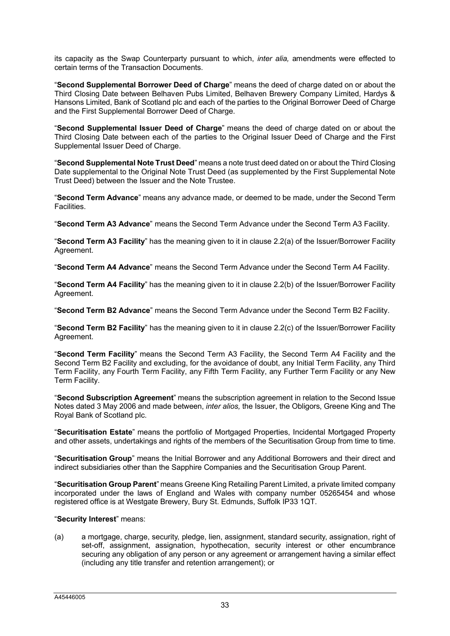its capacity as the Swap Counterparty pursuant to which, *inter alia,* amendments were effected to certain terms of the Transaction Documents.

"**Second Supplemental Borrower Deed of Charge**" means the deed of charge dated on or about the Third Closing Date between Belhaven Pubs Limited, Belhaven Brewery Company Limited, Hardys & Hansons Limited, Bank of Scotland plc and each of the parties to the Original Borrower Deed of Charge and the First Supplemental Borrower Deed of Charge.

"**Second Supplemental Issuer Deed of Charge**" means the deed of charge dated on or about the Third Closing Date between each of the parties to the Original Issuer Deed of Charge and the First Supplemental Issuer Deed of Charge.

"**Second Supplemental Note Trust Deed**" means a note trust deed dated on or about the Third Closing Date supplemental to the Original Note Trust Deed (as supplemented by the First Supplemental Note Trust Deed) between the Issuer and the Note Trustee.

"**Second Term Advance**" means any advance made, or deemed to be made, under the Second Term Facilities.

"**Second Term A3 Advance**" means the Second Term Advance under the Second Term A3 Facility.

"**Second Term A3 Facility**" has the meaning given to it in clause 2.2(a) of the Issuer/Borrower Facility Agreement.

"**Second Term A4 Advance**" means the Second Term Advance under the Second Term A4 Facility.

"**Second Term A4 Facility**" has the meaning given to it in clause 2.2(b) of the Issuer/Borrower Facility Agreement.

"**Second Term B2 Advance**" means the Second Term Advance under the Second Term B2 Facility.

"**Second Term B2 Facility**" has the meaning given to it in clause 2.2(c) of the Issuer/Borrower Facility Agreement.

"**Second Term Facility**" means the Second Term A3 Facility, the Second Term A4 Facility and the Second Term B2 Facility and excluding, for the avoidance of doubt, any Initial Term Facility, any Third Term Facility, any Fourth Term Facility, any Fifth Term Facility, any Further Term Facility or any New Term Facility.

"**Second Subscription Agreement**" means the subscription agreement in relation to the Second Issue Notes dated 3 May 2006 and made between, *inter alios,* the Issuer, the Obligors, Greene King and The Royal Bank of Scotland plc.

"**Securitisation Estate**" means the portfolio of Mortgaged Properties, Incidental Mortgaged Property and other assets, undertakings and rights of the members of the Securitisation Group from time to time.

"**Securitisation Group**" means the Initial Borrower and any Additional Borrowers and their direct and indirect subsidiaries other than the Sapphire Companies and the Securitisation Group Parent.

"**Securitisation Group Parent**" means Greene King Retailing Parent Limited, a private limited company incorporated under the laws of England and Wales with company number 05265454 and whose registered office is at Westgate Brewery, Bury St. Edmunds, Suffolk IP33 1QT.

# "**Security Interest**" means:

(a) a mortgage, charge, security, pledge, lien, assignment, standard security, assignation, right of set-off, assignment, assignation, hypothecation, security interest or other encumbrance securing any obligation of any person or any agreement or arrangement having a similar effect (including any title transfer and retention arrangement); or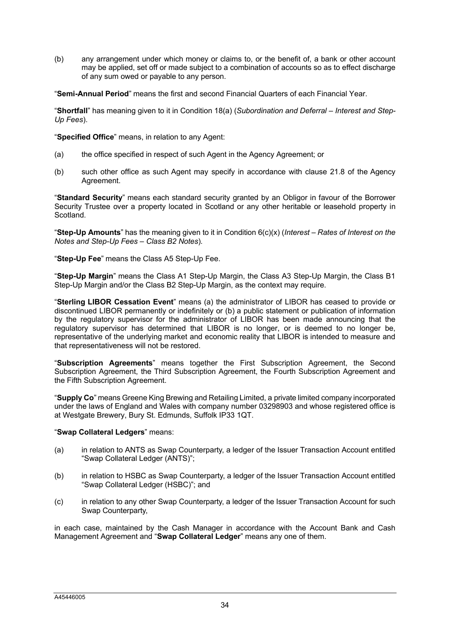(b) any arrangement under which money or claims to, or the benefit of, a bank or other account may be applied, set off or made subject to a combination of accounts so as to effect discharge of any sum owed or payable to any person.

"**Semi-Annual Period**" means the first and second Financial Quarters of each Financial Year.

"**Shortfall**" has meaning given to it in Condition 18(a) (*Subordination and Deferral – Interest and Step-Up Fees*).

"**Specified Office**" means, in relation to any Agent:

- (a) the office specified in respect of such Agent in the Agency Agreement; or
- (b) such other office as such Agent may specify in accordance with clause 21.8 of the Agency Agreement.

"**Standard Security**" means each standard security granted by an Obligor in favour of the Borrower Security Trustee over a property located in Scotland or any other heritable or leasehold property in Scotland.

"**Step-Up Amounts**" has the meaning given to it in Condition 6(c)(x) (*Interest – Rates of Interest on the Notes and Step-Up Fees – Class B2 Notes*).

"**Step-Up Fee**" means the Class A5 Step-Up Fee.

"**Step-Up Margin**" means the Class A1 Step-Up Margin, the Class A3 Step-Up Margin, the Class B1 Step-Up Margin and/or the Class B2 Step-Up Margin, as the context may require.

"**Sterling LIBOR Cessation Event**" means (a) the administrator of LIBOR has ceased to provide or discontinued LIBOR permanently or indefinitely or (b) a public statement or publication of information by the regulatory supervisor for the administrator of LIBOR has been made announcing that the regulatory supervisor has determined that LIBOR is no longer, or is deemed to no longer be, representative of the underlying market and economic reality that LIBOR is intended to measure and that representativeness will not be restored.

"**Subscription Agreements**" means together the First Subscription Agreement, the Second Subscription Agreement, the Third Subscription Agreement, the Fourth Subscription Agreement and the Fifth Subscription Agreement.

"**Supply Co**" means Greene King Brewing and Retailing Limited, a private limited company incorporated under the laws of England and Wales with company number 03298903 and whose registered office is at Westgate Brewery, Bury St. Edmunds, Suffolk IP33 1QT.

#### "**Swap Collateral Ledgers**" means:

- (a) in relation to ANTS as Swap Counterparty, a ledger of the Issuer Transaction Account entitled "Swap Collateral Ledger (ANTS)";
- (b) in relation to HSBC as Swap Counterparty, a ledger of the Issuer Transaction Account entitled "Swap Collateral Ledger (HSBC)"; and
- (c) in relation to any other Swap Counterparty, a ledger of the Issuer Transaction Account for such Swap Counterparty,

in each case, maintained by the Cash Manager in accordance with the Account Bank and Cash Management Agreement and "**Swap Collateral Ledger**" means any one of them.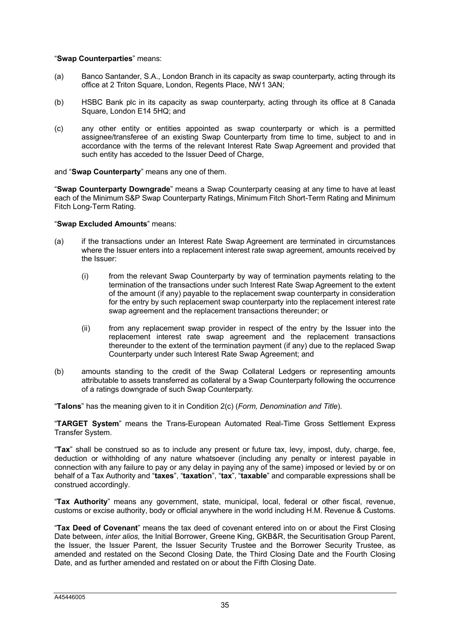### "**Swap Counterparties**" means:

- (a) Banco Santander, S.A., London Branch in its capacity as swap counterparty, acting through its office at 2 Triton Square, London, Regents Place, NW1 3AN;
- (b) HSBC Bank plc in its capacity as swap counterparty, acting through its office at 8 Canada Square, London E14 5HQ; and
- (c) any other entity or entities appointed as swap counterparty or which is a permitted assignee/transferee of an existing Swap Counterparty from time to time, subject to and in accordance with the terms of the relevant Interest Rate Swap Agreement and provided that such entity has acceded to the Issuer Deed of Charge,

### and "**Swap Counterparty**" means any one of them.

"**Swap Counterparty Downgrade**" means a Swap Counterparty ceasing at any time to have at least each of the Minimum S&P Swap Counterparty Ratings, Minimum Fitch Short-Term Rating and Minimum Fitch Long-Term Rating.

### "**Swap Excluded Amounts**" means:

- (a) if the transactions under an Interest Rate Swap Agreement are terminated in circumstances where the Issuer enters into a replacement interest rate swap agreement, amounts received by the Issuer:
	- (i) from the relevant Swap Counterparty by way of termination payments relating to the termination of the transactions under such Interest Rate Swap Agreement to the extent of the amount (if any) payable to the replacement swap counterparty in consideration for the entry by such replacement swap counterparty into the replacement interest rate swap agreement and the replacement transactions thereunder; or
	- (ii) from any replacement swap provider in respect of the entry by the Issuer into the replacement interest rate swap agreement and the replacement transactions thereunder to the extent of the termination payment (if any) due to the replaced Swap Counterparty under such Interest Rate Swap Agreement; and
- (b) amounts standing to the credit of the Swap Collateral Ledgers or representing amounts attributable to assets transferred as collateral by a Swap Counterparty following the occurrence of a ratings downgrade of such Swap Counterparty.

"**Talons**" has the meaning given to it in Condition 2(c) (*Form, Denomination and Title*).

"**TARGET System**" means the Trans-European Automated Real-Time Gross Settlement Express Transfer System.

"**Tax**" shall be construed so as to include any present or future tax, levy, impost, duty, charge, fee, deduction or withholding of any nature whatsoever (including any penalty or interest payable in connection with any failure to pay or any delay in paying any of the same) imposed or levied by or on behalf of a Tax Authority and "**taxes**", "**taxation**", "**tax**", "**taxable**" and comparable expressions shall be construed accordingly.

"**Tax Authority**" means any government, state, municipal, local, federal or other fiscal, revenue, customs or excise authority, body or official anywhere in the world including H.M. Revenue & Customs.

"**Tax Deed of Covenant**" means the tax deed of covenant entered into on or about the First Closing Date between, *inter alios,* the Initial Borrower, Greene King, GKB&R, the Securitisation Group Parent, the Issuer, the Issuer Parent, the Issuer Security Trustee and the Borrower Security Trustee, as amended and restated on the Second Closing Date, the Third Closing Date and the Fourth Closing Date, and as further amended and restated on or about the Fifth Closing Date.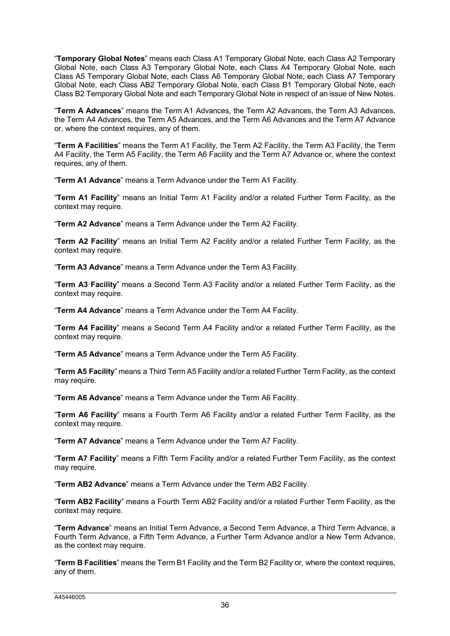"**Temporary Global Notes**" means each Class A1 Temporary Global Note, each Class A2 Temporary Global Note, each Class A3 Temporary Global Note, each Class A4 Temporary Global Note, each Class A5 Temporary Global Note, each Class A6 Temporary Global Note, each Class A7 Temporary Global Note, each Class AB2 Temporary Global Note, each Class B1 Temporary Global Note, each Class B2 Temporary Global Note and each Temporary Global Note in respect of an issue of New Notes.

"**Term A Advances**" means the Term A1 Advances, the Term A2 Advances, the Term A3 Advances, the Term A4 Advances, the Term A5 Advances, and the Term A6 Advances and the Term A7 Advance or, where the context requires, any of them.

"**Term A Facilities**" means the Term A1 Facility, the Term A2 Facility, the Term A3 Facility, the Term A4 Facility, the Term A5 Facility, the Term A6 Facility and the Term A7 Advance or, where the context requires, any of them.

"**Term A1 Advance**" means a Term Advance under the Term A1 Facility.

"**Term A1 Facility**" means an Initial Term A1 Facility and/or a related Further Term Facility, as the context may require.

"**Term A2 Advance**" means a Term Advance under the Term A2 Facility.

"**Term A2 Facility**" means an Initial Term A2 Facility and/or a related Further Term Facility, as the context may require.

"**Term A3 Advance**" means a Term Advance under the Term A3 Facility.

"**Term A3 Facility**" means a Second Term A3 Facility and/or a related Further Term Facility, as the context may require.

"**Term A4 Advance**" means a Term Advance under the Term A4 Facility.

"**Term A4 Facility**" means a Second Term A4 Facility and/or a related Further Term Facility, as the context may require.

"**Term A5 Advance**" means a Term Advance under the Term A5 Facility.

"**Term A5 Facility**" means a Third Term A5 Facility and/or a related Further Term Facility, as the context may require.

"**Term A6 Advance**" means a Term Advance under the Term A6 Facility.

"**Term A6 Facility**" means a Fourth Term A6 Facility and/or a related Further Term Facility, as the context may require.

"**Term A7 Advance**" means a Term Advance under the Term A7 Facility.

"**Term A7 Facility**" means a Fifth Term Facility and/or a related Further Term Facility, as the context may require.

"**Term AB2 Advance**" means a Term Advance under the Term AB2 Facility.

"**Term AB2 Facility**" means a Fourth Term AB2 Facility and/or a related Further Term Facility, as the context may require.

"**Term Advance**" means an Initial Term Advance, a Second Term Advance, a Third Term Advance, a Fourth Term Advance, a Fifth Term Advance, a Further Term Advance and/or a New Term Advance, as the context may require.

"**Term B Facilities**" means the Term B1 Facility and the Term B2 Facility or, where the context requires, any of them.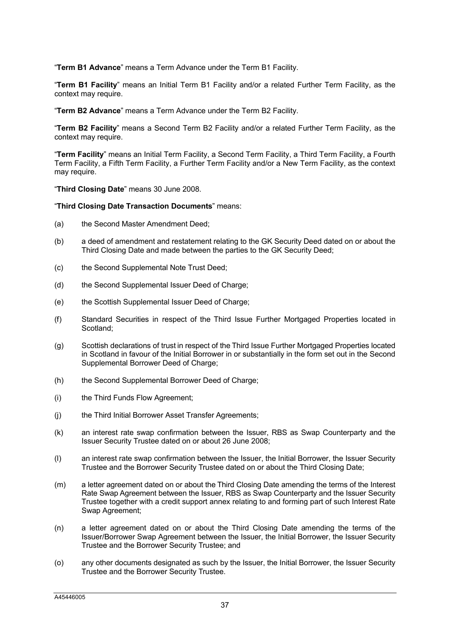"**Term B1 Advance**" means a Term Advance under the Term B1 Facility.

"**Term B1 Facility**" means an Initial Term B1 Facility and/or a related Further Term Facility, as the context may require.

"**Term B2 Advance**" means a Term Advance under the Term B2 Facility.

"**Term B2 Facility**" means a Second Term B2 Facility and/or a related Further Term Facility, as the context may require.

"**Term Facility**" means an Initial Term Facility, a Second Term Facility, a Third Term Facility, a Fourth Term Facility, a Fifth Term Facility, a Further Term Facility and/or a New Term Facility, as the context may require.

"**Third Closing Date**" means 30 June 2008.

"**Third Closing Date Transaction Documents**" means:

- (a) the Second Master Amendment Deed;
- (b) a deed of amendment and restatement relating to the GK Security Deed dated on or about the Third Closing Date and made between the parties to the GK Security Deed;
- (c) the Second Supplemental Note Trust Deed;
- (d) the Second Supplemental Issuer Deed of Charge;
- (e) the Scottish Supplemental Issuer Deed of Charge;
- (f) Standard Securities in respect of the Third Issue Further Mortgaged Properties located in Scotland;
- (g) Scottish declarations of trust in respect of the Third Issue Further Mortgaged Properties located in Scotland in favour of the Initial Borrower in or substantially in the form set out in the Second Supplemental Borrower Deed of Charge;
- (h) the Second Supplemental Borrower Deed of Charge;
- (i) the Third Funds Flow Agreement;
- (j) the Third Initial Borrower Asset Transfer Agreements;
- (k) an interest rate swap confirmation between the Issuer, RBS as Swap Counterparty and the Issuer Security Trustee dated on or about 26 June 2008;
- (l) an interest rate swap confirmation between the Issuer, the Initial Borrower, the Issuer Security Trustee and the Borrower Security Trustee dated on or about the Third Closing Date;
- (m) a letter agreement dated on or about the Third Closing Date amending the terms of the Interest Rate Swap Agreement between the Issuer, RBS as Swap Counterparty and the Issuer Security Trustee together with a credit support annex relating to and forming part of such Interest Rate Swap Agreement;
- (n) a letter agreement dated on or about the Third Closing Date amending the terms of the Issuer/Borrower Swap Agreement between the Issuer, the Initial Borrower, the Issuer Security Trustee and the Borrower Security Trustee; and
- (o) any other documents designated as such by the Issuer, the Initial Borrower, the Issuer Security Trustee and the Borrower Security Trustee.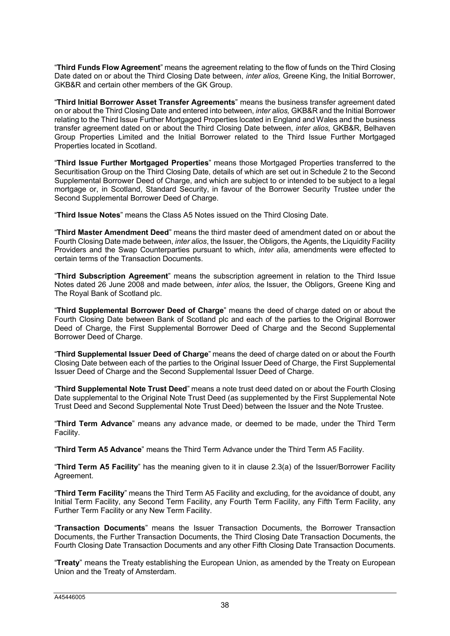"**Third Funds Flow Agreement**" means the agreement relating to the flow of funds on the Third Closing Date dated on or about the Third Closing Date between, *inter alios,* Greene King, the Initial Borrower, GKB&R and certain other members of the GK Group.

"**Third Initial Borrower Asset Transfer Agreements**" means the business transfer agreement dated on or about the Third Closing Date and entered into between, *inter alios,* GKB&R and the Initial Borrower relating to the Third Issue Further Mortgaged Properties located in England and Wales and the business transfer agreement dated on or about the Third Closing Date between, *inter alios,* GKB&R, Belhaven Group Properties Limited and the Initial Borrower related to the Third Issue Further Mortgaged Properties located in Scotland.

"**Third Issue Further Mortgaged Properties**" means those Mortgaged Properties transferred to the Securitisation Group on the Third Closing Date, details of which are set out in Schedule 2 to the Second Supplemental Borrower Deed of Charge, and which are subject to or intended to be subject to a legal mortgage or, in Scotland, Standard Security, in favour of the Borrower Security Trustee under the Second Supplemental Borrower Deed of Charge.

"**Third Issue Notes**" means the Class A5 Notes issued on the Third Closing Date.

"**Third Master Amendment Deed**" means the third master deed of amendment dated on or about the Fourth Closing Date made between, *inter alios*, the Issuer, the Obligors, the Agents, the Liquidity Facility Providers and the Swap Counterparties pursuant to which, *inter alia*, amendments were effected to certain terms of the Transaction Documents.

"**Third Subscription Agreement**" means the subscription agreement in relation to the Third Issue Notes dated 26 June 2008 and made between, *inter alios,* the Issuer, the Obligors, Greene King and The Royal Bank of Scotland plc.

"**Third Supplemental Borrower Deed of Charge**" means the deed of charge dated on or about the Fourth Closing Date between Bank of Scotland plc and each of the parties to the Original Borrower Deed of Charge, the First Supplemental Borrower Deed of Charge and the Second Supplemental Borrower Deed of Charge.

"**Third Supplemental Issuer Deed of Charge**" means the deed of charge dated on or about the Fourth Closing Date between each of the parties to the Original Issuer Deed of Charge, the First Supplemental Issuer Deed of Charge and the Second Supplemental Issuer Deed of Charge.

"**Third Supplemental Note Trust Deed**" means a note trust deed dated on or about the Fourth Closing Date supplemental to the Original Note Trust Deed (as supplemented by the First Supplemental Note Trust Deed and Second Supplemental Note Trust Deed) between the Issuer and the Note Trustee.

"**Third Term Advance**" means any advance made, or deemed to be made, under the Third Term Facility.

"**Third Term A5 Advance**" means the Third Term Advance under the Third Term A5 Facility.

"**Third Term A5 Facility**" has the meaning given to it in clause 2.3(a) of the Issuer/Borrower Facility Agreement.

"**Third Term Facility**" means the Third Term A5 Facility and excluding, for the avoidance of doubt, any Initial Term Facility, any Second Term Facility, any Fourth Term Facility, any Fifth Term Facility, any Further Term Facility or any New Term Facility.

"**Transaction Documents**" means the Issuer Transaction Documents, the Borrower Transaction Documents, the Further Transaction Documents, the Third Closing Date Transaction Documents, the Fourth Closing Date Transaction Documents and any other Fifth Closing Date Transaction Documents.

"**Treaty**" means the Treaty establishing the European Union, as amended by the Treaty on European Union and the Treaty of Amsterdam.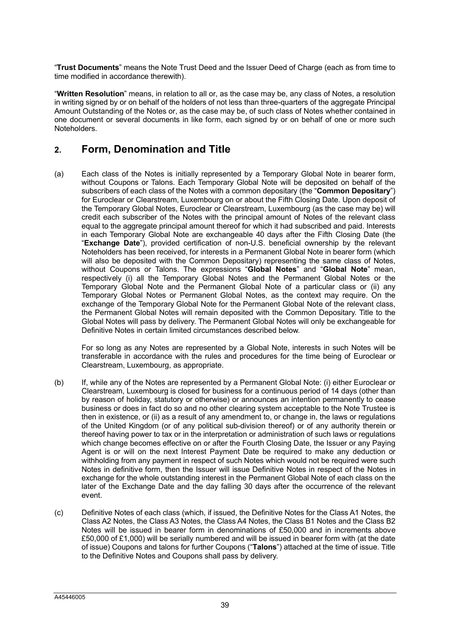"**Trust Documents**" means the Note Trust Deed and the Issuer Deed of Charge (each as from time to time modified in accordance therewith).

"**Written Resolution**" means, in relation to all or, as the case may be, any class of Notes, a resolution in writing signed by or on behalf of the holders of not less than three-quarters of the aggregate Principal Amount Outstanding of the Notes or, as the case may be, of such class of Notes whether contained in one document or several documents in like form, each signed by or on behalf of one or more such Noteholders.

# **2. Form, Denomination and Title**

(a) Each class of the Notes is initially represented by a Temporary Global Note in bearer form, without Coupons or Talons. Each Temporary Global Note will be deposited on behalf of the subscribers of each class of the Notes with a common depositary (the "**Common Depositary**") for Euroclear or Clearstream, Luxembourg on or about the Fifth Closing Date. Upon deposit of the Temporary Global Notes, Euroclear or Clearstream, Luxembourg (as the case may be) will credit each subscriber of the Notes with the principal amount of Notes of the relevant class equal to the aggregate principal amount thereof for which it had subscribed and paid. Interests in each Temporary Global Note are exchangeable 40 days after the Fifth Closing Date (the "**Exchange Date**"), provided certification of non-U.S. beneficial ownership by the relevant Noteholders has been received, for interests in a Permanent Global Note in bearer form (which will also be deposited with the Common Depositary) representing the same class of Notes, without Coupons or Talons. The expressions "**Global Notes**" and "**Global Note**" mean, respectively (i) all the Temporary Global Notes and the Permanent Global Notes or the Temporary Global Note and the Permanent Global Note of a particular class or (ii) any Temporary Global Notes or Permanent Global Notes, as the context may require. On the exchange of the Temporary Global Note for the Permanent Global Note of the relevant class, the Permanent Global Notes will remain deposited with the Common Depositary. Title to the Global Notes will pass by delivery. The Permanent Global Notes will only be exchangeable for Definitive Notes in certain limited circumstances described below.

For so long as any Notes are represented by a Global Note, interests in such Notes will be transferable in accordance with the rules and procedures for the time being of Euroclear or Clearstream, Luxembourg, as appropriate.

- (b) If, while any of the Notes are represented by a Permanent Global Note: (i) either Euroclear or Clearstream, Luxembourg is closed for business for a continuous period of 14 days (other than by reason of holiday, statutory or otherwise) or announces an intention permanently to cease business or does in fact do so and no other clearing system acceptable to the Note Trustee is then in existence, or (ii) as a result of any amendment to, or change in, the laws or regulations of the United Kingdom (or of any political sub-division thereof) or of any authority therein or thereof having power to tax or in the interpretation or administration of such laws or regulations which change becomes effective on or after the Fourth Closing Date, the Issuer or any Paying Agent is or will on the next Interest Payment Date be required to make any deduction or withholding from any payment in respect of such Notes which would not be required were such Notes in definitive form, then the Issuer will issue Definitive Notes in respect of the Notes in exchange for the whole outstanding interest in the Permanent Global Note of each class on the later of the Exchange Date and the day falling 30 days after the occurrence of the relevant event.
- (c) Definitive Notes of each class (which, if issued, the Definitive Notes for the Class A1 Notes, the Class A2 Notes, the Class A3 Notes, the Class A4 Notes, the Class B1 Notes and the Class B2 Notes will be issued in bearer form in denominations of £50,000 and in increments above £50,000 of £1,000) will be serially numbered and will be issued in bearer form with (at the date of issue) Coupons and talons for further Coupons ("**Talons**") attached at the time of issue. Title to the Definitive Notes and Coupons shall pass by delivery.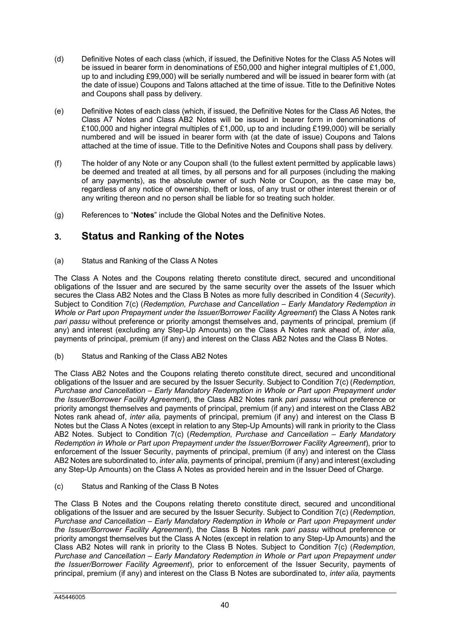- (d) Definitive Notes of each class (which, if issued, the Definitive Notes for the Class A5 Notes will be issued in bearer form in denominations of £50,000 and higher integral multiples of £1,000, up to and including £99,000) will be serially numbered and will be issued in bearer form with (at the date of issue) Coupons and Talons attached at the time of issue. Title to the Definitive Notes and Coupons shall pass by delivery.
- (e) Definitive Notes of each class (which, if issued, the Definitive Notes for the Class A6 Notes, the Class A7 Notes and Class AB2 Notes will be issued in bearer form in denominations of £100,000 and higher integral multiples of £1,000, up to and including £199,000) will be serially numbered and will be issued in bearer form with (at the date of issue) Coupons and Talons attached at the time of issue. Title to the Definitive Notes and Coupons shall pass by delivery.
- (f) The holder of any Note or any Coupon shall (to the fullest extent permitted by applicable laws) be deemed and treated at all times, by all persons and for all purposes (including the making of any payments), as the absolute owner of such Note or Coupon, as the case may be, regardless of any notice of ownership, theft or loss, of any trust or other interest therein or of any writing thereon and no person shall be liable for so treating such holder.
- (g) References to "**Notes**" include the Global Notes and the Definitive Notes.

# **3. Status and Ranking of the Notes**

(a) Status and Ranking of the Class A Notes

The Class A Notes and the Coupons relating thereto constitute direct, secured and unconditional obligations of the Issuer and are secured by the same security over the assets of the Issuer which secures the Class AB2 Notes and the Class B Notes as more fully described in Condition 4 (*Security*). Subject to Condition 7(c) (*Redemption, Purchase and Cancellation – Early Mandatory Redemption in Whole or Part upon Prepayment under the Issuer/Borrower Facility Agreement*) the Class A Notes rank *pari passu* without preference or priority amongst themselves and, payments of principal, premium (if any) and interest (excluding any Step-Up Amounts) on the Class A Notes rank ahead of, *inter alia,*  payments of principal, premium (if any) and interest on the Class AB2 Notes and the Class B Notes.

(b) Status and Ranking of the Class AB2 Notes

The Class AB2 Notes and the Coupons relating thereto constitute direct, secured and unconditional obligations of the Issuer and are secured by the Issuer Security. Subject to Condition 7(c) (*Redemption, Purchase and Cancellation – Early Mandatory Redemption in Whole or Part upon Prepayment under the Issuer/Borrower Facility Agreement*), the Class AB2 Notes rank *pari passu* without preference or priority amongst themselves and payments of principal, premium (if any) and interest on the Class AB2 Notes rank ahead of, *inter alia,* payments of principal, premium (if any) and interest on the Class B Notes but the Class A Notes (except in relation to any Step-Up Amounts) will rank in priority to the Class AB2 Notes. Subject to Condition 7(c) (*Redemption, Purchase and Cancellation – Early Mandatory Redemption in Whole or Part upon Prepayment under the Issuer/Borrower Facility Agreement*), prior to enforcement of the Issuer Security, payments of principal, premium (if any) and interest on the Class AB2 Notes are subordinated to, *inter alia,* payments of principal, premium (if any) and interest (excluding any Step-Up Amounts) on the Class A Notes as provided herein and in the Issuer Deed of Charge.

(c) Status and Ranking of the Class B Notes

The Class B Notes and the Coupons relating thereto constitute direct, secured and unconditional obligations of the Issuer and are secured by the Issuer Security. Subject to Condition 7(c) (*Redemption, Purchase and Cancellation – Early Mandatory Redemption in Whole or Part upon Prepayment under the Issuer/Borrower Facility Agreement*), the Class B Notes rank *pari passu* without preference or priority amongst themselves but the Class A Notes (except in relation to any Step-Up Amounts) and the Class AB2 Notes will rank in priority to the Class B Notes. Subject to Condition 7(c) (*Redemption, Purchase and Cancellation – Early Mandatory Redemption in Whole or Part upon Prepayment under the Issuer/Borrower Facility Agreement*), prior to enforcement of the Issuer Security, payments of principal, premium (if any) and interest on the Class B Notes are subordinated to, *inter alia,* payments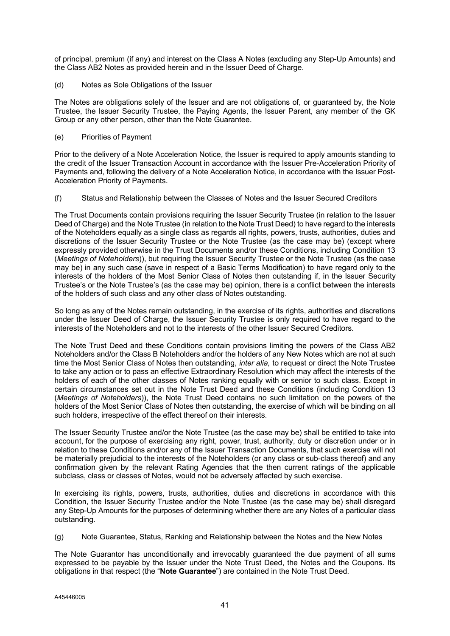of principal, premium (if any) and interest on the Class A Notes (excluding any Step-Up Amounts) and the Class AB2 Notes as provided herein and in the Issuer Deed of Charge.

(d) Notes as Sole Obligations of the Issuer

The Notes are obligations solely of the Issuer and are not obligations of, or guaranteed by, the Note Trustee, the Issuer Security Trustee, the Paying Agents, the Issuer Parent, any member of the GK Group or any other person, other than the Note Guarantee.

(e) Priorities of Payment

Prior to the delivery of a Note Acceleration Notice, the Issuer is required to apply amounts standing to the credit of the Issuer Transaction Account in accordance with the Issuer Pre-Acceleration Priority of Payments and, following the delivery of a Note Acceleration Notice, in accordance with the Issuer Post-Acceleration Priority of Payments.

(f) Status and Relationship between the Classes of Notes and the Issuer Secured Creditors

The Trust Documents contain provisions requiring the Issuer Security Trustee (in relation to the Issuer Deed of Charge) and the Note Trustee (in relation to the Note Trust Deed) to have regard to the interests of the Noteholders equally as a single class as regards all rights, powers, trusts, authorities, duties and discretions of the Issuer Security Trustee or the Note Trustee (as the case may be) (except where expressly provided otherwise in the Trust Documents and/or these Conditions, including Condition 13 (*Meetings of Noteholders*)), but requiring the Issuer Security Trustee or the Note Trustee (as the case may be) in any such case (save in respect of a Basic Terms Modification) to have regard only to the interests of the holders of the Most Senior Class of Notes then outstanding if, in the Issuer Security Trustee's or the Note Trustee's (as the case may be) opinion, there is a conflict between the interests of the holders of such class and any other class of Notes outstanding.

So long as any of the Notes remain outstanding, in the exercise of its rights, authorities and discretions under the Issuer Deed of Charge, the Issuer Security Trustee is only required to have regard to the interests of the Noteholders and not to the interests of the other Issuer Secured Creditors.

The Note Trust Deed and these Conditions contain provisions limiting the powers of the Class AB2 Noteholders and/or the Class B Noteholders and/or the holders of any New Notes which are not at such time the Most Senior Class of Notes then outstanding, *inter alia,* to request or direct the Note Trustee to take any action or to pass an effective Extraordinary Resolution which may affect the interests of the holders of each of the other classes of Notes ranking equally with or senior to such class. Except in certain circumstances set out in the Note Trust Deed and these Conditions (including Condition 13 (*Meetings of Noteholders*)), the Note Trust Deed contains no such limitation on the powers of the holders of the Most Senior Class of Notes then outstanding, the exercise of which will be binding on all such holders, irrespective of the effect thereof on their interests.

The Issuer Security Trustee and/or the Note Trustee (as the case may be) shall be entitled to take into account, for the purpose of exercising any right, power, trust, authority, duty or discretion under or in relation to these Conditions and/or any of the Issuer Transaction Documents, that such exercise will not be materially prejudicial to the interests of the Noteholders (or any class or sub-class thereof) and any confirmation given by the relevant Rating Agencies that the then current ratings of the applicable subclass, class or classes of Notes, would not be adversely affected by such exercise.

In exercising its rights, powers, trusts, authorities, duties and discretions in accordance with this Condition, the Issuer Security Trustee and/or the Note Trustee (as the case may be) shall disregard any Step-Up Amounts for the purposes of determining whether there are any Notes of a particular class outstanding.

(g) Note Guarantee, Status, Ranking and Relationship between the Notes and the New Notes

The Note Guarantor has unconditionally and irrevocably guaranteed the due payment of all sums expressed to be payable by the Issuer under the Note Trust Deed, the Notes and the Coupons. Its obligations in that respect (the "**Note Guarantee**") are contained in the Note Trust Deed.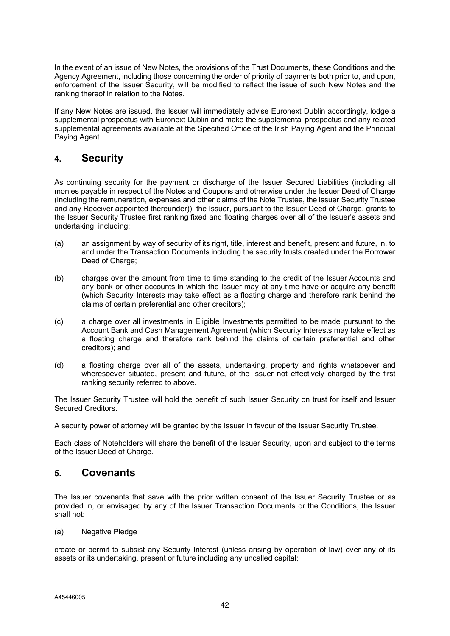In the event of an issue of New Notes, the provisions of the Trust Documents, these Conditions and the Agency Agreement, including those concerning the order of priority of payments both prior to, and upon, enforcement of the Issuer Security, will be modified to reflect the issue of such New Notes and the ranking thereof in relation to the Notes.

If any New Notes are issued, the Issuer will immediately advise Euronext Dublin accordingly, lodge a supplemental prospectus with Euronext Dublin and make the supplemental prospectus and any related supplemental agreements available at the Specified Office of the Irish Paying Agent and the Principal Paying Agent.

# **4. Security**

As continuing security for the payment or discharge of the Issuer Secured Liabilities (including all monies payable in respect of the Notes and Coupons and otherwise under the Issuer Deed of Charge (including the remuneration, expenses and other claims of the Note Trustee, the Issuer Security Trustee and any Receiver appointed thereunder)), the Issuer, pursuant to the Issuer Deed of Charge, grants to the Issuer Security Trustee first ranking fixed and floating charges over all of the Issuer's assets and undertaking, including:

- (a) an assignment by way of security of its right, title, interest and benefit, present and future, in, to and under the Transaction Documents including the security trusts created under the Borrower Deed of Charge;
- (b) charges over the amount from time to time standing to the credit of the Issuer Accounts and any bank or other accounts in which the Issuer may at any time have or acquire any benefit (which Security Interests may take effect as a floating charge and therefore rank behind the claims of certain preferential and other creditors);
- (c) a charge over all investments in Eligible Investments permitted to be made pursuant to the Account Bank and Cash Management Agreement (which Security Interests may take effect as a floating charge and therefore rank behind the claims of certain preferential and other creditors); and
- (d) a floating charge over all of the assets, undertaking, property and rights whatsoever and wheresoever situated, present and future, of the Issuer not effectively charged by the first ranking security referred to above.

The Issuer Security Trustee will hold the benefit of such Issuer Security on trust for itself and Issuer Secured Creditors.

A security power of attorney will be granted by the Issuer in favour of the Issuer Security Trustee.

Each class of Noteholders will share the benefit of the Issuer Security, upon and subject to the terms of the Issuer Deed of Charge.

# **5. Covenants**

The Issuer covenants that save with the prior written consent of the Issuer Security Trustee or as provided in, or envisaged by any of the Issuer Transaction Documents or the Conditions, the Issuer shall not:

(a) Negative Pledge

create or permit to subsist any Security Interest (unless arising by operation of law) over any of its assets or its undertaking, present or future including any uncalled capital;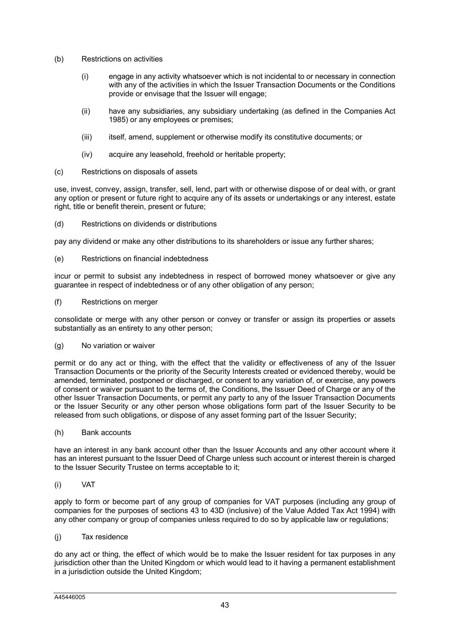- (b) Restrictions on activities
	- (i) engage in any activity whatsoever which is not incidental to or necessary in connection with any of the activities in which the Issuer Transaction Documents or the Conditions provide or envisage that the Issuer will engage;
	- (ii) have any subsidiaries, any subsidiary undertaking (as defined in the Companies Act 1985) or any employees or premises;
	- (iii) itself, amend, supplement or otherwise modify its constitutive documents; or
	- (iv) acquire any leasehold, freehold or heritable property;
- (c) Restrictions on disposals of assets

use, invest, convey, assign, transfer, sell, lend, part with or otherwise dispose of or deal with, or grant any option or present or future right to acquire any of its assets or undertakings or any interest, estate right, title or benefit therein, present or future;

(d) Restrictions on dividends or distributions

pay any dividend or make any other distributions to its shareholders or issue any further shares;

(e) Restrictions on financial indebtedness

incur or permit to subsist any indebtedness in respect of borrowed money whatsoever or give any guarantee in respect of indebtedness or of any other obligation of any person;

(f) Restrictions on merger

consolidate or merge with any other person or convey or transfer or assign its properties or assets substantially as an entirety to any other person;

(g) No variation or waiver

permit or do any act or thing, with the effect that the validity or effectiveness of any of the Issuer Transaction Documents or the priority of the Security Interests created or evidenced thereby, would be amended, terminated, postponed or discharged, or consent to any variation of, or exercise, any powers of consent or waiver pursuant to the terms of, the Conditions, the Issuer Deed of Charge or any of the other Issuer Transaction Documents, or permit any party to any of the Issuer Transaction Documents or the Issuer Security or any other person whose obligations form part of the Issuer Security to be released from such obligations, or dispose of any asset forming part of the Issuer Security;

(h) Bank accounts

have an interest in any bank account other than the Issuer Accounts and any other account where it has an interest pursuant to the Issuer Deed of Charge unless such account or interest therein is charged to the Issuer Security Trustee on terms acceptable to it;

(i) VAT

apply to form or become part of any group of companies for VAT purposes (including any group of companies for the purposes of sections 43 to 43D (inclusive) of the Value Added Tax Act 1994) with any other company or group of companies unless required to do so by applicable law or regulations;

(j) Tax residence

do any act or thing, the effect of which would be to make the Issuer resident for tax purposes in any jurisdiction other than the United Kingdom or which would lead to it having a permanent establishment in a jurisdiction outside the United Kingdom;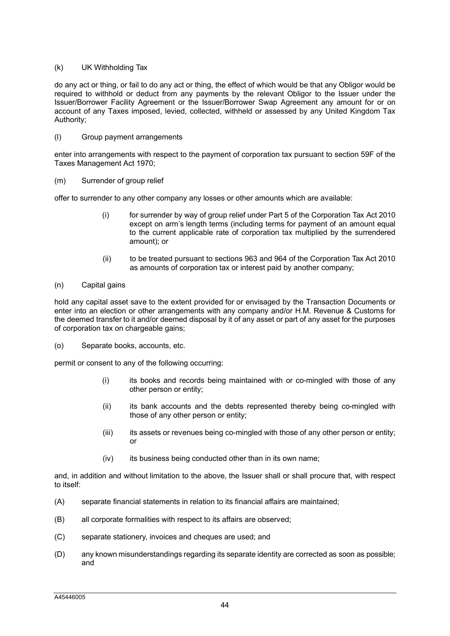### (k) UK Withholding Tax

do any act or thing, or fail to do any act or thing, the effect of which would be that any Obligor would be required to withhold or deduct from any payments by the relevant Obligor to the Issuer under the Issuer/Borrower Facility Agreement or the Issuer/Borrower Swap Agreement any amount for or on account of any Taxes imposed, levied, collected, withheld or assessed by any United Kingdom Tax Authority;

### (l) Group payment arrangements

enter into arrangements with respect to the payment of corporation tax pursuant to section 59F of the Taxes Management Act 1970;

### (m) Surrender of group relief

offer to surrender to any other company any losses or other amounts which are available:

- (i) for surrender by way of group relief under Part 5 of the Corporation Tax Act 2010 except on arm's length terms (including terms for payment of an amount equal to the current applicable rate of corporation tax multiplied by the surrendered amount); or
- (ii) to be treated pursuant to sections 963 and 964 of the Corporation Tax Act 2010 as amounts of corporation tax or interest paid by another company;

# (n) Capital gains

hold any capital asset save to the extent provided for or envisaged by the Transaction Documents or enter into an election or other arrangements with any company and/or H.M. Revenue & Customs for the deemed transfer to it and/or deemed disposal by it of any asset or part of any asset for the purposes of corporation tax on chargeable gains;

(o) Separate books, accounts, etc.

permit or consent to any of the following occurring:

- (i) its books and records being maintained with or co-mingled with those of any other person or entity;
- (ii) its bank accounts and the debts represented thereby being co-mingled with those of any other person or entity;
- (iii) its assets or revenues being co-mingled with those of any other person or entity; or
- $(iv)$  its business being conducted other than in its own name;

and, in addition and without limitation to the above, the Issuer shall or shall procure that, with respect to itself:

- (A) separate financial statements in relation to its financial affairs are maintained;
- (B) all corporate formalities with respect to its affairs are observed;
- (C) separate stationery, invoices and cheques are used; and
- (D) any known misunderstandings regarding its separate identity are corrected as soon as possible; and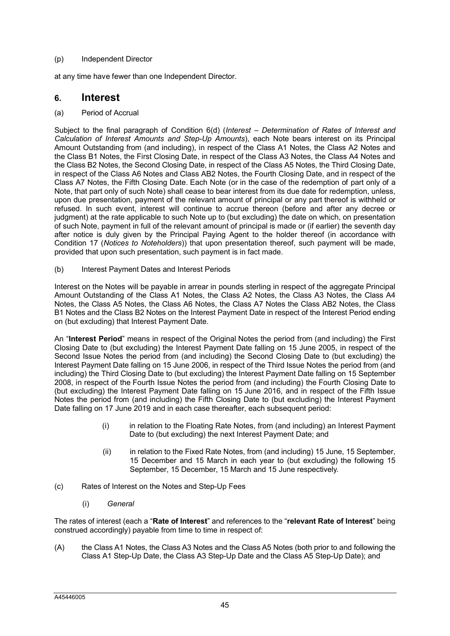# (p) Independent Director

at any time have fewer than one Independent Director.

# **6. Interest**

(a) Period of Accrual

Subject to the final paragraph of Condition 6(d) (*Interest – Determination of Rates of Interest and Calculation of Interest Amounts and Step-Up Amounts*), each Note bears interest on its Principal Amount Outstanding from (and including), in respect of the Class A1 Notes, the Class A2 Notes and the Class B1 Notes, the First Closing Date, in respect of the Class A3 Notes, the Class A4 Notes and the Class B2 Notes, the Second Closing Date, in respect of the Class A5 Notes, the Third Closing Date, in respect of the Class A6 Notes and Class AB2 Notes, the Fourth Closing Date, and in respect of the Class A7 Notes, the Fifth Closing Date. Each Note (or in the case of the redemption of part only of a Note, that part only of such Note) shall cease to bear interest from its due date for redemption, unless, upon due presentation, payment of the relevant amount of principal or any part thereof is withheld or refused. In such event, interest will continue to accrue thereon (before and after any decree or judgment) at the rate applicable to such Note up to (but excluding) the date on which, on presentation of such Note, payment in full of the relevant amount of principal is made or (if earlier) the seventh day after notice is duly given by the Principal Paying Agent to the holder thereof (in accordance with Condition 17 (*Notices to Noteholders*)) that upon presentation thereof, such payment will be made, provided that upon such presentation, such payment is in fact made.

(b) Interest Payment Dates and Interest Periods

Interest on the Notes will be payable in arrear in pounds sterling in respect of the aggregate Principal Amount Outstanding of the Class A1 Notes, the Class A2 Notes, the Class A3 Notes, the Class A4 Notes, the Class A5 Notes, the Class A6 Notes, the Class A7 Notes the Class AB2 Notes, the Class B1 Notes and the Class B2 Notes on the Interest Payment Date in respect of the Interest Period ending on (but excluding) that Interest Payment Date.

An "**Interest Period**" means in respect of the Original Notes the period from (and including) the First Closing Date to (but excluding) the Interest Payment Date falling on 15 June 2005, in respect of the Second Issue Notes the period from (and including) the Second Closing Date to (but excluding) the Interest Payment Date falling on 15 June 2006, in respect of the Third Issue Notes the period from (and including) the Third Closing Date to (but excluding) the Interest Payment Date falling on 15 September 2008, in respect of the Fourth Issue Notes the period from (and including) the Fourth Closing Date to (but excluding) the Interest Payment Date falling on 15 June 2016, and in respect of the Fifth Issue Notes the period from (and including) the Fifth Closing Date to (but excluding) the Interest Payment Date falling on 17 June 2019 and in each case thereafter, each subsequent period:

- (i) in relation to the Floating Rate Notes, from (and including) an Interest Payment Date to (but excluding) the next Interest Payment Date; and
- (ii) in relation to the Fixed Rate Notes, from (and including) 15 June, 15 September, 15 December and 15 March in each year to (but excluding) the following 15 September, 15 December, 15 March and 15 June respectively.
- (c) Rates of Interest on the Notes and Step-Up Fees
	- (i) *General*

The rates of interest (each a "**Rate of Interest**" and references to the "**relevant Rate of Interest**" being construed accordingly) payable from time to time in respect of:

(A) the Class A1 Notes, the Class A3 Notes and the Class A5 Notes (both prior to and following the Class A1 Step-Up Date, the Class A3 Step-Up Date and the Class A5 Step-Up Date); and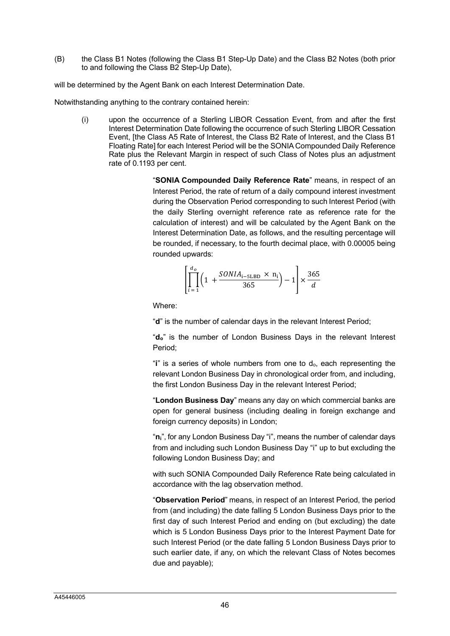(B) the Class B1 Notes (following the Class B1 Step-Up Date) and the Class B2 Notes (both prior to and following the Class B2 Step-Up Date),

will be determined by the Agent Bank on each Interest Determination Date.

Notwithstanding anything to the contrary contained herein:

(i) upon the occurrence of a Sterling LIBOR Cessation Event, from and after the first Interest Determination Date following the occurrence of such Sterling LIBOR Cessation Event, [the Class A5 Rate of Interest, the Class B2 Rate of Interest, and the Class B1 Floating Rate] for each Interest Period will be the SONIA Compounded Daily Reference Rate plus the Relevant Margin in respect of such Class of Notes plus an adjustment rate of 0.1193 per cent.

> "**SONIA Compounded Daily Reference Rate**" means, in respect of an Interest Period, the rate of return of a daily compound interest investment during the Observation Period corresponding to such Interest Period (with the daily Sterling overnight reference rate as reference rate for the calculation of interest) and will be calculated by the Agent Bank on the Interest Determination Date, as follows, and the resulting percentage will be rounded, if necessary, to the fourth decimal place, with 0.00005 being rounded upwards:

$$
\left[\prod_{i=1}^{d_o} \left(1 + \frac{SONIA_{i-SLBD} \times n_i}{365}\right) - 1\right] \times \frac{365}{d}
$$

Where:

"**d**" is the number of calendar days in the relevant Interest Period;

"**do**" is the number of London Business Days in the relevant Interest Period;

"**i**" is a series of whole numbers from one to do, each representing the relevant London Business Day in chronological order from, and including, the first London Business Day in the relevant Interest Period;

"**London Business Day**" means any day on which commercial banks are open for general business (including dealing in foreign exchange and foreign currency deposits) in London;

"**ni**", for any London Business Day "i", means the number of calendar days from and including such London Business Day "i" up to but excluding the following London Business Day; and

with such SONIA Compounded Daily Reference Rate being calculated in accordance with the lag observation method.

"**Observation Period**" means, in respect of an Interest Period, the period from (and including) the date falling 5 London Business Days prior to the first day of such Interest Period and ending on (but excluding) the date which is 5 London Business Days prior to the Interest Payment Date for such Interest Period (or the date falling 5 London Business Days prior to such earlier date, if any, on which the relevant Class of Notes becomes due and payable);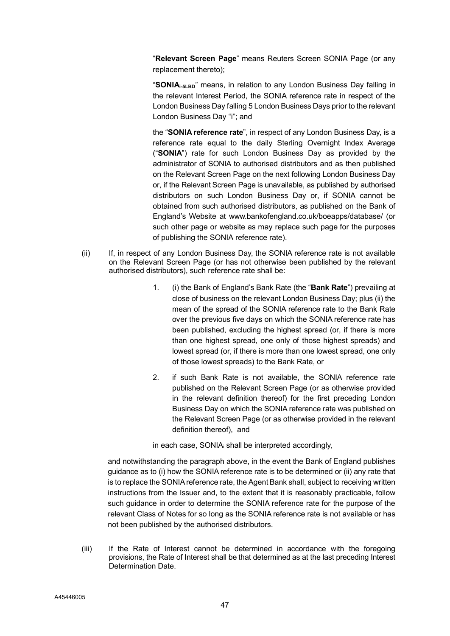"**Relevant Screen Page**" means Reuters Screen SONIA Page (or any replacement thereto);

"**SONIAi-5LBD**" means, in relation to any London Business Day falling in the relevant Interest Period, the SONIA reference rate in respect of the London Business Day falling 5 London Business Days prior to the relevant London Business Day "i"; and

the "**SONIA reference rate**", in respect of any London Business Day, is a reference rate equal to the daily Sterling Overnight Index Average ("**SONIA**") rate for such London Business Day as provided by the administrator of SONIA to authorised distributors and as then published on the Relevant Screen Page on the next following London Business Day or, if the Relevant Screen Page is unavailable, as published by authorised distributors on such London Business Day or, if SONIA cannot be obtained from such authorised distributors, as published on the Bank of England's Website at www.bankofengland.co.uk/boeapps/database/ (or such other page or website as may replace such page for the purposes of publishing the SONIA reference rate).

- (ii) If, in respect of any London Business Day, the SONIA reference rate is not available on the Relevant Screen Page (or has not otherwise been published by the relevant authorised distributors), such reference rate shall be:
	- 1. (i) the Bank of England's Bank Rate (the "**Bank Rate**") prevailing at close of business on the relevant London Business Day; plus (ii) the mean of the spread of the SONIA reference rate to the Bank Rate over the previous five days on which the SONIA reference rate has been published, excluding the highest spread (or, if there is more than one highest spread, one only of those highest spreads) and lowest spread (or, if there is more than one lowest spread, one only of those lowest spreads) to the Bank Rate, or
	- 2. if such Bank Rate is not available, the SONIA reference rate published on the Relevant Screen Page (or as otherwise provided in the relevant definition thereof) for the first preceding London Business Day on which the SONIA reference rate was published on the Relevant Screen Page (or as otherwise provided in the relevant definition thereof), and

in each case, SONIA<sup>i</sup> shall be interpreted accordingly,

and notwithstanding the paragraph above, in the event the Bank of England publishes guidance as to (i) how the SONIA reference rate is to be determined or (ii) any rate that is to replace the SONIA reference rate, the Agent Bank shall, subject to receiving written instructions from the Issuer and, to the extent that it is reasonably practicable, follow such guidance in order to determine the SONIA reference rate for the purpose of the relevant Class of Notes for so long as the SONIA reference rate is not available or has not been published by the authorised distributors.

(iii) If the Rate of Interest cannot be determined in accordance with the foregoing provisions, the Rate of Interest shall be that determined as at the last preceding Interest Determination Date.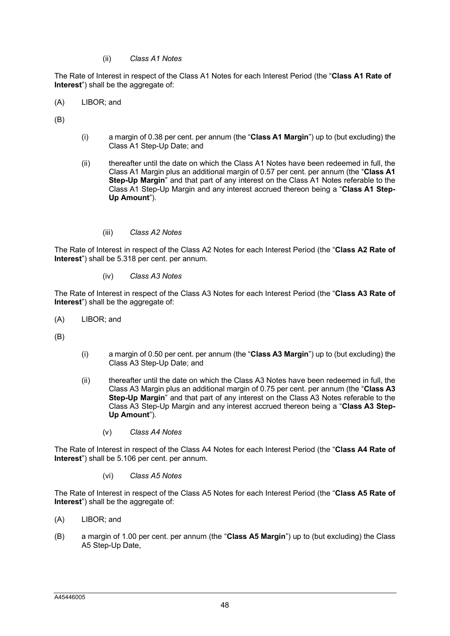(ii) *Class A1 Notes*

The Rate of Interest in respect of the Class A1 Notes for each Interest Period (the "**Class A1 Rate of Interest**") shall be the aggregate of:

(A) LIBOR; and

(B)

- (i) a margin of 0.38 per cent. per annum (the "**Class A1 Margin**") up to (but excluding) the Class A1 Step-Up Date; and
- (ii) thereafter until the date on which the Class A1 Notes have been redeemed in full, the Class A1 Margin plus an additional margin of 0.57 per cent. per annum (the "**Class A1 Step-Up Margin**" and that part of any interest on the Class A1 Notes referable to the Class A1 Step-Up Margin and any interest accrued thereon being a "**Class A1 Step-Up Amount**").
	- (iii) *Class A2 Notes*

The Rate of Interest in respect of the Class A2 Notes for each Interest Period (the "**Class A2 Rate of Interest**") shall be 5.318 per cent. per annum.

(iv) *Class A3 Notes*

The Rate of Interest in respect of the Class A3 Notes for each Interest Period (the "**Class A3 Rate of Interest**") shall be the aggregate of:

(A) LIBOR; and

(B)

- (i) a margin of 0.50 per cent. per annum (the "**Class A3 Margin**") up to (but excluding) the Class A3 Step-Up Date; and
- (ii) thereafter until the date on which the Class A3 Notes have been redeemed in full, the Class A3 Margin plus an additional margin of 0.75 per cent. per annum (the "**Class A3 Step-Up Margin**" and that part of any interest on the Class A3 Notes referable to the Class A3 Step-Up Margin and any interest accrued thereon being a "**Class A3 Step-Up Amount**").
	- (v) *Class A4 Notes*

The Rate of Interest in respect of the Class A4 Notes for each Interest Period (the "**Class A4 Rate of Interest**") shall be 5.106 per cent. per annum.

(vi) *Class A5 Notes*

The Rate of Interest in respect of the Class A5 Notes for each Interest Period (the "**Class A5 Rate of Interest**") shall be the aggregate of:

- (A) LIBOR; and
- (B) a margin of 1.00 per cent. per annum (the "**Class A5 Margin**") up to (but excluding) the Class A5 Step-Up Date,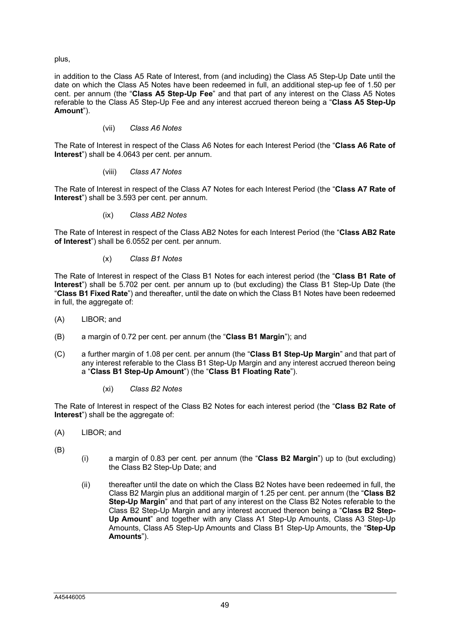plus,

in addition to the Class A5 Rate of Interest, from (and including) the Class A5 Step-Up Date until the date on which the Class A5 Notes have been redeemed in full, an additional step-up fee of 1.50 per cent. per annum (the "**Class A5 Step-Up Fee**" and that part of any interest on the Class A5 Notes referable to the Class A5 Step-Up Fee and any interest accrued thereon being a "**Class A5 Step-Up Amount**").

# (vii) *Class A6 Notes*

The Rate of Interest in respect of the Class A6 Notes for each Interest Period (the "**Class A6 Rate of Interest**") shall be 4.0643 per cent. per annum.

(viii) *Class A7 Notes*

The Rate of Interest in respect of the Class A7 Notes for each Interest Period (the "**Class A7 Rate of Interest**") shall be 3.593 per cent. per annum.

(ix) *Class AB2 Notes*

The Rate of Interest in respect of the Class AB2 Notes for each Interest Period (the "**Class AB2 Rate of Interest**") shall be 6.0552 per cent. per annum.

(x) *Class B1 Notes*

The Rate of Interest in respect of the Class B1 Notes for each interest period (the "**Class B1 Rate of Interest**") shall be 5.702 per cent. per annum up to (but excluding) the Class B1 Step-Up Date (the "**Class B1 Fixed Rate**") and thereafter, until the date on which the Class B1 Notes have been redeemed in full, the aggregate of:

- (A) LIBOR; and
- (B) a margin of 0.72 per cent. per annum (the "**Class B1 Margin**"); and
- (C) a further margin of 1.08 per cent. per annum (the "**Class B1 Step-Up Margin**" and that part of any interest referable to the Class B1 Step-Up Margin and any interest accrued thereon being a "**Class B1 Step-Up Amount**") (the "**Class B1 Floating Rate**").
	- (xi) *Class B2 Notes*

The Rate of Interest in respect of the Class B2 Notes for each interest period (the "**Class B2 Rate of Interest**") shall be the aggregate of:

- (A) LIBOR; and
- (B)
- (i) a margin of 0.83 per cent. per annum (the "**Class B2 Margin**") up to (but excluding) the Class B2 Step-Up Date; and
- (ii) thereafter until the date on which the Class B2 Notes have been redeemed in full, the Class B2 Margin plus an additional margin of 1.25 per cent. per annum (the "**Class B2 Step-Up Margin**" and that part of any interest on the Class B2 Notes referable to the Class B2 Step-Up Margin and any interest accrued thereon being a "**Class B2 Step-Up Amount**" and together with any Class A1 Step-Up Amounts, Class A3 Step-Up Amounts, Class A5 Step-Up Amounts and Class B1 Step-Up Amounts, the "**Step-Up Amounts**").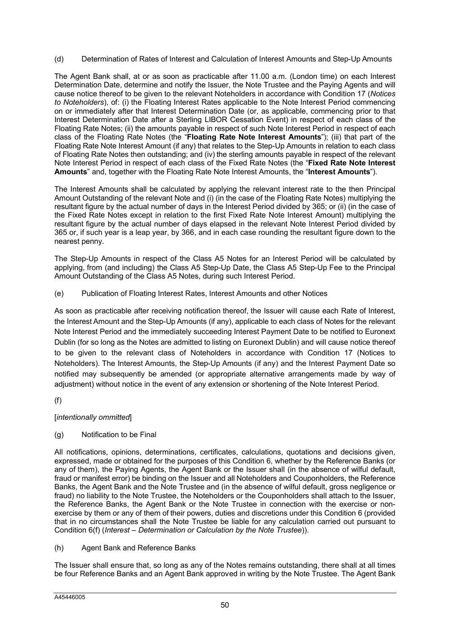(d) Determination of Rates of Interest and Calculation of Interest Amounts and Step-Up Amounts

The Agent Bank shall, at or as soon as practicable after 11.00 a.m. (London time) on each Interest Determination Date, determine and notify the Issuer, the Note Trustee and the Paying Agents and will cause notice thereof to be given to the relevant Noteholders in accordance with Condition 17 (*Notices to Noteholders*), of: (i) the Floating Interest Rates applicable to the Note Interest Period commencing on or immediately after that Interest Determination Date (or, as applicable, commencing prior to that Interest Determination Date after a Sterling LIBOR Cessation Event) in respect of each class of the Floating Rate Notes; (ii) the amounts payable in respect of such Note Interest Period in respect of each class of the Floating Rate Notes (the "**Floating Rate Note Interest Amounts**"); (iii) that part of the Floating Rate Note Interest Amount (if any) that relates to the Step-Up Amounts in relation to each class of Floating Rate Notes then outstanding; and (iv) the sterling amounts payable in respect of the relevant Note Interest Period in respect of each class of the Fixed Rate Notes (the "**Fixed Rate Note Interest Amounts**" and, together with the Floating Rate Note Interest Amounts, the "**Interest Amounts**").

The Interest Amounts shall be calculated by applying the relevant interest rate to the then Principal Amount Outstanding of the relevant Note and (i) (in the case of the Floating Rate Notes) multiplying the resultant figure by the actual number of days in the Interest Period divided by 365; or (ii) (in the case of the Fixed Rate Notes except in relation to the first Fixed Rate Note Interest Amount) multiplying the resultant figure by the actual number of days elapsed in the relevant Note Interest Period divided by 365 or, if such year is a leap year, by 366, and in each case rounding the resultant figure down to the nearest penny.

The Step-Up Amounts in respect of the Class A5 Notes for an Interest Period will be calculated by applying, from (and including) the Class A5 Step-Up Date, the Class A5 Step-Up Fee to the Principal Amount Outstanding of the Class A5 Notes, during such Interest Period.

(e) Publication of Floating Interest Rates, Interest Amounts and other Notices

As soon as practicable after receiving notification thereof, the Issuer will cause each Rate of Interest, the Interest Amount and the Step-Up Amounts (if any), applicable to each class of Notes for the relevant Note Interest Period and the immediately succeeding Interest Payment Date to be notified to Euronext Dublin (for so long as the Notes are admitted to listing on Euronext Dublin) and will cause notice thereof to be given to the relevant class of Noteholders in accordance with Condition 17 (Notices to Noteholders). The Interest Amounts, the Step-Up Amounts (if any) and the Interest Payment Date so notified may subsequently be amended (or appropriate alternative arrangements made by way of adjustment) without notice in the event of any extension or shortening of the Note Interest Period.

(f)

[*intentionally ommitted*]

# (g) Notification to be Final

All notifications, opinions, determinations, certificates, calculations, quotations and decisions given, expressed, made or obtained for the purposes of this Condition 6, whether by the Reference Banks (or any of them), the Paying Agents, the Agent Bank or the Issuer shall (in the absence of wilful default, fraud or manifest error) be binding on the Issuer and all Noteholders and Couponholders, the Reference Banks, the Agent Bank and the Note Trustee and (in the absence of wilful default, gross negligence or fraud) no liability to the Note Trustee, the Noteholders or the Couponholders shall attach to the Issuer, the Reference Banks, the Agent Bank or the Note Trustee in connection with the exercise or nonexercise by them or any of them of their powers, duties and discretions under this Condition 6 (provided that in no circumstances shall the Note Trustee be liable for any calculation carried out pursuant to Condition 6(f) (*Interest* – *Determination or Calculation by the Note Trustee*)).

(h) Agent Bank and Reference Banks

The Issuer shall ensure that, so long as any of the Notes remains outstanding, there shall at all times be four Reference Banks and an Agent Bank approved in writing by the Note Trustee. The Agent Bank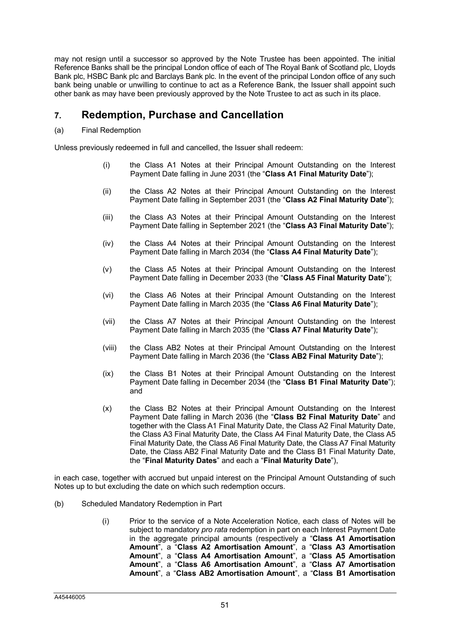may not resign until a successor so approved by the Note Trustee has been appointed. The initial Reference Banks shall be the principal London office of each of The Royal Bank of Scotland plc, Lloyds Bank plc, HSBC Bank plc and Barclays Bank plc. In the event of the principal London office of any such bank being unable or unwilling to continue to act as a Reference Bank, the Issuer shall appoint such other bank as may have been previously approved by the Note Trustee to act as such in its place.

# **7. Redemption, Purchase and Cancellation**

# (a) Final Redemption

Unless previously redeemed in full and cancelled, the Issuer shall redeem:

- (i) the Class A1 Notes at their Principal Amount Outstanding on the Interest Payment Date falling in June 2031 (the "**Class A1 Final Maturity Date**");
- (ii) the Class A2 Notes at their Principal Amount Outstanding on the Interest Payment Date falling in September 2031 (the "**Class A2 Final Maturity Date**");
- (iii) the Class A3 Notes at their Principal Amount Outstanding on the Interest Payment Date falling in September 2021 (the "**Class A3 Final Maturity Date**");
- (iv) the Class A4 Notes at their Principal Amount Outstanding on the Interest Payment Date falling in March 2034 (the "**Class A4 Final Maturity Date**");
- (v) the Class A5 Notes at their Principal Amount Outstanding on the Interest Payment Date falling in December 2033 (the "**Class A5 Final Maturity Date**");
- (vi) the Class A6 Notes at their Principal Amount Outstanding on the Interest Payment Date falling in March 2035 (the "**Class A6 Final Maturity Date**");
- (vii) the Class A7 Notes at their Principal Amount Outstanding on the Interest Payment Date falling in March 2035 (the "**Class A7 Final Maturity Date**");
- (viii) the Class AB2 Notes at their Principal Amount Outstanding on the Interest Payment Date falling in March 2036 (the "**Class AB2 Final Maturity Date**");
- (ix) the Class B1 Notes at their Principal Amount Outstanding on the Interest Payment Date falling in December 2034 (the "**Class B1 Final Maturity Date**"); and
- (x) the Class B2 Notes at their Principal Amount Outstanding on the Interest Payment Date falling in March 2036 (the "**Class B2 Final Maturity Date**" and together with the Class A1 Final Maturity Date, the Class A2 Final Maturity Date, the Class A3 Final Maturity Date, the Class A4 Final Maturity Date, the Class A5 Final Maturity Date, the Class A6 Final Maturity Date, the Class A7 Final Maturity Date, the Class AB2 Final Maturity Date and the Class B1 Final Maturity Date, the "**Final Maturity Dates**" and each a "**Final Maturity Date**"),

in each case, together with accrued but unpaid interest on the Principal Amount Outstanding of such Notes up to but excluding the date on which such redemption occurs.

- (b) Scheduled Mandatory Redemption in Part
	- (i) Prior to the service of a Note Acceleration Notice, each class of Notes will be subject to mandatory *pro rata* redemption in part on each Interest Payment Date in the aggregate principal amounts (respectively a "**Class A1 Amortisation Amount**", a "**Class A2 Amortisation Amount**", a "**Class A3 Amortisation Amount**", a "**Class A4 Amortisation Amount**", a "**Class A5 Amortisation Amount**", a "**Class A6 Amortisation Amount**", a "**Class A7 Amortisation Amount**", a "**Class AB2 Amortisation Amount**", a "**Class B1 Amortisation**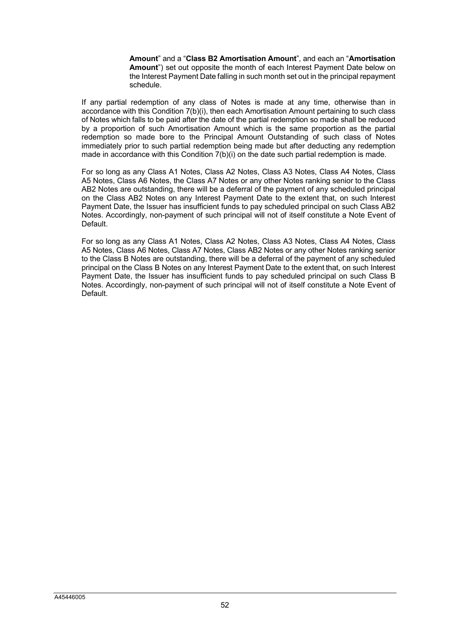**Amount**" and a "**Class B2 Amortisation Amount**", and each an "**Amortisation Amount**") set out opposite the month of each Interest Payment Date below on the Interest Payment Date falling in such month set out in the principal repayment schedule.

If any partial redemption of any class of Notes is made at any time, otherwise than in accordance with this Condition 7(b)(i), then each Amortisation Amount pertaining to such class of Notes which falls to be paid after the date of the partial redemption so made shall be reduced by a proportion of such Amortisation Amount which is the same proportion as the partial redemption so made bore to the Principal Amount Outstanding of such class of Notes immediately prior to such partial redemption being made but after deducting any redemption made in accordance with this Condition 7(b)(i) on the date such partial redemption is made.

For so long as any Class A1 Notes, Class A2 Notes, Class A3 Notes, Class A4 Notes, Class A5 Notes, Class A6 Notes, the Class A7 Notes or any other Notes ranking senior to the Class AB2 Notes are outstanding, there will be a deferral of the payment of any scheduled principal on the Class AB2 Notes on any Interest Payment Date to the extent that, on such Interest Payment Date, the Issuer has insufficient funds to pay scheduled principal on such Class AB2 Notes. Accordingly, non-payment of such principal will not of itself constitute a Note Event of Default.

For so long as any Class A1 Notes, Class A2 Notes, Class A3 Notes, Class A4 Notes, Class A5 Notes, Class A6 Notes, Class A7 Notes, Class AB2 Notes or any other Notes ranking senior to the Class B Notes are outstanding, there will be a deferral of the payment of any scheduled principal on the Class B Notes on any Interest Payment Date to the extent that, on such Interest Payment Date, the Issuer has insufficient funds to pay scheduled principal on such Class B Notes. Accordingly, non-payment of such principal will not of itself constitute a Note Event of Default.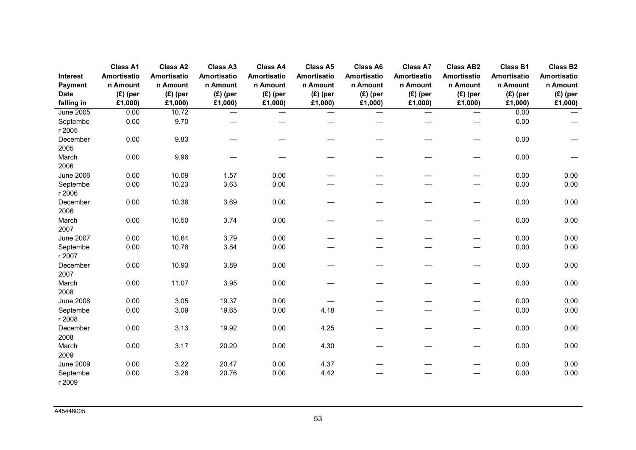|                  | <b>Class A1</b> | <b>Class A2</b> | <b>Class A3</b> | <b>Class A4</b> | <b>Class A5</b> | <b>Class A6</b> | <b>Class A7</b> | <b>Class AB2</b> | <b>Class B1</b> | <b>Class B2</b> |
|------------------|-----------------|-----------------|-----------------|-----------------|-----------------|-----------------|-----------------|------------------|-----------------|-----------------|
| Interest         | Amortisatio     | Amortisatio     | Amortisatio     | Amortisatio     | Amortisatio     | Amortisatio     | Amortisatio     | Amortisatio      | Amortisatio     | Amortisatio     |
| Payment          | n Amount        | n Amount        | n Amount        | n Amount        | n Amount        | n Amount        | n Amount        | n Amount         | n Amount        | n Amount        |
| <b>Date</b>      | $(E)$ (per      | $(E)$ (per      | $(E)$ (per      | $(E)$ (per      | $(E)$ (per      | $(E)$ (per      | $(E)$ (per      | $(E)$ (per       | $(E)$ (per      | $(E)$ (per      |
| falling in       | £1,000)         | £1,000)         | £1,000)         | £1,000)         | £1,000)         | £1,000)         | £1,000)         | £1,000)          | £1,000)         | £1,000)         |
| <b>June 2005</b> | 0.00            | 10.72           |                 |                 |                 |                 | —               |                  | 0.00            |                 |
| Septembe         | 0.00            | 9.70            |                 |                 |                 |                 |                 |                  | 0.00            |                 |
| r 2005           |                 |                 |                 |                 |                 |                 |                 |                  |                 |                 |
| December         | 0.00            | 9.83            |                 |                 |                 |                 |                 |                  | 0.00            |                 |
| 2005             |                 |                 |                 |                 |                 |                 |                 |                  |                 |                 |
| March            | 0.00            | 9.96            |                 |                 |                 |                 |                 |                  | 0.00            |                 |
| 2006             |                 |                 |                 |                 |                 |                 |                 |                  |                 |                 |
| <b>June 2006</b> | 0.00            | 10.09           | 1.57            | 0.00            |                 |                 |                 |                  | 0.00            | 0.00            |
| Septembe         | 0.00            | 10.23           | 3.63            | 0.00            |                 |                 |                 |                  | 0.00            | 0.00            |
| r 2006           |                 |                 |                 |                 |                 |                 |                 |                  |                 |                 |
| December         | 0.00            | 10.36           | 3.69            | 0.00            |                 |                 |                 |                  | 0.00            | 0.00            |
| 2006             |                 |                 |                 |                 |                 |                 |                 |                  |                 |                 |
| March            | 0.00            | 10.50           | 3.74            | 0.00            |                 |                 |                 |                  | 0.00            | 0.00            |
| 2007             |                 |                 |                 |                 |                 |                 |                 |                  |                 |                 |
| <b>June 2007</b> | 0.00            | 10.64           | 3.79            | 0.00            |                 |                 |                 |                  | 0.00            | 0.00            |
| Septembe         | 0.00            | 10.78           | 3.84            | 0.00            |                 |                 |                 |                  | 0.00            | 0.00            |
| r 2007           |                 |                 |                 |                 |                 |                 |                 |                  |                 |                 |
| December         | 0.00            | 10.93           | 3.89            | 0.00            |                 |                 |                 |                  | 0.00            | 0.00            |
| 2007             |                 |                 |                 |                 |                 |                 |                 |                  |                 |                 |
| March            | 0.00            | 11.07           | 3.95            | 0.00            |                 |                 |                 |                  | 0.00            | 0.00            |
| 2008             |                 |                 |                 |                 |                 |                 |                 |                  |                 |                 |
| <b>June 2008</b> | 0.00            | 3.05            | 19.37           | 0.00            |                 |                 |                 |                  | 0.00            | 0.00            |
| Septembe         | 0.00            | 3.09            | 19.65           | 0.00            | 4.18            |                 |                 |                  | 0.00            | 0.00            |
| r 2008           |                 |                 |                 |                 |                 |                 |                 |                  |                 |                 |
| December         | 0.00            | 3.13            | 19.92           | 0.00            | 4.25            |                 |                 |                  | 0.00            | 0.00            |
| 2008             |                 |                 |                 |                 |                 |                 |                 |                  |                 |                 |
| March            | 0.00            | 3.17            | 20.20           | 0.00            | 4.30            |                 |                 |                  | 0.00            | 0.00            |
| 2009             |                 |                 |                 |                 |                 |                 |                 |                  |                 |                 |
| <b>June 2009</b> | 0.00            | 3.22            | 20.47           | 0.00            | 4.37            |                 |                 |                  | 0.00            | 0.00            |
| Septembe         | 0.00            | 3.26            | 20.76           | 0.00            | 4.42            |                 |                 |                  | 0.00            | 0.00            |
| r 2009           |                 |                 |                 |                 |                 |                 |                 |                  |                 |                 |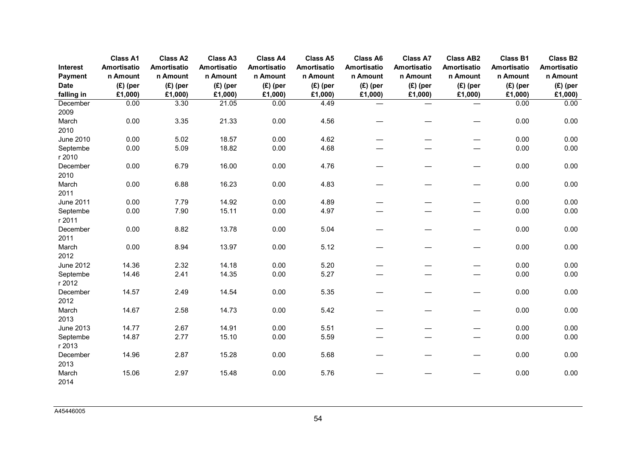| <b>Interest</b>    | <b>Class A1</b><br>Amortisatio | <b>Class A2</b><br><b>Amortisatio</b> | <b>Class A3</b><br>Amortisatio | <b>Class A4</b><br>Amortisatio | <b>Class A5</b><br><b>Amortisatio</b> | <b>Class A6</b><br><b>Amortisatio</b> | <b>Class A7</b><br>Amortisatio | <b>Class AB2</b><br><b>Amortisatio</b> | <b>Class B1</b><br>Amortisatio | <b>Class B2</b><br>Amortisatio |
|--------------------|--------------------------------|---------------------------------------|--------------------------------|--------------------------------|---------------------------------------|---------------------------------------|--------------------------------|----------------------------------------|--------------------------------|--------------------------------|
| Payment            | n Amount                       | n Amount                              | n Amount                       | n Amount                       | n Amount                              | n Amount                              | n Amount                       | n Amount                               | n Amount                       | n Amount                       |
| <b>Date</b>        | $(E)$ (per                     | $(E)$ (per                            | $(E)$ (per                     | $(E)$ (per                     | $(E)$ (per                            | $(E)$ (per                            | $(E)$ (per                     | $(E)$ (per                             | $(E)$ (per                     | $(E)$ (per                     |
| falling in         | £1,000)                        | £1,000)                               | £1,000)                        | £1,000)                        | £1,000)                               | £1,000)                               | £1,000)                        | £1,000)                                | £1,000)                        | £1,000)                        |
| December           | 0.00                           | 3.30                                  | 21.05                          | 0.00                           | 4.49                                  |                                       | $\overline{\phantom{0}}$       | $\qquad \qquad -$                      | 0.00                           | 0.00                           |
| 2009               |                                |                                       |                                |                                |                                       |                                       |                                |                                        |                                |                                |
| March              | 0.00                           | 3.35                                  | 21.33                          | 0.00                           | 4.56                                  |                                       |                                |                                        | 0.00                           | 0.00                           |
| 2010               |                                |                                       |                                |                                |                                       |                                       |                                |                                        |                                |                                |
| <b>June 2010</b>   | 0.00                           | 5.02                                  | 18.57                          | 0.00                           | 4.62                                  |                                       |                                |                                        | 0.00                           | 0.00                           |
| Septembe           | 0.00                           | 5.09                                  | 18.82                          | 0.00                           | 4.68                                  |                                       |                                |                                        | 0.00                           | 0.00                           |
| r 2010             |                                |                                       |                                |                                |                                       |                                       |                                |                                        |                                |                                |
| December           | 0.00                           | 6.79                                  | 16.00                          | 0.00                           | 4.76                                  |                                       |                                |                                        | 0.00                           | 0.00                           |
| 2010               |                                |                                       |                                |                                |                                       |                                       |                                |                                        |                                |                                |
| March              | 0.00                           | 6.88                                  | 16.23                          | 0.00                           | 4.83                                  |                                       |                                |                                        | 0.00                           | 0.00                           |
| 2011               |                                |                                       |                                |                                |                                       |                                       |                                |                                        |                                |                                |
| <b>June 2011</b>   | 0.00                           | 7.79                                  | 14.92                          | 0.00                           | 4.89                                  |                                       |                                |                                        | 0.00                           | 0.00                           |
| Septembe           | 0.00                           | 7.90                                  | 15.11                          | 0.00                           | 4.97                                  |                                       |                                |                                        | 0.00                           | 0.00                           |
| r 2011<br>December | 0.00                           | 8.82                                  | 13.78                          | 0.00                           | 5.04                                  |                                       |                                |                                        | 0.00                           | 0.00                           |
| 2011               |                                |                                       |                                |                                |                                       |                                       |                                |                                        |                                |                                |
| March              | 0.00                           | 8.94                                  | 13.97                          | 0.00                           | 5.12                                  | —                                     |                                | $\overbrace{\phantom{13333}}$          | 0.00                           | 0.00                           |
| 2012               |                                |                                       |                                |                                |                                       |                                       |                                |                                        |                                |                                |
| <b>June 2012</b>   | 14.36                          | 2.32                                  | 14.18                          | 0.00                           | 5.20                                  |                                       |                                |                                        | 0.00                           | 0.00                           |
| Septembe           | 14.46                          | 2.41                                  | 14.35                          | 0.00                           | 5.27                                  |                                       |                                |                                        | 0.00                           | 0.00                           |
| r 2012             |                                |                                       |                                |                                |                                       |                                       |                                |                                        |                                |                                |
| December           | 14.57                          | 2.49                                  | 14.54                          | 0.00                           | 5.35                                  |                                       |                                | $\overbrace{\phantom{13333}}$          | 0.00                           | 0.00                           |
| 2012               |                                |                                       |                                |                                |                                       |                                       |                                |                                        |                                |                                |
| March              | 14.67                          | 2.58                                  | 14.73                          | 0.00                           | 5.42                                  |                                       |                                |                                        | 0.00                           | 0.00                           |
| 2013               |                                |                                       |                                |                                |                                       |                                       |                                |                                        |                                |                                |
| <b>June 2013</b>   | 14.77                          | 2.67                                  | 14.91                          | 0.00                           | 5.51                                  |                                       |                                |                                        | 0.00                           | 0.00                           |
| Septembe           | 14.87                          | 2.77                                  | 15.10                          | 0.00                           | 5.59                                  | $\overline{\phantom{0}}$              |                                |                                        | 0.00                           | 0.00                           |
| r 2013             |                                |                                       |                                |                                |                                       |                                       |                                |                                        |                                |                                |
| December           | 14.96                          | 2.87                                  | 15.28                          | 0.00                           | 5.68                                  |                                       |                                |                                        | 0.00                           | 0.00                           |
| 2013               |                                |                                       |                                |                                |                                       |                                       |                                |                                        |                                |                                |
| March              | 15.06                          | 2.97                                  | 15.48                          | 0.00                           | 5.76                                  |                                       |                                |                                        | 0.00                           | 0.00                           |
| 2014               |                                |                                       |                                |                                |                                       |                                       |                                |                                        |                                |                                |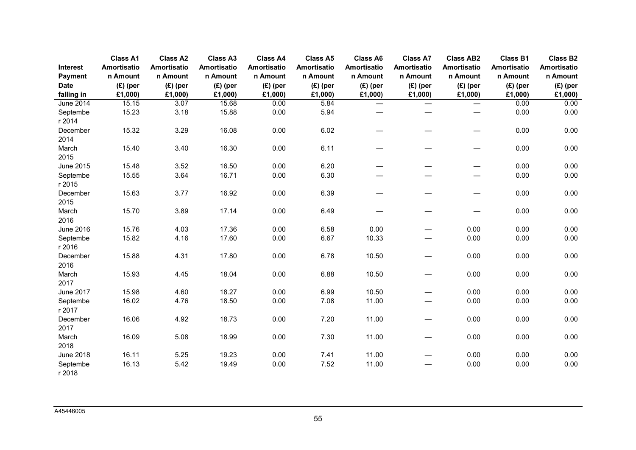|                     | <b>Class A1</b>         | <b>Class A2</b>         | <b>Class A3</b>         | <b>Class A4</b>         | <b>Class A5</b>         | <b>Class A6</b>         | <b>Class A7</b>          | <b>Class AB2</b>               | <b>Class B1</b>         | <b>Class B2</b>         |
|---------------------|-------------------------|-------------------------|-------------------------|-------------------------|-------------------------|-------------------------|--------------------------|--------------------------------|-------------------------|-------------------------|
| Interest<br>Payment | Amortisatio<br>n Amount | Amortisatio<br>n Amount | Amortisatio<br>n Amount | Amortisatio<br>n Amount | Amortisatio<br>n Amount | Amortisatio<br>n Amount | Amortisatio<br>n Amount  | <b>Amortisatio</b><br>n Amount | Amortisatio<br>n Amount | Amortisatio<br>n Amount |
| <b>Date</b>         | $(E)$ (per              | $(E)$ (per              | $(E)$ (per              | $(E)$ (per              | $(E)$ (per              | $(E)$ (per              | $(E)$ (per               | $(E)$ (per                     | $(E)$ (per              | $(E)$ (per              |
| falling in          | £1,000)                 | £1,000)                 | £1,000)                 | £1,000)                 | £1,000)                 | £1,000)                 | £1,000)                  | £1,000)                        | £1,000)                 | £1,000)                 |
| June 2014           | 15.15                   | 3.07                    | 15.68                   | 0.00                    | 5.84                    |                         | $\qquad \qquad$          | $\overline{\phantom{0}}$       | 0.00                    | 0.00                    |
| Septembe<br>r 2014  | 15.23                   | 3.18                    | 15.88                   | 0.00                    | 5.94                    |                         |                          |                                | 0.00                    | 0.00                    |
| December<br>2014    | 15.32                   | 3.29                    | 16.08                   | 0.00                    | 6.02                    |                         |                          | —                              | 0.00                    | 0.00                    |
| March<br>2015       | 15.40                   | 3.40                    | 16.30                   | 0.00                    | 6.11                    | —                       |                          | $\overline{\phantom{0}}$       | 0.00                    | 0.00                    |
| <b>June 2015</b>    | 15.48                   | 3.52                    | 16.50                   | 0.00                    | 6.20                    |                         |                          |                                | 0.00                    | 0.00                    |
| Septembe<br>r 2015  | 15.55                   | 3.64                    | 16.71                   | 0.00                    | 6.30                    |                         |                          |                                | 0.00                    | 0.00                    |
| December<br>2015    | 15.63                   | 3.77                    | 16.92                   | 0.00                    | 6.39                    |                         |                          |                                | 0.00                    | 0.00                    |
| March<br>2016       | 15.70                   | 3.89                    | 17.14                   | 0.00                    | 6.49                    |                         |                          |                                | 0.00                    | 0.00                    |
| <b>June 2016</b>    | 15.76                   | 4.03                    | 17.36                   | 0.00                    | 6.58                    | 0.00                    |                          | 0.00                           | 0.00                    | 0.00                    |
| Septembe<br>r 2016  | 15.82                   | 4.16                    | 17.60                   | 0.00                    | 6.67                    | 10.33                   |                          | 0.00                           | 0.00                    | 0.00                    |
| December<br>2016    | 15.88                   | 4.31                    | 17.80                   | 0.00                    | 6.78                    | 10.50                   |                          | 0.00                           | 0.00                    | 0.00                    |
| March<br>2017       | 15.93                   | 4.45                    | 18.04                   | 0.00                    | 6.88                    | 10.50                   |                          | 0.00                           | 0.00                    | 0.00                    |
| <b>June 2017</b>    | 15.98                   | 4.60                    | 18.27                   | 0.00                    | 6.99                    | 10.50                   | $\overline{\phantom{0}}$ | 0.00                           | 0.00                    | 0.00                    |
| Septembe<br>r 2017  | 16.02                   | 4.76                    | 18.50                   | 0.00                    | 7.08                    | 11.00                   |                          | 0.00                           | 0.00                    | 0.00                    |
| December<br>2017    | 16.06                   | 4.92                    | 18.73                   | 0.00                    | 7.20                    | 11.00                   | $\overline{\phantom{0}}$ | 0.00                           | 0.00                    | 0.00                    |
| March<br>2018       | 16.09                   | 5.08                    | 18.99                   | 0.00                    | 7.30                    | 11.00                   |                          | 0.00                           | 0.00                    | 0.00                    |
| <b>June 2018</b>    | 16.11                   | 5.25                    | 19.23                   | 0.00                    | 7.41                    | 11.00                   |                          | 0.00                           | 0.00                    | 0.00                    |
| Septembe<br>r 2018  | 16.13                   | 5.42                    | 19.49                   | 0.00                    | 7.52                    | 11.00                   |                          | 0.00                           | 0.00                    | 0.00                    |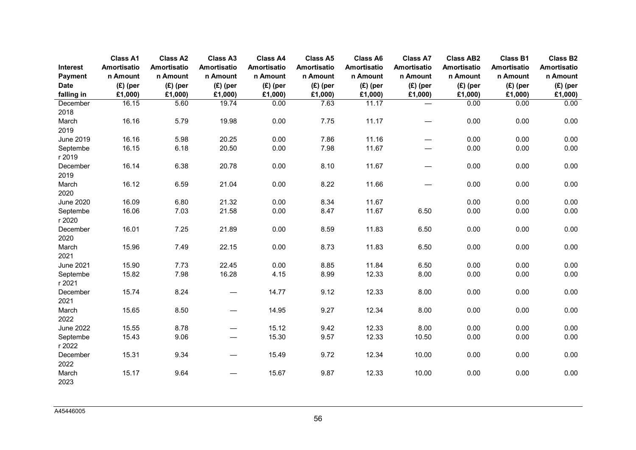|                        | <b>Class A1</b>        | <b>Class A2</b>       | <b>Class A3</b>          | <b>Class A4</b>       | <b>Class A5</b>       | <b>Class A6</b>        | <b>Class A7</b>          | <b>Class AB2</b>       | <b>Class B1</b>        | <b>Class B2</b>       |
|------------------------|------------------------|-----------------------|--------------------------|-----------------------|-----------------------|------------------------|--------------------------|------------------------|------------------------|-----------------------|
| Interest               | Amortisatio            | <b>Amortisatio</b>    | Amortisatio              | Amortisatio           | Amortisatio           | Amortisatio            | Amortisatio              | <b>Amortisatio</b>     | Amortisatio            | Amortisatio           |
| Payment<br><b>Date</b> | n Amount<br>$(E)$ (per | n Amount              | n Amount<br>$(E)$ (per   | n Amount              | n Amount              | n Amount<br>$(E)$ (per | n Amount<br>$(E)$ (per   | n Amount<br>$(E)$ (per | n Amount<br>$(E)$ (per | n Amount              |
| falling in             | £1,000)                | $(E)$ (per<br>£1,000) | £1,000)                  | $(E)$ (per<br>£1,000) | $(E)$ (per<br>£1,000) | £1,000)                | £1,000)                  | £1,000)                | £1,000)                | $(E)$ (per<br>£1,000) |
| December               | 16.15                  | 5.60                  | 19.74                    | 0.00                  | 7.63                  | 11.17                  | $\qquad \qquad$          | 0.00                   | 0.00                   | 0.00                  |
| 2018                   |                        |                       |                          |                       |                       |                        |                          |                        |                        |                       |
| March                  | 16.16                  | 5.79                  | 19.98                    | 0.00                  | 7.75                  | 11.17                  | $\overline{\phantom{0}}$ | 0.00                   | 0.00                   | 0.00                  |
| 2019                   |                        |                       |                          |                       |                       |                        |                          |                        |                        |                       |
| <b>June 2019</b>       | 16.16                  | 5.98                  | 20.25                    | 0.00                  | 7.86                  | 11.16                  | $\overline{\phantom{0}}$ | 0.00                   | 0.00                   | 0.00                  |
| Septembe               | 16.15                  | 6.18                  | 20.50                    | 0.00                  | 7.98                  | 11.67                  |                          | 0.00                   | 0.00                   | 0.00                  |
| r 2019                 |                        |                       |                          |                       |                       |                        |                          |                        |                        |                       |
| December               | 16.14                  | 6.38                  | 20.78                    | 0.00                  | 8.10                  | 11.67                  |                          | 0.00                   | 0.00                   | 0.00                  |
| 2019                   |                        |                       |                          |                       |                       |                        |                          |                        |                        |                       |
| March                  | 16.12                  | 6.59                  | 21.04                    | 0.00                  | 8.22                  | 11.66                  |                          | 0.00                   | 0.00                   | 0.00                  |
| 2020                   |                        |                       |                          |                       |                       |                        |                          |                        |                        |                       |
| <b>June 2020</b>       | 16.09                  | 6.80                  | 21.32                    | 0.00                  | 8.34                  | 11.67                  |                          | 0.00                   | 0.00                   | 0.00                  |
| Septembe               | 16.06                  | 7.03                  | 21.58                    | 0.00                  | 8.47                  | 11.67                  | 6.50                     | 0.00                   | 0.00                   | 0.00                  |
| r 2020                 |                        |                       |                          |                       |                       |                        |                          |                        |                        |                       |
| December               | 16.01                  | 7.25                  | 21.89                    | 0.00                  | 8.59                  | 11.83                  | 6.50                     | 0.00                   | 0.00                   | 0.00                  |
| 2020                   |                        |                       |                          |                       |                       |                        |                          |                        |                        |                       |
| March                  | 15.96                  | 7.49                  | 22.15                    | 0.00                  | 8.73                  | 11.83                  | 6.50                     | 0.00                   | 0.00                   | 0.00                  |
| 2021                   |                        |                       |                          |                       |                       |                        |                          |                        |                        |                       |
| <b>June 2021</b>       | 15.90                  | 7.73                  | 22.45                    | 0.00                  | 8.85                  | 11.84                  | 6.50                     | 0.00                   | 0.00                   | 0.00                  |
| Septembe               | 15.82                  | 7.98                  | 16.28                    | 4.15                  | 8.99                  | 12.33                  | 8.00                     | 0.00                   | 0.00                   | 0.00                  |
| r 2021                 |                        |                       |                          |                       |                       |                        |                          |                        |                        |                       |
| December<br>2021       | 15.74                  | 8.24                  |                          | 14.77                 | 9.12                  | 12.33                  | 8.00                     | 0.00                   | 0.00                   | 0.00                  |
| March                  | 15.65                  | 8.50                  |                          | 14.95                 | 9.27                  | 12.34                  | 8.00                     | 0.00                   | 0.00                   | 0.00                  |
| 2022                   |                        |                       | $\overline{\phantom{0}}$ |                       |                       |                        |                          |                        |                        |                       |
| <b>June 2022</b>       | 15.55                  | 8.78                  | $\overline{\phantom{0}}$ | 15.12                 | 9.42                  | 12.33                  | 8.00                     | 0.00                   | 0.00                   | 0.00                  |
| Septembe               | 15.43                  | 9.06                  |                          | 15.30                 | 9.57                  | 12.33                  | 10.50                    | 0.00                   | 0.00                   | 0.00                  |
| r 2022                 |                        |                       |                          |                       |                       |                        |                          |                        |                        |                       |
| December               | 15.31                  | 9.34                  | $\overline{\phantom{0}}$ | 15.49                 | 9.72                  | 12.34                  | 10.00                    | 0.00                   | 0.00                   | 0.00                  |
| 2022                   |                        |                       |                          |                       |                       |                        |                          |                        |                        |                       |
| March                  | 15.17                  | 9.64                  |                          | 15.67                 | 9.87                  | 12.33                  | 10.00                    | 0.00                   | 0.00                   | 0.00                  |
| 2023                   |                        |                       |                          |                       |                       |                        |                          |                        |                        |                       |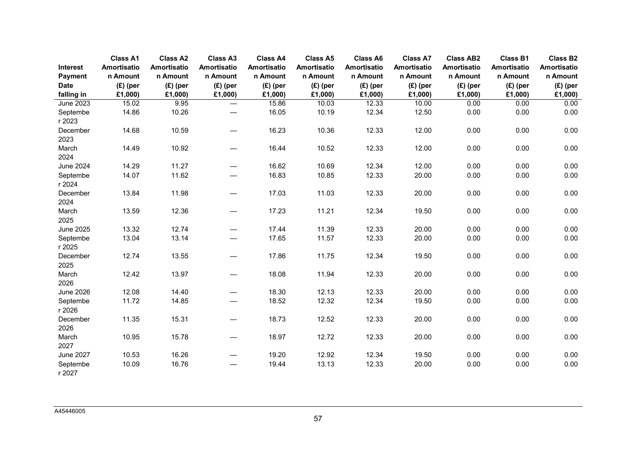|                     | <b>Class A1</b>         | <b>Class A2</b>         | <b>Class A3</b>                   | <b>Class A4</b>         | <b>Class A5</b>         | <b>Class A6</b>         | <b>Class A7</b>         | <b>Class AB2</b>               | <b>Class B1</b>         | <b>Class B2</b>         |
|---------------------|-------------------------|-------------------------|-----------------------------------|-------------------------|-------------------------|-------------------------|-------------------------|--------------------------------|-------------------------|-------------------------|
| Interest<br>Payment | Amortisatio<br>n Amount | Amortisatio<br>n Amount | Amortisatio<br>n Amount           | Amortisatio<br>n Amount | Amortisatio<br>n Amount | Amortisatio<br>n Amount | Amortisatio<br>n Amount | <b>Amortisatio</b><br>n Amount | Amortisatio<br>n Amount | Amortisatio<br>n Amount |
| <b>Date</b>         | $(E)$ (per              | $(E)$ (per              | $(E)$ (per                        | $(E)$ (per              | $(E)$ (per              | $(E)$ (per              | $(E)$ (per              | $(E)$ (per                     | $(E)$ (per              | $(E)$ (per              |
| falling in          | £1,000)                 | £1,000)                 | £1,000)                           | £1,000)                 | £1,000)                 | £1,000)                 | £1,000)                 | £1,000)                        | £1,000)                 | £1,000)                 |
| June 2023           | 15.02                   | 9.95                    | $\overbrace{\phantom{123221111}}$ | 15.86                   | 10.03                   | 12.33                   | 10.00                   | 0.00                           | 0.00                    | 0.00                    |
| Septembe<br>r 2023  | 14.86                   | 10.26                   |                                   | 16.05                   | 10.19                   | 12.34                   | 12.50                   | 0.00                           | 0.00                    | 0.00                    |
| December<br>2023    | 14.68                   | 10.59                   |                                   | 16.23                   | 10.36                   | 12.33                   | 12.00                   | 0.00                           | 0.00                    | 0.00                    |
| March<br>2024       | 14.49                   | 10.92                   |                                   | 16.44                   | 10.52                   | 12.33                   | 12.00                   | 0.00                           | 0.00                    | 0.00                    |
| <b>June 2024</b>    | 14.29                   | 11.27                   | —                                 | 16.62                   | 10.69                   | 12.34                   | 12.00                   | 0.00                           | 0.00                    | 0.00                    |
| Septembe<br>r 2024  | 14.07                   | 11.62                   |                                   | 16.83                   | 10.85                   | 12.33                   | 20.00                   | 0.00                           | 0.00                    | 0.00                    |
| December<br>2024    | 13.84                   | 11.98                   |                                   | 17.03                   | 11.03                   | 12.33                   | 20.00                   | 0.00                           | 0.00                    | 0.00                    |
| March<br>2025       | 13.59                   | 12.36                   |                                   | 17.23                   | 11.21                   | 12.34                   | 19.50                   | 0.00                           | 0.00                    | 0.00                    |
| <b>June 2025</b>    | 13.32                   | 12.74                   | $\qquad \qquad$                   | 17.44                   | 11.39                   | 12.33                   | 20.00                   | 0.00                           | 0.00                    | 0.00                    |
| Septembe<br>r 2025  | 13.04                   | 13.14                   |                                   | 17.65                   | 11.57                   | 12.33                   | 20.00                   | 0.00                           | 0.00                    | 0.00                    |
| December<br>2025    | 12.74                   | 13.55                   | —                                 | 17.86                   | 11.75                   | 12.34                   | 19.50                   | 0.00                           | 0.00                    | 0.00                    |
| March<br>2026       | 12.42                   | 13.97                   | —                                 | 18.08                   | 11.94                   | 12.33                   | 20.00                   | 0.00                           | 0.00                    | 0.00                    |
| <b>June 2026</b>    | 12.08                   | 14.40                   | $\qquad \qquad$                   | 18.30                   | 12.13                   | 12.33                   | 20.00                   | 0.00                           | 0.00                    | 0.00                    |
| Septembe<br>r 2026  | 11.72                   | 14.85                   | —                                 | 18.52                   | 12.32                   | 12.34                   | 19.50                   | 0.00                           | 0.00                    | 0.00                    |
| December<br>2026    | 11.35                   | 15.31                   | $\overline{\phantom{0}}$          | 18.73                   | 12.52                   | 12.33                   | 20.00                   | 0.00                           | 0.00                    | 0.00                    |
| March<br>2027       | 10.95                   | 15.78                   | $\overline{\phantom{0}}$          | 18.97                   | 12.72                   | 12.33                   | 20.00                   | 0.00                           | 0.00                    | 0.00                    |
| <b>June 2027</b>    | 10.53                   | 16.26                   | $\overline{\phantom{0}}$          | 19.20                   | 12.92                   | 12.34                   | 19.50                   | 0.00                           | 0.00                    | 0.00                    |
| Septembe<br>r 2027  | 10.09                   | 16.76                   |                                   | 19.44                   | 13.13                   | 12.33                   | 20.00                   | 0.00                           | 0.00                    | 0.00                    |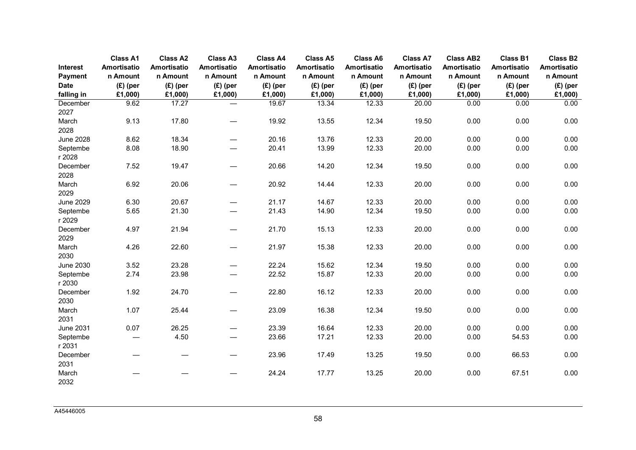|                     | <b>Class A1</b>         | <b>Class A2</b>                | <b>Class A3</b>          | <b>Class A4</b>         | <b>Class A5</b>                | <b>Class A6</b>         | <b>Class A7</b>         | <b>Class AB2</b>               | <b>Class B1</b>         | <b>Class B2</b>         |
|---------------------|-------------------------|--------------------------------|--------------------------|-------------------------|--------------------------------|-------------------------|-------------------------|--------------------------------|-------------------------|-------------------------|
| Interest<br>Payment | Amortisatio<br>n Amount | <b>Amortisatio</b><br>n Amount | Amortisatio<br>n Amount  | Amortisatio<br>n Amount | <b>Amortisatio</b><br>n Amount | Amortisatio<br>n Amount | Amortisatio<br>n Amount | <b>Amortisatio</b><br>n Amount | Amortisatio<br>n Amount | Amortisatio<br>n Amount |
| <b>Date</b>         | $(E)$ (per              | $(E)$ (per                     | $(E)$ (per               | $(E)$ (per              | $(E)$ (per                     | $(E)$ (per              | $(E)$ (per              | $(E)$ (per                     | $(E)$ (per              | $(E)$ (per              |
| falling in          | £1,000)                 | £1,000)                        | £1,000)                  | £1,000)                 | £1,000)                        | £1,000)                 | £1,000)                 | £1,000)                        | £1,000)                 | £1,000)                 |
| December            | 9.62                    | 17.27                          | $\overline{\phantom{0}}$ | 19.67                   | 13.34                          | 12.33                   | 20.00                   | 0.00                           | 0.00                    | 0.00                    |
| 2027                |                         |                                |                          |                         |                                |                         |                         |                                |                         |                         |
| March               | 9.13                    | 17.80                          |                          | 19.92                   | 13.55                          | 12.34                   | 19.50                   | 0.00                           | 0.00                    | 0.00                    |
| 2028                |                         |                                |                          |                         |                                |                         |                         |                                |                         |                         |
| <b>June 2028</b>    | 8.62                    | 18.34                          |                          | 20.16                   | 13.76                          | 12.33                   | 20.00                   | 0.00                           | 0.00                    | 0.00                    |
| Septembe<br>r 2028  | 8.08                    | 18.90                          |                          | 20.41                   | 13.99                          | 12.33                   | 20.00                   | 0.00                           | 0.00                    | 0.00                    |
| December            | 7.52                    | 19.47                          | $\overline{\phantom{0}}$ | 20.66                   | 14.20                          | 12.34                   | 19.50                   | 0.00                           | 0.00                    | 0.00                    |
| 2028<br>March       | 6.92                    | 20.06                          | $\overline{\phantom{0}}$ | 20.92                   | 14.44                          | 12.33                   | 20.00                   | 0.00                           | 0.00                    | 0.00                    |
| 2029                |                         |                                |                          |                         |                                |                         |                         |                                |                         |                         |
| <b>June 2029</b>    | 6.30                    | 20.67                          | $\overline{\phantom{0}}$ | 21.17                   | 14.67                          | 12.33                   | 20.00                   | 0.00                           | 0.00                    | 0.00                    |
| Septembe<br>r 2029  | 5.65                    | 21.30                          |                          | 21.43                   | 14.90                          | 12.34                   | 19.50                   | 0.00                           | 0.00                    | 0.00                    |
| December            | 4.97                    | 21.94                          | $\overline{\phantom{0}}$ | 21.70                   | 15.13                          | 12.33                   | 20.00                   | 0.00                           | 0.00                    | 0.00                    |
| 2029                |                         |                                |                          |                         |                                |                         |                         |                                |                         |                         |
| March<br>2030       | 4.26                    | 22.60                          |                          | 21.97                   | 15.38                          | 12.33                   | 20.00                   | 0.00                           | 0.00                    | 0.00                    |
| <b>June 2030</b>    | 3.52                    | 23.28                          |                          | 22.24                   | 15.62                          | 12.34                   | 19.50                   | 0.00                           | 0.00                    | 0.00                    |
| Septembe            | 2.74                    | 23.98                          |                          | 22.52                   | 15.87                          | 12.33                   | 20.00                   | 0.00                           | 0.00                    | 0.00                    |
| r 2030              |                         |                                |                          |                         |                                |                         |                         |                                |                         |                         |
| December<br>2030    | 1.92                    | 24.70                          | $\overline{\phantom{0}}$ | 22.80                   | 16.12                          | 12.33                   | 20.00                   | 0.00                           | 0.00                    | 0.00                    |
| March               | 1.07                    | 25.44                          | $\overline{\phantom{0}}$ | 23.09                   | 16.38                          | 12.34                   | 19.50                   | 0.00                           | 0.00                    | 0.00                    |
| 2031                |                         |                                |                          |                         |                                |                         |                         |                                |                         |                         |
| <b>June 2031</b>    | 0.07                    | 26.25                          | $\overline{\phantom{0}}$ | 23.39                   | 16.64                          | 12.33                   | 20.00                   | 0.00                           | 0.00                    | 0.00                    |
| Septembe            |                         | 4.50                           |                          | 23.66                   | 17.21                          | 12.33                   | 20.00                   | 0.00                           | 54.53                   | 0.00                    |
| r 2031              |                         |                                |                          |                         |                                |                         |                         |                                |                         |                         |
| December            |                         |                                | $\overline{\phantom{0}}$ | 23.96                   | 17.49                          | 13.25                   | 19.50                   | 0.00                           | 66.53                   | 0.00                    |
| 2031                |                         |                                |                          |                         |                                |                         |                         |                                |                         |                         |
| March               |                         |                                |                          | 24.24                   | 17.77                          | 13.25                   | 20.00                   | 0.00                           | 67.51                   | 0.00                    |
| 2032                |                         |                                |                          |                         |                                |                         |                         |                                |                         |                         |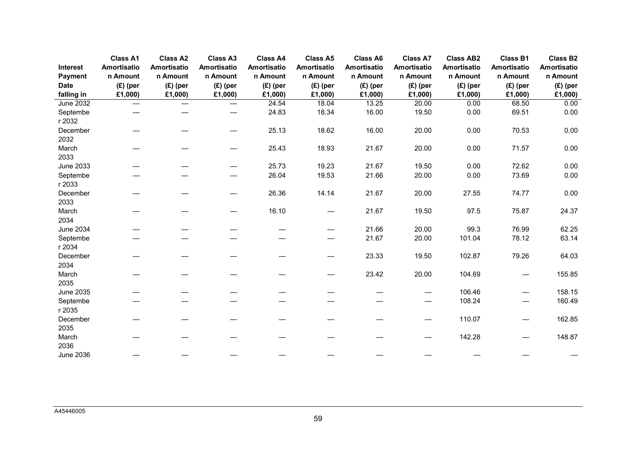|                  | <b>Class A1</b>               | <b>Class A2</b>   | <b>Class A3</b> | <b>Class A4</b> | <b>Class A5</b> | <b>Class A6</b>    | <b>Class A7</b>    | <b>Class AB2</b>   | <b>Class B1</b>    | <b>Class B2</b> |
|------------------|-------------------------------|-------------------|-----------------|-----------------|-----------------|--------------------|--------------------|--------------------|--------------------|-----------------|
| Interest         | Amortisatio                   | Amortisatio       | Amortisatio     | Amortisatio     | Amortisatio     | <b>Amortisatio</b> | <b>Amortisatio</b> | <b>Amortisatio</b> | <b>Amortisatio</b> | Amortisatio     |
| Payment          | n Amount                      | n Amount          | n Amount        | n Amount        | n Amount        | n Amount           | n Amount           | n Amount           | n Amount           | n Amount        |
| <b>Date</b>      | $(E)$ (per                    | $(E)$ (per        | $(E)$ (per      | $(E)$ (per      | $(E)$ (per      | $(E)$ (per         | $(E)$ (per         | $(E)$ (per         | $(E)$ (per         | $(E)$ (per      |
| falling in       | £1,000)                       | £1,000)           | £1,000)         | £1,000)         | £1,000)         | £1,000)            | £1,000)            | £1,000)            | £1,000)            | £1,000)         |
| <b>June 2032</b> | $\overbrace{\phantom{13333}}$ | $\hspace{0.05cm}$ |                 | 24.54           | 18.04           | 13.25              | 20.00              | 0.00               | 68.50              | 0.00            |
| Septembe         |                               |                   |                 | 24.83           | 18.34           | 16.00              | 19.50              | 0.00               | 69.51              | 0.00            |
| r 2032           |                               |                   |                 |                 |                 |                    |                    |                    |                    |                 |
| December         |                               |                   |                 | 25.13           | 18.62           | 16.00              | 20.00              | 0.00               | 70.53              | 0.00            |
| 2032             |                               |                   |                 |                 |                 |                    |                    |                    |                    |                 |
| March            |                               |                   |                 | 25.43           | 18.93           | 21.67              | 20.00              | 0.00               | 71.57              | 0.00            |
| 2033             |                               |                   |                 |                 |                 |                    |                    |                    |                    |                 |
| <b>June 2033</b> |                               |                   |                 | 25.73           | 19.23           | 21.67              | 19.50              | 0.00               | 72.62              | 0.00            |
| Septembe         |                               |                   |                 | 26.04           | 19.53           | 21.66              | 20.00              | 0.00               | 73.69              | 0.00            |
| r 2033           |                               |                   |                 |                 |                 |                    |                    |                    |                    |                 |
| December         |                               |                   |                 | 26.36           | 14.14           | 21.67              | 20.00              | 27.55              | 74.77              | 0.00            |
| 2033             |                               |                   |                 |                 |                 |                    |                    |                    |                    |                 |
| March            |                               |                   |                 | 16.10           |                 | 21.67              | 19.50              | 97.5               | 75.87              | 24.37           |
| 2034             |                               |                   |                 |                 |                 |                    |                    |                    |                    |                 |
| <b>June 2034</b> |                               |                   |                 |                 |                 | 21.66              | 20.00              | 99.3               | 76.99              | 62.25           |
| Septembe         |                               |                   |                 |                 |                 | 21.67              | 20.00              | 101.04             | 78.12              | 63.14           |
| r 2034           |                               |                   |                 |                 |                 |                    |                    |                    |                    |                 |
| December         |                               |                   |                 |                 |                 | 23.33              | 19.50              | 102.87             | 79.26              | 64.03           |
| 2034             |                               |                   |                 |                 |                 |                    |                    |                    |                    |                 |
| March            |                               |                   |                 |                 |                 | 23.42              | 20.00              | 104.69             |                    | 155.85          |
| 2035             |                               |                   |                 |                 |                 |                    |                    |                    |                    |                 |
| <b>June 2035</b> |                               |                   |                 |                 |                 |                    |                    | 106.46             |                    | 158.15          |
| Septembe         |                               |                   |                 |                 |                 |                    |                    | 108.24             |                    | 160.49          |
| r 2035           |                               |                   |                 |                 |                 |                    |                    |                    |                    |                 |
| December         |                               |                   |                 |                 |                 |                    |                    | 110.07             |                    | 162.85          |
| 2035             |                               |                   |                 |                 |                 |                    |                    |                    |                    |                 |
| March            |                               |                   |                 |                 |                 |                    |                    | 142.28             |                    | 148.87          |
| 2036             |                               |                   |                 |                 |                 |                    |                    |                    |                    |                 |
| <b>June 2036</b> |                               |                   |                 |                 |                 |                    |                    |                    |                    |                 |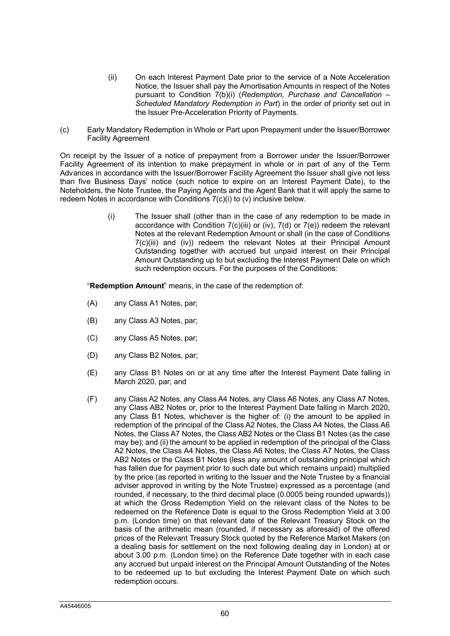- (ii) On each Interest Payment Date prior to the service of a Note Acceleration Notice, the Issuer shall pay the Amortisation Amounts in respect of the Notes pursuant to Condition 7(b)(i) (*Redemption, Purchase and Cancellation – Scheduled Mandatory Redemption in Part*) in the order of priority set out in the Issuer Pre-Acceleration Priority of Payments.
- (c) Early Mandatory Redemption in Whole or Part upon Prepayment under the Issuer/Borrower Facility Agreement

On receipt by the Issuer of a notice of prepayment from a Borrower under the Issuer/Borrower Facility Agreement of its intention to make prepayment in whole or in part of any of the Term Advances in accordance with the Issuer/Borrower Facility Agreement the Issuer shall give not less than five Business Days' notice (such notice to expire on an Interest Payment Date), to the Noteholders, the Note Trustee, the Paying Agents and the Agent Bank that it will apply the same to redeem Notes in accordance with Conditions 7(c)(i) to (v) inclusive below.

> (i) The Issuer shall (other than in the case of any redemption to be made in accordance with Condition  $7(c)$ (iii) or (iv),  $7(d)$  or  $7(e)$ ) redeem the relevant Notes at the relevant Redemption Amount or shall (in the case of Conditions 7(c)(iii) and (iv)) redeem the relevant Notes at their Principal Amount Outstanding together with accrued but unpaid interest on their Principal Amount Outstanding up to but excluding the Interest Payment Date on which such redemption occurs. For the purposes of the Conditions:

"**Redemption Amount**" means, in the case of the redemption of:

- (A) any Class A1 Notes, par;
- (B) any Class A3 Notes, par;
- (C) any Class A5 Notes, par;
- (D) any Class B2 Notes, par;
- (E) any Class B1 Notes on or at any time after the Interest Payment Date falling in March 2020, par; and
- (F) any Class A2 Notes, any Class A4 Notes, any Class A6 Notes, any Class A7 Notes, any Class AB2 Notes or, prior to the Interest Payment Date falling in March 2020, any Class B1 Notes, whichever is the higher of: (i) the amount to be applied in redemption of the principal of the Class A2 Notes, the Class A4 Notes, the Class A6 Notes, the Class A7 Notes, the Class AB2 Notes or the Class B1 Notes (as the case may be); and (ii) the amount to be applied in redemption of the principal of the Class A2 Notes, the Class A4 Notes, the Class A6 Notes, the Class A7 Notes, the Class AB2 Notes or the Class B1 Notes (less any amount of outstanding principal which has fallen due for payment prior to such date but which remains unpaid) multiplied by the price (as reported in writing to the Issuer and the Note Trustee by a financial adviser approved in writing by the Note Trustee) expressed as a percentage (and rounded, if necessary, to the third decimal place (0.0005 being rounded upwards)) at which the Gross Redemption Yield on the relevant class of the Notes to be redeemed on the Reference Date is equal to the Gross Redemption Yield at 3.00 p.m. (London time) on that relevant date of the Relevant Treasury Stock on the basis of the arithmetic mean (rounded, if necessary as aforesaid) of the offered prices of the Relevant Treasury Stock quoted by the Reference Market Makers (on a dealing basis for settlement on the next following dealing day in London) at or about 3.00 p.m. (London time) on the Reference Date together with in each case any accrued but unpaid interest on the Principal Amount Outstanding of the Notes to be redeemed up to but excluding the Interest Payment Date on which such redemption occurs.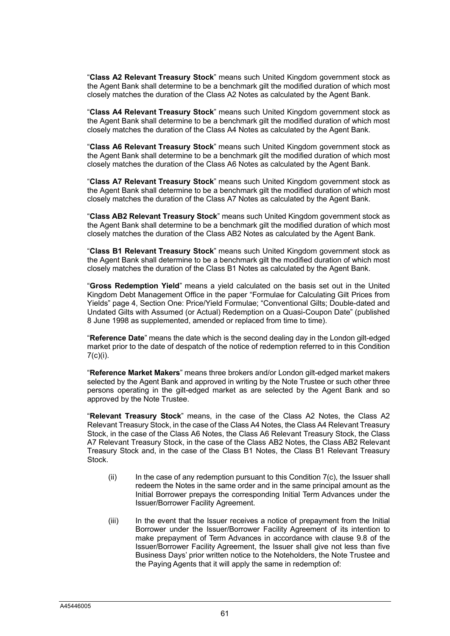"**Class A2 Relevant Treasury Stock**" means such United Kingdom government stock as the Agent Bank shall determine to be a benchmark gilt the modified duration of which most closely matches the duration of the Class A2 Notes as calculated by the Agent Bank.

"**Class A4 Relevant Treasury Stock**" means such United Kingdom government stock as the Agent Bank shall determine to be a benchmark gilt the modified duration of which most closely matches the duration of the Class A4 Notes as calculated by the Agent Bank.

"**Class A6 Relevant Treasury Stock**" means such United Kingdom government stock as the Agent Bank shall determine to be a benchmark gilt the modified duration of which most closely matches the duration of the Class A6 Notes as calculated by the Agent Bank.

"**Class A7 Relevant Treasury Stock**" means such United Kingdom government stock as the Agent Bank shall determine to be a benchmark gilt the modified duration of which most closely matches the duration of the Class A7 Notes as calculated by the Agent Bank.

"**Class AB2 Relevant Treasury Stock**" means such United Kingdom government stock as the Agent Bank shall determine to be a benchmark gilt the modified duration of which most closely matches the duration of the Class AB2 Notes as calculated by the Agent Bank.

"**Class B1 Relevant Treasury Stock**" means such United Kingdom government stock as the Agent Bank shall determine to be a benchmark gilt the modified duration of which most closely matches the duration of the Class B1 Notes as calculated by the Agent Bank.

"**Gross Redemption Yield**" means a yield calculated on the basis set out in the United Kingdom Debt Management Office in the paper "Formulae for Calculating Gilt Prices from Yields" page 4, Section One: Price/Yield Formulae; "Conventional Gilts; Double-dated and Undated Gilts with Assumed (or Actual) Redemption on a Quasi-Coupon Date" (published 8 June 1998 as supplemented, amended or replaced from time to time).

"**Reference Date**" means the date which is the second dealing day in the London gilt-edged market prior to the date of despatch of the notice of redemption referred to in this Condition  $7(c)(i)$ .

"**Reference Market Makers**" means three brokers and/or London gilt-edged market makers selected by the Agent Bank and approved in writing by the Note Trustee or such other three persons operating in the gilt-edged market as are selected by the Agent Bank and so approved by the Note Trustee.

"**Relevant Treasury Stock**" means, in the case of the Class A2 Notes, the Class A2 Relevant Treasury Stock, in the case of the Class A4 Notes, the Class A4 Relevant Treasury Stock, in the case of the Class A6 Notes, the Class A6 Relevant Treasury Stock, the Class A7 Relevant Treasury Stock, in the case of the Class AB2 Notes, the Class AB2 Relevant Treasury Stock and, in the case of the Class B1 Notes, the Class B1 Relevant Treasury Stock.

- $(i)$  In the case of any redemption pursuant to this Condition  $7(c)$ , the Issuer shall redeem the Notes in the same order and in the same principal amount as the Initial Borrower prepays the corresponding Initial Term Advances under the Issuer/Borrower Facility Agreement.
- (iii) In the event that the Issuer receives a notice of prepayment from the Initial Borrower under the Issuer/Borrower Facility Agreement of its intention to make prepayment of Term Advances in accordance with clause 9.8 of the Issuer/Borrower Facility Agreement, the Issuer shall give not less than five Business Days' prior written notice to the Noteholders, the Note Trustee and the Paying Agents that it will apply the same in redemption of: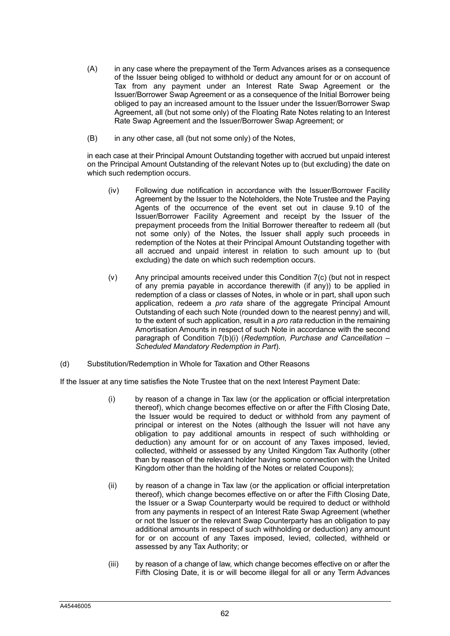- (A) in any case where the prepayment of the Term Advances arises as a consequence of the Issuer being obliged to withhold or deduct any amount for or on account of Tax from any payment under an Interest Rate Swap Agreement or the Issuer/Borrower Swap Agreement or as a consequence of the Initial Borrower being obliged to pay an increased amount to the Issuer under the Issuer/Borrower Swap Agreement, all (but not some only) of the Floating Rate Notes relating to an Interest Rate Swap Agreement and the Issuer/Borrower Swap Agreement; or
- (B) in any other case, all (but not some only) of the Notes,

in each case at their Principal Amount Outstanding together with accrued but unpaid interest on the Principal Amount Outstanding of the relevant Notes up to (but excluding) the date on which such redemption occurs.

- (iv) Following due notification in accordance with the Issuer/Borrower Facility Agreement by the Issuer to the Noteholders, the Note Trustee and the Paying Agents of the occurrence of the event set out in clause 9.10 of the Issuer/Borrower Facility Agreement and receipt by the Issuer of the prepayment proceeds from the Initial Borrower thereafter to redeem all (but not some only) of the Notes, the Issuer shall apply such proceeds in redemption of the Notes at their Principal Amount Outstanding together with all accrued and unpaid interest in relation to such amount up to (but excluding) the date on which such redemption occurs.
- (v) Any principal amounts received under this Condition 7(c) (but not in respect of any premia payable in accordance therewith (if any)) to be applied in redemption of a class or classes of Notes, in whole or in part, shall upon such application, redeem a *pro rata* share of the aggregate Principal Amount Outstanding of each such Note (rounded down to the nearest penny) and will, to the extent of such application, result in a *pro rata* reduction in the remaining Amortisation Amounts in respect of such Note in accordance with the second paragraph of Condition 7(b)(i) (*Redemption, Purchase and Cancellation – Scheduled Mandatory Redemption in Part*).
- (d) Substitution/Redemption in Whole for Taxation and Other Reasons

If the Issuer at any time satisfies the Note Trustee that on the next Interest Payment Date:

- (i) by reason of a change in Tax law (or the application or official interpretation thereof), which change becomes effective on or after the Fifth Closing Date, the Issuer would be required to deduct or withhold from any payment of principal or interest on the Notes (although the Issuer will not have any obligation to pay additional amounts in respect of such withholding or deduction) any amount for or on account of any Taxes imposed, levied, collected, withheld or assessed by any United Kingdom Tax Authority (other than by reason of the relevant holder having some connection with the United Kingdom other than the holding of the Notes or related Coupons);
- (ii) by reason of a change in Tax law (or the application or official interpretation thereof), which change becomes effective on or after the Fifth Closing Date, the Issuer or a Swap Counterparty would be required to deduct or withhold from any payments in respect of an Interest Rate Swap Agreement (whether or not the Issuer or the relevant Swap Counterparty has an obligation to pay additional amounts in respect of such withholding or deduction) any amount for or on account of any Taxes imposed, levied, collected, withheld or assessed by any Tax Authority; or
- (iii) by reason of a change of law, which change becomes effective on or after the Fifth Closing Date, it is or will become illegal for all or any Term Advances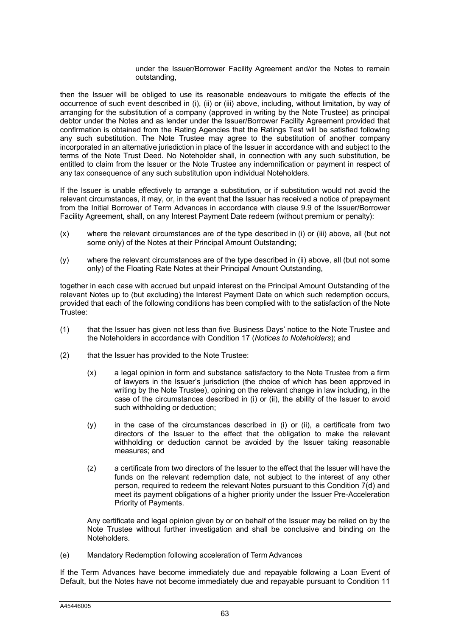### under the Issuer/Borrower Facility Agreement and/or the Notes to remain outstanding,

then the Issuer will be obliged to use its reasonable endeavours to mitigate the effects of the occurrence of such event described in (i), (ii) or (iii) above, including, without limitation, by way of arranging for the substitution of a company (approved in writing by the Note Trustee) as principal debtor under the Notes and as lender under the Issuer/Borrower Facility Agreement provided that confirmation is obtained from the Rating Agencies that the Ratings Test will be satisfied following any such substitution. The Note Trustee may agree to the substitution of another company incorporated in an alternative jurisdiction in place of the Issuer in accordance with and subject to the terms of the Note Trust Deed. No Noteholder shall, in connection with any such substitution, be entitled to claim from the Issuer or the Note Trustee any indemnification or payment in respect of any tax consequence of any such substitution upon individual Noteholders.

If the Issuer is unable effectively to arrange a substitution, or if substitution would not avoid the relevant circumstances, it may, or, in the event that the Issuer has received a notice of prepayment from the Initial Borrower of Term Advances in accordance with clause 9.9 of the Issuer/Borrower Facility Agreement, shall, on any Interest Payment Date redeem (without premium or penalty):

- (x) where the relevant circumstances are of the type described in (i) or (iii) above, all (but not some only) of the Notes at their Principal Amount Outstanding;
- (y) where the relevant circumstances are of the type described in (ii) above, all (but not some only) of the Floating Rate Notes at their Principal Amount Outstanding,

together in each case with accrued but unpaid interest on the Principal Amount Outstanding of the relevant Notes up to (but excluding) the Interest Payment Date on which such redemption occurs, provided that each of the following conditions has been complied with to the satisfaction of the Note Trustee:

- (1) that the Issuer has given not less than five Business Days' notice to the Note Trustee and the Noteholders in accordance with Condition 17 (*Notices to Noteholders*); and
- (2) that the Issuer has provided to the Note Trustee:
	- (x) a legal opinion in form and substance satisfactory to the Note Trustee from a firm of lawyers in the Issuer's jurisdiction (the choice of which has been approved in writing by the Note Trustee), opining on the relevant change in law including, in the case of the circumstances described in (i) or (ii), the ability of the Issuer to avoid such withholding or deduction;
	- (y) in the case of the circumstances described in (i) or (ii), a certificate from two directors of the Issuer to the effect that the obligation to make the relevant withholding or deduction cannot be avoided by the Issuer taking reasonable measures; and
	- (z) a certificate from two directors of the Issuer to the effect that the Issuer will have the funds on the relevant redemption date, not subject to the interest of any other person, required to redeem the relevant Notes pursuant to this Condition 7(d) and meet its payment obligations of a higher priority under the Issuer Pre-Acceleration Priority of Payments.

Any certificate and legal opinion given by or on behalf of the Issuer may be relied on by the Note Trustee without further investigation and shall be conclusive and binding on the Noteholders.

(e) Mandatory Redemption following acceleration of Term Advances

If the Term Advances have become immediately due and repayable following a Loan Event of Default, but the Notes have not become immediately due and repayable pursuant to Condition 11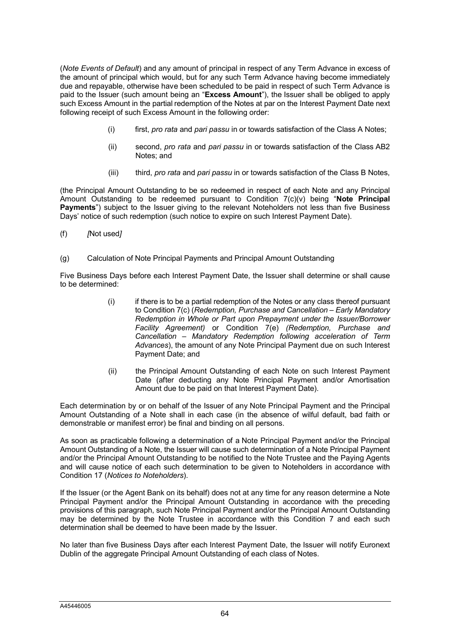(*Note Events of Default*) and any amount of principal in respect of any Term Advance in excess of the amount of principal which would, but for any such Term Advance having become immediately due and repayable, otherwise have been scheduled to be paid in respect of such Term Advance is paid to the Issuer (such amount being an "**Excess Amount**"), the Issuer shall be obliged to apply such Excess Amount in the partial redemption of the Notes at par on the Interest Payment Date next following receipt of such Excess Amount in the following order:

- (i) first, *pro rata* and *pari passu* in or towards satisfaction of the Class A Notes;
- (ii) second, *pro rata* and *pari passu* in or towards satisfaction of the Class AB2 Notes; and
- (iii) third, *pro rata* and *pari passu* in or towards satisfaction of the Class B Notes,

(the Principal Amount Outstanding to be so redeemed in respect of each Note and any Principal Amount Outstanding to be redeemed pursuant to Condition 7(c)(v) being "**Note Principal Payments**") subject to the Issuer giving to the relevant Noteholders not less than five Business Days' notice of such redemption (such notice to expire on such Interest Payment Date).

- (f) *[*Not used*]*
- (g) Calculation of Note Principal Payments and Principal Amount Outstanding

Five Business Days before each Interest Payment Date, the Issuer shall determine or shall cause to be determined:

- (i) if there is to be a partial redemption of the Notes or any class thereof pursuant to Condition 7(c) (*Redemption, Purchase and Cancellation – Early Mandatory Redemption in Whole or Part upon Prepayment under the Issuer/Borrower Facility Agreement)* or Condition 7(e) *(Redemption, Purchase and Cancellation – Mandatory Redemption following acceleration of Term Advances*), the amount of any Note Principal Payment due on such Interest Payment Date; and
- (ii) the Principal Amount Outstanding of each Note on such Interest Payment Date (after deducting any Note Principal Payment and/or Amortisation Amount due to be paid on that Interest Payment Date).

Each determination by or on behalf of the Issuer of any Note Principal Payment and the Principal Amount Outstanding of a Note shall in each case (in the absence of wilful default, bad faith or demonstrable or manifest error) be final and binding on all persons.

As soon as practicable following a determination of a Note Principal Payment and/or the Principal Amount Outstanding of a Note, the Issuer will cause such determination of a Note Principal Payment and/or the Principal Amount Outstanding to be notified to the Note Trustee and the Paying Agents and will cause notice of each such determination to be given to Noteholders in accordance with Condition 17 (*Notices to Noteholders*).

If the Issuer (or the Agent Bank on its behalf) does not at any time for any reason determine a Note Principal Payment and/or the Principal Amount Outstanding in accordance with the preceding provisions of this paragraph, such Note Principal Payment and/or the Principal Amount Outstanding may be determined by the Note Trustee in accordance with this Condition 7 and each such determination shall be deemed to have been made by the Issuer.

No later than five Business Days after each Interest Payment Date, the Issuer will notify Euronext Dublin of the aggregate Principal Amount Outstanding of each class of Notes.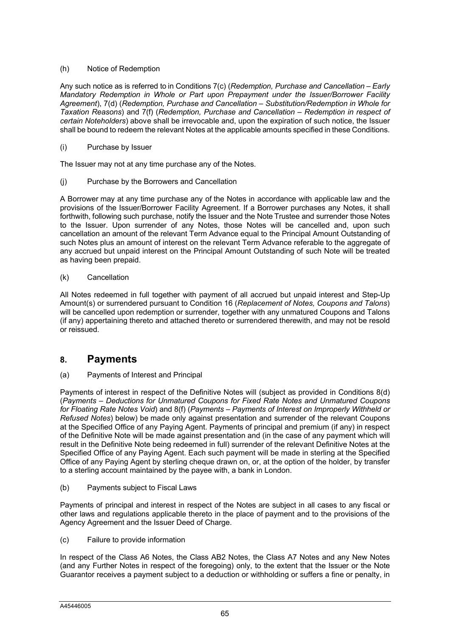### (h) Notice of Redemption

Any such notice as is referred to in Conditions 7(c) (*Redemption, Purchase and Cancellation – Early Mandatory Redemption in Whole or Part upon Prepayment under the Issuer/Borrower Facility Agreement*), 7(d) (*Redemption, Purchase and Cancellation – Substitution/Redemption in Whole for Taxation Reasons*) and 7(f) (*Redemption, Purchase and Cancellation* – *Redemption in respect of certain Noteholders*) above shall be irrevocable and, upon the expiration of such notice, the Issuer shall be bound to redeem the relevant Notes at the applicable amounts specified in these Conditions.

### (i) Purchase by Issuer

The Issuer may not at any time purchase any of the Notes.

(j) Purchase by the Borrowers and Cancellation

A Borrower may at any time purchase any of the Notes in accordance with applicable law and the provisions of the Issuer/Borrower Facility Agreement. If a Borrower purchases any Notes, it shall forthwith, following such purchase, notify the Issuer and the Note Trustee and surrender those Notes to the Issuer. Upon surrender of any Notes, those Notes will be cancelled and, upon such cancellation an amount of the relevant Term Advance equal to the Principal Amount Outstanding of such Notes plus an amount of interest on the relevant Term Advance referable to the aggregate of any accrued but unpaid interest on the Principal Amount Outstanding of such Note will be treated as having been prepaid.

(k) Cancellation

All Notes redeemed in full together with payment of all accrued but unpaid interest and Step-Up Amount(s) or surrendered pursuant to Condition 16 (*Replacement of Notes, Coupons and Talons*) will be cancelled upon redemption or surrender, together with any unmatured Coupons and Talons (if any) appertaining thereto and attached thereto or surrendered therewith, and may not be resold or reissued.

# **8. Payments**

### (a) Payments of Interest and Principal

Payments of interest in respect of the Definitive Notes will (subject as provided in Conditions 8(d) (*Payments – Deductions for Unmatured Coupons for Fixed Rate Notes and Unmatured Coupons for Floating Rate Notes Void*) and 8(f) (*Payments – Payments of Interest on Improperly Withheld or Refused Notes*) below) be made only against presentation and surrender of the relevant Coupons at the Specified Office of any Paying Agent. Payments of principal and premium (if any) in respect of the Definitive Note will be made against presentation and (in the case of any payment which will result in the Definitive Note being redeemed in full) surrender of the relevant Definitive Notes at the Specified Office of any Paying Agent. Each such payment will be made in sterling at the Specified Office of any Paying Agent by sterling cheque drawn on, or, at the option of the holder, by transfer to a sterling account maintained by the payee with, a bank in London.

(b) Payments subject to Fiscal Laws

Payments of principal and interest in respect of the Notes are subject in all cases to any fiscal or other laws and regulations applicable thereto in the place of payment and to the provisions of the Agency Agreement and the Issuer Deed of Charge.

(c) Failure to provide information

In respect of the Class A6 Notes, the Class AB2 Notes, the Class A7 Notes and any New Notes (and any Further Notes in respect of the foregoing) only, to the extent that the Issuer or the Note Guarantor receives a payment subject to a deduction or withholding or suffers a fine or penalty, in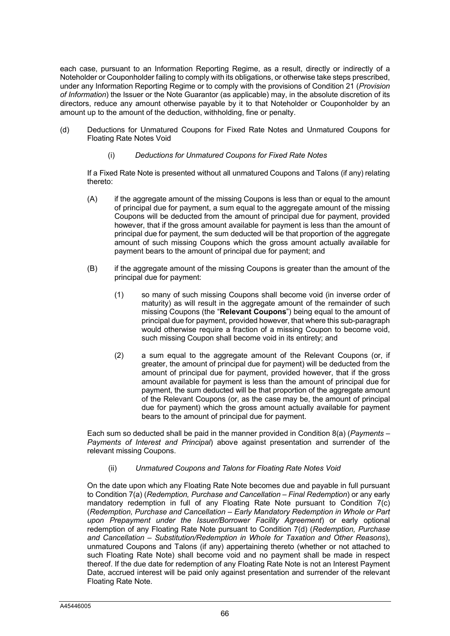each case, pursuant to an Information Reporting Regime, as a result, directly or indirectly of a Noteholder or Couponholder failing to comply with its obligations, or otherwise take steps prescribed, under any Information Reporting Regime or to comply with the provisions of Condition 21 (*Provision of Information*) the Issuer or the Note Guarantor (as applicable) may, in the absolute discretion of its directors, reduce any amount otherwise payable by it to that Noteholder or Couponholder by an amount up to the amount of the deduction, withholding, fine or penalty.

- (d) Deductions for Unmatured Coupons for Fixed Rate Notes and Unmatured Coupons for Floating Rate Notes Void
	- (i) *Deductions for Unmatured Coupons for Fixed Rate Notes*

If a Fixed Rate Note is presented without all unmatured Coupons and Talons (if any) relating thereto:

- (A) if the aggregate amount of the missing Coupons is less than or equal to the amount of principal due for payment, a sum equal to the aggregate amount of the missing Coupons will be deducted from the amount of principal due for payment, provided however, that if the gross amount available for payment is less than the amount of principal due for payment, the sum deducted will be that proportion of the aggregate amount of such missing Coupons which the gross amount actually available for payment bears to the amount of principal due for payment; and
- (B) if the aggregate amount of the missing Coupons is greater than the amount of the principal due for payment:
	- (1) so many of such missing Coupons shall become void (in inverse order of maturity) as will result in the aggregate amount of the remainder of such missing Coupons (the "**Relevant Coupons**") being equal to the amount of principal due for payment, provided however, that where this sub-paragraph would otherwise require a fraction of a missing Coupon to become void, such missing Coupon shall become void in its entirety; and
	- (2) a sum equal to the aggregate amount of the Relevant Coupons (or, if greater, the amount of principal due for payment) will be deducted from the amount of principal due for payment, provided however, that if the gross amount available for payment is less than the amount of principal due for payment, the sum deducted will be that proportion of the aggregate amount of the Relevant Coupons (or, as the case may be, the amount of principal due for payment) which the gross amount actually available for payment bears to the amount of principal due for payment.

Each sum so deducted shall be paid in the manner provided in Condition 8(a) (*Payments – Payments of Interest and Principal*) above against presentation and surrender of the relevant missing Coupons.

(ii) *Unmatured Coupons and Talons for Floating Rate Notes Void*

On the date upon which any Floating Rate Note becomes due and payable in full pursuant to Condition 7(a) (*Redemption, Purchase and Cancellation – Final Redemption*) or any early mandatory redemption in full of any Floating Rate Note pursuant to Condition 7(c) (*Redemption, Purchase and Cancellation – Early Mandatory Redemption in Whole or Part upon Prepayment under the Issuer/Borrower Facility Agreement*) or early optional redemption of any Floating Rate Note pursuant to Condition 7(d) (*Redemption, Purchase and Cancellation – Substitution/Redemption in Whole for Taxation and Other Reasons*), unmatured Coupons and Talons (if any) appertaining thereto (whether or not attached to such Floating Rate Note) shall become void and no payment shall be made in respect thereof. If the due date for redemption of any Floating Rate Note is not an Interest Payment Date, accrued interest will be paid only against presentation and surrender of the relevant Floating Rate Note.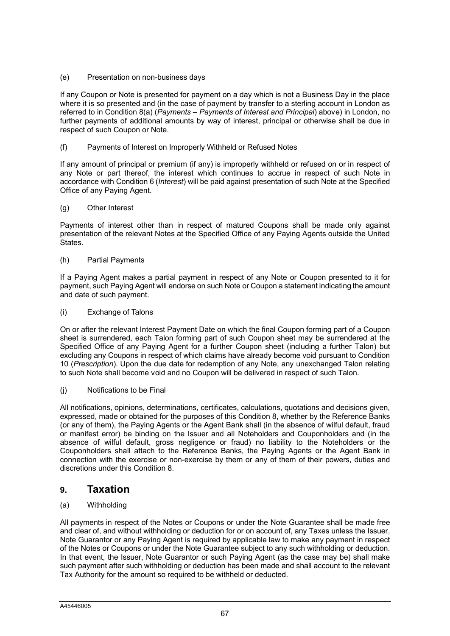### (e) Presentation on non-business days

If any Coupon or Note is presented for payment on a day which is not a Business Day in the place where it is so presented and (in the case of payment by transfer to a sterling account in London as referred to in Condition 8(a) (*Payments – Payments of Interest and Principal*) above) in London, no further payments of additional amounts by way of interest, principal or otherwise shall be due in respect of such Coupon or Note.

(f) Payments of Interest on Improperly Withheld or Refused Notes

If any amount of principal or premium (if any) is improperly withheld or refused on or in respect of any Note or part thereof, the interest which continues to accrue in respect of such Note in accordance with Condition 6 (*Interest*) will be paid against presentation of such Note at the Specified Office of any Paying Agent.

### (g) Other Interest

Payments of interest other than in respect of matured Coupons shall be made only against presentation of the relevant Notes at the Specified Office of any Paying Agents outside the United States.

### (h) Partial Payments

If a Paying Agent makes a partial payment in respect of any Note or Coupon presented to it for payment, such Paying Agent will endorse on such Note or Coupon a statement indicating the amount and date of such payment.

### (i) Exchange of Talons

On or after the relevant Interest Payment Date on which the final Coupon forming part of a Coupon sheet is surrendered, each Talon forming part of such Coupon sheet may be surrendered at the Specified Office of any Paying Agent for a further Coupon sheet (including a further Talon) but excluding any Coupons in respect of which claims have already become void pursuant to Condition 10 (*Prescription*). Upon the due date for redemption of any Note, any unexchanged Talon relating to such Note shall become void and no Coupon will be delivered in respect of such Talon.

### (j) Notifications to be Final

All notifications, opinions, determinations, certificates, calculations, quotations and decisions given, expressed, made or obtained for the purposes of this Condition 8, whether by the Reference Banks (or any of them), the Paying Agents or the Agent Bank shall (in the absence of wilful default, fraud or manifest error) be binding on the Issuer and all Noteholders and Couponholders and (in the absence of wilful default, gross negligence or fraud) no liability to the Noteholders or the Couponholders shall attach to the Reference Banks, the Paying Agents or the Agent Bank in connection with the exercise or non-exercise by them or any of them of their powers, duties and discretions under this Condition 8.

# **9. Taxation**

### (a) Withholding

All payments in respect of the Notes or Coupons or under the Note Guarantee shall be made free and clear of, and without withholding or deduction for or on account of, any Taxes unless the Issuer, Note Guarantor or any Paying Agent is required by applicable law to make any payment in respect of the Notes or Coupons or under the Note Guarantee subject to any such withholding or deduction. In that event, the Issuer, Note Guarantor or such Paying Agent (as the case may be) shall make such payment after such withholding or deduction has been made and shall account to the relevant Tax Authority for the amount so required to be withheld or deducted.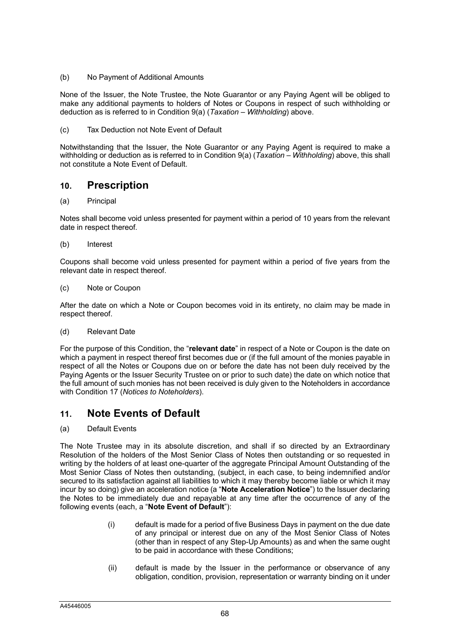(b) No Payment of Additional Amounts

None of the Issuer, the Note Trustee, the Note Guarantor or any Paying Agent will be obliged to make any additional payments to holders of Notes or Coupons in respect of such withholding or deduction as is referred to in Condition 9(a) (*Taxation – Withholding*) above.

(c) Tax Deduction not Note Event of Default

Notwithstanding that the Issuer, the Note Guarantor or any Paying Agent is required to make a withholding or deduction as is referred to in Condition 9(a) (*Taxation – Withholding*) above, this shall not constitute a Note Event of Default.

# **10. Prescription**

### (a) Principal

Notes shall become void unless presented for payment within a period of 10 years from the relevant date in respect thereof.

(b) Interest

Coupons shall become void unless presented for payment within a period of five years from the relevant date in respect thereof.

(c) Note or Coupon

After the date on which a Note or Coupon becomes void in its entirety, no claim may be made in respect thereof.

(d) Relevant Date

For the purpose of this Condition, the "**relevant date**" in respect of a Note or Coupon is the date on which a payment in respect thereof first becomes due or (if the full amount of the monies payable in respect of all the Notes or Coupons due on or before the date has not been duly received by the Paying Agents or the Issuer Security Trustee on or prior to such date) the date on which notice that the full amount of such monies has not been received is duly given to the Noteholders in accordance with Condition 17 (*Notices to Noteholders*).

# **11. Note Events of Default**

(a) Default Events

The Note Trustee may in its absolute discretion, and shall if so directed by an Extraordinary Resolution of the holders of the Most Senior Class of Notes then outstanding or so requested in writing by the holders of at least one-quarter of the aggregate Principal Amount Outstanding of the Most Senior Class of Notes then outstanding, (subject, in each case, to being indemnified and/or secured to its satisfaction against all liabilities to which it may thereby become liable or which it may incur by so doing) give an acceleration notice (a "**Note Acceleration Notice**") to the Issuer declaring the Notes to be immediately due and repayable at any time after the occurrence of any of the following events (each, a "**Note Event of Default**"):

- (i) default is made for a period of five Business Days in payment on the due date of any principal or interest due on any of the Most Senior Class of Notes (other than in respect of any Step-Up Amounts) as and when the same ought to be paid in accordance with these Conditions;
- (ii) default is made by the Issuer in the performance or observance of any obligation, condition, provision, representation or warranty binding on it under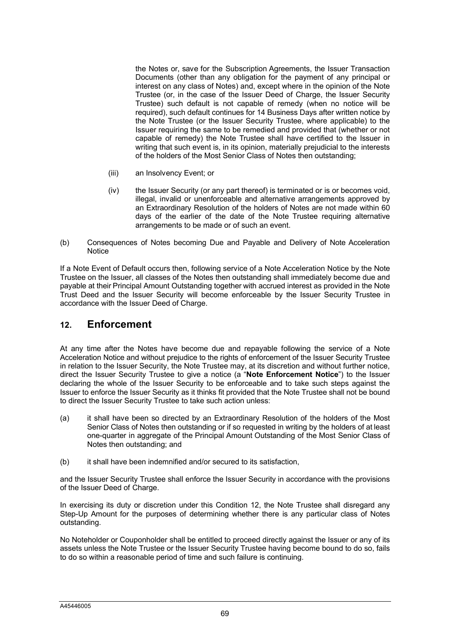the Notes or, save for the Subscription Agreements, the Issuer Transaction Documents (other than any obligation for the payment of any principal or interest on any class of Notes) and, except where in the opinion of the Note Trustee (or, in the case of the Issuer Deed of Charge, the Issuer Security Trustee) such default is not capable of remedy (when no notice will be required), such default continues for 14 Business Days after written notice by the Note Trustee (or the Issuer Security Trustee, where applicable) to the Issuer requiring the same to be remedied and provided that (whether or not capable of remedy) the Note Trustee shall have certified to the Issuer in writing that such event is, in its opinion, materially prejudicial to the interests of the holders of the Most Senior Class of Notes then outstanding;

- (iii) an Insolvency Event; or
- (iv) the Issuer Security (or any part thereof) is terminated or is or becomes void, illegal, invalid or unenforceable and alternative arrangements approved by an Extraordinary Resolution of the holders of Notes are not made within 60 days of the earlier of the date of the Note Trustee requiring alternative arrangements to be made or of such an event.
- (b) Consequences of Notes becoming Due and Payable and Delivery of Note Acceleration **Notice**

If a Note Event of Default occurs then, following service of a Note Acceleration Notice by the Note Trustee on the Issuer, all classes of the Notes then outstanding shall immediately become due and payable at their Principal Amount Outstanding together with accrued interest as provided in the Note Trust Deed and the Issuer Security will become enforceable by the Issuer Security Trustee in accordance with the Issuer Deed of Charge.

# **12. Enforcement**

At any time after the Notes have become due and repayable following the service of a Note Acceleration Notice and without prejudice to the rights of enforcement of the Issuer Security Trustee in relation to the Issuer Security, the Note Trustee may, at its discretion and without further notice, direct the Issuer Security Trustee to give a notice (a "**Note Enforcement Notice**") to the Issuer declaring the whole of the Issuer Security to be enforceable and to take such steps against the Issuer to enforce the Issuer Security as it thinks fit provided that the Note Trustee shall not be bound to direct the Issuer Security Trustee to take such action unless:

- (a) it shall have been so directed by an Extraordinary Resolution of the holders of the Most Senior Class of Notes then outstanding or if so requested in writing by the holders of at least one-quarter in aggregate of the Principal Amount Outstanding of the Most Senior Class of Notes then outstanding; and
- (b) it shall have been indemnified and/or secured to its satisfaction,

and the Issuer Security Trustee shall enforce the Issuer Security in accordance with the provisions of the Issuer Deed of Charge.

In exercising its duty or discretion under this Condition 12, the Note Trustee shall disregard any Step-Up Amount for the purposes of determining whether there is any particular class of Notes outstanding.

No Noteholder or Couponholder shall be entitled to proceed directly against the Issuer or any of its assets unless the Note Trustee or the Issuer Security Trustee having become bound to do so, fails to do so within a reasonable period of time and such failure is continuing.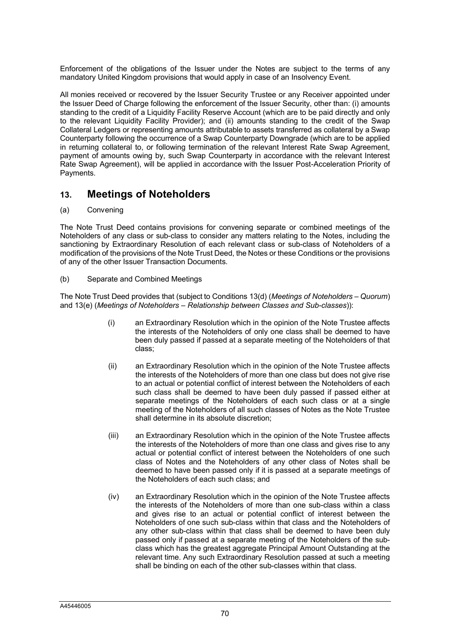Enforcement of the obligations of the Issuer under the Notes are subject to the terms of any mandatory United Kingdom provisions that would apply in case of an Insolvency Event.

All monies received or recovered by the Issuer Security Trustee or any Receiver appointed under the Issuer Deed of Charge following the enforcement of the Issuer Security, other than: (i) amounts standing to the credit of a Liquidity Facility Reserve Account (which are to be paid directly and only to the relevant Liquidity Facility Provider); and (ii) amounts standing to the credit of the Swap Collateral Ledgers or representing amounts attributable to assets transferred as collateral by a Swap Counterparty following the occurrence of a Swap Counterparty Downgrade (which are to be applied in returning collateral to, or following termination of the relevant Interest Rate Swap Agreement, payment of amounts owing by, such Swap Counterparty in accordance with the relevant Interest Rate Swap Agreement), will be applied in accordance with the Issuer Post-Acceleration Priority of Payments.

# **13. Meetings of Noteholders**

(a) Convening

The Note Trust Deed contains provisions for convening separate or combined meetings of the Noteholders of any class or sub-class to consider any matters relating to the Notes, including the sanctioning by Extraordinary Resolution of each relevant class or sub-class of Noteholders of a modification of the provisions of the Note Trust Deed, the Notes or these Conditions or the provisions of any of the other Issuer Transaction Documents.

(b) Separate and Combined Meetings

The Note Trust Deed provides that (subject to Conditions 13(d) (*Meetings of Noteholders – Quorum*) and 13(e) (*Meetings of Noteholders – Relationship between Classes and Sub-classes*)):

- (i) an Extraordinary Resolution which in the opinion of the Note Trustee affects the interests of the Noteholders of only one class shall be deemed to have been duly passed if passed at a separate meeting of the Noteholders of that class;
- (ii) an Extraordinary Resolution which in the opinion of the Note Trustee affects the interests of the Noteholders of more than one class but does not give rise to an actual or potential conflict of interest between the Noteholders of each such class shall be deemed to have been duly passed if passed either at separate meetings of the Noteholders of each such class or at a single meeting of the Noteholders of all such classes of Notes as the Note Trustee shall determine in its absolute discretion;
- (iii) an Extraordinary Resolution which in the opinion of the Note Trustee affects the interests of the Noteholders of more than one class and gives rise to any actual or potential conflict of interest between the Noteholders of one such class of Notes and the Noteholders of any other class of Notes shall be deemed to have been passed only if it is passed at a separate meetings of the Noteholders of each such class; and
- (iv) an Extraordinary Resolution which in the opinion of the Note Trustee affects the interests of the Noteholders of more than one sub-class within a class and gives rise to an actual or potential conflict of interest between the Noteholders of one such sub-class within that class and the Noteholders of any other sub-class within that class shall be deemed to have been duly passed only if passed at a separate meeting of the Noteholders of the subclass which has the greatest aggregate Principal Amount Outstanding at the relevant time. Any such Extraordinary Resolution passed at such a meeting shall be binding on each of the other sub-classes within that class.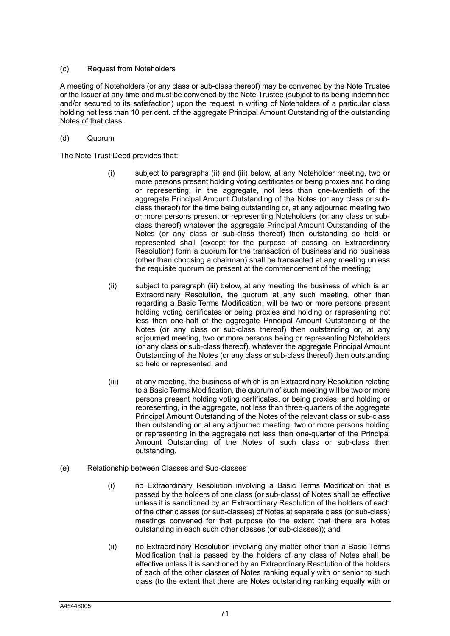### (c) Request from Noteholders

A meeting of Noteholders (or any class or sub-class thereof) may be convened by the Note Trustee or the Issuer at any time and must be convened by the Note Trustee (subject to its being indemnified and/or secured to its satisfaction) upon the request in writing of Noteholders of a particular class holding not less than 10 per cent. of the aggregate Principal Amount Outstanding of the outstanding Notes of that class.

### (d) Quorum

The Note Trust Deed provides that:

- (i) subject to paragraphs (ii) and (iii) below, at any Noteholder meeting, two or more persons present holding voting certificates or being proxies and holding or representing, in the aggregate, not less than one-twentieth of the aggregate Principal Amount Outstanding of the Notes (or any class or subclass thereof) for the time being outstanding or, at any adjourned meeting two or more persons present or representing Noteholders (or any class or subclass thereof) whatever the aggregate Principal Amount Outstanding of the Notes (or any class or sub-class thereof) then outstanding so held or represented shall (except for the purpose of passing an Extraordinary Resolution) form a quorum for the transaction of business and no business (other than choosing a chairman) shall be transacted at any meeting unless the requisite quorum be present at the commencement of the meeting;
- (ii) subject to paragraph (iii) below, at any meeting the business of which is an Extraordinary Resolution, the quorum at any such meeting, other than regarding a Basic Terms Modification, will be two or more persons present holding voting certificates or being proxies and holding or representing not less than one-half of the aggregate Principal Amount Outstanding of the Notes (or any class or sub-class thereof) then outstanding or, at any adjourned meeting, two or more persons being or representing Noteholders (or any class or sub-class thereof), whatever the aggregate Principal Amount Outstanding of the Notes (or any class or sub-class thereof) then outstanding so held or represented; and
- (iii) at any meeting, the business of which is an Extraordinary Resolution relating to a Basic Terms Modification, the quorum of such meeting will be two or more persons present holding voting certificates, or being proxies, and holding or representing, in the aggregate, not less than three-quarters of the aggregate Principal Amount Outstanding of the Notes of the relevant class or sub-class then outstanding or, at any adjourned meeting, two or more persons holding or representing in the aggregate not less than one-quarter of the Principal Amount Outstanding of the Notes of such class or sub-class then outstanding.
- (e) Relationship between Classes and Sub-classes
	- (i) no Extraordinary Resolution involving a Basic Terms Modification that is passed by the holders of one class (or sub-class) of Notes shall be effective unless it is sanctioned by an Extraordinary Resolution of the holders of each of the other classes (or sub-classes) of Notes at separate class (or sub-class) meetings convened for that purpose (to the extent that there are Notes outstanding in each such other classes (or sub-classes)); and
	- (ii) no Extraordinary Resolution involving any matter other than a Basic Terms Modification that is passed by the holders of any class of Notes shall be effective unless it is sanctioned by an Extraordinary Resolution of the holders of each of the other classes of Notes ranking equally with or senior to such class (to the extent that there are Notes outstanding ranking equally with or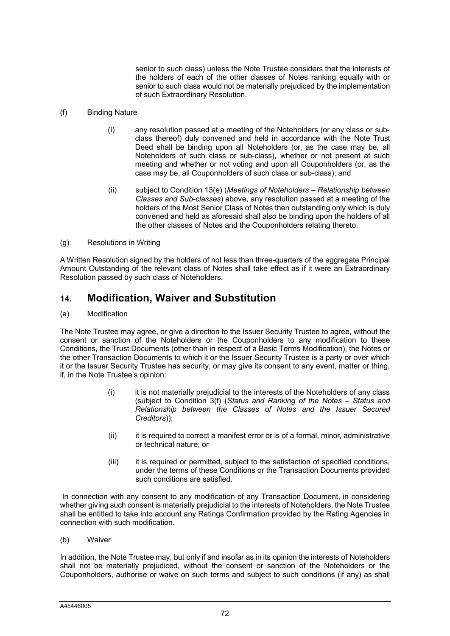senior to such class) unless the Note Trustee considers that the interests of the holders of each of the other classes of Notes ranking equally with or senior to such class would not be materially prejudiced by the implementation of such Extraordinary Resolution.

### (f) Binding Nature

- (i) any resolution passed at a meeting of the Noteholders (or any class or subclass thereof) duly convened and held in accordance with the Note Trust Deed shall be binding upon all Noteholders (or, as the case may be, all Noteholders of such class or sub-class), whether or not present at such meeting and whether or not voting and upon all Couponholders (or, as the case may be, all Couponholders of such class or sub-class); and
- (ii) subject to Condition 13(e) (*Meetings of Noteholders – Relationship between Classes and Sub-classes*) above, any resolution passed at a meeting of the holders of the Most Senior Class of Notes then outstanding only which is duly convened and held as aforesaid shall also be binding upon the holders of all the other classes of Notes and the Couponholders relating thereto.

### (g) Resolutions in Writing

A Written Resolution signed by the holders of not less than three-quarters of the aggregate Principal Amount Outstanding of the relevant class of Notes shall take effect as if it were an Extraordinary Resolution passed by such class of Noteholders.

# **14. Modification, Waiver and Substitution**

### (a) Modification

The Note Trustee may agree, or give a direction to the Issuer Security Trustee to agree, without the consent or sanction of the Noteholders or the Couponholders to any modification to these Conditions, the Trust Documents (other than in respect of a Basic Terms Modification), the Notes or the other Transaction Documents to which it or the Issuer Security Trustee is a party or over which it or the Issuer Security Trustee has security, or may give its consent to any event, matter or thing, if, in the Note Trustee's opinion:

- (i) it is not materially prejudicial to the interests of the Noteholders of any class (subject to Condition 3(f) (*Status and Ranking of the Notes – Status and Relationship between the Classes of Notes and the Issuer Secured Creditors*));
- (ii) it is required to correct a manifest error or is of a formal, minor, administrative or technical nature; or
- (iii) it is required or permitted, subject to the satisfaction of specified conditions, under the terms of these Conditions or the Transaction Documents provided such conditions are satisfied.

In connection with any consent to any modification of any Transaction Document, in considering whether giving such consent is materially prejudicial to the interests of Noteholders, the Note Trustee shall be entitled to take into account any Ratings Confirmation provided by the Rating Agencies in connection with such modification.

(b) Waiver

In addition, the Note Trustee may, but only if and insofar as in its opinion the interests of Noteholders shall not be materially prejudiced, without the consent or sanction of the Noteholders or the Couponholders, authorise or waive on such terms and subject to such conditions (if any) as shall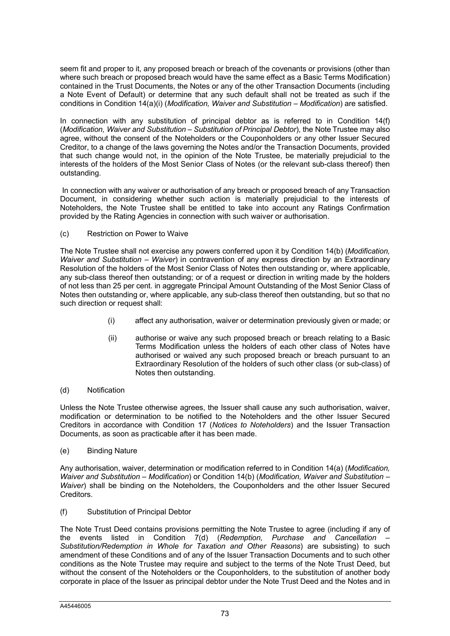seem fit and proper to it, any proposed breach or breach of the covenants or provisions (other than where such breach or proposed breach would have the same effect as a Basic Terms Modification) contained in the Trust Documents, the Notes or any of the other Transaction Documents (including a Note Event of Default) or determine that any such default shall not be treated as such if the conditions in Condition 14(a)(i) (*Modification, Waiver and Substitution – Modification*) are satisfied.

In connection with any substitution of principal debtor as is referred to in Condition 14(f) (*Modification, Waiver and Substitution – Substitution of Principal Debtor*), the Note Trustee may also agree, without the consent of the Noteholders or the Couponholders or any other Issuer Secured Creditor, to a change of the laws governing the Notes and/or the Transaction Documents, provided that such change would not, in the opinion of the Note Trustee, be materially prejudicial to the interests of the holders of the Most Senior Class of Notes (or the relevant sub-class thereof) then outstanding.

In connection with any waiver or authorisation of any breach or proposed breach of any Transaction Document, in considering whether such action is materially prejudicial to the interests of Noteholders, the Note Trustee shall be entitled to take into account any Ratings Confirmation provided by the Rating Agencies in connection with such waiver or authorisation.

### (c) Restriction on Power to Waive

The Note Trustee shall not exercise any powers conferred upon it by Condition 14(b) (*Modification, Waiver and Substitution – Waiver*) in contravention of any express direction by an Extraordinary Resolution of the holders of the Most Senior Class of Notes then outstanding or, where applicable, any sub-class thereof then outstanding; or of a request or direction in writing made by the holders of not less than 25 per cent. in aggregate Principal Amount Outstanding of the Most Senior Class of Notes then outstanding or, where applicable, any sub-class thereof then outstanding, but so that no such direction or request shall:

- (i) affect any authorisation, waiver or determination previously given or made; or
- (ii) authorise or waive any such proposed breach or breach relating to a Basic Terms Modification unless the holders of each other class of Notes have authorised or waived any such proposed breach or breach pursuant to an Extraordinary Resolution of the holders of such other class (or sub-class) of Notes then outstanding.

### (d) Notification

Unless the Note Trustee otherwise agrees, the Issuer shall cause any such authorisation, waiver, modification or determination to be notified to the Noteholders and the other Issuer Secured Creditors in accordance with Condition 17 (*Notices to Noteholders*) and the Issuer Transaction Documents, as soon as practicable after it has been made.

### (e) Binding Nature

Any authorisation, waiver, determination or modification referred to in Condition 14(a) (*Modification, Waiver and Substitution – Modification*) or Condition 14(b) (*Modification, Waiver and Substitution – Waiver*) shall be binding on the Noteholders, the Couponholders and the other Issuer Secured **Creditors** 

(f) Substitution of Principal Debtor

The Note Trust Deed contains provisions permitting the Note Trustee to agree (including if any of the events listed in Condition 7(d) (*Redemption, Purchase and Cancellation – Substitution/Redemption in Whole for Taxation and Other Reasons*) are subsisting) to such amendment of these Conditions and of any of the Issuer Transaction Documents and to such other conditions as the Note Trustee may require and subject to the terms of the Note Trust Deed, but without the consent of the Noteholders or the Couponholders, to the substitution of another body corporate in place of the Issuer as principal debtor under the Note Trust Deed and the Notes and in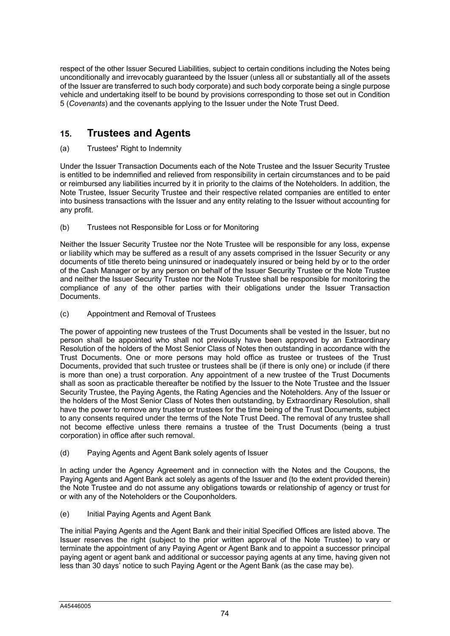respect of the other Issuer Secured Liabilities, subject to certain conditions including the Notes being unconditionally and irrevocably guaranteed by the Issuer (unless all or substantially all of the assets of the Issuer are transferred to such body corporate) and such body corporate being a single purpose vehicle and undertaking itself to be bound by provisions corresponding to those set out in Condition 5 (*Covenants*) and the covenants applying to the Issuer under the Note Trust Deed.

# **15. Trustees and Agents**

### (a) Trustees**'** Right to Indemnity

Under the Issuer Transaction Documents each of the Note Trustee and the Issuer Security Trustee is entitled to be indemnified and relieved from responsibility in certain circumstances and to be paid or reimbursed any liabilities incurred by it in priority to the claims of the Noteholders. In addition, the Note Trustee, Issuer Security Trustee and their respective related companies are entitled to enter into business transactions with the Issuer and any entity relating to the Issuer without accounting for any profit.

### (b) Trustees not Responsible for Loss or for Monitoring

Neither the Issuer Security Trustee nor the Note Trustee will be responsible for any loss, expense or liability which may be suffered as a result of any assets comprised in the Issuer Security or any documents of title thereto being uninsured or inadequately insured or being held by or to the order of the Cash Manager or by any person on behalf of the Issuer Security Trustee or the Note Trustee and neither the Issuer Security Trustee nor the Note Trustee shall be responsible for monitoring the compliance of any of the other parties with their obligations under the Issuer Transaction Documents.

(c) Appointment and Removal of Trustees

The power of appointing new trustees of the Trust Documents shall be vested in the Issuer, but no person shall be appointed who shall not previously have been approved by an Extraordinary Resolution of the holders of the Most Senior Class of Notes then outstanding in accordance with the Trust Documents. One or more persons may hold office as trustee or trustees of the Trust Documents, provided that such trustee or trustees shall be (if there is only one) or include (if there is more than one) a trust corporation. Any appointment of a new trustee of the Trust Documents shall as soon as practicable thereafter be notified by the Issuer to the Note Trustee and the Issuer Security Trustee, the Paying Agents, the Rating Agencies and the Noteholders. Any of the Issuer or the holders of the Most Senior Class of Notes then outstanding, by Extraordinary Resolution, shall have the power to remove any trustee or trustees for the time being of the Trust Documents, subject to any consents required under the terms of the Note Trust Deed. The removal of any trustee shall not become effective unless there remains a trustee of the Trust Documents (being a trust corporation) in office after such removal.

(d) Paying Agents and Agent Bank solely agents of Issuer

In acting under the Agency Agreement and in connection with the Notes and the Coupons, the Paying Agents and Agent Bank act solely as agents of the Issuer and (to the extent provided therein) the Note Trustee and do not assume any obligations towards or relationship of agency or trust for or with any of the Noteholders or the Couponholders.

### (e) Initial Paying Agents and Agent Bank

The initial Paying Agents and the Agent Bank and their initial Specified Offices are listed above. The Issuer reserves the right (subject to the prior written approval of the Note Trustee) to vary or terminate the appointment of any Paying Agent or Agent Bank and to appoint a successor principal paying agent or agent bank and additional or successor paying agents at any time, having given not less than 30 days' notice to such Paying Agent or the Agent Bank (as the case may be).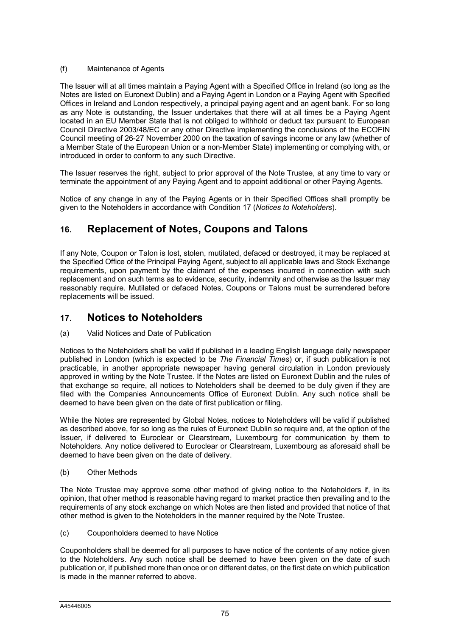### (f) Maintenance of Agents

The Issuer will at all times maintain a Paying Agent with a Specified Office in Ireland (so long as the Notes are listed on Euronext Dublin) and a Paying Agent in London or a Paying Agent with Specified Offices in Ireland and London respectively, a principal paying agent and an agent bank. For so long as any Note is outstanding, the Issuer undertakes that there will at all times be a Paying Agent located in an EU Member State that is not obliged to withhold or deduct tax pursuant to European Council Directive 2003/48/EC or any other Directive implementing the conclusions of the ECOFIN Council meeting of 26-27 November 2000 on the taxation of savings income or any law (whether of a Member State of the European Union or a non-Member State) implementing or complying with, or introduced in order to conform to any such Directive.

The Issuer reserves the right, subject to prior approval of the Note Trustee, at any time to vary or terminate the appointment of any Paying Agent and to appoint additional or other Paying Agents.

Notice of any change in any of the Paying Agents or in their Specified Offices shall promptly be given to the Noteholders in accordance with Condition 17 (*Notices to Noteholders*).

# **16. Replacement of Notes, Coupons and Talons**

If any Note, Coupon or Talon is lost, stolen, mutilated, defaced or destroyed, it may be replaced at the Specified Office of the Principal Paying Agent, subject to all applicable laws and Stock Exchange requirements, upon payment by the claimant of the expenses incurred in connection with such replacement and on such terms as to evidence, security, indemnity and otherwise as the Issuer may reasonably require. Mutilated or defaced Notes, Coupons or Talons must be surrendered before replacements will be issued.

# **17. Notices to Noteholders**

### (a) Valid Notices and Date of Publication

Notices to the Noteholders shall be valid if published in a leading English language daily newspaper published in London (which is expected to be *The Financial Times*) or, if such publication is not practicable, in another appropriate newspaper having general circulation in London previously approved in writing by the Note Trustee. If the Notes are listed on Euronext Dublin and the rules of that exchange so require, all notices to Noteholders shall be deemed to be duly given if they are filed with the Companies Announcements Office of Euronext Dublin. Any such notice shall be deemed to have been given on the date of first publication or filing.

While the Notes are represented by Global Notes, notices to Noteholders will be valid if published as described above, for so long as the rules of Euronext Dublin so require and, at the option of the Issuer, if delivered to Euroclear or Clearstream, Luxembourg for communication by them to Noteholders. Any notice delivered to Euroclear or Clearstream, Luxembourg as aforesaid shall be deemed to have been given on the date of delivery.

### (b) Other Methods

The Note Trustee may approve some other method of giving notice to the Noteholders if, in its opinion, that other method is reasonable having regard to market practice then prevailing and to the requirements of any stock exchange on which Notes are then listed and provided that notice of that other method is given to the Noteholders in the manner required by the Note Trustee.

(c) Couponholders deemed to have Notice

Couponholders shall be deemed for all purposes to have notice of the contents of any notice given to the Noteholders. Any such notice shall be deemed to have been given on the date of such publication or, if published more than once or on different dates, on the first date on which publication is made in the manner referred to above.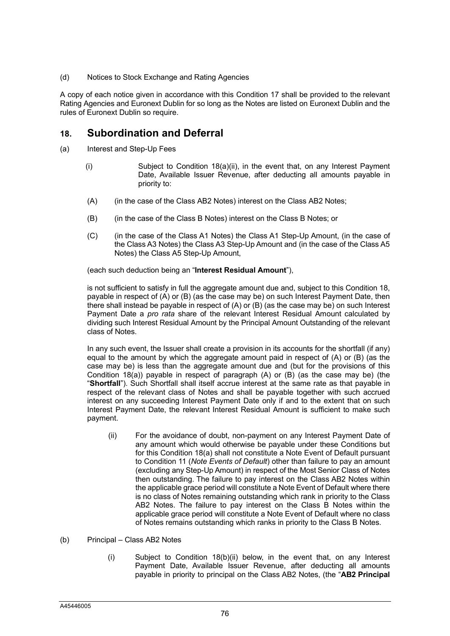(d) Notices to Stock Exchange and Rating Agencies

A copy of each notice given in accordance with this Condition 17 shall be provided to the relevant Rating Agencies and Euronext Dublin for so long as the Notes are listed on Euronext Dublin and the rules of Euronext Dublin so require.

# **18. Subordination and Deferral**

- (a) Interest and Step-Up Fees
	- (i) Subject to Condition  $18(a)(ii)$ , in the event that, on any Interest Payment Date, Available Issuer Revenue, after deducting all amounts payable in priority to:
	- (A) (in the case of the Class AB2 Notes) interest on the Class AB2 Notes;
	- (B) (in the case of the Class B Notes) interest on the Class B Notes; or
	- (C) (in the case of the Class A1 Notes) the Class A1 Step-Up Amount, (in the case of the Class A3 Notes) the Class A3 Step-Up Amount and (in the case of the Class A5 Notes) the Class A5 Step-Up Amount,

(each such deduction being an "**Interest Residual Amount**"),

is not sufficient to satisfy in full the aggregate amount due and, subject to this Condition 18, payable in respect of (A) or (B) (as the case may be) on such Interest Payment Date, then there shall instead be payable in respect of (A) or (B) (as the case may be) on such Interest Payment Date a *pro rata* share of the relevant Interest Residual Amount calculated by dividing such Interest Residual Amount by the Principal Amount Outstanding of the relevant class of Notes.

In any such event, the Issuer shall create a provision in its accounts for the shortfall (if any) equal to the amount by which the aggregate amount paid in respect of (A) or (B) (as the case may be) is less than the aggregate amount due and (but for the provisions of this Condition  $18(a)$ ) payable in respect of paragraph  $(A)$  or  $(B)$  (as the case may be) (the "**Shortfall**"). Such Shortfall shall itself accrue interest at the same rate as that payable in respect of the relevant class of Notes and shall be payable together with such accrued interest on any succeeding Interest Payment Date only if and to the extent that on such Interest Payment Date, the relevant Interest Residual Amount is sufficient to make such payment.

(ii) For the avoidance of doubt, non-payment on any Interest Payment Date of any amount which would otherwise be payable under these Conditions but for this Condition 18(a) shall not constitute a Note Event of Default pursuant to Condition 11 (*Note Events of Default*) other than failure to pay an amount (excluding any Step-Up Amount) in respect of the Most Senior Class of Notes then outstanding. The failure to pay interest on the Class AB2 Notes within the applicable grace period will constitute a Note Event of Default where there is no class of Notes remaining outstanding which rank in priority to the Class AB2 Notes. The failure to pay interest on the Class B Notes within the applicable grace period will constitute a Note Event of Default where no class of Notes remains outstanding which ranks in priority to the Class B Notes.

### (b) Principal – Class AB2 Notes

(i) Subject to Condition 18(b)(ii) below, in the event that, on any Interest Payment Date, Available Issuer Revenue, after deducting all amounts payable in priority to principal on the Class AB2 Notes, (the "**AB2 Principal**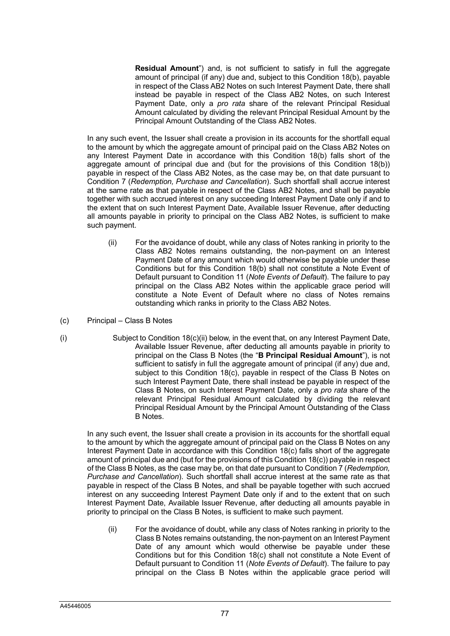**Residual Amount**") and, is not sufficient to satisfy in full the aggregate amount of principal (if any) due and, subject to this Condition 18(b), payable in respect of the Class AB2 Notes on such Interest Payment Date, there shall instead be payable in respect of the Class AB2 Notes, on such Interest Payment Date, only a *pro rata* share of the relevant Principal Residual Amount calculated by dividing the relevant Principal Residual Amount by the Principal Amount Outstanding of the Class AB2 Notes.

In any such event, the Issuer shall create a provision in its accounts for the shortfall equal to the amount by which the aggregate amount of principal paid on the Class AB2 Notes on any Interest Payment Date in accordance with this Condition 18(b) falls short of the aggregate amount of principal due and (but for the provisions of this Condition 18(b)) payable in respect of the Class AB2 Notes, as the case may be, on that date pursuant to Condition 7 (*Redemption, Purchase and Cancellation*). Such shortfall shall accrue interest at the same rate as that payable in respect of the Class AB2 Notes, and shall be payable together with such accrued interest on any succeeding Interest Payment Date only if and to the extent that on such Interest Payment Date, Available Issuer Revenue, after deducting all amounts payable in priority to principal on the Class AB2 Notes, is sufficient to make such payment.

- (ii) For the avoidance of doubt, while any class of Notes ranking in priority to the Class AB2 Notes remains outstanding, the non-payment on an Interest Payment Date of any amount which would otherwise be payable under these Conditions but for this Condition 18(b) shall not constitute a Note Event of Default pursuant to Condition 11 (*Note Events of Default*). The failure to pay principal on the Class AB2 Notes within the applicable grace period will constitute a Note Event of Default where no class of Notes remains outstanding which ranks in priority to the Class AB2 Notes.
- (c) Principal Class B Notes
- 
- (i) Subject to Condition 18(c)(ii) below, in the event that, on any Interest Payment Date, Available Issuer Revenue, after deducting all amounts payable in priority to principal on the Class B Notes (the "**B Principal Residual Amount**"), is not sufficient to satisfy in full the aggregate amount of principal (if any) due and, subject to this Condition 18(c), payable in respect of the Class B Notes on such Interest Payment Date, there shall instead be payable in respect of the Class B Notes, on such Interest Payment Date, only a *pro rata* share of the relevant Principal Residual Amount calculated by dividing the relevant Principal Residual Amount by the Principal Amount Outstanding of the Class B Notes.

In any such event, the Issuer shall create a provision in its accounts for the shortfall equal to the amount by which the aggregate amount of principal paid on the Class B Notes on any Interest Payment Date in accordance with this Condition 18(c) falls short of the aggregate amount of principal due and (but for the provisions of this Condition 18(c)) payable in respect of the Class B Notes, as the case may be, on that date pursuant to Condition 7 (*Redemption, Purchase and Cancellation*). Such shortfall shall accrue interest at the same rate as that payable in respect of the Class B Notes, and shall be payable together with such accrued interest on any succeeding Interest Payment Date only if and to the extent that on such Interest Payment Date, Available Issuer Revenue, after deducting all amounts payable in priority to principal on the Class B Notes, is sufficient to make such payment.

(ii) For the avoidance of doubt, while any class of Notes ranking in priority to the Class B Notes remains outstanding, the non-payment on an Interest Payment Date of any amount which would otherwise be payable under these Conditions but for this Condition 18(c) shall not constitute a Note Event of Default pursuant to Condition 11 (*Note Events of Default*). The failure to pay principal on the Class B Notes within the applicable grace period will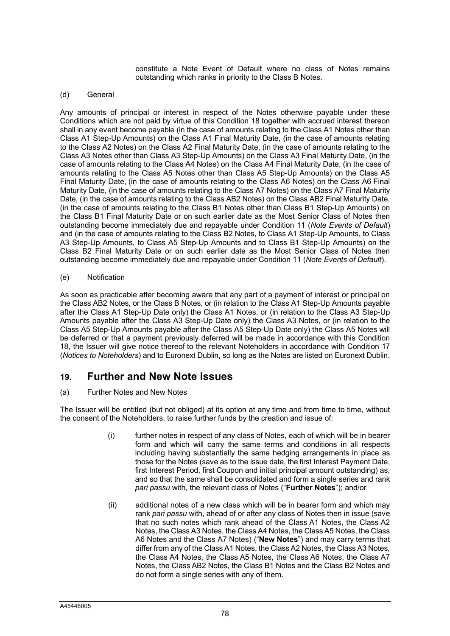constitute a Note Event of Default where no class of Notes remains outstanding which ranks in priority to the Class B Notes.

### (d) General

Any amounts of principal or interest in respect of the Notes otherwise payable under these Conditions which are not paid by virtue of this Condition 18 together with accrued interest thereon shall in any event become payable (in the case of amounts relating to the Class A1 Notes other than Class A1 Step-Up Amounts) on the Class A1 Final Maturity Date, (in the case of amounts relating to the Class A2 Notes) on the Class A2 Final Maturity Date, (in the case of amounts relating to the Class A3 Notes other than Class A3 Step-Up Amounts) on the Class A3 Final Maturity Date, (in the case of amounts relating to the Class A4 Notes) on the Class A4 Final Maturity Date, (in the case of amounts relating to the Class A5 Notes other than Class A5 Step-Up Amounts) on the Class A5 Final Maturity Date, (in the case of amounts relating to the Class A6 Notes) on the Class A6 Final Maturity Date, (in the case of amounts relating to the Class A7 Notes) on the Class A7 Final Maturity Date, (in the case of amounts relating to the Class AB2 Notes) on the Class AB2 Final Maturity Date, (in the case of amounts relating to the Class B1 Notes other than Class B1 Step-Up Amounts) on the Class B1 Final Maturity Date or on such earlier date as the Most Senior Class of Notes then outstanding become immediately due and repayable under Condition 11 (*Note Events of Default*) and (in the case of amounts relating to the Class B2 Notes, to Class A1 Step-Up Amounts, to Class A3 Step-Up Amounts, to Class A5 Step-Up Amounts and to Class B1 Step-Up Amounts) on the Class B2 Final Maturity Date or on such earlier date as the Most Senior Class of Notes then outstanding become immediately due and repayable under Condition 11 (*Note Events of Default*).

### (e) Notification

As soon as practicable after becoming aware that any part of a payment of interest or principal on the Class AB2 Notes, or the Class B Notes, or (in relation to the Class A1 Step-Up Amounts payable after the Class A1 Step-Up Date only) the Class A1 Notes, or (in relation to the Class A3 Step-Up Amounts payable after the Class A3 Step-Up Date only) the Class A3 Notes, or (in relation to the Class A5 Step-Up Amounts payable after the Class A5 Step-Up Date only) the Class A5 Notes will be deferred or that a payment previously deferred will be made in accordance with this Condition 18, the Issuer will give notice thereof to the relevant Noteholders in accordance with Condition 17 (*Notices to Noteholders*) and to Euronext Dublin, so long as the Notes are listed on Euronext Dublin.

## **19. Further and New Note Issues**

### (a) Further Notes and New Notes

The Issuer will be entitled (but not obliged) at its option at any time and from time to time, without the consent of the Noteholders, to raise further funds by the creation and issue of:

- (i) further notes in respect of any class of Notes, each of which will be in bearer form and which will carry the same terms and conditions in all respects including having substantially the same hedging arrangements in place as those for the Notes (save as to the issue date, the first Interest Payment Date, first Interest Period, first Coupon and initial principal amount outstanding) as, and so that the same shall be consolidated and form a single series and rank *pari passu* with, the relevant class of Notes ("**Further Notes**"); and/or
- (ii) additional notes of a new class which will be in bearer form and which may rank *pari passu* with, ahead of or after any class of Notes then in issue (save that no such notes which rank ahead of the Class A1 Notes, the Class A2 Notes, the Class A3 Notes, the Class A4 Notes, the Class A5 Notes, the Class A6 Notes and the Class A7 Notes) ("**New Notes**") and may carry terms that differ from any of the Class A1 Notes, the Class A2 Notes, the Class A3 Notes, the Class A4 Notes, the Class A5 Notes, the Class A6 Notes, the Class A7 Notes, the Class AB2 Notes, the Class B1 Notes and the Class B2 Notes and do not form a single series with any of them.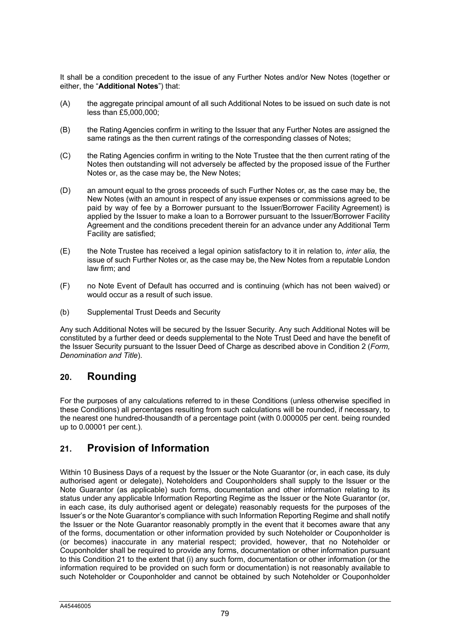It shall be a condition precedent to the issue of any Further Notes and/or New Notes (together or either, the "**Additional Notes**") that:

- (A) the aggregate principal amount of all such Additional Notes to be issued on such date is not less than £5,000,000;
- (B) the Rating Agencies confirm in writing to the Issuer that any Further Notes are assigned the same ratings as the then current ratings of the corresponding classes of Notes;
- (C) the Rating Agencies confirm in writing to the Note Trustee that the then current rating of the Notes then outstanding will not adversely be affected by the proposed issue of the Further Notes or, as the case may be, the New Notes;
- (D) an amount equal to the gross proceeds of such Further Notes or, as the case may be, the New Notes (with an amount in respect of any issue expenses or commissions agreed to be paid by way of fee by a Borrower pursuant to the Issuer/Borrower Facility Agreement) is applied by the Issuer to make a loan to a Borrower pursuant to the Issuer/Borrower Facility Agreement and the conditions precedent therein for an advance under any Additional Term Facility are satisfied;
- (E) the Note Trustee has received a legal opinion satisfactory to it in relation to, *inter alia,* the issue of such Further Notes or, as the case may be, the New Notes from a reputable London law firm; and
- (F) no Note Event of Default has occurred and is continuing (which has not been waived) or would occur as a result of such issue.
- (b) Supplemental Trust Deeds and Security

Any such Additional Notes will be secured by the Issuer Security. Any such Additional Notes will be constituted by a further deed or deeds supplemental to the Note Trust Deed and have the benefit of the Issuer Security pursuant to the Issuer Deed of Charge as described above in Condition 2 (*Form, Denomination and Title*).

# **20. Rounding**

For the purposes of any calculations referred to in these Conditions (unless otherwise specified in these Conditions) all percentages resulting from such calculations will be rounded, if necessary, to the nearest one hundred-thousandth of a percentage point (with 0.000005 per cent. being rounded up to 0.00001 per cent.).

# **21. Provision of Information**

Within 10 Business Days of a request by the Issuer or the Note Guarantor (or, in each case, its duly authorised agent or delegate), Noteholders and Couponholders shall supply to the Issuer or the Note Guarantor (as applicable) such forms, documentation and other information relating to its status under any applicable Information Reporting Regime as the Issuer or the Note Guarantor (or, in each case, its duly authorised agent or delegate) reasonably requests for the purposes of the Issuer's or the Note Guarantor's compliance with such Information Reporting Regime and shall notify the Issuer or the Note Guarantor reasonably promptly in the event that it becomes aware that any of the forms, documentation or other information provided by such Noteholder or Couponholder is (or becomes) inaccurate in any material respect; provided, however, that no Noteholder or Couponholder shall be required to provide any forms, documentation or other information pursuant to this Condition 21 to the extent that (i) any such form, documentation or other information (or the information required to be provided on such form or documentation) is not reasonably available to such Noteholder or Couponholder and cannot be obtained by such Noteholder or Couponholder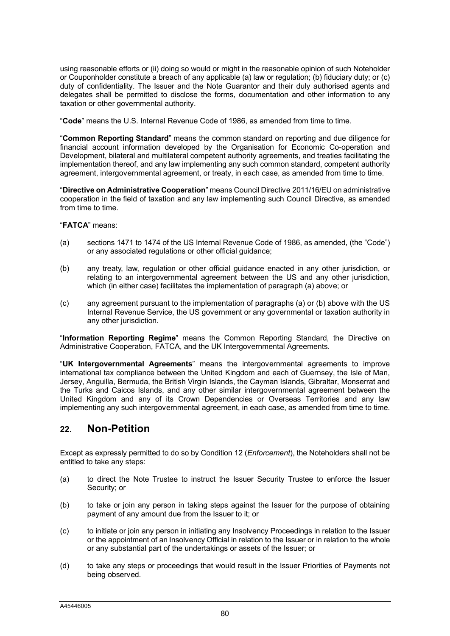using reasonable efforts or (ii) doing so would or might in the reasonable opinion of such Noteholder or Couponholder constitute a breach of any applicable (a) law or regulation; (b) fiduciary duty; or (c) duty of confidentiality. The Issuer and the Note Guarantor and their duly authorised agents and delegates shall be permitted to disclose the forms, documentation and other information to any taxation or other governmental authority.

"**Code**" means the U.S. Internal Revenue Code of 1986, as amended from time to time.

"**Common Reporting Standard**" means the common standard on reporting and due diligence for financial account information developed by the Organisation for Economic Co-operation and Development, bilateral and multilateral competent authority agreements, and treaties facilitating the implementation thereof, and any law implementing any such common standard, competent authority agreement, intergovernmental agreement, or treaty, in each case, as amended from time to time.

"**Directive on Administrative Cooperation**" means Council Directive 2011/16/EU on administrative cooperation in the field of taxation and any law implementing such Council Directive, as amended from time to time.

### "**FATCA**" means:

- (a) sections 1471 to 1474 of the US Internal Revenue Code of 1986, as amended, (the "Code") or any associated regulations or other official guidance;
- (b) any treaty, law, regulation or other official guidance enacted in any other jurisdiction, or relating to an intergovernmental agreement between the US and any other jurisdiction, which (in either case) facilitates the implementation of paragraph (a) above; or
- (c) any agreement pursuant to the implementation of paragraphs (a) or (b) above with the US Internal Revenue Service, the US government or any governmental or taxation authority in any other jurisdiction.

"**Information Reporting Regime**" means the Common Reporting Standard, the Directive on Administrative Cooperation, FATCA, and the UK Intergovernmental Agreements.

"**UK Intergovernmental Agreements**" means the intergovernmental agreements to improve international tax compliance between the United Kingdom and each of Guernsey, the Isle of Man, Jersey, Anguilla, Bermuda, the British Virgin Islands, the Cayman Islands, Gibraltar, Monserrat and the Turks and Caicos Islands, and any other similar intergovernmental agreement between the United Kingdom and any of its Crown Dependencies or Overseas Territories and any law implementing any such intergovernmental agreement, in each case, as amended from time to time.

# **22. Non-Petition**

Except as expressly permitted to do so by Condition 12 (*Enforcement*), the Noteholders shall not be entitled to take any steps:

- (a) to direct the Note Trustee to instruct the Issuer Security Trustee to enforce the Issuer Security; or
- (b) to take or join any person in taking steps against the Issuer for the purpose of obtaining payment of any amount due from the Issuer to it; or
- (c) to initiate or join any person in initiating any Insolvency Proceedings in relation to the Issuer or the appointment of an Insolvency Official in relation to the Issuer or in relation to the whole or any substantial part of the undertakings or assets of the Issuer; or
- (d) to take any steps or proceedings that would result in the Issuer Priorities of Payments not being observed.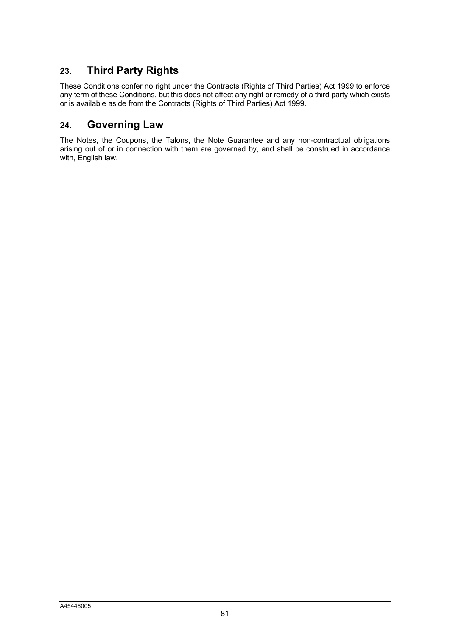# **23. Third Party Rights**

These Conditions confer no right under the Contracts (Rights of Third Parties) Act 1999 to enforce any term of these Conditions, but this does not affect any right or remedy of a third party which exists or is available aside from the Contracts (Rights of Third Parties) Act 1999.

# **24. Governing Law**

The Notes, the Coupons, the Talons, the Note Guarantee and any non-contractual obligations arising out of or in connection with them are governed by, and shall be construed in accordance with, English law.